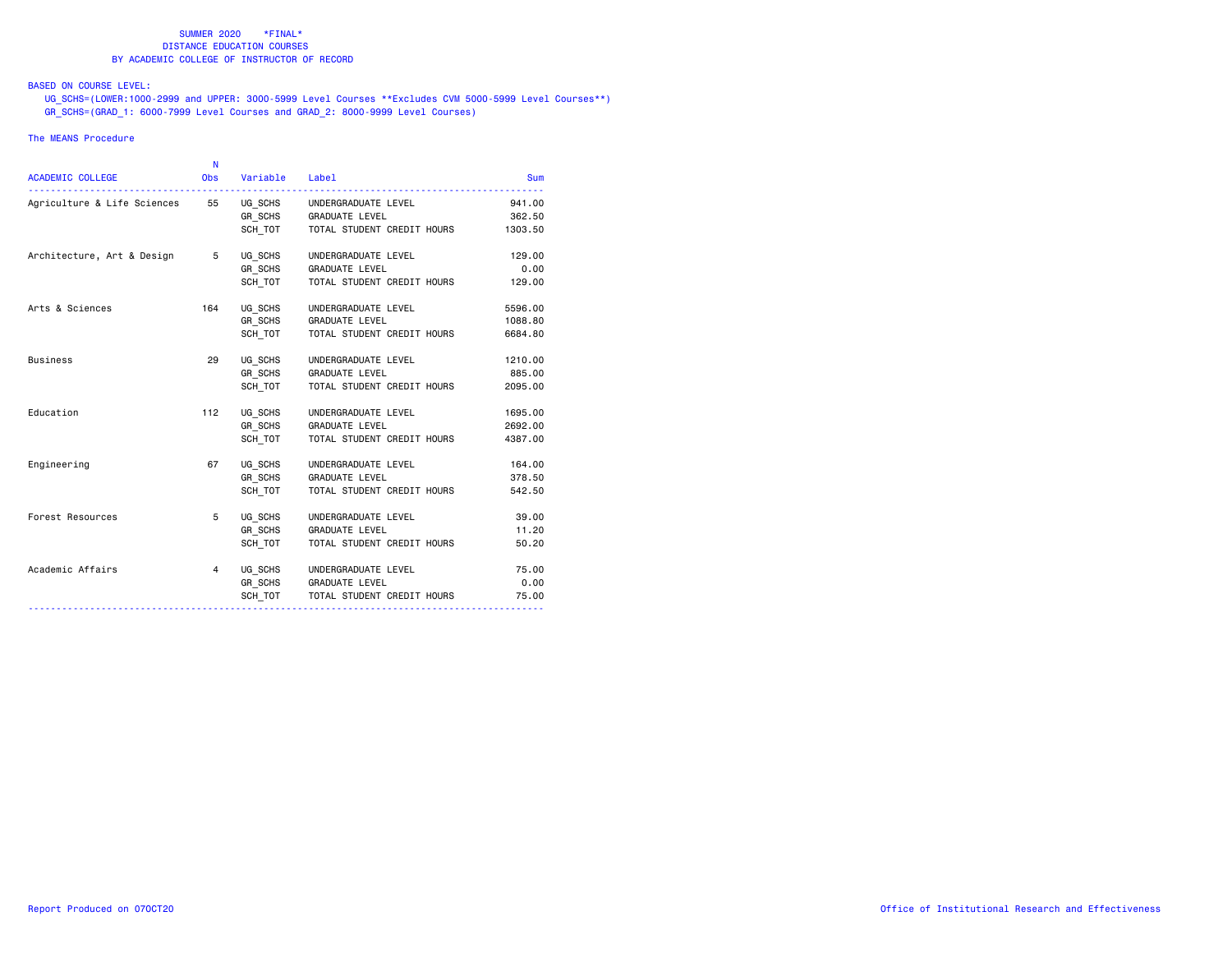## BASED ON COURSE LEVEL:

 UG\_SCHS=(LOWER:1000-2999 and UPPER: 3000-5999 Level Courses \*\*Excludes CVM 5000-5999 Level Courses\*\*) GR\_SCHS=(GRAD\_1: 6000-7999 Level Courses and GRAD\_2: 8000-9999 Level Courses)

### The MEANS Procedure

| <b>ACADEMIC COLLEGE</b>                                    | N<br><b>Obs</b> | Variable Label |                                    | <b>Sum</b> |
|------------------------------------------------------------|-----------------|----------------|------------------------------------|------------|
| Agriculture & Life Sciences 55 UG_SCHS UNDERGRADUATE LEVEL |                 |                |                                    | 941.00     |
|                                                            |                 |                | GR_SCHS GRADUATE LEVEL             | 362.50     |
|                                                            |                 | SCH TOT        | TOTAL STUDENT CREDIT HOURS         | 1303.50    |
| Architecture, Art & Design                                 | 5               | UG_SCHS        | UNDERGRADUATE LEVEL                | 129.00     |
|                                                            |                 | GR_SCHS        | <b>GRADUATE LEVEL</b>              | 0.00       |
|                                                            |                 | SCH TOT        | TOTAL STUDENT CREDIT HOURS         | 129.00     |
| Arts & Sciences                                            | 164             |                | UG SCHS UNDERGRADUATE LEVEL        | 5596.00    |
|                                                            |                 |                | GR SCHS GRADUATE LEVEL             | 1088.80    |
|                                                            |                 | SCH TOT        | TOTAL STUDENT CREDIT HOURS         | 6684.80    |
| <b>Business</b>                                            | 29              | UG SCHS        | UNDERGRADUATE LEVEL                | 1210.00    |
|                                                            |                 | GR SCHS        | <b>GRADUATE LEVEL</b>              | 885.00     |
|                                                            |                 | SCH TOT        | TOTAL STUDENT CREDIT HOURS         | 2095.00    |
| Education                                                  | 112             | UG_SCHS        | UNDERGRADUATE LEVEL                | 1695.00    |
|                                                            |                 |                | GR SCHS GRADUATE LEVEL             | 2692.00    |
|                                                            |                 | SCH_TOT        | TOTAL STUDENT CREDIT HOURS         | 4387.00    |
| Engineering                                                | 67              |                | UG_SCHS UNDERGRADUATE LEVEL        | 164.00     |
|                                                            |                 |                | GR SCHS GRADUATE LEVEL             | 378.50     |
|                                                            |                 | SCH TOT        | TOTAL STUDENT CREDIT HOURS         | 542.50     |
| Forest Resources                                           | 5               | UG SCHS        | UNDERGRADUATE LEVEL                | 39.00      |
|                                                            |                 | GR_SCHS        | <b>GRADUATE LEVEL</b>              | 11.20      |
|                                                            |                 | SCH TOT        | TOTAL STUDENT CREDIT HOURS         | 50.20      |
| Academic Affairs                                           | $4 \quad$       |                | UG SCHS UNDERGRADUATE LEVEL        | 75.00      |
|                                                            |                 |                | GR SCHS GRADUATE LEVEL             | 0.00       |
|                                                            |                 |                | SCH_TOT TOTAL STUDENT CREDIT HOURS | 75.00      |
|                                                            |                 |                |                                    |            |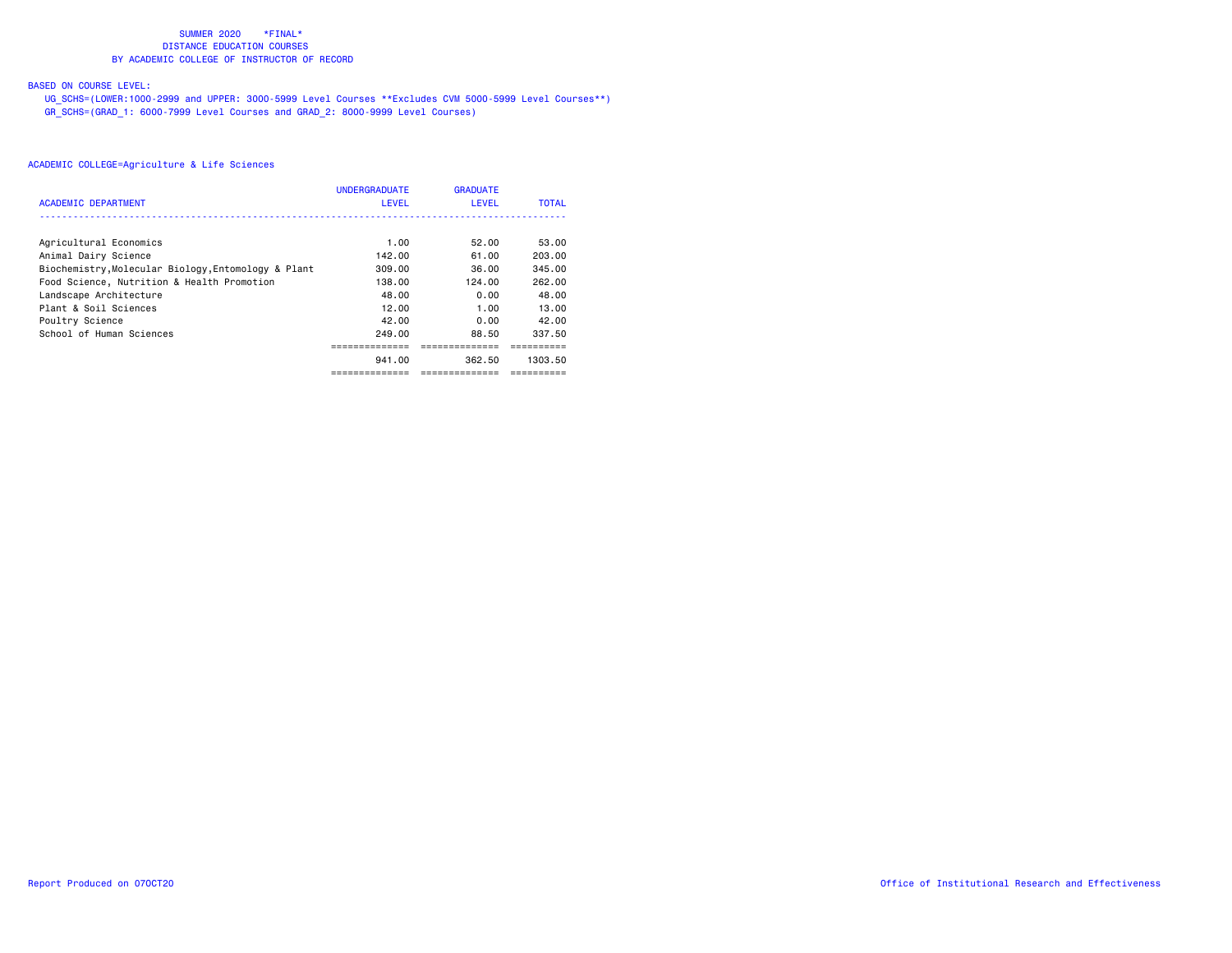# BASED ON COURSE LEVEL:

 UG\_SCHS=(LOWER:1000-2999 and UPPER: 3000-5999 Level Courses \*\*Excludes CVM 5000-5999 Level Courses\*\*) GR\_SCHS=(GRAD\_1: 6000-7999 Level Courses and GRAD\_2: 8000-9999 Level Courses)

| <b>ACADEMIC DEPARTMENT</b>                          | <b>UNDERGRADUATE</b><br><b>LEVEL</b> | <b>GRADUATE</b><br><b>LEVEL</b> | <b>TOTAL</b> |
|-----------------------------------------------------|--------------------------------------|---------------------------------|--------------|
|                                                     |                                      |                                 |              |
| Agricultural Economics                              | 1.00                                 | 52.00                           | 53.00        |
| Animal Dairy Science                                | 142.00                               | 61.00                           | 203.00       |
| Biochemistry, Molecular Biology, Entomology & Plant | 309.00                               | 36.00                           | 345.00       |
| Food Science, Nutrition & Health Promotion          | 138.00                               | 124.00                          | 262.00       |
| Landscape Architecture                              | 48.00                                | 0.00                            | 48.00        |
| Plant & Soil Sciences                               | 12.00                                | 1.00                            | 13.00        |
| Poultry Science                                     | 42.00                                | 0.00                            | 42.00        |
| School of Human Sciences                            | 249.00                               | 88.50                           | 337.50       |
|                                                     |                                      |                                 |              |
|                                                     | 941.00                               | 362.50                          | 1303.50      |
|                                                     | ==============                       | ==============                  | ---------    |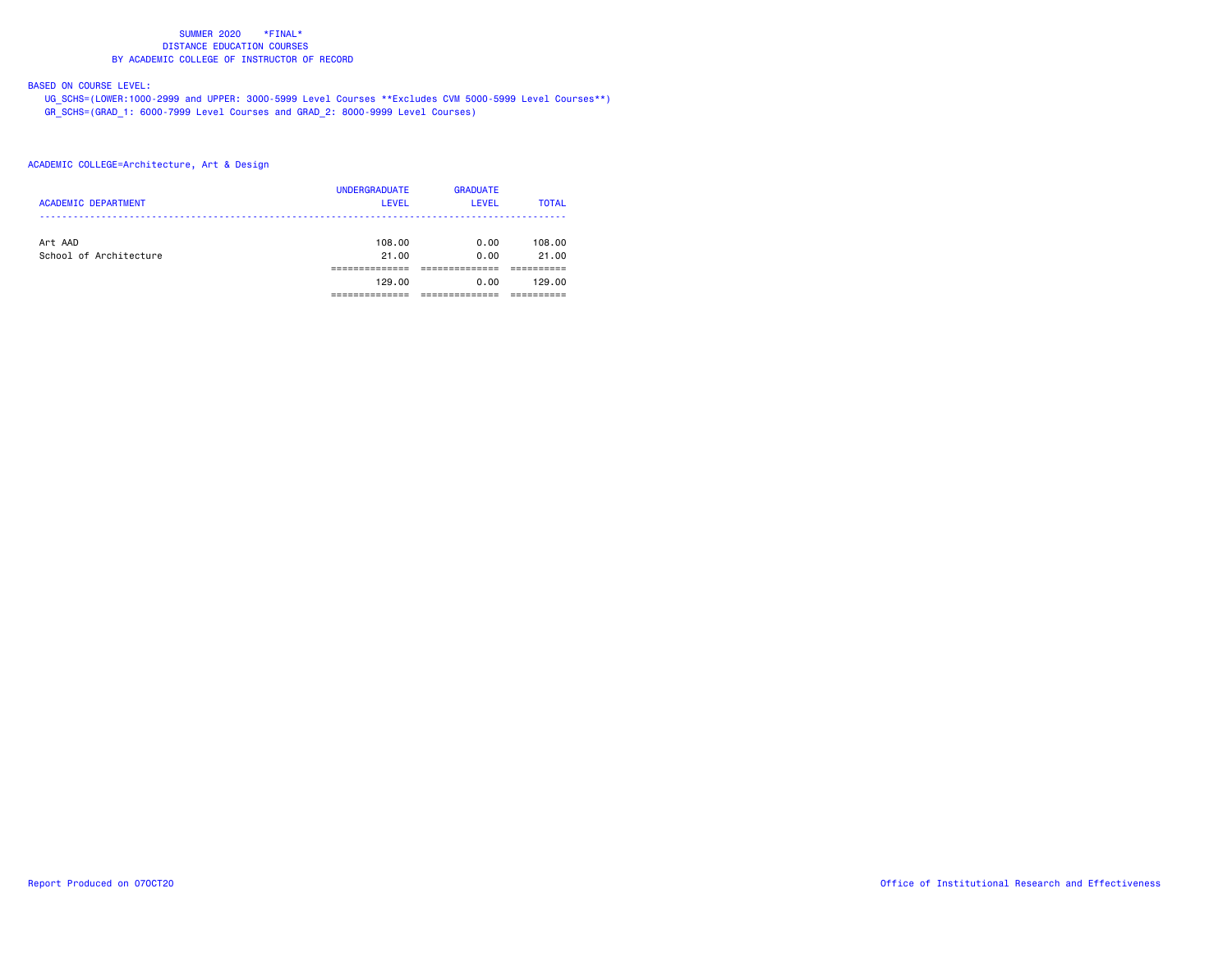# BASED ON COURSE LEVEL:

 UG\_SCHS=(LOWER:1000-2999 and UPPER: 3000-5999 Level Courses \*\*Excludes CVM 5000-5999 Level Courses\*\*) GR\_SCHS=(GRAD\_1: 6000-7999 Level Courses and GRAD\_2: 8000-9999 Level Courses)

## ACADEMIC COLLEGE=Architecture, Art & Design

| <b>ACADEMIC DEPARTMENT</b>        | <b>UNDERGRADUATE</b><br><b>LEVEL</b> | <b>GRADUATE</b><br>LEVEL | <b>TOTAL</b>    |
|-----------------------------------|--------------------------------------|--------------------------|-----------------|
| Art AAD<br>School of Architecture | 108.00<br>21.00                      | 0.00<br>0.00             | 108.00<br>21.00 |
|                                   |                                      |                          |                 |
|                                   | 129.00                               | 0.00                     | 129.00          |
|                                   |                                      |                          |                 |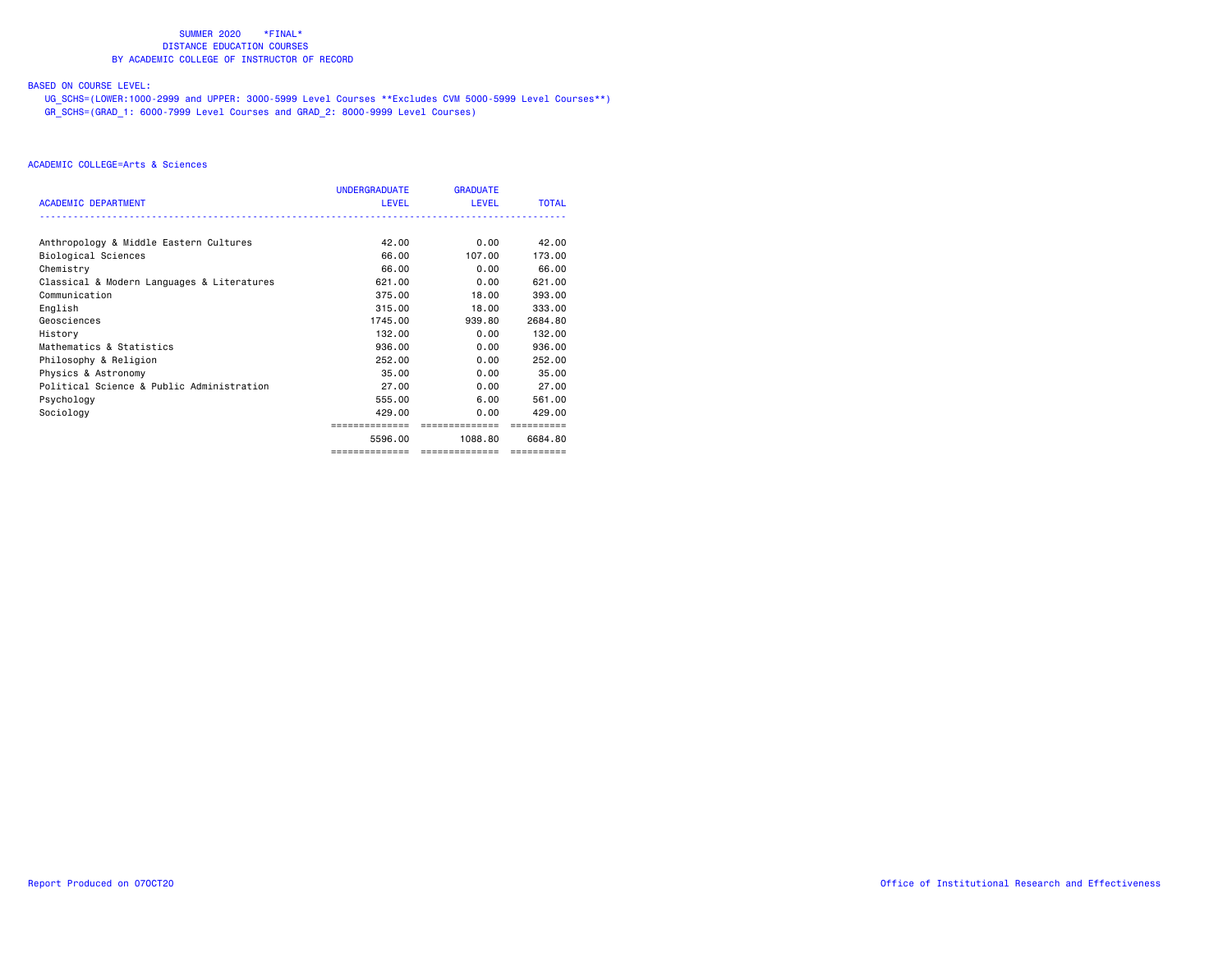# BASED ON COURSE LEVEL:

 UG\_SCHS=(LOWER:1000-2999 and UPPER: 3000-5999 Level Courses \*\*Excludes CVM 5000-5999 Level Courses\*\*) GR\_SCHS=(GRAD\_1: 6000-7999 Level Courses and GRAD\_2: 8000-9999 Level Courses)

|                                            | UNDERGRADUATE | <b>GRADUATE</b> |              |
|--------------------------------------------|---------------|-----------------|--------------|
| <b>ACADEMIC DEPARTMENT</b>                 | <b>LEVEL</b>  | <b>LEVEL</b>    | <b>TOTAL</b> |
|                                            |               |                 |              |
| Anthropology & Middle Eastern Cultures     | 42.00         | 0.00            | 42.00        |
| Biological Sciences                        | 66.00         | 107.00          | 173.00       |
| Chemistry                                  | 66.00         | 0.00            | 66.00        |
| Classical & Modern Languages & Literatures | 621.00        | 0.00            | 621.00       |
| Communication                              | 375.00        | 18,00           | 393,00       |
| English                                    | 315,00        | 18,00           | 333,00       |
| Geosciences                                | 1745.00       | 939.80          | 2684.80      |
| History                                    | 132.00        | 0.00            | 132.00       |
| Mathematics & Statistics                   | 936.00        | 0.00            | 936.00       |
| Philosophy & Religion                      | 252,00        | 0.00            | 252,00       |
| Physics & Astronomy                        | 35.00         | 0.00            | 35.00        |
| Political Science & Public Administration  | 27.00         | 0.00            | 27.00        |
| Psychology                                 | 555.00        | 6.00            | 561.00       |
| Sociology                                  | 429.00        | 0.00            | 429.00       |
|                                            |               | =============   |              |
|                                            | 5596.00       | 1088.80         | 6684.80      |
|                                            | ============= | ==============  |              |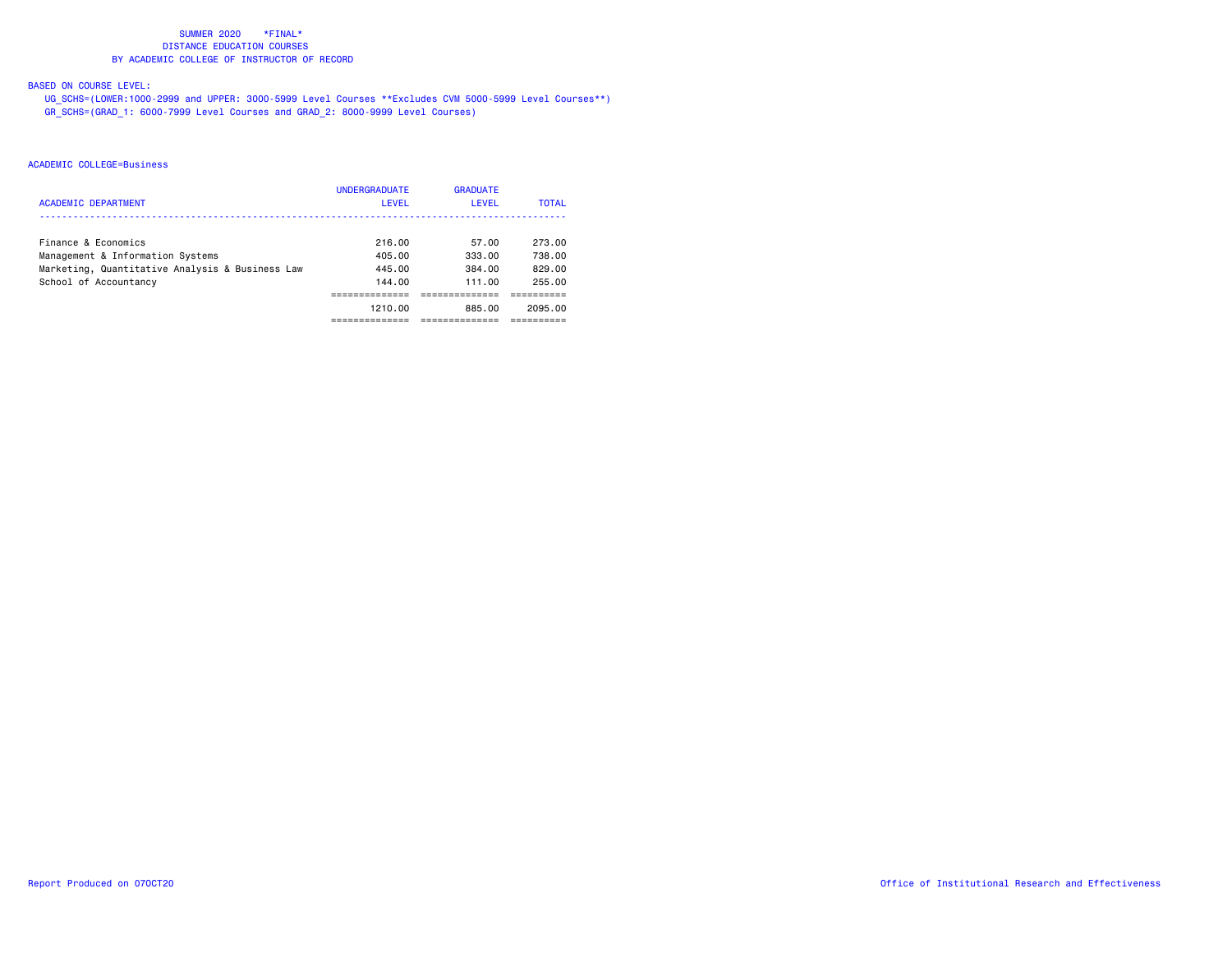# BASED ON COURSE LEVEL:

 UG\_SCHS=(LOWER:1000-2999 and UPPER: 3000-5999 Level Courses \*\*Excludes CVM 5000-5999 Level Courses\*\*) GR\_SCHS=(GRAD\_1: 6000-7999 Level Courses and GRAD\_2: 8000-9999 Level Courses)

|                                                 | <b>UNDERGRADUATE</b> | <b>GRADUATE</b> |              |
|-------------------------------------------------|----------------------|-----------------|--------------|
| <b>ACADEMIC DEPARTMENT</b>                      | LEVEL                | <b>LEVEL</b>    | <b>TOTAL</b> |
|                                                 |                      |                 |              |
| Finance & Economics                             | 216.00               | 57.00           | 273.00       |
| Management & Information Systems                | 405.00               | 333.00          | 738.00       |
| Marketing, Quantitative Analysis & Business Law | 445.00               | 384.00          | 829.00       |
| School of Accountancy                           | 144.00               | 111.00          | 255.00       |
|                                                 |                      |                 |              |
|                                                 | 1210.00              | 885.00          | 2095.00      |
|                                                 |                      |                 |              |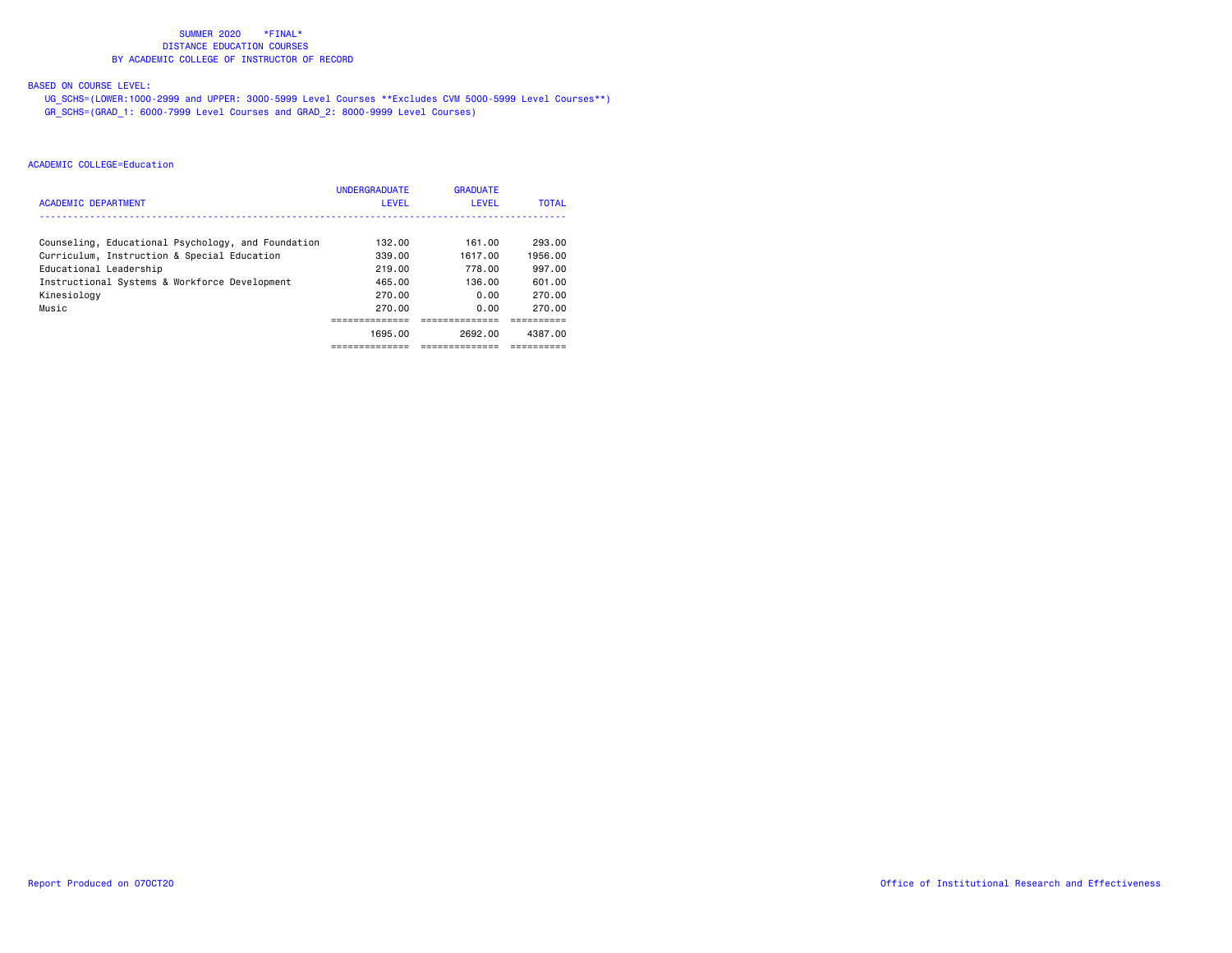# BASED ON COURSE LEVEL:

 UG\_SCHS=(LOWER:1000-2999 and UPPER: 3000-5999 Level Courses \*\*Excludes CVM 5000-5999 Level Courses\*\*) GR\_SCHS=(GRAD\_1: 6000-7999 Level Courses and GRAD\_2: 8000-9999 Level Courses)

| ACADEMIC DEPARTMENT                                                   | <b>UNDERGRADUATE</b><br><b>LEVEL</b> | <b>GRADUATE</b><br><b>LEVEL</b> | <b>TOTAL</b>      |
|-----------------------------------------------------------------------|--------------------------------------|---------------------------------|-------------------|
| Counseling, Educational Psychology, and Foundation                    | 132.00<br>339.00                     | 161.00<br>1617.00               | 293.00<br>1956.00 |
| Curriculum, Instruction & Special Education<br>Educational Leadership | 219.00                               | 778.00                          | 997.00            |
| Instructional Systems & Workforce Development<br>Kinesiology          | 465.00<br>270.00                     | 136.00<br>0.00                  | 601.00<br>270.00  |
| Music                                                                 | 270.00                               | 0.00                            | 270.00            |
|                                                                       | 1695.00                              | 2692.00                         | 4387.00           |
|                                                                       | ---------                            | ---------                       |                   |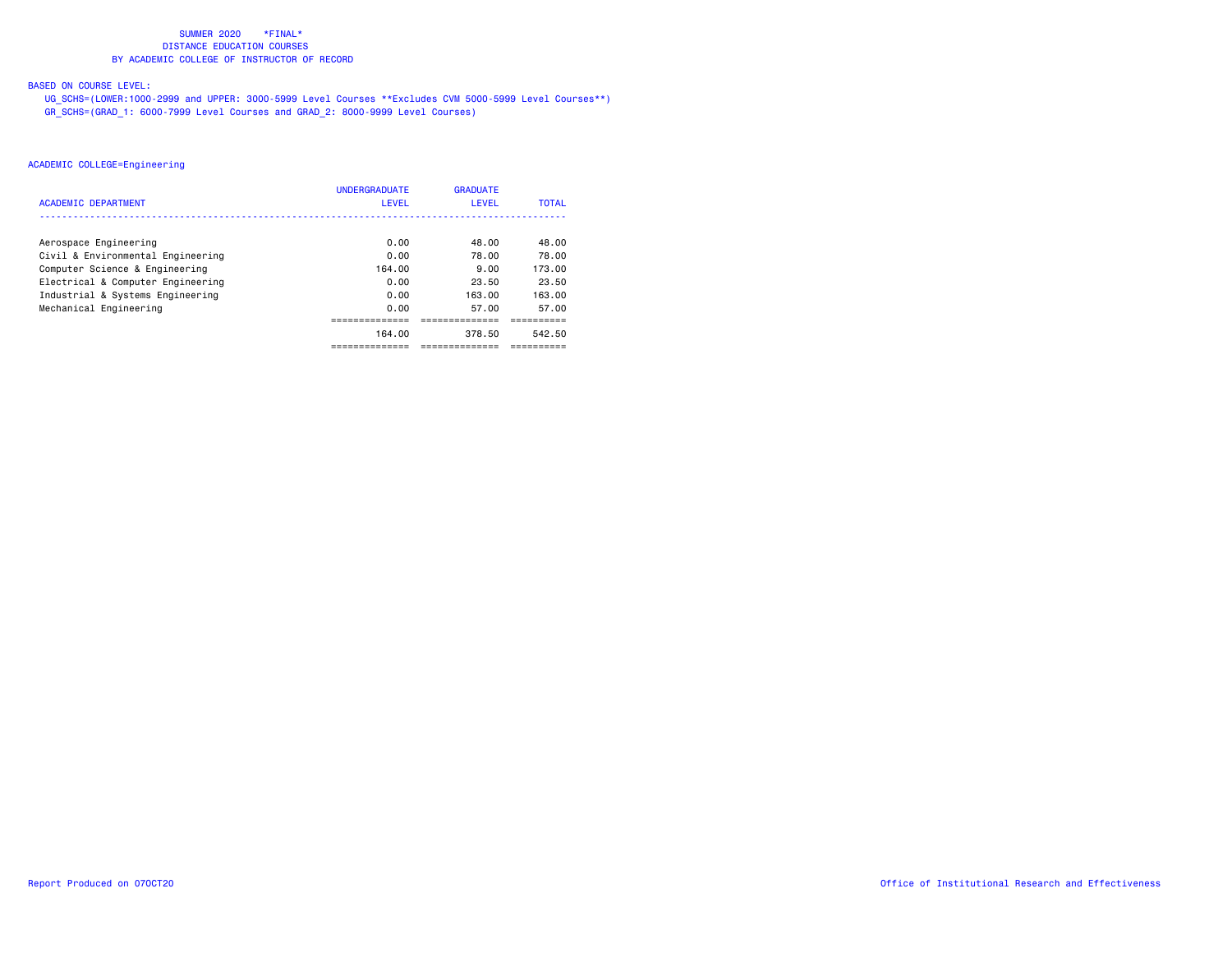# BASED ON COURSE LEVEL:

 UG\_SCHS=(LOWER:1000-2999 and UPPER: 3000-5999 Level Courses \*\*Excludes CVM 5000-5999 Level Courses\*\*) GR\_SCHS=(GRAD\_1: 6000-7999 Level Courses and GRAD\_2: 8000-9999 Level Courses)

|                                   | <b>UNDERGRADUATE</b> | <b>GRADUATE</b> |              |
|-----------------------------------|----------------------|-----------------|--------------|
| <b>ACADEMIC DEPARTMENT</b>        | <b>LEVEL</b>         | <b>LEVEL</b>    | <b>TOTAL</b> |
|                                   |                      |                 |              |
| Aerospace Engineering             | 0.00                 | 48.00           | 48.00        |
| Civil & Environmental Engineering | 0.00                 | 78.00           | 78.00        |
| Computer Science & Engineering    | 164.00               | 9.00            | 173.00       |
| Electrical & Computer Engineering | 0.00                 | 23.50           | 23.50        |
| Industrial & Systems Engineering  | 0.00                 | 163.00          | 163.00       |
| Mechanical Engineering            | 0.00                 | 57.00           | 57.00        |
|                                   |                      |                 |              |
|                                   | 164.00               | 378.50          | 542.50       |
|                                   |                      |                 |              |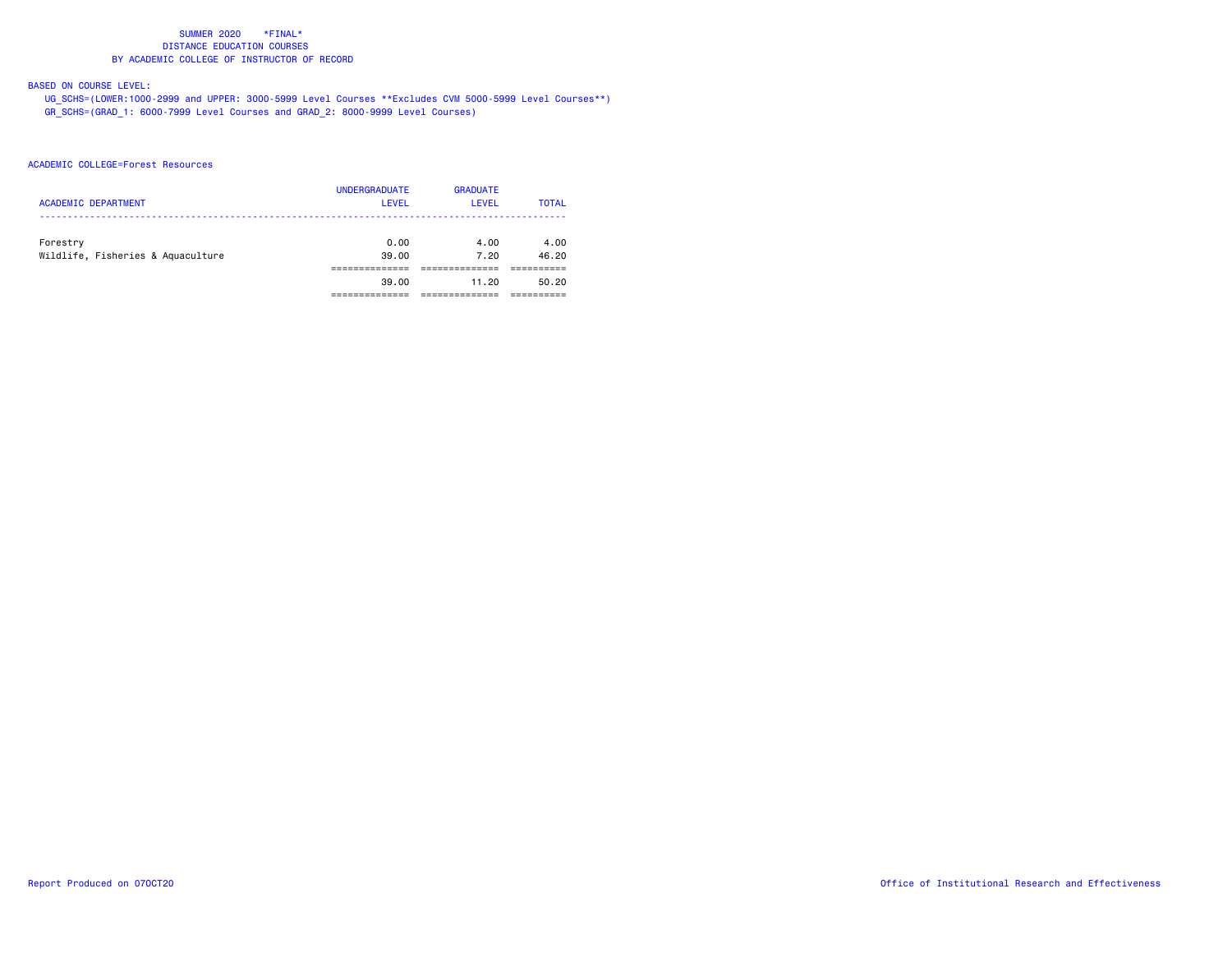# BASED ON COURSE LEVEL:

 UG\_SCHS=(LOWER:1000-2999 and UPPER: 3000-5999 Level Courses \*\*Excludes CVM 5000-5999 Level Courses\*\*) GR\_SCHS=(GRAD\_1: 6000-7999 Level Courses and GRAD\_2: 8000-9999 Level Courses)

## ACADEMIC COLLEGE=Forest Resources

| <b>ACADEMIC DEPARTMENT</b>                    | <b>UNDERGRADUATE</b><br><b>LEVEL</b> | <b>GRADUATE</b><br>LEVEL | <b>TOTAL</b>  |
|-----------------------------------------------|--------------------------------------|--------------------------|---------------|
| Forestry<br>Wildlife, Fisheries & Aquaculture | 0.00<br>39.00                        | 4.00<br>7.20             | 4.00<br>46.20 |
|                                               |                                      |                          |               |
|                                               | 39.00                                | 11.20                    | 50.20         |
|                                               |                                      |                          |               |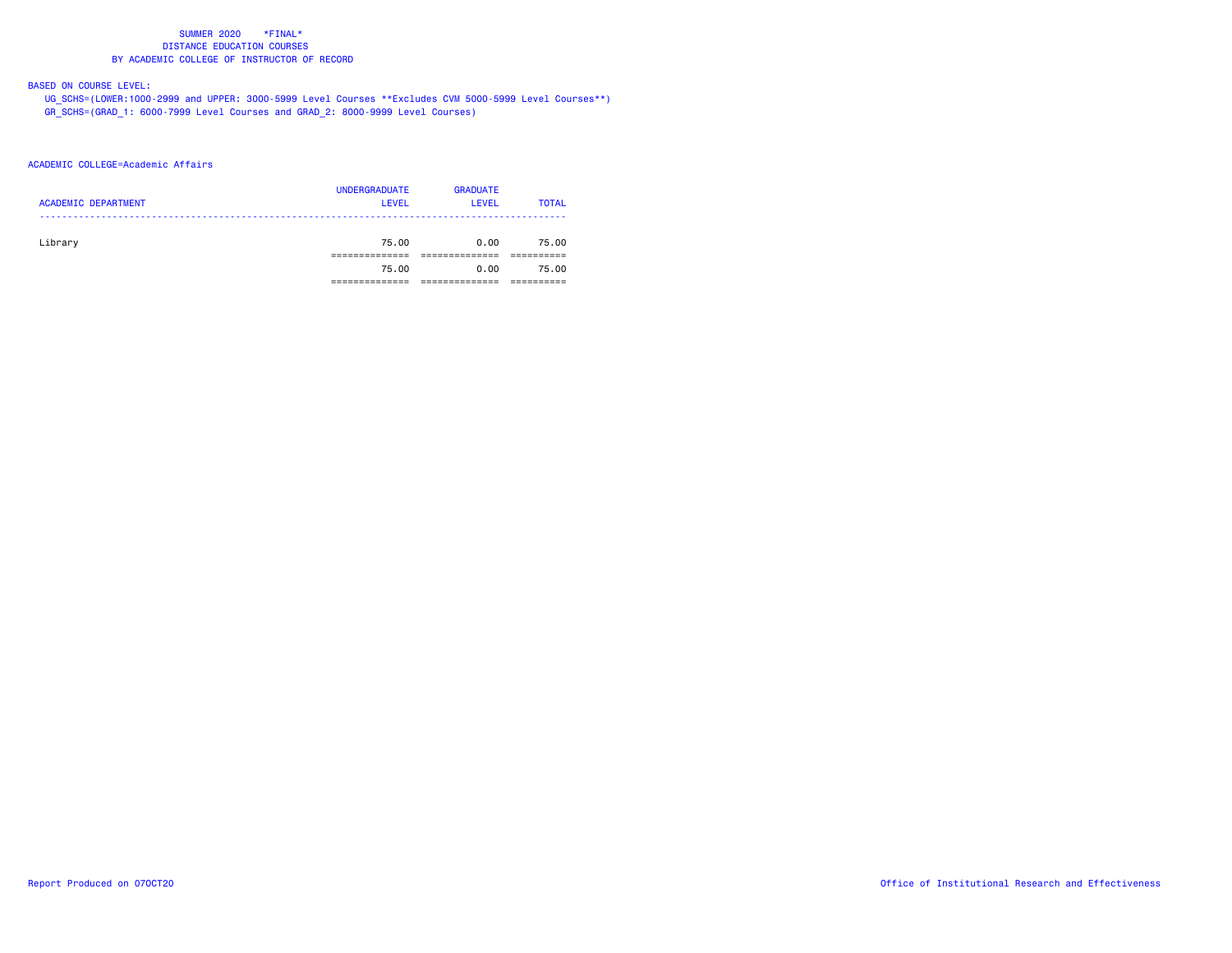# BASED ON COURSE LEVEL:

 UG\_SCHS=(LOWER:1000-2999 and UPPER: 3000-5999 Level Courses \*\*Excludes CVM 5000-5999 Level Courses\*\*) GR\_SCHS=(GRAD\_1: 6000-7999 Level Courses and GRAD\_2: 8000-9999 Level Courses)

## ACADEMIC COLLEGE=Academic Affairs

| <b>ACADEMIC DEPARTMENT</b> | <b>UNDERGRADUATE</b><br><b>LEVEL</b> | <b>GRADUATE</b><br>LEVEL | <b>TOTAL</b> |
|----------------------------|--------------------------------------|--------------------------|--------------|
| Library                    | 75.00                                | 0.00                     | 75.00        |
|                            | 75.00                                | 0.00                     | 75.00        |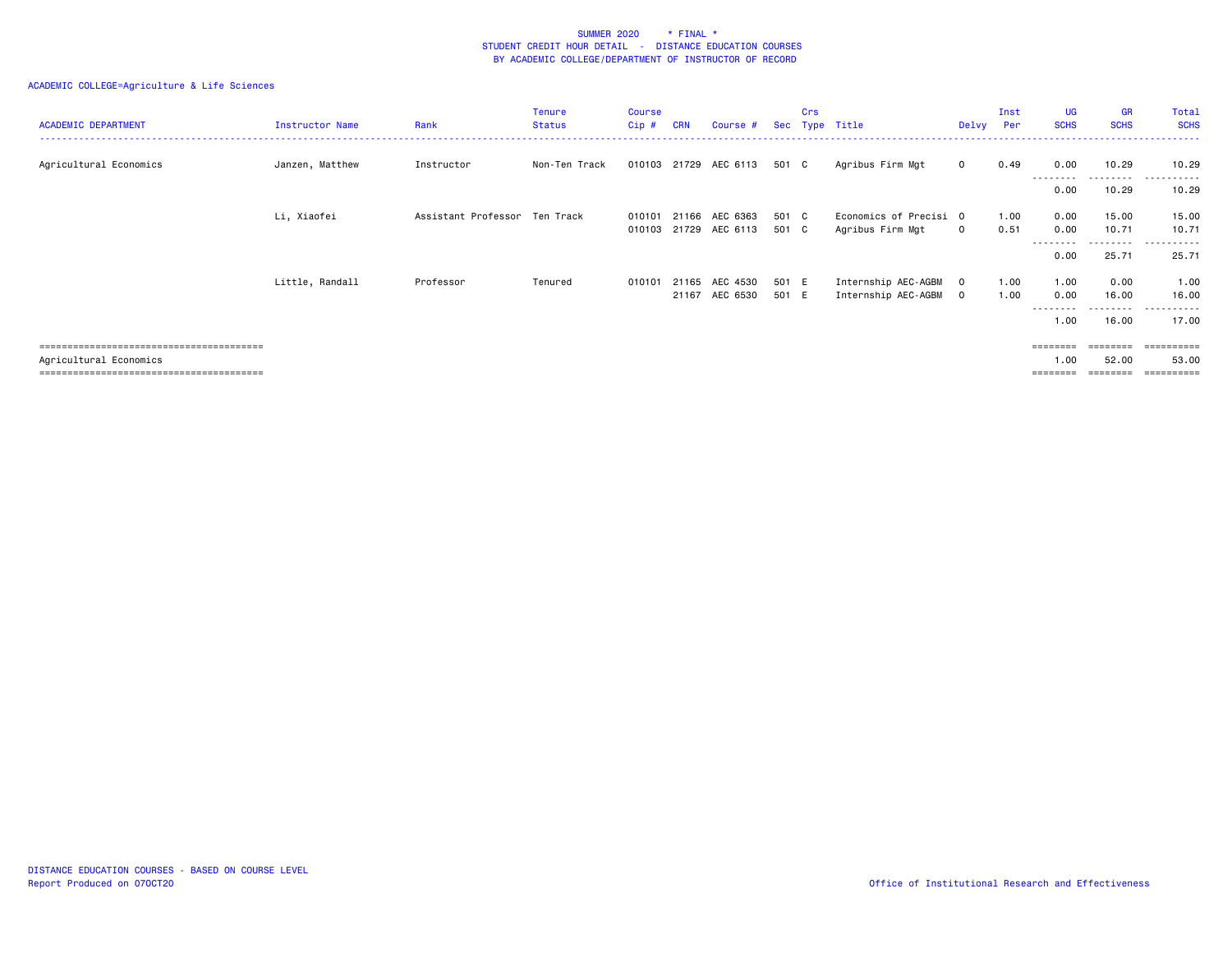| <b>ACADEMIC DEPARTMENT</b> | Instructor Name | Rank                          | Tenure<br>Status | <b>Course</b><br>Cip# | <b>CRN</b> | Course #              | Sec   | Crs<br>Type | Title                  | Delvy        | Inst<br>Per | <b>UG</b><br><b>SCHS</b> | GR<br><b>SCHS</b>  | Total<br><b>SCHS</b>       |
|----------------------------|-----------------|-------------------------------|------------------|-----------------------|------------|-----------------------|-------|-------------|------------------------|--------------|-------------|--------------------------|--------------------|----------------------------|
| Agricultural Economics     | Janzen, Matthew | Instructor                    | Non-Ten Track    |                       |            | 010103 21729 AEC 6113 | 501 C |             | Agribus Firm Mgt       | $\mathbf{0}$ | 0.49        | 0.00<br>--------         | 10.29<br>.         | 10.29<br>.<br>. <u>.</u> . |
|                            |                 |                               |                  |                       |            |                       |       |             |                        |              |             | 0.00                     | 10.29              | 10.29                      |
|                            | Li, Xiaofei     | Assistant Professor Ten Track |                  | 010101                | 21166      | AEC 6363              | 501 C |             | Economics of Precisi 0 |              | 1.00        | 0.00                     | 15.00              | 15.00                      |
|                            |                 |                               |                  | 010103                |            | 21729 AEC 6113        | 501 C |             | Agribus Firm Mgt       | $\mathbf 0$  | 0.51        | 0.00                     | 10.71<br>--------- | 10.71<br>------<br>----    |
|                            |                 |                               |                  |                       |            |                       |       |             |                        |              |             | 0.00                     | 25.71              | 25.71                      |
|                            | Little, Randall | Professor                     | Tenured          | 010101                |            | 21165 AEC 4530        | 501 E |             | Internship AEC-AGBM    | $\circ$      | 1.00        | 1.00                     | 0.00               | 1.00                       |
|                            |                 |                               |                  |                       |            | 21167 AEC 6530        | 501 E |             | Internship AEC-AGBM    | $\mathbf{0}$ | 1.00        | 0.00<br>--------         | 16.00<br>--------- | 16.00<br>.                 |
|                            |                 |                               |                  |                       |            |                       |       |             |                        |              |             | 1.00                     | 16.00              | 17.00                      |
|                            |                 |                               |                  |                       |            |                       |       |             |                        |              |             | ========                 | ========           | ==========                 |
| Agricultural Economics     |                 |                               |                  |                       |            |                       |       |             |                        |              |             | 1.00<br>========         | 52.00              | 53.00<br>==========        |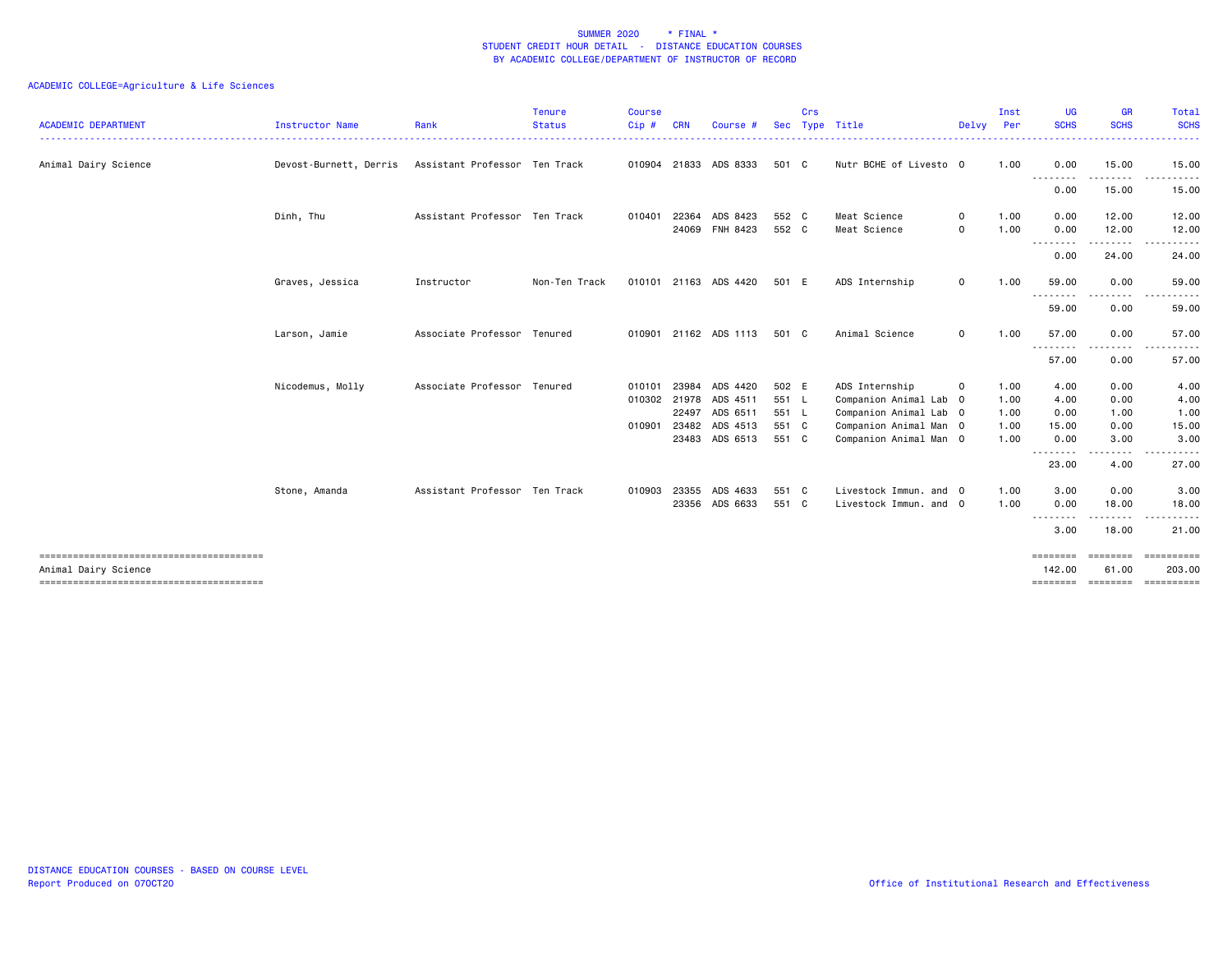| <b>ACADEMIC DEPARTMENT</b> | Instructor Name        | Rank                          | <b>Tenure</b><br><b>Status</b> | <b>Course</b><br>$Cip$ # | <b>CRN</b> | Course                | <b>Sec</b> | Crs | Type Title             | Delvy Per   | Inst | <b>UG</b><br><b>SCHS</b> | <b>GR</b><br><b>SCHS</b> | Total<br><b>SCHS</b> |
|----------------------------|------------------------|-------------------------------|--------------------------------|--------------------------|------------|-----------------------|------------|-----|------------------------|-------------|------|--------------------------|--------------------------|----------------------|
| Animal Dairy Science       | Devost-Burnett, Derris | Assistant Professor Ten Track |                                |                          |            | 010904 21833 ADS 8333 | 501 C      |     | Nutr BCHE of Livesto 0 |             | 1.00 | 0.00                     | 15.00                    | 15.00                |
|                            |                        |                               |                                |                          |            |                       |            |     |                        |             |      | ----<br>.<br>0.00        | 15.00                    | 15.00                |
|                            | Dinh, Thu              | Assistant Professor Ten Track |                                | 010401                   | 22364      | ADS 8423              | 552 C      |     | Meat Science           | $\circ$     | 1.00 | 0.00                     | 12.00                    | 12.00                |
|                            |                        |                               |                                |                          |            | 24069 FNH 8423        | 552 C      |     | Meat Science           | 0           | 1.00 | 0.00                     | 12.00                    | 12.00                |
|                            |                        |                               |                                |                          |            |                       |            |     |                        |             |      | --------<br>0.00         | 24.00                    | 24.00                |
|                            | Graves, Jessica        | Instructor                    | Non-Ten Track                  |                          |            | 010101 21163 ADS 4420 | 501 E      |     | ADS Internship         | $\mathbf 0$ | 1.00 | 59.00<br>----<br>.       | 0.00                     | 59.00                |
|                            |                        |                               |                                |                          |            |                       |            |     |                        |             |      | 59.00                    | 0.00                     | 59.00                |
|                            | Larson, Jamie          | Associate Professor Tenured   |                                | 010901                   |            | 21162 ADS 1113        | 501 C      |     | Animal Science         | 0           | 1.00 | 57.00                    | 0.00                     | 57.00                |
|                            |                        |                               |                                |                          |            |                       |            |     |                        |             |      | .<br>57.00               | 0.00                     | 57.00                |
|                            | Nicodemus, Molly       | Associate Professor Tenured   |                                | 010101                   | 23984      | ADS 4420              | 502 E      |     | ADS Internship         | 0           | 1.00 | 4.00                     | 0.00                     | 4.00                 |
|                            |                        |                               |                                |                          |            | 010302 21978 ADS 4511 | 551 L      |     | Companion Animal Lab 0 |             | 1.00 | 4.00                     | 0.00                     | 4.00                 |
|                            |                        |                               |                                |                          |            | 22497 ADS 6511        | 551 L      |     | Companion Animal Lab 0 |             | 1.00 | 0.00                     | 1.00                     | 1.00                 |
|                            |                        |                               |                                | 010901                   | 23482      | ADS 4513              | 551 C      |     | Companion Animal Man 0 |             | 1.00 | 15.00                    | 0.00                     | 15.00                |
|                            |                        |                               |                                |                          |            | 23483 ADS 6513        | 551 C      |     | Companion Animal Man 0 |             | 1.00 | 0.00<br><u>.</u>         | 3.00                     | 3.00                 |
|                            |                        |                               |                                |                          |            |                       |            |     |                        |             |      | 23.00                    | 4.00                     | 27.00                |
|                            | Stone, Amanda          | Assistant Professor Ten Track |                                | 010903                   | 23355      | ADS 4633              | 551 C      |     | Livestock Immun. and 0 |             | 1.00 | 3.00                     | 0.00                     | 3.00                 |
|                            |                        |                               |                                |                          |            | 23356 ADS 6633        | 551 C      |     | Livestock Immun, and 0 |             | 1.00 | 0.00<br><u>.</u>         | 18.00                    | 18.00                |
|                            |                        |                               |                                |                          |            |                       |            |     |                        |             |      | 3.00                     | 18.00                    | 21.00                |
|                            |                        |                               |                                |                          |            |                       |            |     |                        |             |      | ========                 | ========                 | EEEEEEEEE            |
| Animal Dairy Science       |                        |                               |                                |                          |            |                       |            |     |                        |             |      | 142.00<br>========       | 61.00<br>========        | 203.00               |
|                            |                        |                               |                                |                          |            |                       |            |     |                        |             |      |                          |                          |                      |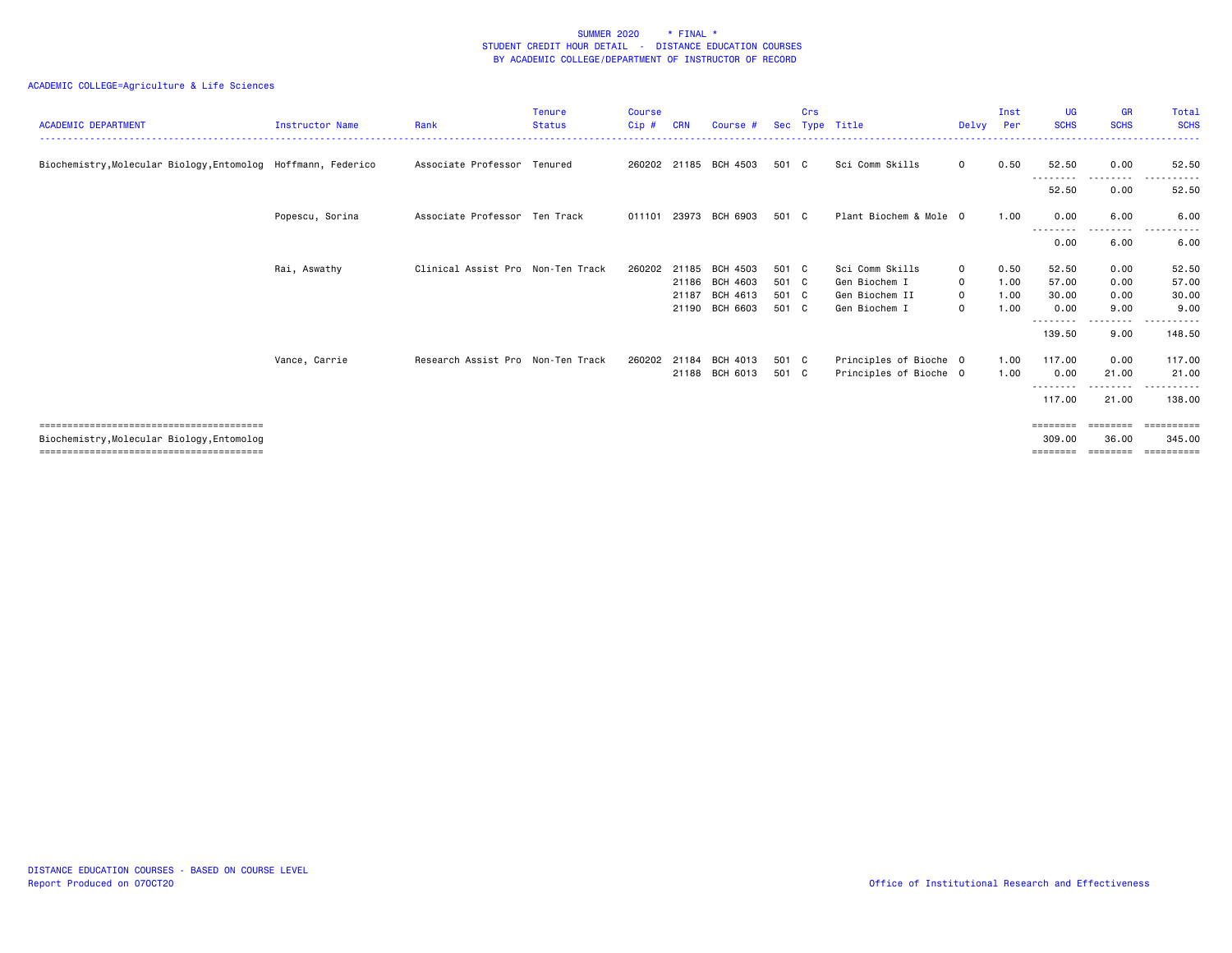| <b>ACADEMIC DEPARTMENT</b>                                    | <b>Instructor Name</b> | Rank                              | <b>Tenure</b><br><b>Status</b> | Course<br>Cip# | <b>CRN</b> | Course #              | Sec   | Crs | Type Title             | Delvy       | Inst<br>Per | UG<br><b>SCHS</b>          | <b>GR</b><br><b>SCHS</b> | <b>Total</b><br><b>SCHS</b> |
|---------------------------------------------------------------|------------------------|-----------------------------------|--------------------------------|----------------|------------|-----------------------|-------|-----|------------------------|-------------|-------------|----------------------------|--------------------------|-----------------------------|
| Biochemistry, Molecular Biology, Entomolog Hoffmann, Federico |                        | Associate Professor Tenured       |                                |                |            | 260202 21185 BCH 4503 | 501 C |     | Sci Comm Skills        | $\mathbf 0$ | 0.50        | 52.50<br>- - - - - - - - - | 0.00<br>-----            | 52.50                       |
|                                                               |                        |                                   |                                |                |            |                       |       |     |                        |             |             | 52.50                      | 0.00                     | 52.50                       |
|                                                               | Popescu, Sorina        | Associate Professor Ten Track     |                                | 011101         |            | 23973 BCH 6903        | 501 C |     | Plant Biochem & Mole 0 |             | 1.00        | 0.00<br>--------           | 6.00<br>.                | 6.00                        |
|                                                               |                        |                                   |                                |                |            |                       |       |     |                        |             |             | 0.00                       | 6.00                     | 6.00                        |
|                                                               | Rai, Aswathy           | Clinical Assist Pro Non-Ten Track |                                | 260202         | 21185      | BCH 4503              | 501 C |     | Sci Comm Skills        | $\mathbf 0$ | 0.50        | 52.50                      | 0.00                     | 52.50                       |
|                                                               |                        |                                   |                                |                |            | 21186 BCH 4603        | 501 C |     | Gen Biochem I          | $\mathbf 0$ | 1.00        | 57.00                      | 0.00                     | 57.00                       |
|                                                               |                        |                                   |                                |                | 21187      | BCH 4613              | 501 C |     | Gen Biochem II         | $\mathbf 0$ | 1.00        | 30.00                      | 0.00                     | 30.00                       |
|                                                               |                        |                                   |                                |                |            | 21190 BCH 6603        | 501 C |     | Gen Biochem I          | $\mathbf 0$ | 1.00        | 0.00                       | 9.00<br>-----            | 9.00<br><u>.</u>            |
|                                                               |                        |                                   |                                |                |            |                       |       |     |                        |             |             | 139.50                     | 9.00                     | 148.50                      |
|                                                               | Vance, Carrie          | Research Assist Pro Non-Ten Track |                                | 260202         | 21184      | BCH 4013              | 501 C |     | Principles of Bioche 0 |             | 1.00        | 117.00                     | 0.00                     | 117.00                      |
|                                                               |                        |                                   |                                |                |            | 21188 BCH 6013        | 501 C |     | Principles of Bioche 0 |             | 1.00        | 0.00<br>- - - - - - - -    | 21.00                    | 21.00                       |
|                                                               |                        |                                   |                                |                |            |                       |       |     |                        |             |             | 117.00                     | 21.00                    | 138.00                      |
|                                                               |                        |                                   |                                |                |            |                       |       |     |                        |             |             | ========                   | ========                 | eessessess                  |
| Biochemistry, Molecular Biology, Entomolog                    |                        |                                   |                                |                |            |                       |       |     |                        |             |             | 309,00                     | 36.00                    | 345,00                      |
|                                                               |                        |                                   |                                |                |            |                       |       |     |                        |             |             | ========                   | ========                 | ==========                  |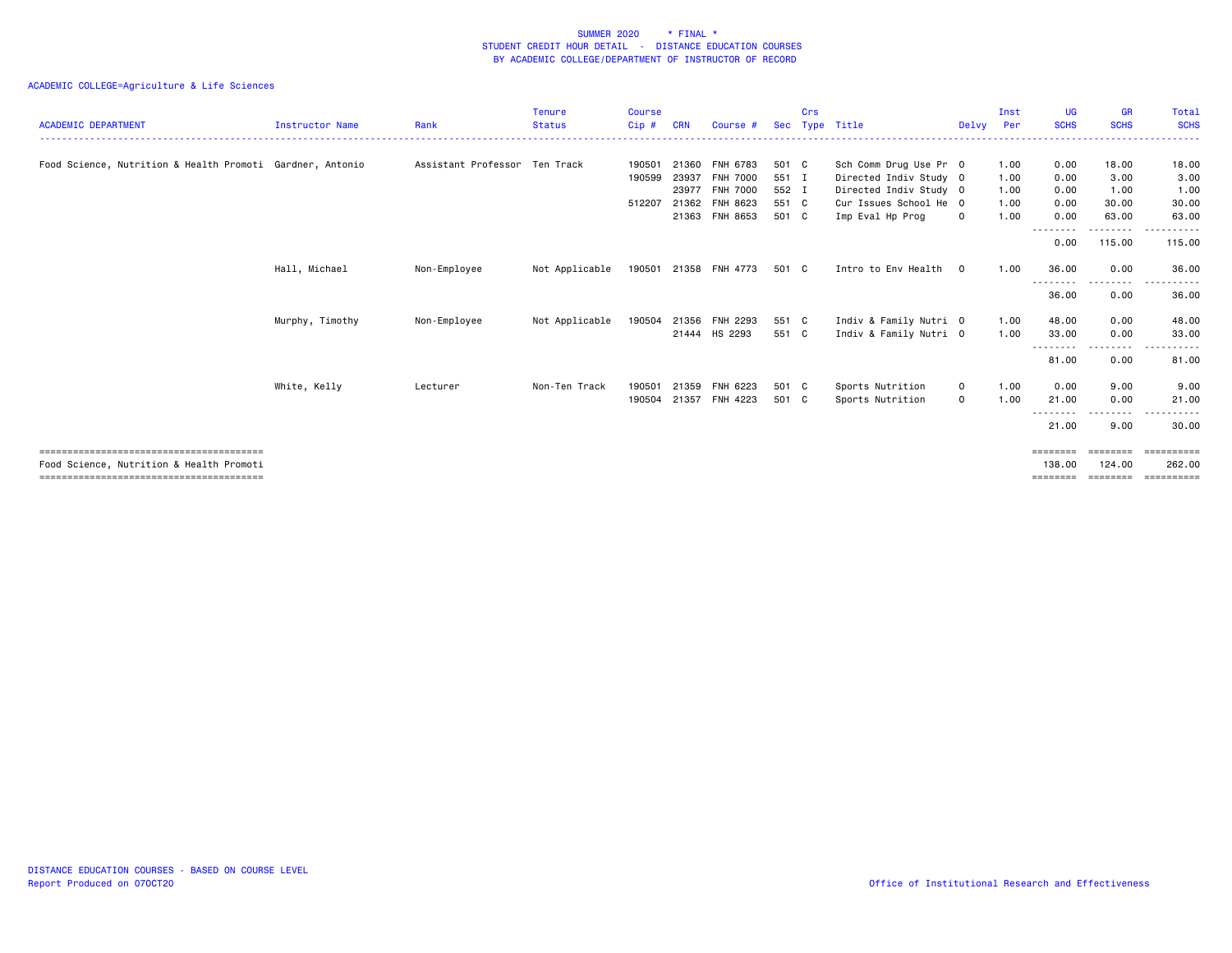| <b>ACADEMIC DEPARTMENT</b>                                | <b>Instructor Name</b> | Rank                          | <b>Tenure</b><br><b>Status</b> | <b>Course</b><br>Cip# | <b>CRN</b> | Course #       | <b>Sec</b> | Crs | Type Title             | Delvy Per   | Inst | <b>UG</b><br><b>SCHS</b> | <b>GR</b><br><b>SCHS</b> | Total<br><b>SCHS</b> |
|-----------------------------------------------------------|------------------------|-------------------------------|--------------------------------|-----------------------|------------|----------------|------------|-----|------------------------|-------------|------|--------------------------|--------------------------|----------------------|
| Food Science, Nutrition & Health Promoti Gardner, Antonio |                        | Assistant Professor Ten Track |                                | 190501                |            | 21360 FNH 6783 | 501 C      |     | Sch Comm Drug Use Pr 0 |             | 1.00 | 0.00                     | 18.00                    | 18.00                |
|                                                           |                        |                               |                                | 190599                |            | 23937 FNH 7000 | 551 I      |     | Directed Indiv Study 0 |             | 1.00 | 0.00                     | 3.00                     | 3.00                 |
|                                                           |                        |                               |                                |                       |            | 23977 FNH 7000 | 552 I      |     | Directed Indiv Study 0 |             | 1.00 | 0.00                     | 1.00                     | 1.00                 |
|                                                           |                        |                               |                                | 512207                |            | 21362 FNH 8623 | 551 C      |     | Cur Issues School He 0 |             | 1.00 | 0.00                     | 30.00                    | 30.00                |
|                                                           |                        |                               |                                |                       |            | 21363 FNH 8653 | 501 C      |     | Imp Eval Hp Prog       | 0           | 1.00 | 0.00                     | 63.00<br>.               | 63.00<br>----------  |
|                                                           |                        |                               |                                |                       |            |                |            |     |                        |             |      | 0.00                     | 115.00                   | 115.00               |
|                                                           | Hall, Michael          | Non-Employee                  | Not Applicable                 | 190501                |            | 21358 FNH 4773 | 501 C      |     | Intro to Env Health    | $\Omega$    | 1.00 | 36.00                    | 0.00                     | 36.00                |
|                                                           |                        |                               |                                |                       |            |                |            |     |                        |             |      | --------<br>36.00        | .<br>0.00                | 36.00                |
|                                                           | Murphy, Timothy        | Non-Employee                  | Not Applicable                 | 190504                |            | 21356 FNH 2293 | 551 C      |     | Indiv & Family Nutri 0 |             | 1.00 | 48.00                    | 0.00                     | 48.00                |
|                                                           |                        |                               |                                |                       |            | 21444 HS 2293  | 551 C      |     | Indiv & Family Nutri 0 |             | 1.00 | 33.00                    | 0.00                     | 33.00                |
|                                                           |                        |                               |                                |                       |            |                |            |     |                        |             |      | --------<br>81.00        | 0.00                     | 81.00                |
|                                                           | White, Kelly           | Lecturer                      | Non-Ten Track                  | 190501                | 21359      | FNH 6223       | 501 C      |     | Sports Nutrition       | 0           | 1.00 | 0.00                     | 9.00                     | 9.00                 |
|                                                           |                        |                               |                                | 190504                |            | 21357 FNH 4223 | 501 C      |     | Sports Nutrition       | $\mathbf 0$ | 1.00 | 21.00                    | 0.00                     | 21.00                |
|                                                           |                        |                               |                                |                       |            |                |            |     |                        |             |      | <u>.</u><br>21.00        | 9.00                     | 30.00                |
|                                                           |                        |                               |                                |                       |            |                |            |     |                        |             |      |                          | ========                 | -----------          |
| Food Science, Nutrition & Health Promoti                  |                        |                               |                                |                       |            |                |            |     |                        |             |      | 138.00<br>========       | 124,00<br>========       | 262.00<br>========== |
|                                                           |                        |                               |                                |                       |            |                |            |     |                        |             |      |                          |                          |                      |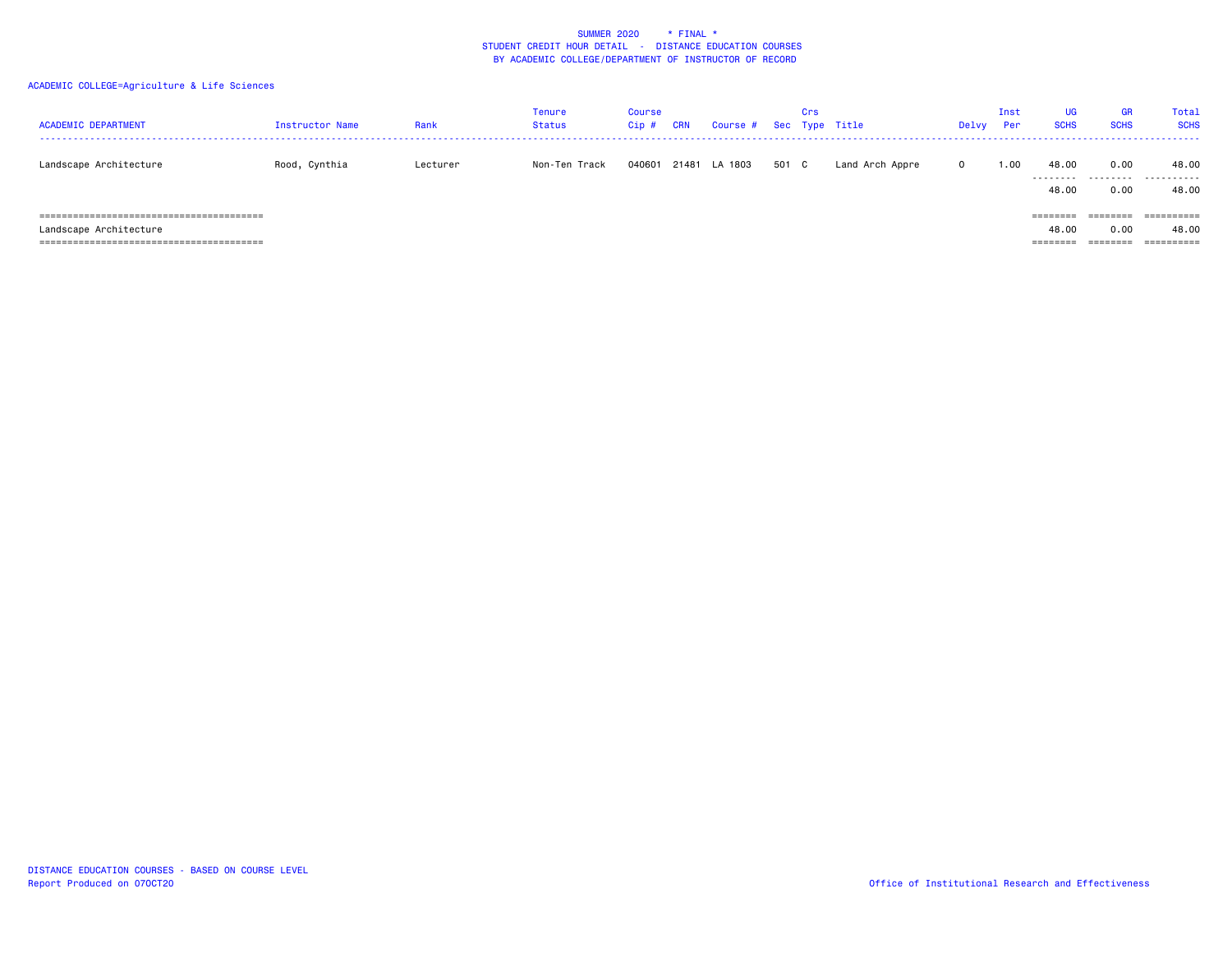| <b>ACADEMIC DEPARTMENT</b>                                | <b>Instructor Name</b> | Rank     | Tenure<br><b>Status</b> | <b>Course</b><br>$Cip$ # | <b>CRN</b> | Course # |       | Crs | Sec Type Title  | Delvy        | Inst<br>Per | UG<br><b>SCHS</b>             | GR<br><b>SCHS</b>                     | Total<br><b>SCHS</b> |
|-----------------------------------------------------------|------------------------|----------|-------------------------|--------------------------|------------|----------|-------|-----|-----------------|--------------|-------------|-------------------------------|---------------------------------------|----------------------|
| Landscape Architecture                                    | Rood, Cynthia          | Lecturer | Non-Ten Track           | 040601                   | 21481      | LA 1803  | 501 C |     | Land Arch Appre | $\mathbf{0}$ | 1.00        | 48.00<br>.<br>48.00           | 0.00<br>.<br>0.00                     | 48.00<br>.<br>48.00  |
| ===============================<br>Landscape Architecture |                        |          |                         |                          |            |          |       |     |                 |              |             | ========<br>48.00<br>======== | ========<br>0.00<br>$=$ = = = = = = = | ==========<br>48.00  |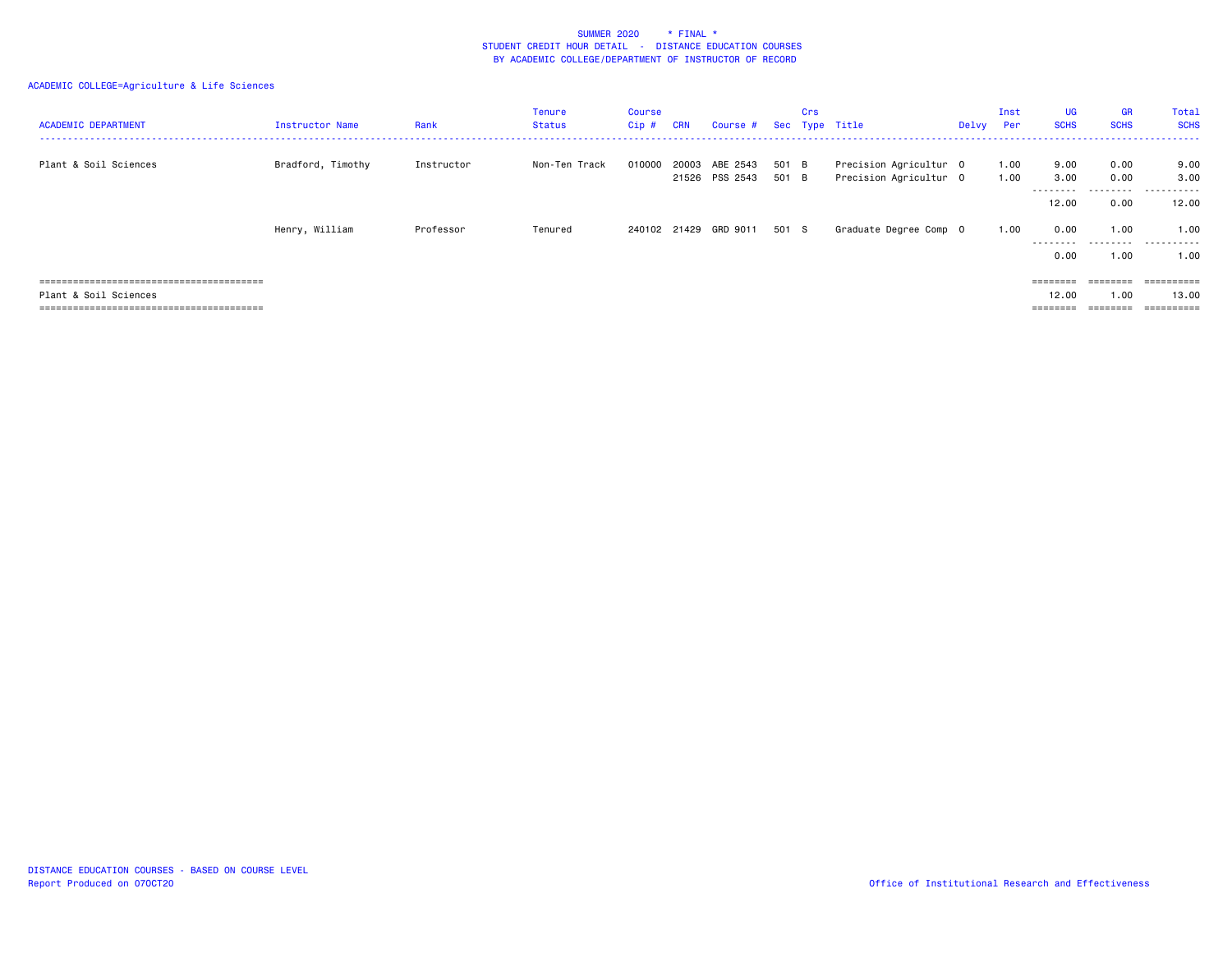| <b>ACADEMIC DEPARTMENT</b> | Instructor Name   | Rank       | <b>Tenure</b><br>Status | <b>Course</b><br>Cip # | <b>CRN</b> | Course #                         | Sec   | Crs | Type Title                                       | Delvy | Inst<br>Per  | <b>UG</b><br><b>SCHS</b> | <b>GR</b><br><b>SCHS</b> | Total<br><b>SCHS</b><br>. <b>.</b> . |
|----------------------------|-------------------|------------|-------------------------|------------------------|------------|----------------------------------|-------|-----|--------------------------------------------------|-------|--------------|--------------------------|--------------------------|--------------------------------------|
| Plant & Soil Sciences      | Bradford, Timothy | Instructor | Non-Ten Track           | 010000                 | 20003      | ABE 2543<br>21526 PSS 2543 501 B | 501 B |     | Precision Agricultur 0<br>Precision Agricultur 0 |       | 1.00<br>1.00 | 9.00<br>3.00             | 0.00<br>0.00             | 9.00<br>3.00                         |
|                            |                   |            |                         |                        |            |                                  |       |     |                                                  |       |              | --------<br>12.00        | 0.00                     | <br>12.00                            |
|                            | Henry, William    | Professor  | Tenured                 |                        |            | 240102 21429 GRD 9011 501 S      |       |     | Graduate Degree Comp 0                           |       | 1.00         | 0.00<br>.                | 1.00                     | 1.00<br>.                            |
|                            |                   |            |                         |                        |            |                                  |       |     |                                                  |       |              | 0.00                     | 1.00                     | 1.00                                 |
|                            |                   |            |                         |                        |            |                                  |       |     |                                                  |       |              | $=$ = = = = = = =        | $=$ = = = = = = =        | ==========                           |
| Plant & Soil Sciences      |                   |            |                         |                        |            |                                  |       |     |                                                  |       |              | 12.00                    | 1.00                     | 13.00                                |
|                            |                   |            |                         |                        |            |                                  |       |     |                                                  |       |              | ========                 | ========                 | ==========                           |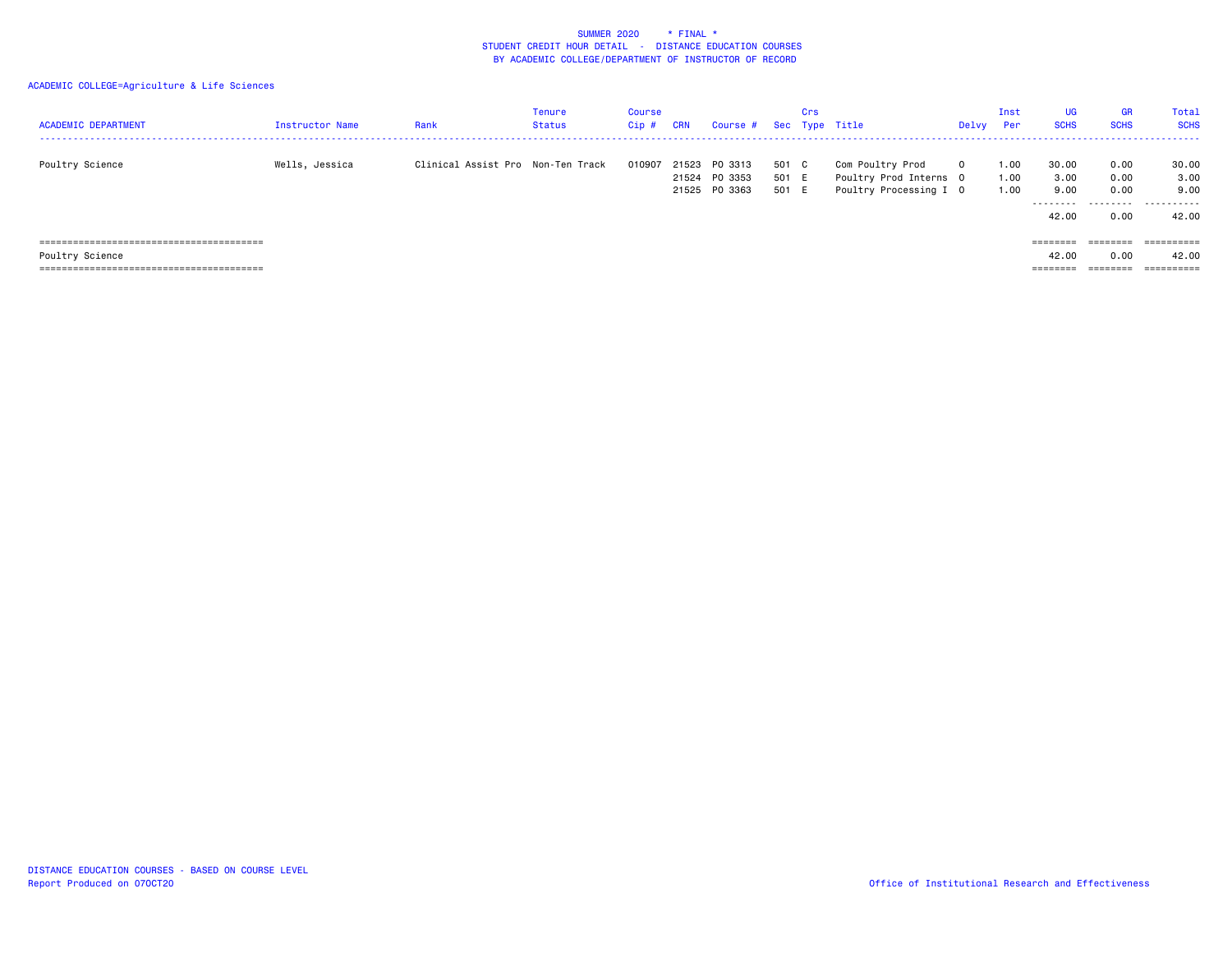| <b>ACADEMIC DEPARTMENT</b> | Instructor Name | Rank                              | Tenure<br><b>Status</b> | Course<br>Cip # | <b>CRN</b> | Course #                                  |                       | Crs | Sec Type Title                                                       | Delvy    | Inst<br>Per          | UG<br><b>SCHS</b>                  | <b>GR</b><br><b>SCHS</b>  | Tota]<br><b>SCHS</b>                |
|----------------------------|-----------------|-----------------------------------|-------------------------|-----------------|------------|-------------------------------------------|-----------------------|-----|----------------------------------------------------------------------|----------|----------------------|------------------------------------|---------------------------|-------------------------------------|
| Poultry Science            | Wells, Jessica  | Clinical Assist Pro Non-Ten Track |                         | 010907          | 21524      | 21523 PO 3313<br>PO 3353<br>21525 PO 3363 | 501 C<br>501 E<br>501 | E   | Com Poultry Prod<br>Poultry Prod Interns 0<br>Poultry Processing I 0 | $\Omega$ | 1.00<br>1.00<br>1.00 | 30.00<br>3.00<br>9.00<br>--------- | 0.00<br>0.00<br>0.00<br>. | 30.00<br>3.00<br>9.00<br>---------- |
|                            |                 |                                   |                         |                 |            |                                           |                       |     |                                                                      |          |                      | 42.00                              | 0.00                      | 42.00                               |
|                            |                 |                                   |                         |                 |            |                                           |                       |     |                                                                      |          |                      | ========                           | ========                  | ==========                          |
| Poultry Science            |                 |                                   |                         |                 |            |                                           |                       |     |                                                                      |          |                      | 42.00                              | 0.00                      | 42.00                               |
|                            |                 |                                   |                         |                 |            |                                           |                       |     |                                                                      |          |                      | ________<br>========               | --------                  | ==========                          |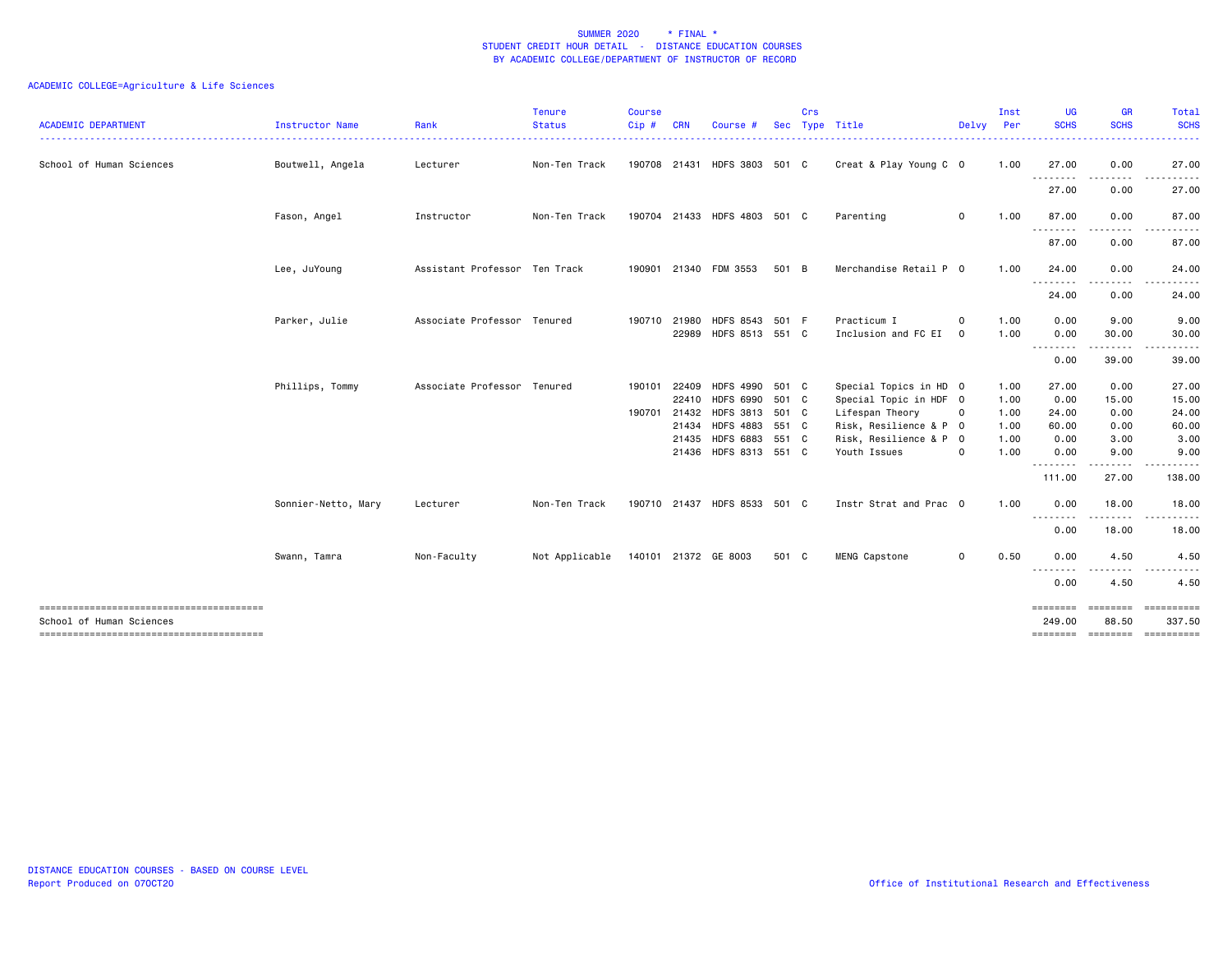| <b>ACADEMIC DEPARTMENT</b> | <b>Instructor Name</b> | Rank                          | <b>Tenure</b><br><b>Status</b><br><u> - - - - - - - - - .</u> | <b>Course</b><br>$Cip \#$ | <b>CRN</b>   | Course                       | <b>Sec</b> | Crs | Type Title             |              | Inst<br>Delvy Per<br>. | <b>UG</b><br><b>SCHS</b> | <b>GR</b><br><b>SCHS</b> | Total<br><b>SCHS</b><br>.   |
|----------------------------|------------------------|-------------------------------|---------------------------------------------------------------|---------------------------|--------------|------------------------------|------------|-----|------------------------|--------------|------------------------|--------------------------|--------------------------|-----------------------------|
| School of Human Sciences   | Boutwell, Angela       | Lecturer                      | Non-Ten Track                                                 |                           |              | 190708 21431 HDFS 3803 501 C |            |     | Creat & Play Young C 0 |              | 1.00                   | 27.00<br>.               | 0.00<br>-----            | 27.00                       |
|                            |                        |                               |                                                               |                           |              |                              |            |     |                        |              |                        | 27.00                    | 0.00                     | 27.00                       |
|                            | Fason, Angel           | Instructor                    | Non-Ten Track                                                 |                           |              | 190704 21433 HDFS 4803 501 C |            |     | Parenting              | $\mathbf{O}$ | 1.00                   | 87.00                    | 0.00                     | 87.00                       |
|                            |                        |                               |                                                               |                           |              |                              |            |     |                        |              |                        | .<br>87.00               | 0.00                     | 87.00                       |
|                            | Lee, JuYoung           | Assistant Professor Ten Track |                                                               |                           |              | 190901 21340 FDM 3553        | 501 B      |     | Merchandise Retail P 0 |              | 1.00                   | 24.00                    | 0.00                     | 24.00                       |
|                            |                        |                               |                                                               |                           |              |                              |            |     |                        |              |                        | .<br>24.00               | 0.00                     | 24.00                       |
|                            | Parker, Julie          | Associate Professor Tenured   |                                                               |                           | 190710 21980 | HDFS 8543 501 F              |            |     | Practicum I            | $\mathbf 0$  | 1.00                   | 0.00                     | 9.00                     | 9.00                        |
|                            |                        |                               |                                                               |                           |              | 22989 HDFS 8513 551 C        |            |     | Inclusion and FC EI    | $\mathbf 0$  | 1.00                   | 0.00<br>.                | 30.00<br>-----           | 30.00                       |
|                            |                        |                               |                                                               |                           |              |                              |            |     |                        |              |                        | 0.00                     | 39.00                    | 39.00                       |
|                            | Phillips, Tommy        | Associate Professor Tenured   |                                                               |                           |              | 190101 22409 HDFS 4990 501 C |            |     | Special Topics in HD 0 |              | 1.00                   | 27.00                    | 0.00                     | 27.00                       |
|                            |                        |                               |                                                               |                           |              | 22410 HDFS 6990 501 C        |            |     | Special Topic in HDF 0 |              | 1.00                   | 0.00                     | 15.00                    | 15.00                       |
|                            |                        |                               |                                                               |                           |              | 190701 21432 HDFS 3813 501 C |            |     | Lifespan Theory        | $\mathbf 0$  | 1.00                   | 24.00                    | 0.00                     | 24.00                       |
|                            |                        |                               |                                                               |                           |              | 21434 HDFS 4883 551 C        |            |     | Risk, Resilience & P 0 |              | 1.00                   | 60.00                    | 0.00                     | 60.00                       |
|                            |                        |                               |                                                               |                           |              | 21435 HDFS 6883 551 C        |            |     | Risk, Resilience & P 0 |              | 1.00                   | 0.00                     | 3.00                     | 3.00                        |
|                            |                        |                               |                                                               |                           |              | 21436 HDFS 8313 551 C        |            |     | Youth Issues           | $\circ$      | 1.00                   | 0.00<br>--------         | 9.00<br>--------         | 9.00                        |
|                            |                        |                               |                                                               |                           |              |                              |            |     |                        |              |                        | 111.00                   | 27.00                    | 138.00                      |
|                            | Sonnier-Netto, Mary    | Lecturer                      | Non-Ten Track                                                 |                           |              | 190710 21437 HDFS 8533 501 C |            |     | Instr Strat and Prac 0 |              | 1.00                   | 0.00                     | 18.00                    | 18.00                       |
|                            |                        |                               |                                                               |                           |              |                              |            |     |                        |              |                        | .<br>0.00                | 18.00                    | 18.00                       |
|                            | Swann, Tamra           | Non-Faculty                   | Not Applicable 140101 21372 GE 8003                           |                           |              |                              | 501 C      |     | MENG Capstone          | $\mathbf 0$  | 0.50                   | 0.00                     | 4.50                     | 4.50                        |
|                            |                        |                               |                                                               |                           |              |                              |            |     |                        |              |                        | $- - -$<br>0.00          | 4.50                     | 4.50                        |
| School of Human Sciences   |                        |                               |                                                               |                           |              |                              |            |     |                        |              |                        | 249.00                   | ========<br>88.50        | $=$ =========<br>337.50     |
|                            |                        |                               |                                                               |                           |              |                              |            |     |                        |              |                        |                          |                          | ======== ======== ========= |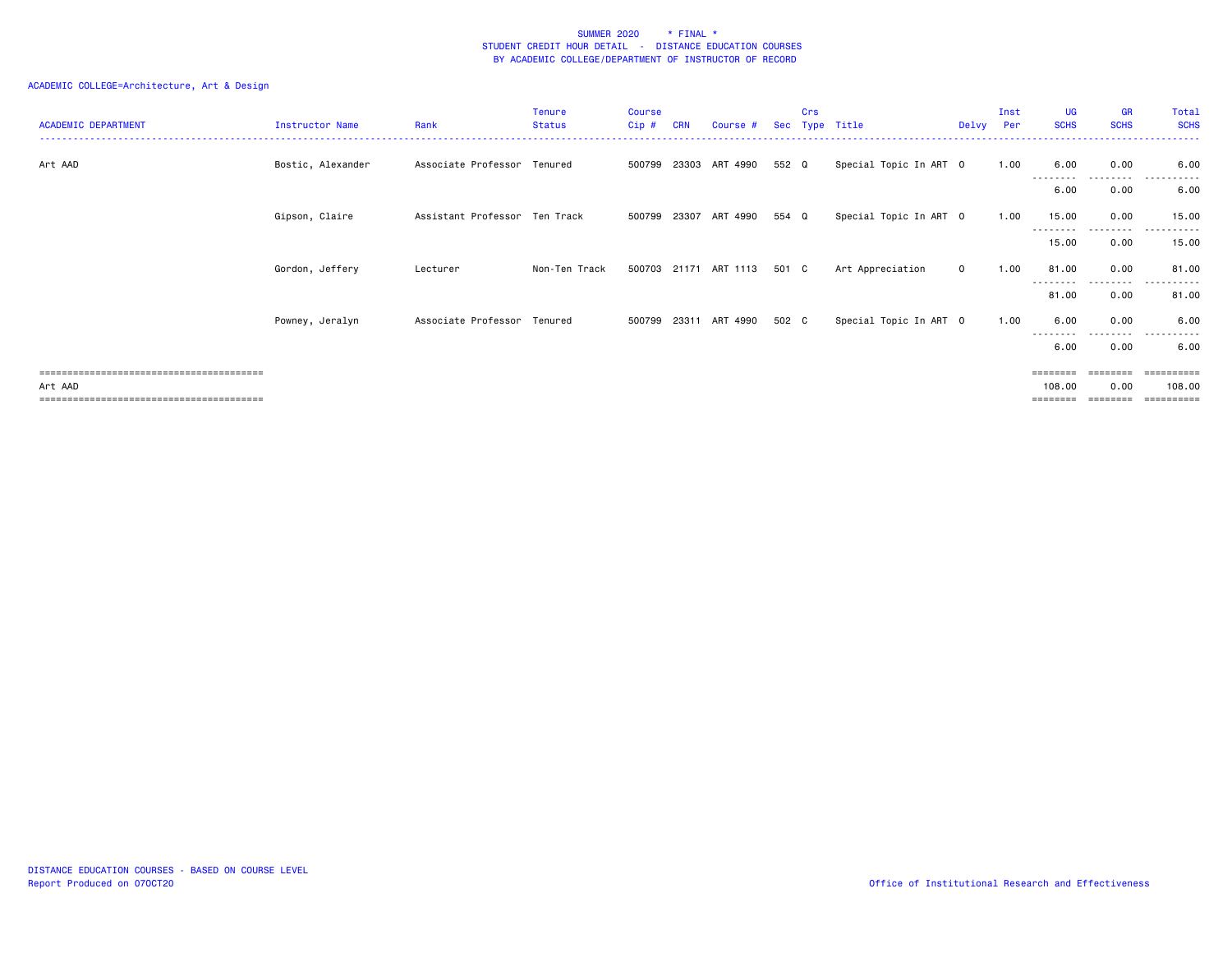## ACADEMIC COLLEGE=Architecture, Art & Design

| <b>ACADEMIC DEPARTMENT</b>       | Instructor Name   | Rank                          | Tenure<br><b>Status</b> | <b>Course</b><br>$Cip$ # | CRN   | Course #              | <b>Sec</b> | Crs<br>Type | Title                  | Delvv       | Inst<br>Per | <b>UG</b><br><b>SCHS</b>    | <b>GR</b><br><b>SCHS</b> | Total<br><b>SCHS</b>            |
|----------------------------------|-------------------|-------------------------------|-------------------------|--------------------------|-------|-----------------------|------------|-------------|------------------------|-------------|-------------|-----------------------------|--------------------------|---------------------------------|
| Art AAD                          | Bostic, Alexander | Associate Professor Tenured   |                         | 500799                   | 23303 | ART 4990              | 552 Q      |             | Special Topic In ART 0 |             | 1.00        | 6.00                        | 0.00                     | 6.00                            |
|                                  |                   |                               |                         |                          |       |                       |            |             |                        |             |             | 6.00                        | ---------<br>0.00        | $- - - -$<br>6.00               |
|                                  | Gipson, Claire    | Assistant Professor Ten Track |                         |                          |       | 500799 23307 ART 4990 | 554 Q      |             | Special Topic In ART 0 |             | 1.00        | 15.00                       | 0.00                     | 15.00                           |
|                                  |                   |                               |                         |                          |       |                       |            |             |                        |             |             | ---------<br>15.00          | .<br>0.00                | 15.00                           |
|                                  | Gordon, Jeffery   | Lecturer                      | Non-Ten Track           |                          |       | 500703 21171 ART 1113 | 501 C      |             | Art Appreciation       | $\mathbf 0$ | 1.00        | 81.00                       | 0.00                     | 81.00                           |
|                                  |                   |                               |                         |                          |       |                       |            |             |                        |             |             | --------<br>81.00           | 0.00                     | $  -$<br>81.00                  |
|                                  | Powney, Jeralyn   | Associate Professor Tenured   |                         | 500799                   | 23311 | ART 4990              | 502 C      |             | Special Topic In ART 0 |             | 1.00        | 6.00                        | 0.00                     | 6.00                            |
|                                  |                   |                               |                         |                          |       |                       |            |             |                        |             |             | 6.00                        | ---------<br>0.00        | .<br>6.00                       |
| Art AAD<br>===================== |                   |                               |                         |                          |       |                       |            |             |                        |             |             | $=$ = = = = = = =<br>108,00 | 0.00                     | $=$ = = = = = = = = :<br>108,00 |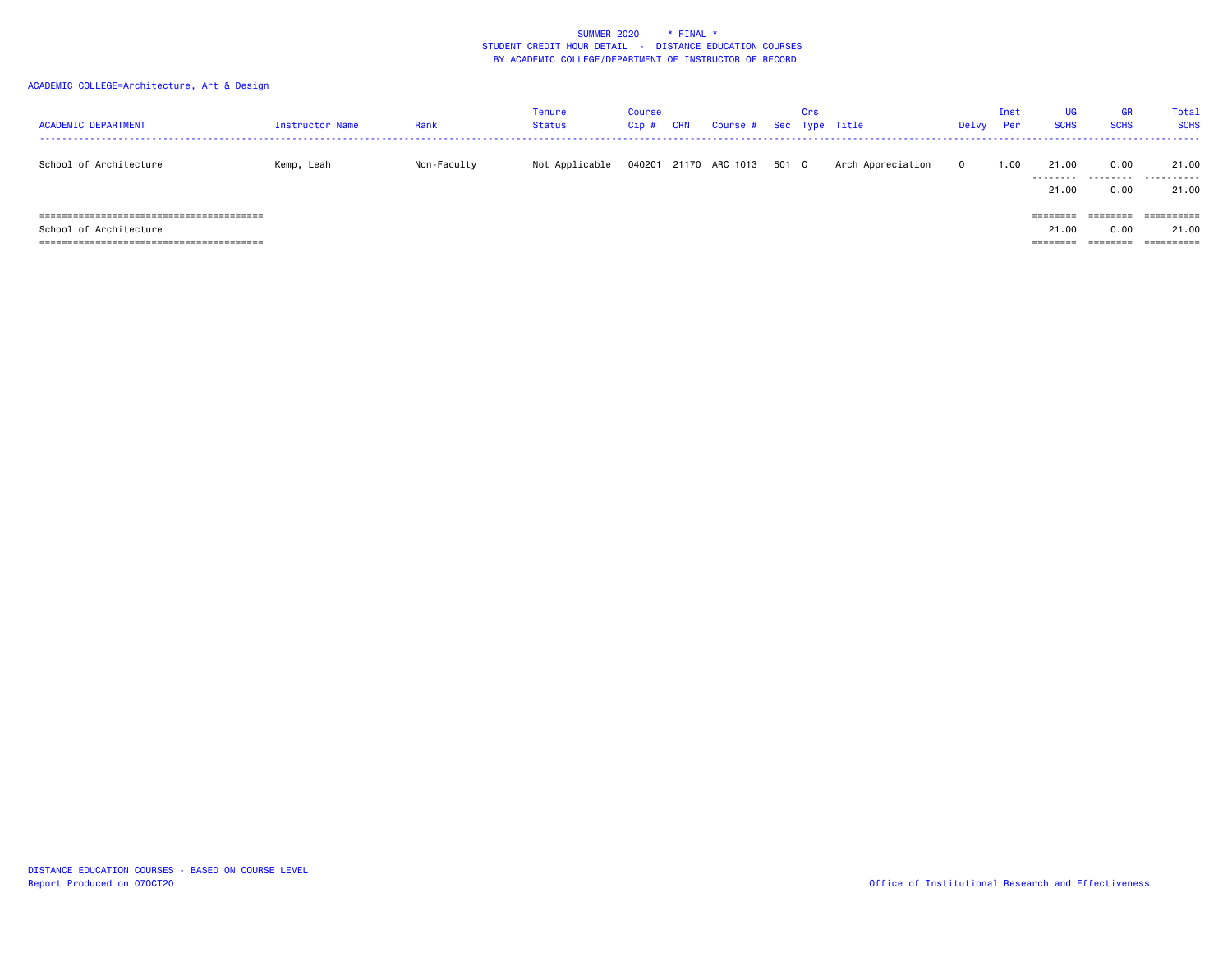## ACADEMIC COLLEGE=Architecture, Art & Design

| <b>ACADEMIC DEPARTMENT</b>                                       | Instructor Name | Rank        | Tenure<br><b>Status</b> | <b>Course</b><br>Cip # | <b>CRN</b> | Course # Sec Type Title     | Crs |                   | Delvy      | Inst<br>Per | UG<br><b>SCHS</b>             | GR<br><b>SCHS</b>                     | Total<br><b>SCHS</b> |
|------------------------------------------------------------------|-----------------|-------------|-------------------------|------------------------|------------|-----------------------------|-----|-------------------|------------|-------------|-------------------------------|---------------------------------------|----------------------|
| School of Architecture                                           | Kemp, Leah      | Non-Faculty | Not Applicable          |                        |            | 040201 21170 ARC 1013 501 C |     | Arch Appreciation | $^{\circ}$ | 1.00        | 21.00<br>.<br>21.00           | 0.00<br>0.00                          | 21.00<br>.<br>21.00  |
| ,_____________________________________<br>School of Architecture |                 |             |                         |                        |            |                             |     |                   |            |             | ========<br>21.00<br>======== | ========<br>0.00<br>$=$ = = = = = = = | -----------<br>21.00 |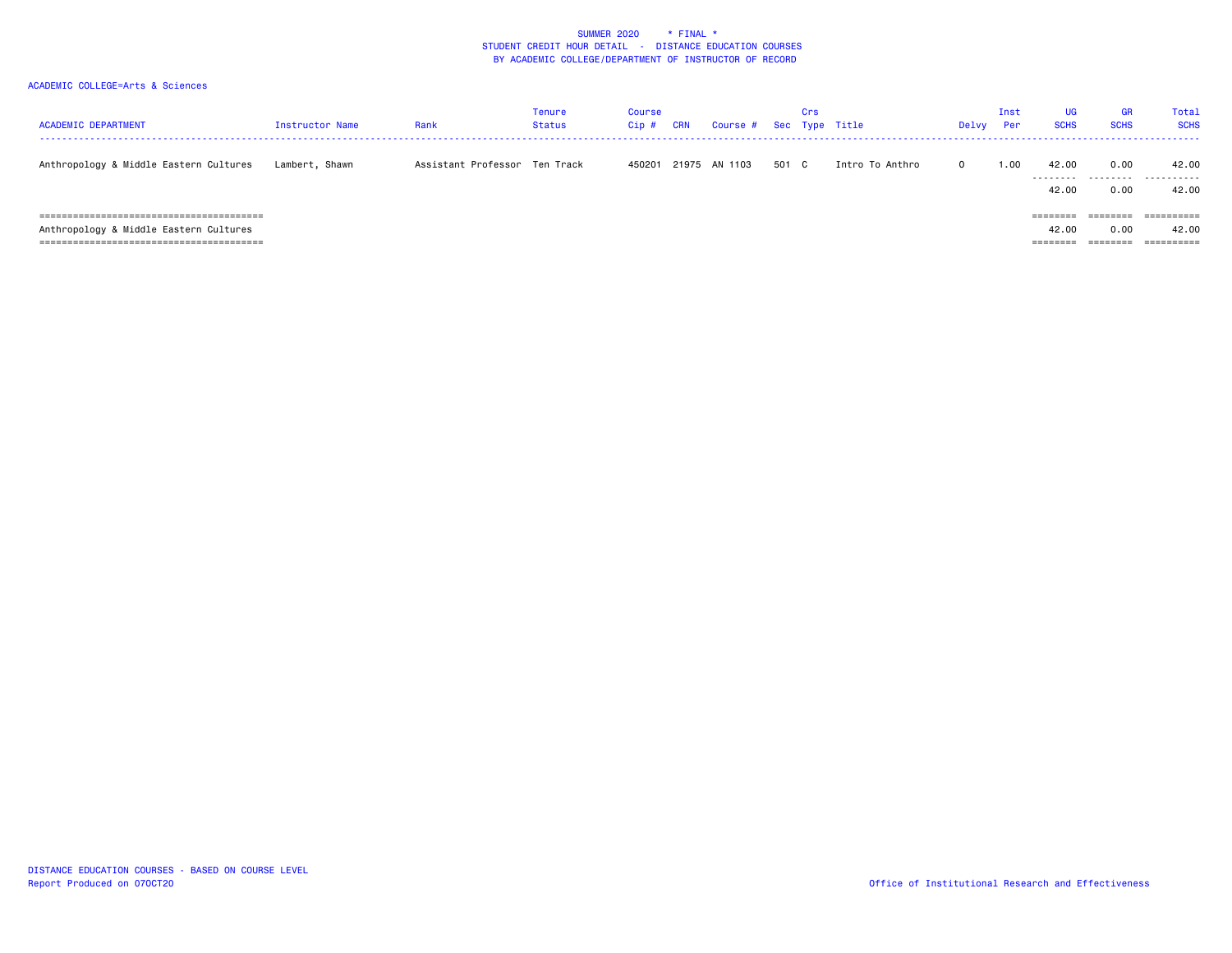| <b>ACADEMIC DEPARTMENT</b>             | Instructor Name | Rank                          | Tenure<br><b>Status</b> | Course<br>$Cip$ # | CRN | Course # Sec Type Title |       | Crs |                 | Delvy    | Inst<br>Per | <b>UG</b><br><b>SCHS</b>      | <b>GR</b><br><b>SCHS</b>     | Total<br><b>SCHS</b> |
|----------------------------------------|-----------------|-------------------------------|-------------------------|-------------------|-----|-------------------------|-------|-----|-----------------|----------|-------------|-------------------------------|------------------------------|----------------------|
| Anthropology & Middle Eastern Cultures | Lambert, Shawn  | Assistant Professor Ten Track |                         | 450201            |     | 21975 AN 1103           | 501 C |     | Intro To Anthro | $\Omega$ | 1.00        | 42.00<br>.<br>42.00           | 0.00<br>.<br>0.00            | 42.00<br>.<br>42.00  |
| Anthropology & Middle Eastern Cultures |                 |                               |                         |                   |     |                         |       |     |                 |          |             | ========<br>42.00<br>======== | ========<br>0.00<br>======== | ==========<br>42.00  |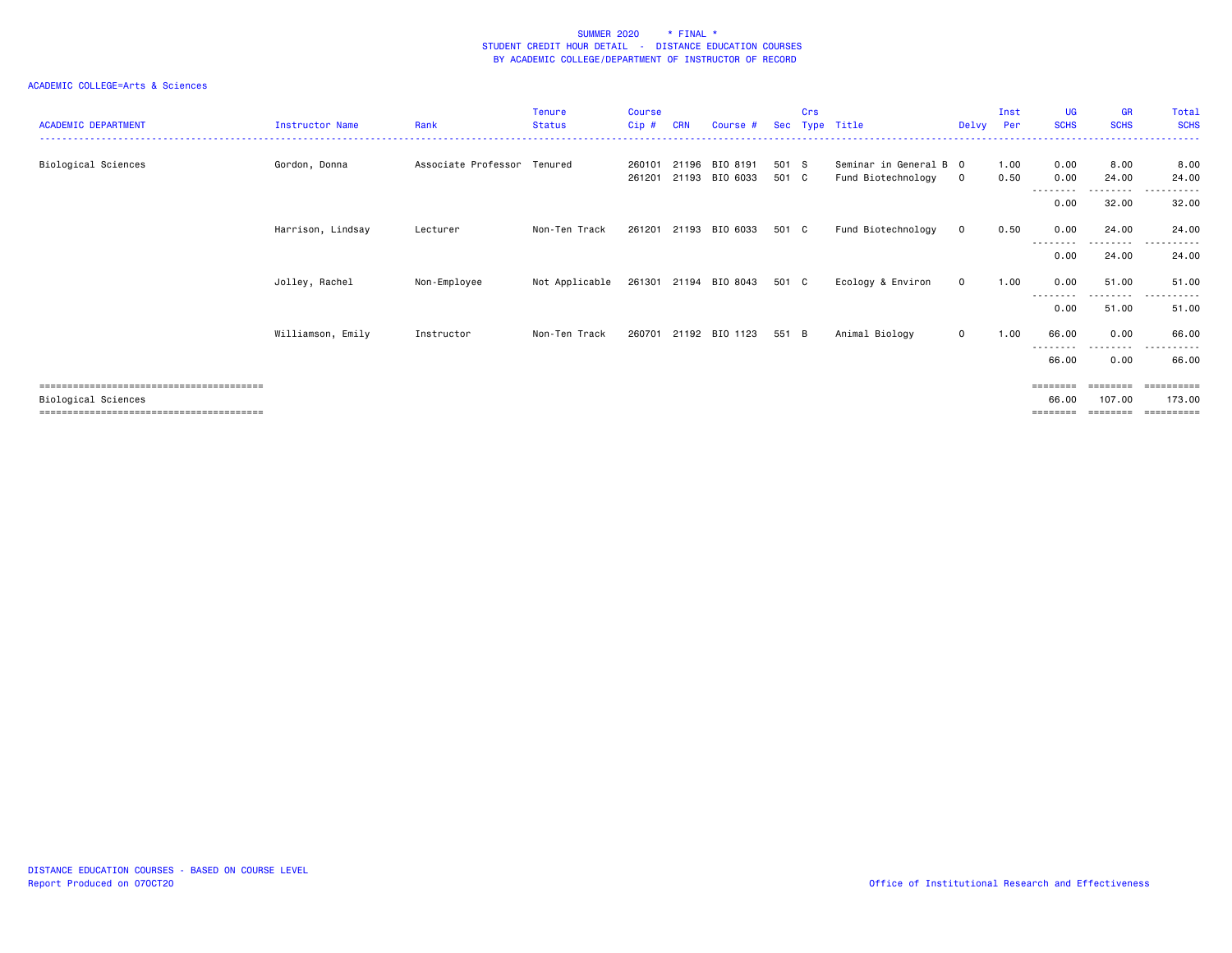| <b>ACADEMIC DEPARTMENT</b> | Instructor Name   | Rank                        | <b>Tenure</b><br><b>Status</b> | <b>Course</b><br>$Cip$ # | <b>CRN</b> | Course #                   | Sec            | Crs | Type Title                                   | Delvv        | Inst<br>Per  | <b>UG</b><br><b>SCHS</b>      | <b>GR</b><br><b>SCHS</b>       | Total<br><b>SCHS</b>               |
|----------------------------|-------------------|-----------------------------|--------------------------------|--------------------------|------------|----------------------------|----------------|-----|----------------------------------------------|--------------|--------------|-------------------------------|--------------------------------|------------------------------------|
| Biological Sciences        | Gordon, Donna     | Associate Professor Tenured |                                | 260101<br>261201         | 21196      | BIO 8191<br>21193 BIO 6033 | 501 S<br>501 C |     | Seminar in General B 0<br>Fund Biotechnology | $\mathbf{0}$ | 1.00<br>0.50 | 0.00<br>0.00                  | 8.00<br>24.00                  | 8.00<br>24.00                      |
|                            |                   |                             |                                |                          |            |                            |                |     |                                              |              |              | --------<br>0.00              | .<br>32.00                     | .<br>32.00                         |
|                            | Harrison, Lindsay | Lecturer                    | Non-Ten Track                  | 261201                   |            | 21193 BIO 6033             | 501 C          |     | Fund Biotechnology                           | $\mathbf 0$  | 0.50         | 0.00                          | 24.00                          | 24.00                              |
|                            |                   |                             |                                |                          |            |                            |                |     |                                              |              |              | --------<br>0.00              | 24.00                          | 24.00                              |
|                            | Jolley, Rachel    | Non-Employee                | Not Applicable                 |                          |            | 261301 21194 BIO 8043      | 501 C          |     | Ecology & Environ                            | $\mathbf{0}$ | 1.00         | 0.00                          | 51.00                          | 51.00                              |
|                            |                   |                             |                                |                          |            |                            |                |     |                                              |              |              | 0.00                          | 51.00                          | 51.00                              |
|                            | Williamson, Emily | Instructor                  | Non-Ten Track                  | 260701                   |            | 21192 BIO 1123             | 551 B          |     | Animal Biology                               | $\mathbf{O}$ | 1.00         | 66.00<br>--------             | 0.00                           | 66.00<br>.                         |
|                            |                   |                             |                                |                          |            |                            |                |     |                                              |              |              | 66.00                         | 0.00                           | 66.00                              |
| Biological Sciences        |                   |                             |                                |                          |            |                            |                |     |                                              |              |              | ========<br>66.00<br>======== | ========<br>107.00<br>======== | ==========<br>173.00<br>========== |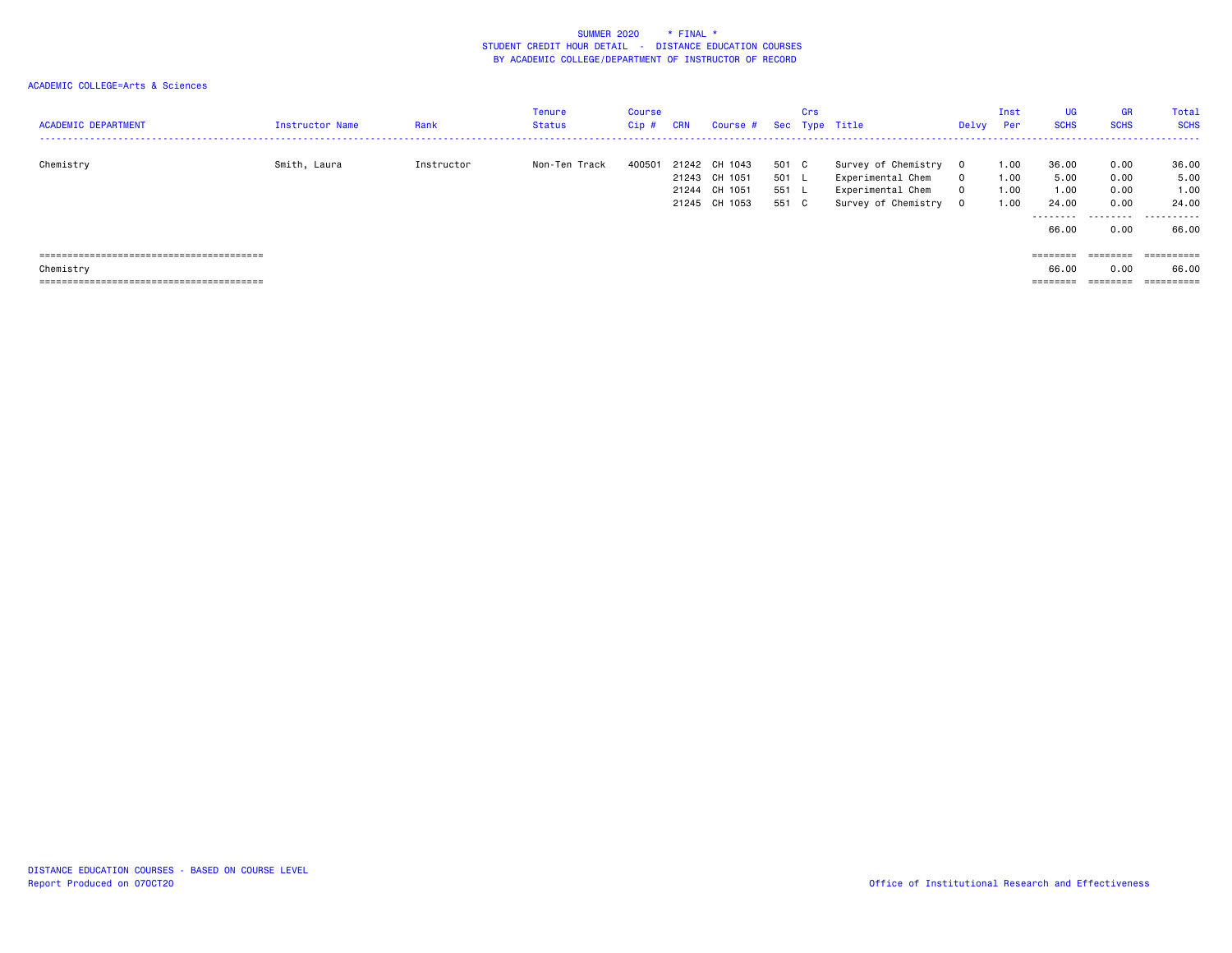| <b>ACADEMIC DEPARTMENT</b> | <b>Instructor Name</b> | Rank       | Tenure<br><b>Status</b> | <b>Course</b><br>$Cip$ # | <b>CRN</b>     | Course #                                             |                                | Crs          | Sec Type Title                                                                       | Delvy                | Inst<br>Per                  | <b>UG</b><br><b>SCHS</b>                     | <b>GR</b><br><b>SCHS</b>                  | Total<br><b>SCHS</b>                         |
|----------------------------|------------------------|------------|-------------------------|--------------------------|----------------|------------------------------------------------------|--------------------------------|--------------|--------------------------------------------------------------------------------------|----------------------|------------------------------|----------------------------------------------|-------------------------------------------|----------------------------------------------|
| Chemistry                  | Smith, Laura           | Instructor | Non-Ten Track           | 40050 <sup>-</sup>       | 21242<br>21244 | CH 1043<br>21243 CH 1051<br>CH 1051<br>21245 CH 1053 | 501<br>501 L<br>551 L<br>551 C | $\mathbf{C}$ | Survey of Chemistry<br>Experimental Chem<br>Experimental Chem<br>Survey of Chemistry | $\Omega$<br>0<br>- 0 | 1.00<br>1.00<br>1.00<br>1.00 | 36.00<br>5.00<br>1.00<br>24.00<br>.<br>66.00 | 0.00<br>0.00<br>0.00<br>0.00<br>.<br>0.00 | 36.00<br>5.00<br>1.00<br>24,00<br>.<br>66.00 |
| Chemistry                  |                        |            |                         |                          |                |                                                      |                                |              |                                                                                      |                      |                              | ========<br>66.00<br>========                | ========<br>0.00<br>$=$ = = = = = = =     | ==========<br>66.00<br>==========            |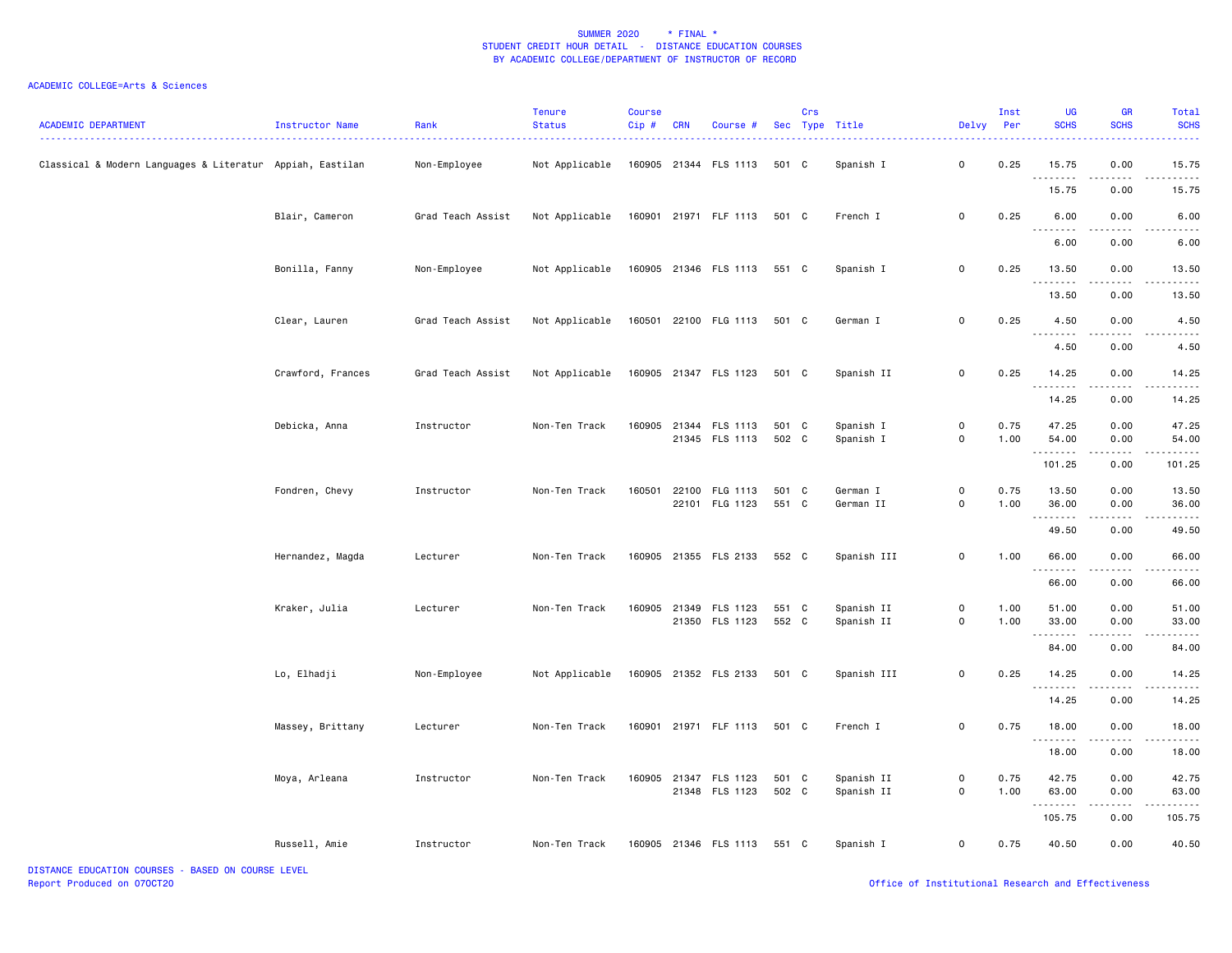| <b>ACADEMIC DEPARTMENT</b>                                | Instructor Name   | Rank              | <b>Tenure</b><br><b>Status</b> | <b>Course</b><br>Cip# | <b>CRN</b> | Course #                                |                | Crs | Sec Type Title           | Delvy Per                                  | Inst         | UG<br><b>SCHS</b>                                                                                                                                                                                                                                                                                                                                                                                                                                                                               | <b>GR</b><br><b>SCHS</b> | Total<br><b>SCHS</b>  |
|-----------------------------------------------------------|-------------------|-------------------|--------------------------------|-----------------------|------------|-----------------------------------------|----------------|-----|--------------------------|--------------------------------------------|--------------|-------------------------------------------------------------------------------------------------------------------------------------------------------------------------------------------------------------------------------------------------------------------------------------------------------------------------------------------------------------------------------------------------------------------------------------------------------------------------------------------------|--------------------------|-----------------------|
| Classical & Modern Languages & Literatur Appiah, Eastilan |                   | Non-Employee      | Not Applicable                 |                       |            | 160905 21344 FLS 1113                   | 501 C          |     | Spanish I                | $\mathsf{o}$                               | 0.25         | 15.75<br>. <b>.</b>                                                                                                                                                                                                                                                                                                                                                                                                                                                                             | 0.00<br>.                | 15.75                 |
|                                                           |                   |                   |                                |                       |            |                                         |                |     |                          |                                            |              | 15.75                                                                                                                                                                                                                                                                                                                                                                                                                                                                                           | 0.00                     | 15.75                 |
|                                                           | Blair, Cameron    | Grad Teach Assist | Not Applicable                 |                       |            | 160901 21971 FLF 1113 501 C             |                |     | French I                 | $\mathsf{o}$                               | 0.25         | 6.00<br>$\sim$ $\sim$ $\sim$                                                                                                                                                                                                                                                                                                                                                                                                                                                                    | 0.00                     | 6.00                  |
|                                                           |                   |                   |                                |                       |            |                                         |                |     |                          |                                            |              | 6.00                                                                                                                                                                                                                                                                                                                                                                                                                                                                                            | 0.00                     | 6.00                  |
|                                                           | Bonilla, Fanny    | Non-Employee      | Not Applicable                 |                       |            | 160905 21346 FLS 1113 551 C             |                |     | Spanish I                | $\mathbf 0$                                | 0.25         | 13.50<br>.                                                                                                                                                                                                                                                                                                                                                                                                                                                                                      | 0.00<br>.                | 13.50<br>. <u>.</u> . |
|                                                           |                   |                   |                                |                       |            |                                         |                |     |                          |                                            |              | 13.50                                                                                                                                                                                                                                                                                                                                                                                                                                                                                           | 0.00                     | 13.50                 |
|                                                           | Clear, Lauren     | Grad Teach Assist | Not Applicable                 |                       |            | 160501 22100 FLG 1113                   | 501 C          |     | German I                 | $\mathsf{o}$                               | 0.25         | 4.50                                                                                                                                                                                                                                                                                                                                                                                                                                                                                            | 0.00                     | 4.50                  |
|                                                           |                   |                   |                                |                       |            |                                         |                |     |                          |                                            |              | .<br>4.50                                                                                                                                                                                                                                                                                                                                                                                                                                                                                       | .<br>0.00                | -----<br>4.50         |
|                                                           | Crawford, Frances | Grad Teach Assist | Not Applicable                 |                       |            | 160905 21347 FLS 1123                   | 501 C          |     | Spanish II               | $\mathbf 0$                                | 0.25         | 14.25                                                                                                                                                                                                                                                                                                                                                                                                                                                                                           | 0.00                     | 14.25                 |
|                                                           |                   |                   |                                |                       |            |                                         |                |     |                          |                                            |              | <u>.</u><br>14.25                                                                                                                                                                                                                                                                                                                                                                                                                                                                               | 0.00                     | 14.25                 |
|                                                           | Debicka, Anna     | Instructor        | Non-Ten Track                  |                       |            | 160905 21344 FLS 1113<br>21345 FLS 1113 | 501 C<br>502 C |     | Spanish I<br>Spanish I   | $\mathsf{O}\xspace$<br>$\mathsf{O}\xspace$ | 0.75<br>1.00 | 47.25<br>54.00                                                                                                                                                                                                                                                                                                                                                                                                                                                                                  | 0.00<br>0.00             | 47.25<br>54.00        |
|                                                           |                   |                   |                                |                       |            |                                         |                |     |                          |                                            |              | <u>.</u><br>101.25                                                                                                                                                                                                                                                                                                                                                                                                                                                                              | .<br>0.00                | 101.25                |
|                                                           | Fondren, Chevy    | Instructor        | Non-Ten Track                  | 160501                |            | 22100 FLG 1113<br>22101 FLG 1123        | 501 C<br>551 C |     | German I<br>German II    | $\mathsf{O}\xspace$<br>$\mathsf{O}\xspace$ | 0.75<br>1.00 | 13.50<br>36.00                                                                                                                                                                                                                                                                                                                                                                                                                                                                                  | 0.00<br>0.00             | 13.50<br>36.00        |
|                                                           |                   |                   |                                |                       |            |                                         |                |     |                          |                                            |              | .<br>49.50                                                                                                                                                                                                                                                                                                                                                                                                                                                                                      | .<br>0.00                | .<br>49.50            |
|                                                           | Hernandez, Magda  | Lecturer          | Non-Ten Track                  |                       |            | 160905 21355 FLS 2133                   | 552 C          |     | Spanish III              | $\mathsf{O}\xspace$                        | 1.00         | 66.00                                                                                                                                                                                                                                                                                                                                                                                                                                                                                           | 0.00                     | 66.00                 |
|                                                           |                   |                   |                                |                       |            |                                         |                |     |                          |                                            |              | .<br>66.00                                                                                                                                                                                                                                                                                                                                                                                                                                                                                      | 0.00                     | 66.00                 |
|                                                           | Kraker, Julia     | Lecturer          | Non-Ten Track                  |                       |            | 160905 21349 FLS 1123<br>21350 FLS 1123 | 551 C<br>552 C |     | Spanish II<br>Spanish II | $\mathsf{O}\xspace$<br>$\mathsf{O}\xspace$ | 1.00<br>1.00 | 51.00<br>33.00                                                                                                                                                                                                                                                                                                                                                                                                                                                                                  | 0.00<br>0.00             | 51.00<br>33.00        |
|                                                           |                   |                   |                                |                       |            |                                         |                |     |                          |                                            |              | $\sim$ $\sim$ $\sim$<br>84.00                                                                                                                                                                                                                                                                                                                                                                                                                                                                   | 0.00                     | 84.00                 |
|                                                           | Lo, Elhadji       | Non-Employee      | Not Applicable                 |                       |            | 160905 21352 FLS 2133 501 C             |                |     | Spanish III              | $\mathsf{O}\xspace$                        | 0.25         | 14.25                                                                                                                                                                                                                                                                                                                                                                                                                                                                                           | 0.00                     | 14.25                 |
|                                                           |                   |                   |                                |                       |            |                                         |                |     |                          |                                            |              | $\begin{array}{cccccccccccccc} \multicolumn{2}{c}{} & \multicolumn{2}{c}{} & \multicolumn{2}{c}{} & \multicolumn{2}{c}{} & \multicolumn{2}{c}{} & \multicolumn{2}{c}{} & \multicolumn{2}{c}{} & \multicolumn{2}{c}{} & \multicolumn{2}{c}{} & \multicolumn{2}{c}{} & \multicolumn{2}{c}{} & \multicolumn{2}{c}{} & \multicolumn{2}{c}{} & \multicolumn{2}{c}{} & \multicolumn{2}{c}{} & \multicolumn{2}{c}{} & \multicolumn{2}{c}{} & \multicolumn{2}{c}{} & \multicolumn{2}{c}{} & \$<br>14.25 | .<br>0.00                | .<br>14.25            |
|                                                           | Massey, Brittany  | Lecturer          | Non-Ten Track                  |                       |            | 160901 21971 FLF 1113                   | 501 C          |     | French I                 | $\mathsf{o}$                               | 0.75         | 18.00                                                                                                                                                                                                                                                                                                                                                                                                                                                                                           | 0.00                     | 18.00                 |
|                                                           |                   |                   |                                |                       |            |                                         |                |     |                          |                                            |              | .<br>18.00                                                                                                                                                                                                                                                                                                                                                                                                                                                                                      | .<br>0.00                | 18.00                 |
|                                                           | Moya, Arleana     | Instructor        | Non-Ten Track                  |                       |            | 160905 21347 FLS 1123<br>21348 FLS 1123 | 501 C<br>502 C |     | Spanish II<br>Spanish II | $\mathsf{o}$<br>$\mathsf{O}\xspace$        | 0.75<br>1.00 | 42.75<br>63.00                                                                                                                                                                                                                                                                                                                                                                                                                                                                                  | 0.00<br>0.00             | 42.75<br>63.00        |
|                                                           |                   |                   |                                |                       |            |                                         |                |     |                          |                                            |              | .<br>105.75                                                                                                                                                                                                                                                                                                                                                                                                                                                                                     | 0.00                     | 105.75                |
|                                                           | Russell, Amie     | Instructor        | Non-Ten Track                  |                       |            | 160905 21346 FLS 1113                   | 551 C          |     | Spanish I                | $\mathbf 0$                                | 0.75         | 40.50                                                                                                                                                                                                                                                                                                                                                                                                                                                                                           | 0.00                     | 40.50                 |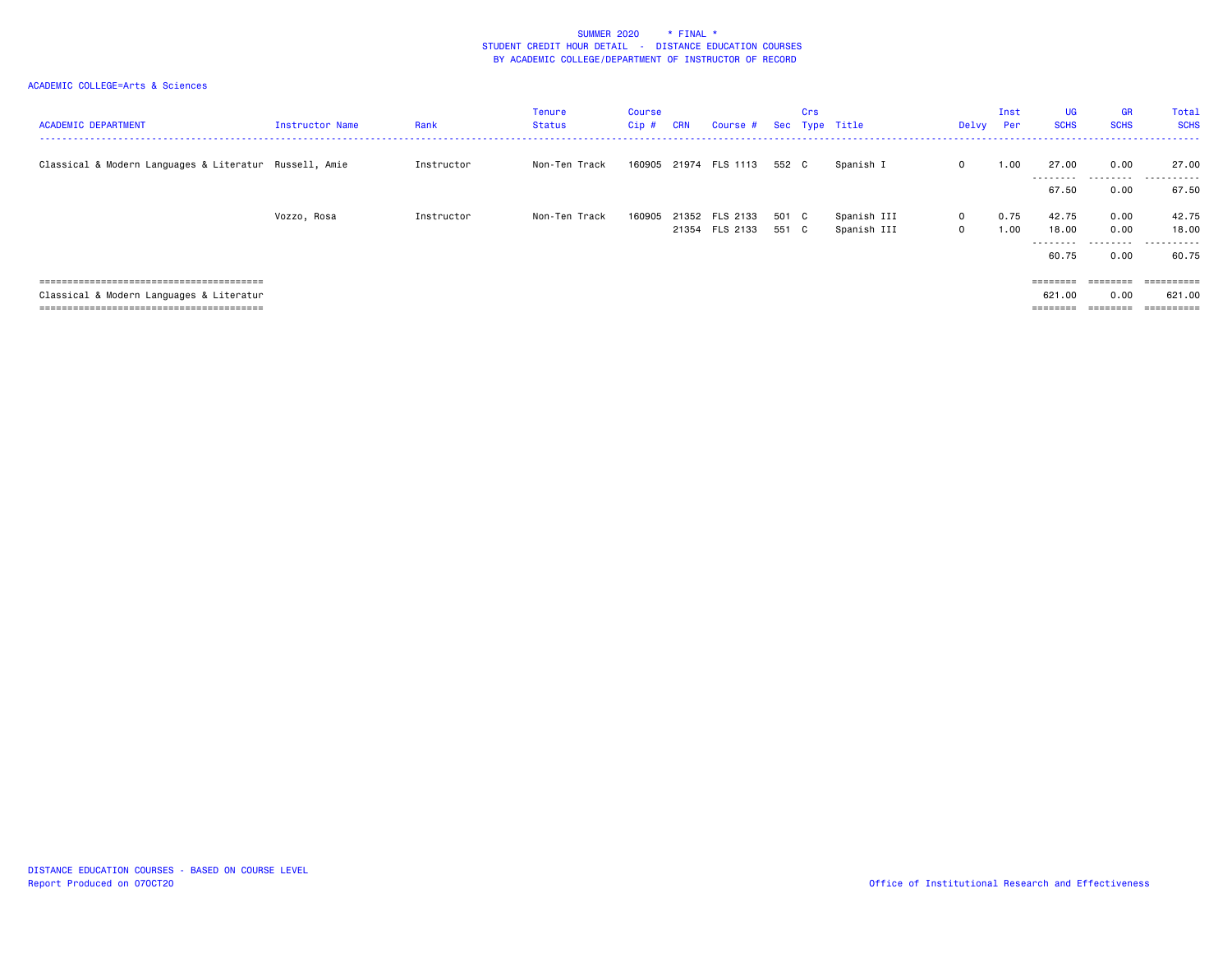| <b>ACADEMIC DEPARTMENT</b>                             | Instructor Name | Rank       | <b>Tenure</b><br><b>Status</b> | Course<br>Cip # | <b>CRN</b> | Course #       |       | Crs | Sec Type Title | Delvy Per   | Inst | <b>UG</b><br><b>SCHS</b> | <b>GR</b><br><b>SCHS</b> | Total<br><b>SCHS</b><br>------ |
|--------------------------------------------------------|-----------------|------------|--------------------------------|-----------------|------------|----------------|-------|-----|----------------|-------------|------|--------------------------|--------------------------|--------------------------------|
| Classical & Modern Languages & Literatur Russell, Amie |                 | Instructor | Non-Ten Track                  | 160905          |            | 21974 FLS 1113 | 552 C |     | Spanish I      | $\mathbf 0$ | 1.00 | 27.00<br>.               | 0.00                     | 27.00                          |
|                                                        |                 |            |                                |                 |            |                |       |     |                |             |      | 67.50                    | 0.00                     | 67.50                          |
|                                                        | Vozzo, Rosa     | Instructor | Non-Ten Track                  | 160905          |            | 21352 FLS 2133 | 501 C |     | Spanish III    | $\mathbf 0$ | 0.75 | 42.75                    | 0.00                     | 42.75                          |
|                                                        |                 |            |                                |                 |            | 21354 FLS 2133 | 551 C |     | Spanish III    | $\mathbf 0$ | 1.00 | 18.00<br>.               | 0.00                     | 18,00<br>.                     |
|                                                        |                 |            |                                |                 |            |                |       |     |                |             |      | 60.75                    | 0.00                     | 60.75                          |
|                                                        |                 |            |                                |                 |            |                |       |     |                |             |      |                          |                          | $=$ = = = = = = = = =          |
| Classical & Modern Languages & Literatur               |                 |            |                                |                 |            |                |       |     |                |             |      | 621.00                   | 0.00                     | 621.00                         |
|                                                        |                 |            |                                |                 |            |                |       |     |                |             |      | $=$ = = = = = = =        | $=$ = = = = = = =        | ==========                     |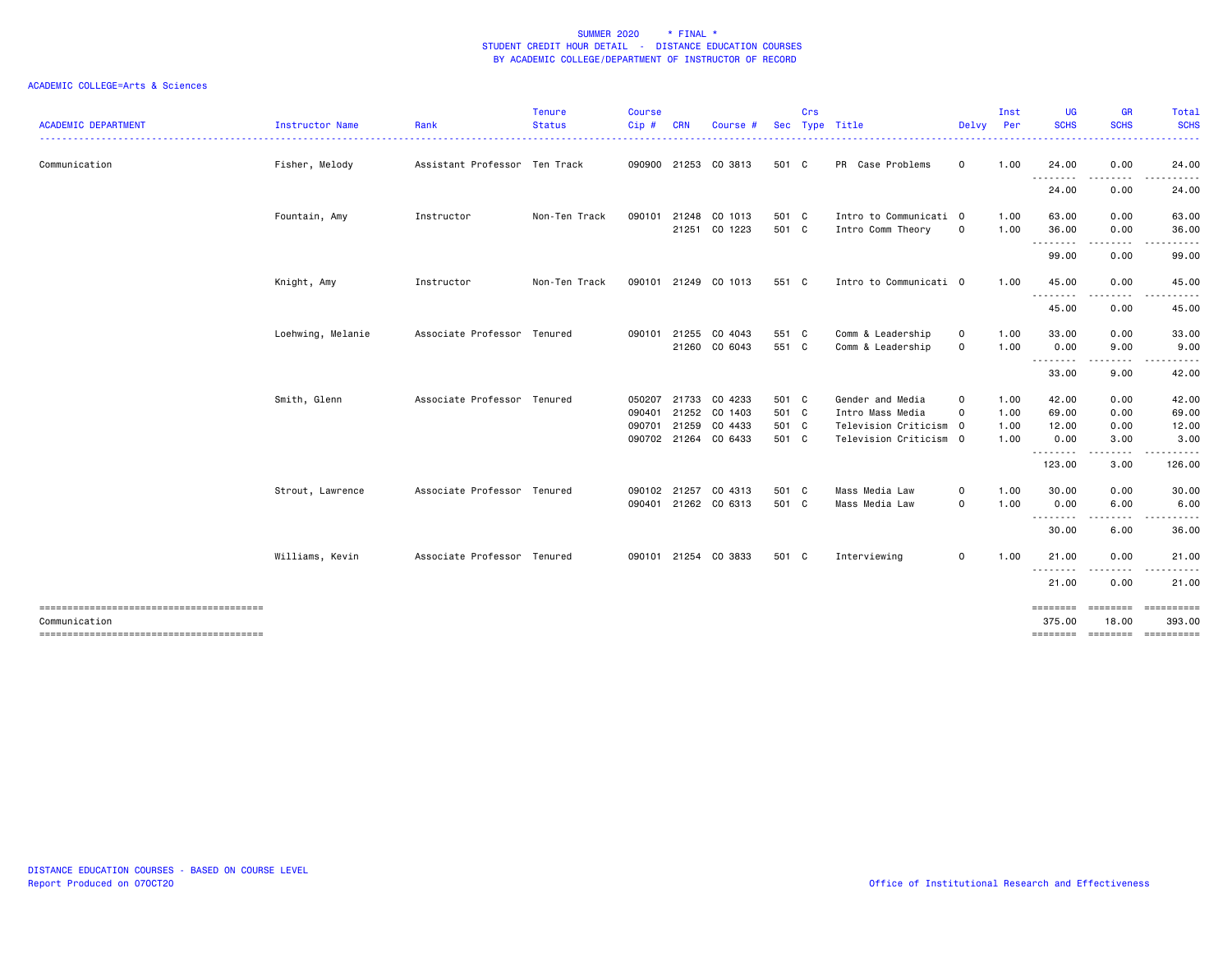| <b>ACADEMIC DEPARTMENT</b> | Instructor Name   | Rank                          | <b>Tenure</b><br><b>Status</b> | Course<br>Cip# | <b>CRN</b> | Course               | <b>Sec</b> | Crs | Type Title             | Delvy Per    | Inst | UG<br><b>SCHS</b>  | <b>GR</b><br><b>SCHS</b>       | Total<br><b>SCHS</b><br>$\frac{1}{2} \left( \frac{1}{2} \right) \left( \frac{1}{2} \right) \left( \frac{1}{2} \right) \left( \frac{1}{2} \right)$ |
|----------------------------|-------------------|-------------------------------|--------------------------------|----------------|------------|----------------------|------------|-----|------------------------|--------------|------|--------------------|--------------------------------|---------------------------------------------------------------------------------------------------------------------------------------------------|
| Communication              | Fisher, Melody    | Assistant Professor Ten Track |                                |                |            | 090900 21253 CO 3813 | 501 C      |     | PR Case Problems       | $\mathbf{O}$ | 1.00 | 24.00              | 0.00                           | 24.00                                                                                                                                             |
|                            |                   |                               |                                |                |            |                      |            |     |                        |              |      | .<br>24.00         | $\cdots \cdots \cdots$<br>0.00 | . <u>.</u> .<br>24.00                                                                                                                             |
|                            | Fountain, Amy     | Instructor                    | Non-Ten Track                  | 090101         |            | 21248 CO 1013        | 501 C      |     | Intro to Communicati 0 |              | 1.00 | 63.00              | 0.00                           | 63.00                                                                                                                                             |
|                            |                   |                               |                                |                |            | 21251 CO 1223        | 501 C      |     | Intro Comm Theory      | $\mathsf 0$  | 1.00 | 36.00              | 0.00<br>.                      | 36.00<br>. <u>.</u> .                                                                                                                             |
|                            |                   |                               |                                |                |            |                      |            |     |                        |              |      | 99.00              | 0.00                           | 99.00                                                                                                                                             |
|                            | Knight, Amy       | Instructor                    | Non-Ten Track                  |                |            | 090101 21249 CO 1013 | 551 C      |     | Intro to Communicati 0 |              | 1.00 | 45.00              | 0.00                           | 45.00                                                                                                                                             |
|                            |                   |                               |                                |                |            |                      |            |     |                        |              |      | --------<br>45.00  | .<br>0.00                      | . <b>.</b> .<br>45.00                                                                                                                             |
|                            | Loehwing, Melanie | Associate Professor Tenured   |                                |                |            | 090101 21255 CO 4043 | 551 C      |     | Comm & Leadership      | $\mathbf 0$  | 1.00 | 33.00              | 0.00                           | 33.00                                                                                                                                             |
|                            |                   |                               |                                |                |            | 21260 CO 6043        | 551 C      |     | Comm & Leadership      | $\mathsf 0$  | 1.00 | 0.00<br>--------   | 9.00<br>.                      | 9.00                                                                                                                                              |
|                            |                   |                               |                                |                |            |                      |            |     |                        |              |      | 33.00              | 9.00                           | 42.00                                                                                                                                             |
|                            | Smith, Glenn      | Associate Professor Tenured   |                                | 050207         |            | 21733 CO 4233        | 501 C      |     | Gender and Media       | $\mathbf 0$  | 1.00 | 42.00              | 0.00                           | 42.00                                                                                                                                             |
|                            |                   |                               |                                | 090401         |            | 21252 CO 1403        | 501 C      |     | Intro Mass Media       | 0            | 1.00 | 69.00              | 0.00                           | 69.00                                                                                                                                             |
|                            |                   |                               |                                | 090701         |            | 21259 CO 4433        | 501 C      |     | Television Criticism 0 |              | 1.00 | 12.00              | 0.00                           | 12.00                                                                                                                                             |
|                            |                   |                               |                                |                |            | 090702 21264 CO 6433 | 501 C      |     | Television Criticism 0 |              | 1.00 | 0.00<br>--------   | 3.00<br>.                      | 3.00<br><u>.</u>                                                                                                                                  |
|                            |                   |                               |                                |                |            |                      |            |     |                        |              |      | 123.00             | 3.00                           | 126.00                                                                                                                                            |
|                            | Strout, Lawrence  | Associate Professor Tenured   |                                | 090102         | 21257      | CO 4313              | 501 C      |     | Mass Media Law         | $\mathbf 0$  | 1.00 | 30.00              | 0.00                           | 30.00                                                                                                                                             |
|                            |                   |                               |                                |                |            | 090401 21262 CO 6313 | 501 C      |     | Mass Media Law         | $\mathbf 0$  | 1.00 | 0.00<br>--------   | 6.00                           | 6.00                                                                                                                                              |
|                            |                   |                               |                                |                |            |                      |            |     |                        |              |      | 30.00              | 6.00                           | 36.00                                                                                                                                             |
|                            | Williams, Kevin   | Associate Professor Tenured   |                                |                |            | 090101 21254 CO 3833 | 501 C      |     | Interviewing           | $\mathbf{O}$ | 1.00 | 21.00              | 0.00<br>.                      | 21,00<br>.                                                                                                                                        |
|                            |                   |                               |                                |                |            |                      |            |     |                        |              |      | .<br>21.00         | 0.00                           | 21.00                                                                                                                                             |
| Communication              |                   |                               |                                |                |            |                      |            |     |                        |              |      | ========<br>375.00 | $= 1000000000$<br>18.00        | ==========<br>393.00                                                                                                                              |
|                            |                   |                               |                                |                |            |                      |            |     |                        |              |      |                    |                                | ========= ======== ==========                                                                                                                     |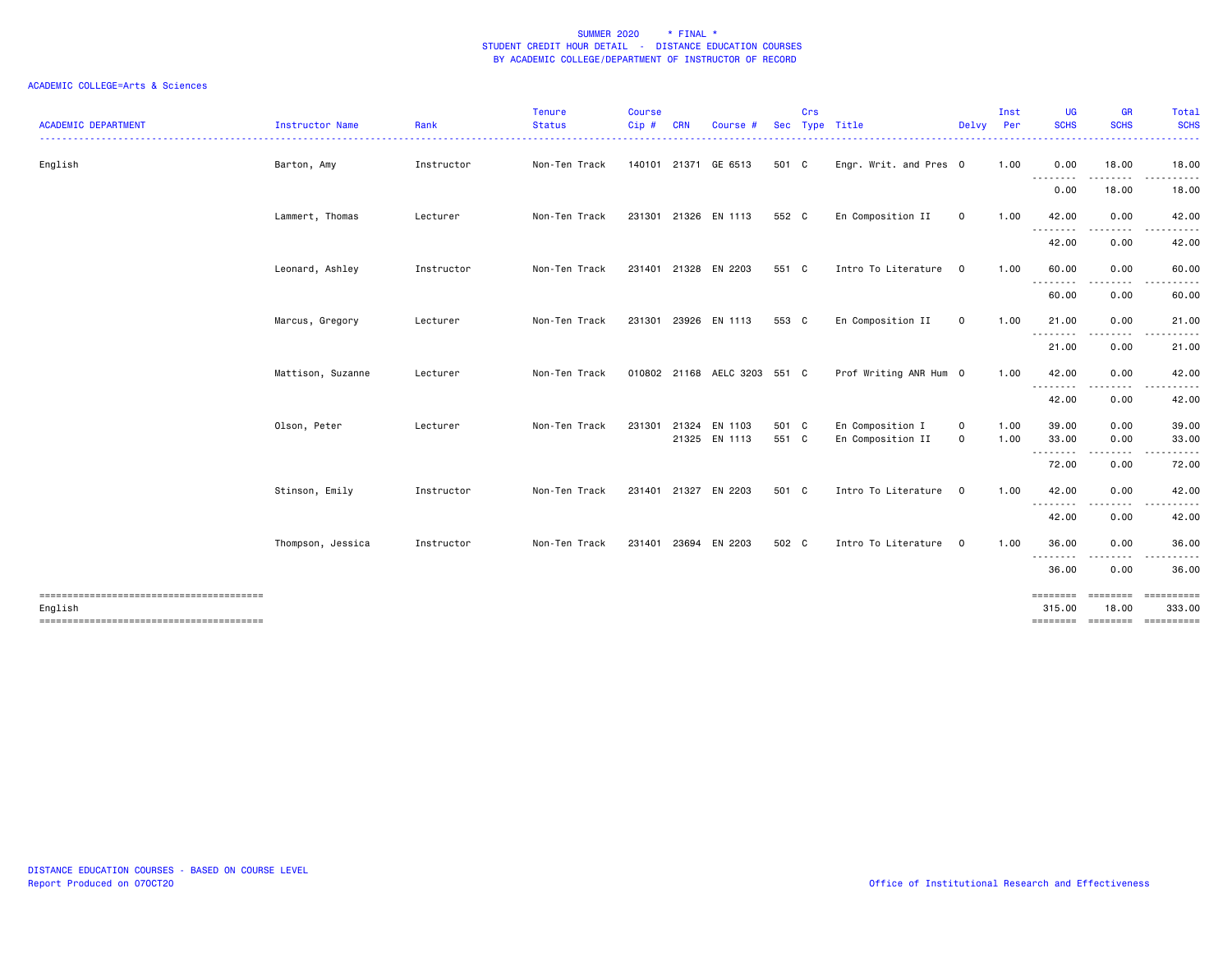| <b>ACADEMIC DEPARTMENT</b> | Instructor Name   | Rank       | <b>Tenure</b><br><b>Status</b> | Course<br>Cip# | <b>CRN</b> | Course                       | <b>Sec</b> | Crs | Type Title             | Delvy Per    | Inst | UG<br><b>SCHS</b>  | <b>GR</b><br><b>SCHS</b> | <b>Total</b><br><b>SCHS</b>                                                                                                                                   |
|----------------------------|-------------------|------------|--------------------------------|----------------|------------|------------------------------|------------|-----|------------------------|--------------|------|--------------------|--------------------------|---------------------------------------------------------------------------------------------------------------------------------------------------------------|
|                            |                   |            |                                |                |            |                              |            |     |                        |              |      |                    |                          | $\frac{1}{2} \left( \frac{1}{2} \right) \left( \frac{1}{2} \right) \left( \frac{1}{2} \right) \left( \frac{1}{2} \right)$                                     |
| English                    | Barton, Amy       | Instructor | Non-Ten Track                  |                |            | 140101 21371 GE 6513         | 501 C      |     | Engr. Writ. and Pres 0 |              | 1.00 | 0.00               | 18.00                    | 18.00                                                                                                                                                         |
|                            |                   |            |                                |                |            |                              |            |     |                        |              |      | <u>.</u><br>0.00   | .<br>18.00               | .<br>18.00                                                                                                                                                    |
|                            | Lammert, Thomas   | Lecturer   | Non-Ten Track                  |                |            | 231301 21326 EN 1113         | 552 C      |     | En Composition II      | $\mathbf{O}$ | 1.00 | 42.00<br>--------  | 0.00<br>.                | 42.00<br>. <b>.</b>                                                                                                                                           |
|                            |                   |            |                                |                |            |                              |            |     |                        |              |      | 42.00              | 0.00                     | 42.00                                                                                                                                                         |
|                            | Leonard, Ashley   | Instructor | Non-Ten Track                  | 231401         |            | 21328 EN 2203                | 551 C      |     | Intro To Literature    | $\mathbf 0$  | 1.00 | 60.00<br>.         | 0.00<br>.                | 60.00                                                                                                                                                         |
|                            |                   |            |                                |                |            |                              |            |     |                        |              |      | 60.00              | 0.00                     | 60.00                                                                                                                                                         |
|                            | Marcus, Gregory   | Lecturer   | Non-Ten Track                  | 231301         |            | 23926 EN 1113                | 553 C      |     | En Composition II      | $\mathbf 0$  | 1.00 | 21.00              | 0.00<br>.                | 21.00<br>$\frac{1}{2} \left( \frac{1}{2} \right) \left( \frac{1}{2} \right) \left( \frac{1}{2} \right) \left( \frac{1}{2} \right) \left( \frac{1}{2} \right)$ |
|                            |                   |            |                                |                |            |                              |            |     |                        |              |      | --------<br>21.00  | 0.00                     | 21.00                                                                                                                                                         |
|                            | Mattison, Suzanne | Lecturer   | Non-Ten Track                  |                |            | 010802 21168 AELC 3203 551 C |            |     | Prof Writing ANR Hum 0 |              | 1.00 | 42.00<br><u>.</u>  | 0.00<br>.                | 42.00<br>. <b>.</b> .                                                                                                                                         |
|                            |                   |            |                                |                |            |                              |            |     |                        |              |      | 42.00              | 0.00                     | 42.00                                                                                                                                                         |
|                            | Olson, Peter      | Lecturer   | Non-Ten Track                  | 231301         |            | 21324 EN 1103                | 501 C      |     | En Composition I       | 0            | 1.00 | 39.00              | 0.00                     | 39.00                                                                                                                                                         |
|                            |                   |            |                                |                |            | 21325 EN 1113                | 551 C      |     | En Composition II      | $\mathbf 0$  | 1.00 | 33.00              | 0.00                     | 33.00                                                                                                                                                         |
|                            |                   |            |                                |                |            |                              |            |     |                        |              |      | .<br>72.00         | .<br>0.00                | .<br>72.00                                                                                                                                                    |
|                            | Stinson, Emily    | Instructor | Non-Ten Track                  | 231401         |            | 21327 EN 2203                | 501 C      |     | Intro To Literature    | $\mathbf 0$  | 1.00 | 42.00              | 0.00                     | 42.00                                                                                                                                                         |
|                            |                   |            |                                |                |            |                              |            |     |                        |              |      | --------<br>42.00  | . <b>.</b><br>0.00       | .<br>42.00                                                                                                                                                    |
|                            | Thompson, Jessica | Instructor | Non-Ten Track                  |                |            | 231401 23694 EN 2203         | 502 C      |     | Intro To Literature    | $\mathbf{0}$ | 1.00 | 36.00              | 0.00                     | 36.00                                                                                                                                                         |
|                            |                   |            |                                |                |            |                              |            |     |                        |              |      | --------<br>36.00  | $- - - -$<br>0.00        | 36.00                                                                                                                                                         |
| English                    |                   |            |                                |                |            |                              |            |     |                        |              |      | ========<br>315.00 | ========<br>18.00        | 333.00                                                                                                                                                        |
|                            |                   |            |                                |                |            |                              |            |     |                        |              |      |                    |                          | ==============================                                                                                                                                |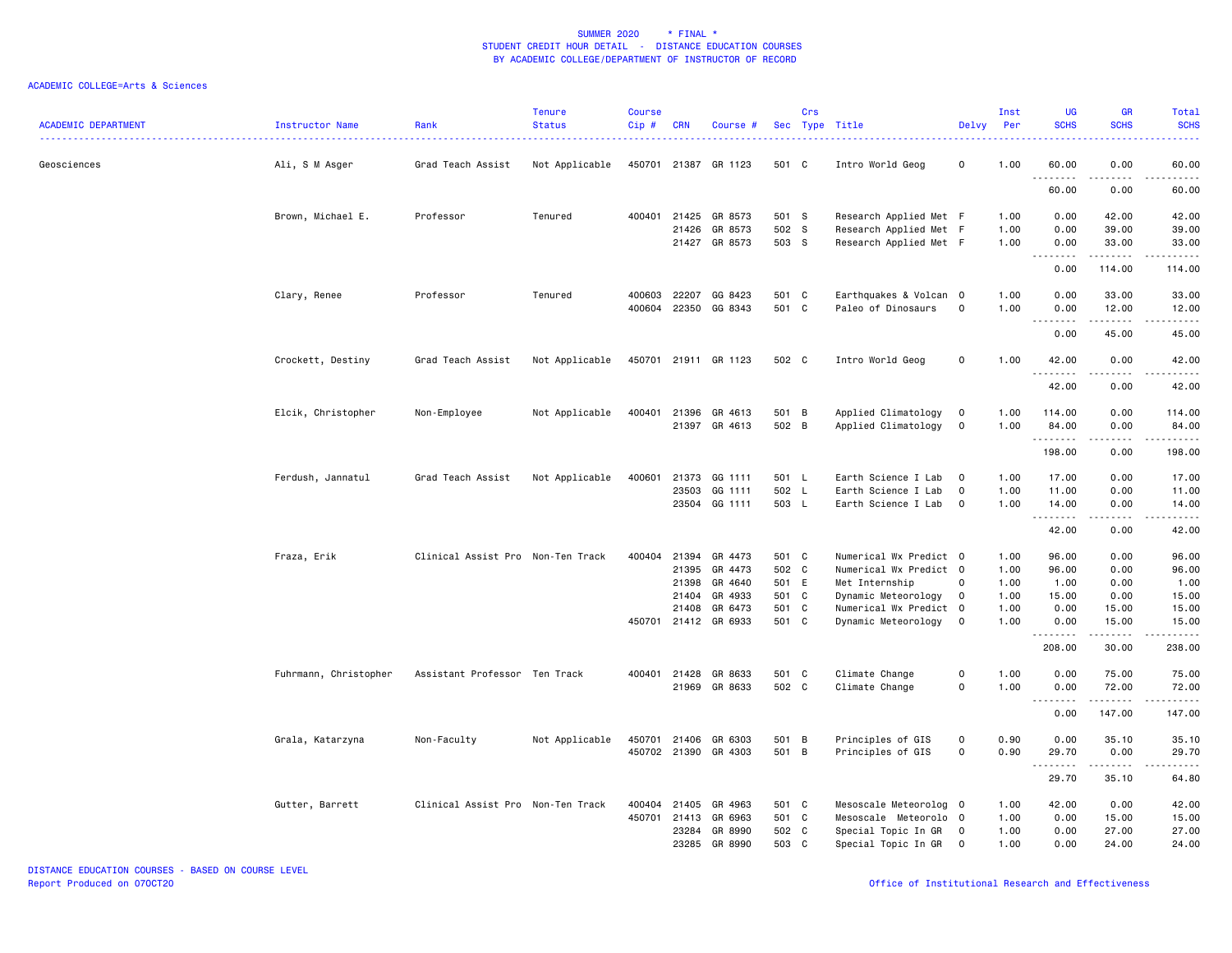| <b>ACADEMIC DEPARTMENT</b> | Instructor Name       | Rank                              | <b>Tenure</b><br><b>Status</b> | <b>Course</b><br>Cip# | CRN            | Course #                        |                | Crs | Sec Type Title                                   | Delvy Per                     | Inst         | UG<br><b>SCHS</b> | <b>GR</b><br><b>SCHS</b>                                                                                                                                      | Total<br><b>SCHS</b> |
|----------------------------|-----------------------|-----------------------------------|--------------------------------|-----------------------|----------------|---------------------------------|----------------|-----|--------------------------------------------------|-------------------------------|--------------|-------------------|---------------------------------------------------------------------------------------------------------------------------------------------------------------|----------------------|
| Geosciences                | Ali, S M Asger        | Grad Teach Assist                 | Not Applicable                 |                       |                | 450701 21387 GR 1123            | 501 C          |     | Intro World Geog                                 | 0                             | 1.00         | 60.00<br>.        | 0.00                                                                                                                                                          | 60.00                |
|                            |                       |                                   |                                |                       |                |                                 |                |     |                                                  |                               |              | 60.00             | 0.00                                                                                                                                                          | 60.00                |
|                            | Brown, Michael E.     | Professor                         | Tenured                        |                       |                | 400401 21425 GR 8573            | 501 S          |     | Research Applied Met F                           |                               | 1.00         | 0.00              | 42.00                                                                                                                                                         | 42.00                |
|                            |                       |                                   |                                |                       | 21426          | GR 8573<br>21427 GR 8573        | 502 S<br>503 S |     | Research Applied Met F<br>Research Applied Met F |                               | 1.00<br>1.00 | 0.00<br>0.00      | 39.00<br>33.00                                                                                                                                                | 39.00<br>33.00       |
|                            |                       |                                   |                                |                       |                |                                 |                |     |                                                  |                               |              | .<br>0.00         | 114.00                                                                                                                                                        | 114.00               |
|                            | Clary, Renee          | Professor                         | Tenured                        | 400603 22207          |                | GG 8423                         | 501 C          |     | Earthquakes & Volcan 0                           |                               | 1.00         | 0.00              | 33.00                                                                                                                                                         | 33.00                |
|                            |                       |                                   |                                |                       |                | 400604 22350 GG 8343            | 501 C          |     | Paleo of Dinosaurs                               | $\mathbf 0$                   | 1.00         | 0.00<br><u>.</u>  | 12.00<br>.                                                                                                                                                    | 12.00<br>.           |
|                            |                       |                                   |                                |                       |                |                                 |                |     |                                                  |                               |              | 0.00              | 45.00                                                                                                                                                         | 45.00                |
|                            | Crockett, Destiny     | Grad Teach Assist                 | Not Applicable                 |                       |                | 450701 21911 GR 1123            | 502 C          |     | Intro World Geog                                 | 0                             | 1.00         | 42.00<br>.        | 0.00<br>.                                                                                                                                                     | 42.00<br>.           |
|                            |                       |                                   |                                |                       |                |                                 |                |     |                                                  |                               |              | 42.00             | 0.00                                                                                                                                                          | 42.00                |
|                            | Elcik, Christopher    | Non-Employee                      | Not Applicable                 |                       |                | 400401 21396 GR 4613            | 501 B          |     | Applied Climatology                              | $\mathbf 0$                   | 1.00         | 114.00            | 0.00                                                                                                                                                          | 114.00               |
|                            |                       |                                   |                                |                       |                | 21397 GR 4613                   | 502 B          |     | Applied Climatology                              | $\mathbf 0$                   | 1.00         | 84.00<br>.        | 0.00<br>.                                                                                                                                                     | 84.00<br>.           |
|                            |                       |                                   |                                |                       |                |                                 |                |     |                                                  |                               |              | 198.00            | 0.00                                                                                                                                                          | 198.00               |
|                            | Ferdush, Jannatul     | Grad Teach Assist                 | Not Applicable                 | 400601                |                | 21373 GG 1111                   | 501 L          |     | Earth Science I Lab                              | $\mathbf 0$                   | 1.00         | 17.00             | 0.00                                                                                                                                                          | 17.00                |
|                            |                       |                                   |                                |                       |                | 23503 GG 1111<br>23504 GG 1111  | 502 L<br>503 L |     | Earth Science I Lab<br>Earth Science I Lab       | $\mathbf 0$<br>$\overline{0}$ | 1.00<br>1.00 | 11.00<br>14.00    | 0.00<br>0.00                                                                                                                                                  | 11.00<br>14.00       |
|                            |                       |                                   |                                |                       |                |                                 |                |     |                                                  |                               |              | .<br>42.00        | 0.00                                                                                                                                                          | 42.00                |
|                            | Fraza, Erik           | Clinical Assist Pro Non-Ten Track |                                |                       |                | 400404 21394 GR 4473            | 501 C          |     | Numerical Wx Predict 0                           |                               | 1.00         | 96.00             | 0.00                                                                                                                                                          | 96.00                |
|                            |                       |                                   |                                |                       | 21395          | GR 4473                         | 502 C          |     | Numerical Wx Predict 0                           |                               | 1.00         | 96.00             | 0.00                                                                                                                                                          | 96.00                |
|                            |                       |                                   |                                |                       | 21398          | GR 4640                         | 501 E          |     | Met Internship                                   | $\mathbf 0$                   | 1.00         | 1.00              | 0.00                                                                                                                                                          | 1.00                 |
|                            |                       |                                   |                                |                       | 21404          | GR 4933                         | 501 C          |     | Dynamic Meteorology                              | $\mathbf 0$                   | 1.00         | 15.00             | 0.00                                                                                                                                                          | 15.00                |
|                            |                       |                                   |                                |                       | 21408          | GR 6473                         | 501 C          |     | Numerical Wx Predict                             | $\overline{\mathbf{0}}$       | 1.00         | 0.00              | 15.00                                                                                                                                                         | 15.00                |
|                            |                       |                                   |                                |                       |                | 450701 21412 GR 6933            | 501 C          |     | Dynamic Meteorology                              | $\mathbf 0$                   | 1.00         | 0.00<br>.         | 15.00<br>$\frac{1}{2} \left( \frac{1}{2} \right) \left( \frac{1}{2} \right) \left( \frac{1}{2} \right) \left( \frac{1}{2} \right) \left( \frac{1}{2} \right)$ | 15.00<br>.           |
|                            |                       |                                   |                                |                       |                |                                 |                |     |                                                  |                               |              | 208.00            | 30.00                                                                                                                                                         | 238.00               |
|                            | Fuhrmann, Christopher | Assistant Professor Ten Track     |                                | 400401 21428          |                | GR 8633<br>21969 GR 8633        | 501 C<br>502 C |     | Climate Change<br>Climate Change                 | $\mathbf 0$<br>$\mathsf{O}$   | 1.00<br>1.00 | 0.00<br>0.00      | 75.00<br>72.00                                                                                                                                                | 75.00<br>72.00       |
|                            |                       |                                   |                                |                       |                |                                 |                |     |                                                  |                               |              | <u>.</u>          | .                                                                                                                                                             |                      |
|                            |                       |                                   |                                |                       |                |                                 |                |     |                                                  |                               |              | 0.00              | 147.00                                                                                                                                                        | 147.00               |
|                            | Grala, Katarzyna      | Non-Faculty                       | Not Applicable                 | 450701 21406          |                | GR 6303<br>450702 21390 GR 4303 | 501 B<br>501 B |     | Principles of GIS<br>Principles of GIS           | 0<br>0                        | 0.90<br>0.90 | 0.00<br>29.70     | 35.10<br>0.00                                                                                                                                                 | 35.10<br>29.70       |
|                            |                       |                                   |                                |                       |                |                                 |                |     |                                                  |                               |              | .<br>29.70        | .<br>35.10                                                                                                                                                    | .<br>64.80           |
|                            | Gutter, Barrett       | Clinical Assist Pro Non-Ten Track |                                | 400404                | 21405          | GR 4963                         | 501 C          |     | Mesoscale Meteorolog 0                           |                               | 1.00         | 42.00             | 0.00                                                                                                                                                          | 42.00                |
|                            |                       |                                   |                                | 450701 21413          |                | GR 6963                         | 501 C          |     | Mesoscale Meteorolo O                            |                               | 1.00         | 0.00              | 15.00                                                                                                                                                         | 15.00                |
|                            |                       |                                   |                                |                       | 23284<br>23285 | GR 8990<br>GR 8990              | 502 C<br>503 C |     | Special Topic In GR<br>Special Topic In GR       | $\mathbf 0$<br>$\overline{0}$ | 1.00<br>1.00 | 0.00<br>0.00      | 27.00<br>24.00                                                                                                                                                | 27.00<br>24.00       |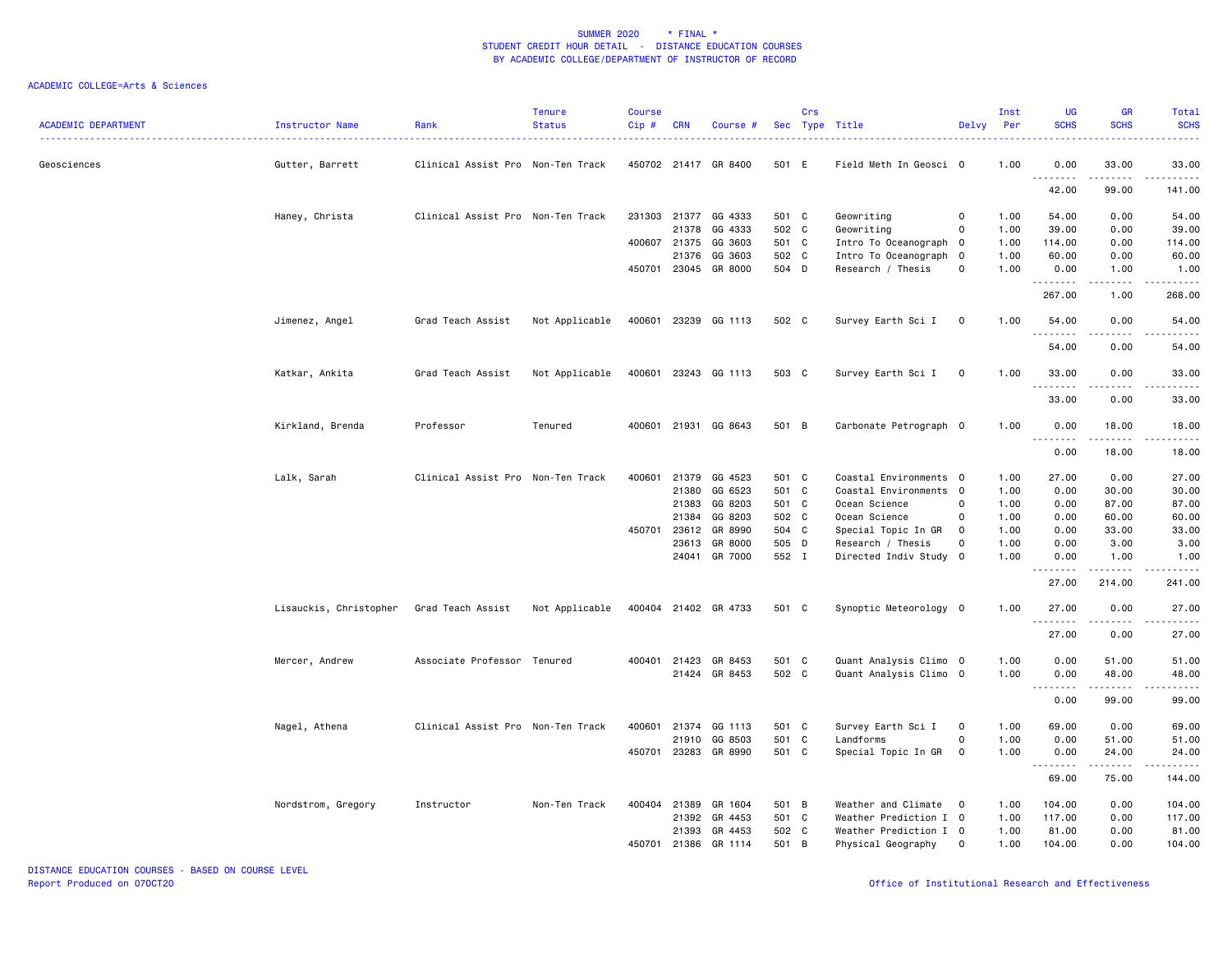| <b>ACADEMIC DEPARTMENT</b> | Instructor Name        | Rank                              | Tenure<br><b>Status</b> | <b>Course</b><br>Cip# | <b>CRN</b>   | Course #             |       | Crs | Sec Type Title         | Delvy          | Inst<br>Per | <b>UG</b><br><b>SCHS</b>            | <b>GR</b><br><b>SCHS</b>                                                                                                                                     | Total<br><b>SCHS</b>                                                                                                                                           |
|----------------------------|------------------------|-----------------------------------|-------------------------|-----------------------|--------------|----------------------|-------|-----|------------------------|----------------|-------------|-------------------------------------|--------------------------------------------------------------------------------------------------------------------------------------------------------------|----------------------------------------------------------------------------------------------------------------------------------------------------------------|
| Geosciences                | Gutter, Barrett        | Clinical Assist Pro Non-Ten Track |                         |                       |              | 450702 21417 GR 8400 | 501 E |     | Field Meth In Geosci 0 |                | 1.00        | 0.00                                | 33.00                                                                                                                                                        | 33.00                                                                                                                                                          |
|                            |                        |                                   |                         |                       |              |                      |       |     |                        |                |             | .<br>42.00                          | .<br>99.00                                                                                                                                                   | . <b>.</b><br>141.00                                                                                                                                           |
|                            | Haney, Christa         | Clinical Assist Pro Non-Ten Track |                         |                       |              | 231303 21377 GG 4333 | 501 C |     | Geowriting             | 0              | 1.00        | 54.00                               | 0.00                                                                                                                                                         | 54.00                                                                                                                                                          |
|                            |                        |                                   |                         |                       | 21378        | GG 4333              | 502 C |     | Geowriting             | $\mathsf{O}$   | 1.00        | 39.00                               | 0.00                                                                                                                                                         | 39.00                                                                                                                                                          |
|                            |                        |                                   |                         | 400607 21375          |              | GG 3603              | 501 C |     | Intro To Oceanograph 0 |                | 1.00        | 114.00                              | 0.00                                                                                                                                                         | 114.00                                                                                                                                                         |
|                            |                        |                                   |                         |                       | 21376        | GG 3603              | 502 C |     | Intro To Oceanograph 0 |                | 1.00        | 60.00                               | 0.00                                                                                                                                                         | 60.00                                                                                                                                                          |
|                            |                        |                                   |                         |                       |              | 450701 23045 GR 8000 | 504 D |     | Research / Thesis      | $\mathbf 0$    | 1.00        | 0.00<br>.                           | 1.00<br><u>.</u>                                                                                                                                             | 1.00<br>$- - - - - -$                                                                                                                                          |
|                            |                        |                                   |                         |                       |              |                      |       |     |                        |                |             | 267.00                              | 1.00                                                                                                                                                         | 268.00                                                                                                                                                         |
|                            | Jimenez, Angel         | Grad Teach Assist                 | Not Applicable          |                       |              | 400601 23239 GG 1113 | 502 C |     | Survey Earth Sci I     | $\mathbf 0$    | 1.00        | 54.00<br>.                          | 0.00                                                                                                                                                         | 54.00                                                                                                                                                          |
|                            |                        |                                   |                         |                       |              |                      |       |     |                        |                |             | 54.00                               | 0.00                                                                                                                                                         | 54.00                                                                                                                                                          |
|                            | Katkar, Ankita         | Grad Teach Assist                 | Not Applicable          |                       |              | 400601 23243 GG 1113 | 503 C |     | Survey Earth Sci I     | $\mathbf 0$    | 1.00        | 33.00<br>.                          | 0.00                                                                                                                                                         | 33.00<br>.                                                                                                                                                     |
|                            |                        |                                   |                         |                       |              |                      |       |     |                        |                |             | 33.00                               | 0.00                                                                                                                                                         | 33.00                                                                                                                                                          |
|                            | Kirkland, Brenda       | Professor                         | Tenured                 |                       |              | 400601 21931 GG 8643 | 501 B |     | Carbonate Petrograph 0 |                | 1.00        | 0.00<br>$\sim$ $\sim$ $\sim$ .<br>. | 18.00                                                                                                                                                        | 18.00                                                                                                                                                          |
|                            |                        |                                   |                         |                       |              |                      |       |     |                        |                |             | 0.00                                | 18.00                                                                                                                                                        | 18.00                                                                                                                                                          |
|                            | Lalk, Sarah            | Clinical Assist Pro Non-Ten Track |                         |                       |              | 400601 21379 GG 4523 | 501 C |     | Coastal Environments 0 |                | 1.00        | 27.00                               | 0.00                                                                                                                                                         | 27.00                                                                                                                                                          |
|                            |                        |                                   |                         |                       | 21380        | GG 6523              | 501 C |     | Coastal Environments 0 |                | 1.00        | 0.00                                | 30.00                                                                                                                                                        | 30.00                                                                                                                                                          |
|                            |                        |                                   |                         |                       | 21383        | GG 8203              | 501 C |     | Ocean Science          | $\Omega$       | 1.00        | 0.00                                | 87.00                                                                                                                                                        | 87.00                                                                                                                                                          |
|                            |                        |                                   |                         |                       | 21384        | GG 8203              | 502 C |     | Ocean Science          | $\mathbf 0$    | 1.00        | 0.00                                | 60.00                                                                                                                                                        | 60.00                                                                                                                                                          |
|                            |                        |                                   |                         | 450701                | 23612        | GR 8990              | 504 C |     | Special Topic In GR    | $\mathbf 0$    | 1.00        | 0.00                                | 33.00                                                                                                                                                        | 33.00                                                                                                                                                          |
|                            |                        |                                   |                         |                       | 23613        | GR 8000              | 505 D |     | Research / Thesis      | 0              | 1.00        | 0.00                                | 3.00                                                                                                                                                         | 3.00                                                                                                                                                           |
|                            |                        |                                   |                         |                       |              | 24041 GR 7000        | 552 I |     | Directed Indiv Study 0 |                | 1.00        | 0.00                                | 1.00                                                                                                                                                         | 1.00                                                                                                                                                           |
|                            |                        |                                   |                         |                       |              |                      |       |     |                        |                |             | --------<br>27.00                   | .<br>214.00                                                                                                                                                  | $\frac{1}{2} \left( \frac{1}{2} \right) \left( \frac{1}{2} \right) \left( \frac{1}{2} \right) \left( \frac{1}{2} \right) \left( \frac{1}{2} \right)$<br>241.00 |
|                            | Lisauckis, Christopher | Grad Teach Assist                 | Not Applicable          |                       |              | 400404 21402 GR 4733 | 501 C |     | Synoptic Meteorology 0 |                | 1.00        | 27.00                               | 0.00                                                                                                                                                         | 27.00                                                                                                                                                          |
|                            |                        |                                   |                         |                       |              |                      |       |     |                        |                |             | .<br>27.00                          | $\frac{1}{2} \left( \frac{1}{2} \right) \left( \frac{1}{2} \right) \left( \frac{1}{2} \right) \left( \frac{1}{2} \right) \left( \frac{1}{2} \right)$<br>0.00 | .<br>27.00                                                                                                                                                     |
|                            | Mercer, Andrew         | Associate Professor Tenured       |                         | 400401                | 21423        | GR 8453              | 501 C |     | Quant Analysis Climo 0 |                | 1.00        | 0.00                                | 51.00                                                                                                                                                        | 51.00                                                                                                                                                          |
|                            |                        |                                   |                         |                       |              | 21424 GR 8453        | 502 C |     | Quant Analysis Climo 0 |                | 1.00        | 0.00                                | 48.00                                                                                                                                                        | 48.00                                                                                                                                                          |
|                            |                        |                                   |                         |                       |              |                      |       |     |                        |                |             | .<br>0.00                           | .<br>99.00                                                                                                                                                   | .<br>99.00                                                                                                                                                     |
|                            | Nagel, Athena          | Clinical Assist Pro Non-Ten Track |                         | 400601                | 21374        | GG 1113              | 501 C |     | Survey Earth Sci I     | $\mathbf 0$    | 1.00        | 69.00                               | 0.00                                                                                                                                                         | 69.00                                                                                                                                                          |
|                            |                        |                                   |                         |                       |              | 21910 GG 8503        | 501 C |     | Landforms              | $\mathbf 0$    | 1.00        | 0.00                                | 51.00                                                                                                                                                        | 51.00                                                                                                                                                          |
|                            |                        |                                   |                         |                       |              | 450701 23283 GR 8990 | 501 C |     | Special Topic In GR    | $\overline{0}$ | 1.00        | 0.00                                | 24.00                                                                                                                                                        | 24.00                                                                                                                                                          |
|                            |                        |                                   |                         |                       |              |                      |       |     |                        |                |             | .<br>69.00                          | .<br>75.00                                                                                                                                                   | .<br>144.00                                                                                                                                                    |
|                            | Nordstrom, Gregory     | Instructor                        | Non-Ten Track           |                       | 400404 21389 | GR 1604              | 501 B |     | Weather and Climate    | $\mathbf 0$    | 1.00        | 104.00                              | 0.00                                                                                                                                                         | 104.00                                                                                                                                                         |
|                            |                        |                                   |                         |                       |              | 21392 GR 4453        | 501 C |     | Weather Prediction I 0 |                | 1.00        | 117.00                              | 0.00                                                                                                                                                         | 117.00                                                                                                                                                         |
|                            |                        |                                   |                         |                       | 21393        | GR 4453              | 502 C |     | Weather Prediction I 0 |                | 1.00        | 81.00                               | 0.00                                                                                                                                                         | 81.00                                                                                                                                                          |
|                            |                        |                                   |                         | 450701                |              | 21386 GR 1114        | 501 B |     | Physical Geography     | $\mathbf 0$    | 1.00        | 104.00                              | 0.00                                                                                                                                                         | 104.00                                                                                                                                                         |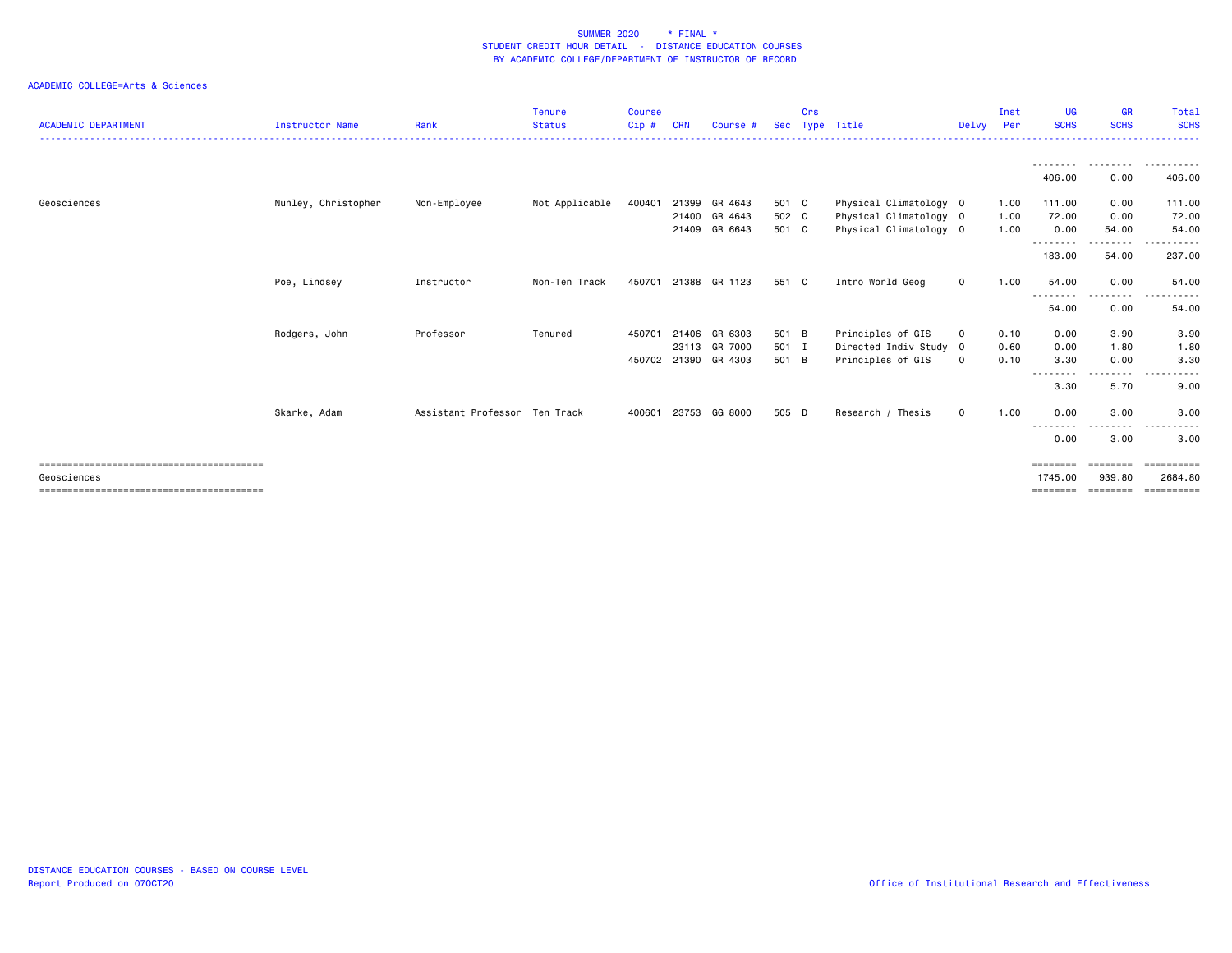| <b>ACADEMIC DEPARTMENT</b>           | Instructor Name     | Rank                          | Tenure<br><b>Status</b> | <b>Course</b><br>$Cip$ # | <b>CRN</b> | Course #      |       | Crs | Sec Type Title         | Delvy Per   | Inst | UG<br><b>SCHS</b>  | <b>GR</b><br><b>SCHS</b> | Total<br><b>SCHS</b>                                                                                                                   |
|--------------------------------------|---------------------|-------------------------------|-------------------------|--------------------------|------------|---------------|-------|-----|------------------------|-------------|------|--------------------|--------------------------|----------------------------------------------------------------------------------------------------------------------------------------|
|                                      |                     |                               |                         |                          |            |               |       |     |                        |             |      | <u>.</u>           | .                        | .                                                                                                                                      |
|                                      |                     |                               |                         |                          |            |               |       |     |                        |             |      | 406.00             | 0.00                     | 406.00                                                                                                                                 |
| Geosciences                          | Nunley, Christopher | Non-Employee                  | Not Applicable          | 400401                   |            | 21399 GR 4643 | 501 C |     | Physical Climatology 0 |             | 1.00 | 111.00             | 0.00                     | 111.00                                                                                                                                 |
|                                      |                     |                               |                         |                          |            | 21400 GR 4643 | 502 C |     | Physical Climatology 0 |             | 1.00 | 72.00              | 0.00                     | 72.00                                                                                                                                  |
|                                      |                     |                               |                         |                          | 21409      | GR 6643       | 501 C |     | Physical Climatology 0 |             | 1.00 | 0.00               | 54.00                    | 54.00                                                                                                                                  |
|                                      |                     |                               |                         |                          |            |               |       |     |                        |             |      | .<br>183.00        | <u>.</u><br>54.00        | ------<br>237.00                                                                                                                       |
|                                      | Poe, Lindsey        | Instructor                    | Non-Ten Track           | 450701                   |            | 21388 GR 1123 | 551 C |     | Intro World Geog       | $\mathbf 0$ | 1.00 | 54.00<br>--------- | 0.00<br>.                | 54.00<br>-----------                                                                                                                   |
|                                      |                     |                               |                         |                          |            |               |       |     |                        |             |      | 54.00              | 0.00                     | 54.00                                                                                                                                  |
|                                      | Rodgers, John       | Professor                     | Tenured                 | 450701                   |            | 21406 GR 6303 | 501 B |     | Principles of GIS      | $\circ$     | 0.10 | 0.00               | 3.90                     | 3.90                                                                                                                                   |
|                                      |                     |                               |                         |                          |            | 23113 GR 7000 | 501 I |     | Directed Indiv Study 0 |             | 0.60 | 0.00               | 1.80                     | 1.80                                                                                                                                   |
|                                      |                     |                               |                         | 450702                   |            | 21390 GR 4303 | 501 B |     | Principles of GIS      | $\mathbf 0$ | 0.10 | 3.30<br>--------   | 0.00<br>.                | 3.30<br>$\frac{1}{2} \left( \frac{1}{2} \right) \left( \frac{1}{2} \right) \left( \frac{1}{2} \right) \left( \frac{1}{2} \right)$<br>. |
|                                      |                     |                               |                         |                          |            |               |       |     |                        |             |      | 3.30               | 5.70                     | 9.00                                                                                                                                   |
|                                      | Skarke, Adam        | Assistant Professor Ten Track |                         | 400601                   |            | 23753 GG 8000 | 505 D |     | Research / Thesis      | $\mathbf 0$ | 1.00 | 0.00<br>--------   | 3.00<br>---------        | 3.00<br>.                                                                                                                              |
|                                      |                     |                               |                         |                          |            |               |       |     |                        |             |      | 0.00               | 3.00                     | 3.00                                                                                                                                   |
|                                      |                     |                               |                         |                          |            |               |       |     |                        |             |      | ========           | ---------                | <b>Concococo</b>                                                                                                                       |
| Geosciences                          |                     |                               |                         |                          |            |               |       |     |                        |             |      | 1745.00            | 939,80                   | 2684.80                                                                                                                                |
| ==================================== |                     |                               |                         |                          |            |               |       |     |                        |             |      |                    | ========                 | eeeeeeeee                                                                                                                              |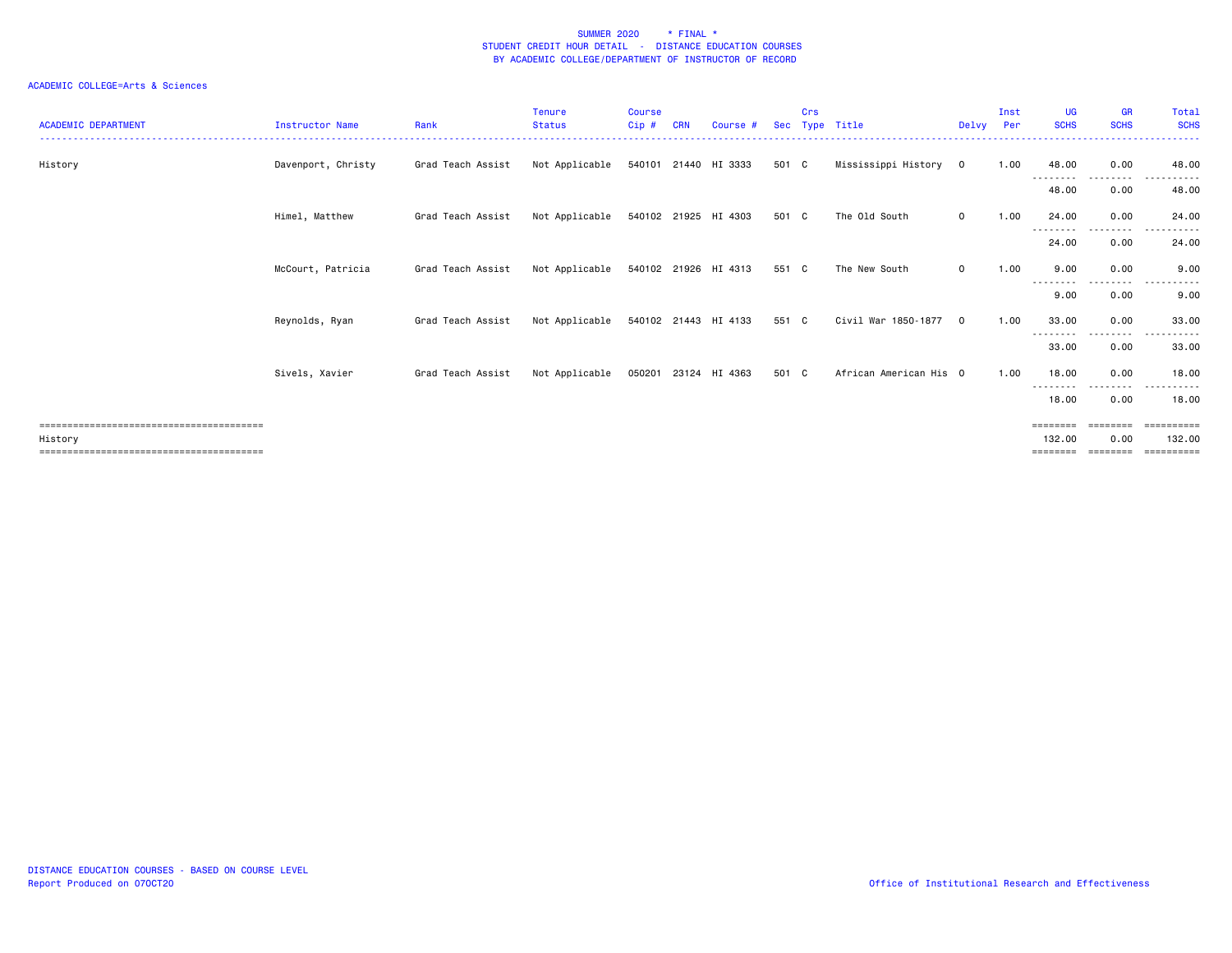| <b>GR</b><br>Total<br><b>SCHS</b><br><b>SCHS</b> |
|--------------------------------------------------|
| 0.00<br>48.00<br>--------                        |
| 0.00<br>48.00                                    |
| 0.00<br>24.00                                    |
| 0.00<br>24.00                                    |
| 0.00<br>9.00                                     |
| $  -$<br>. <b>.</b> .<br>9.00<br>0.00            |
| 0.00<br>33.00                                    |
| .<br>33.00<br>0.00                               |
| 0.00<br>18,00                                    |
| .<br>0.00<br>18.00                               |
| ========<br>-----------                          |
| 0.00<br>132.00<br>========                       |
| .<br>.                                           |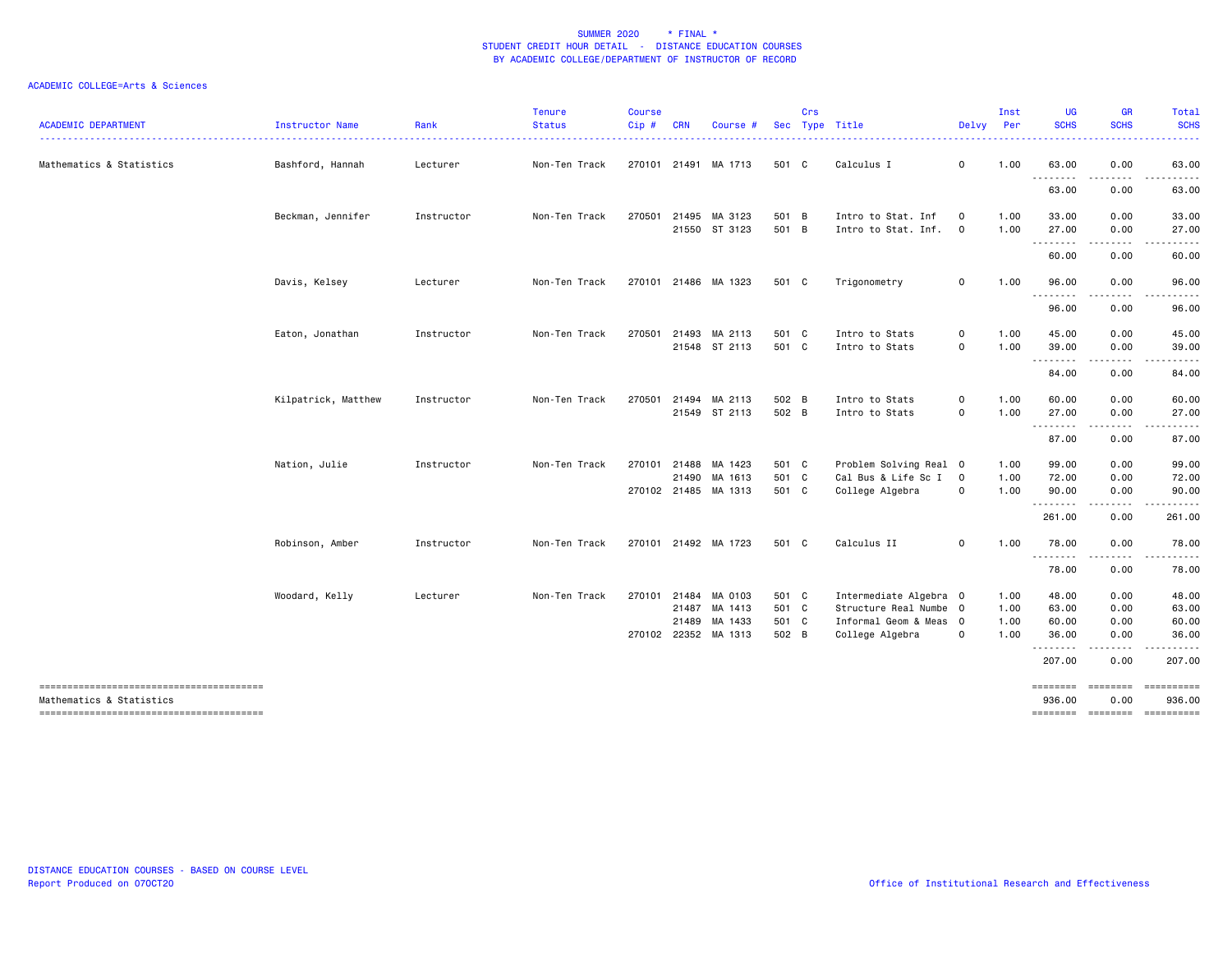| <b>ACADEMIC DEPARTMENT</b> | Instructor Name     | Rank       | <b>Tenure</b><br><b>Status</b> | <b>Course</b><br>Cip# | <b>CRN</b> | Course #                              |                | Crs | Sec Type Title                                   | Delvy                         | Inst<br>Per  | UG<br><b>SCHS</b>          | <b>GR</b><br><b>SCHS</b> | Total<br><b>SCHS</b> |
|----------------------------|---------------------|------------|--------------------------------|-----------------------|------------|---------------------------------------|----------------|-----|--------------------------------------------------|-------------------------------|--------------|----------------------------|--------------------------|----------------------|
| Mathematics & Statistics   | Bashford, Hannah    | Lecturer   | Non-Ten Track                  |                       |            | 270101 21491 MA 1713                  | 501 C          |     | Calculus I                                       | $\mathbf 0$                   | 1.00         | 63.00                      | 0.00                     | 63.00                |
|                            |                     |            |                                |                       |            |                                       |                |     |                                                  |                               |              | .<br>63.00                 | .<br>0.00                | .<br>63.00           |
|                            | Beckman, Jennifer   | Instructor | Non-Ten Track                  | 270501                |            | 21495 MA 3123<br>21550 ST 3123        | 501 B<br>501 B |     | Intro to Stat. Inf<br>Intro to Stat. Inf.        | $\mathbf 0$<br>$\mathbf 0$    | 1.00<br>1.00 | 33.00<br>27.00             | 0.00<br>0.00             | 33.00<br>27.00       |
|                            |                     |            |                                |                       |            |                                       |                |     |                                                  |                               |              | .<br>60.00                 | .<br>0.00                | .<br>60.00           |
|                            | Davis, Kelsey       | Lecturer   | Non-Ten Track                  |                       |            | 270101 21486 MA 1323                  | 501 C          |     | Trigonometry                                     | $\mathbf 0$                   | 1.00         | 96.00                      | 0.00                     | 96.00                |
|                            |                     |            |                                |                       |            |                                       |                |     |                                                  |                               |              | .<br>96.00                 | .<br>0.00                | .<br>96.00           |
|                            | Eaton, Jonathan     | Instructor | Non-Ten Track                  | 270501                |            | 21493 MA 2113<br>21548 ST 2113        | 501 C<br>501 C |     | Intro to Stats<br>Intro to Stats                 | $\mathbf 0$<br>$\mathsf{o}\,$ | 1.00<br>1.00 | 45.00<br>39.00             | 0.00<br>0.00             | 45.00<br>39.00       |
|                            |                     |            |                                |                       |            |                                       |                |     |                                                  |                               |              | .<br>84.00                 | .<br>0.00                | .<br>84.00           |
|                            | Kilpatrick, Matthew | Instructor | Non-Ten Track                  | 270501                |            | 21494 MA 2113                         | 502 B          |     | Intro to Stats                                   | 0                             | 1.00         | 60.00                      | 0.00                     | 60.00                |
|                            |                     |            |                                |                       |            | 21549 ST 2113                         | 502 B          |     | Intro to Stats                                   | 0                             | 1.00         | 27.00<br><u>.</u><br>87.00 | 0.00<br>.<br>0.00        | 27.00<br>.<br>87.00  |
|                            | Nation, Julie       | Instructor | Non-Ten Track                  |                       |            | 270101 21488 MA 1423                  | 501 C          |     | Problem Solving Real 0                           |                               | 1.00         | 99.00                      | 0.00                     | 99.00                |
|                            |                     |            |                                |                       |            | 21490 MA 1613<br>270102 21485 MA 1313 | 501 C<br>501 C |     | Cal Bus & Life Sc I<br>College Algebra           | $\overline{0}$<br>$\mathbf 0$ | 1.00<br>1.00 | 72.00<br>90.00             | 0.00<br>0.00             | 72.00<br>90.00       |
|                            |                     |            |                                |                       |            |                                       |                |     |                                                  |                               |              | .<br>261.00                | .<br>0.00                | 261.00               |
|                            | Robinson, Amber     | Instructor | Non-Ten Track                  |                       |            | 270101 21492 MA 1723                  | 501 C          |     | Calculus II                                      | $\mathbf 0$                   | 1.00         | 78.00                      | 0.00<br>.                | 78.00                |
|                            |                     |            |                                |                       |            |                                       |                |     |                                                  |                               |              | 78.00                      | 0.00                     | 78.00                |
|                            | Woodard, Kelly      | Lecturer   | Non-Ten Track                  | 270101 21484          |            | MA 0103<br>21487 MA 1413              | 501 C<br>501 C |     | Intermediate Algebra 0<br>Structure Real Numbe 0 |                               | 1.00<br>1.00 | 48.00<br>63.00             | 0.00<br>0.00             | 48.00<br>63.00       |
|                            |                     |            |                                |                       | 21489      | MA 1433<br>270102 22352 MA 1313       | 501 C<br>502 B |     | Informal Geom & Meas 0<br>College Algebra        | $\circ$                       | 1.00<br>1.00 | 60.00<br>36.00             | 0.00<br>0.00             | 60.00<br>36.00       |
|                            |                     |            |                                |                       |            |                                       |                |     |                                                  |                               |              | .<br>207.00                | 0.00                     | 207.00               |
| Mathematics & Statistics   |                     |            |                                |                       |            |                                       |                |     |                                                  |                               |              | ========<br>936.00         | 0.00                     | 936.00               |
|                            |                     |            |                                |                       |            |                                       |                |     |                                                  |                               |              |                            | ======== ========        | ==========           |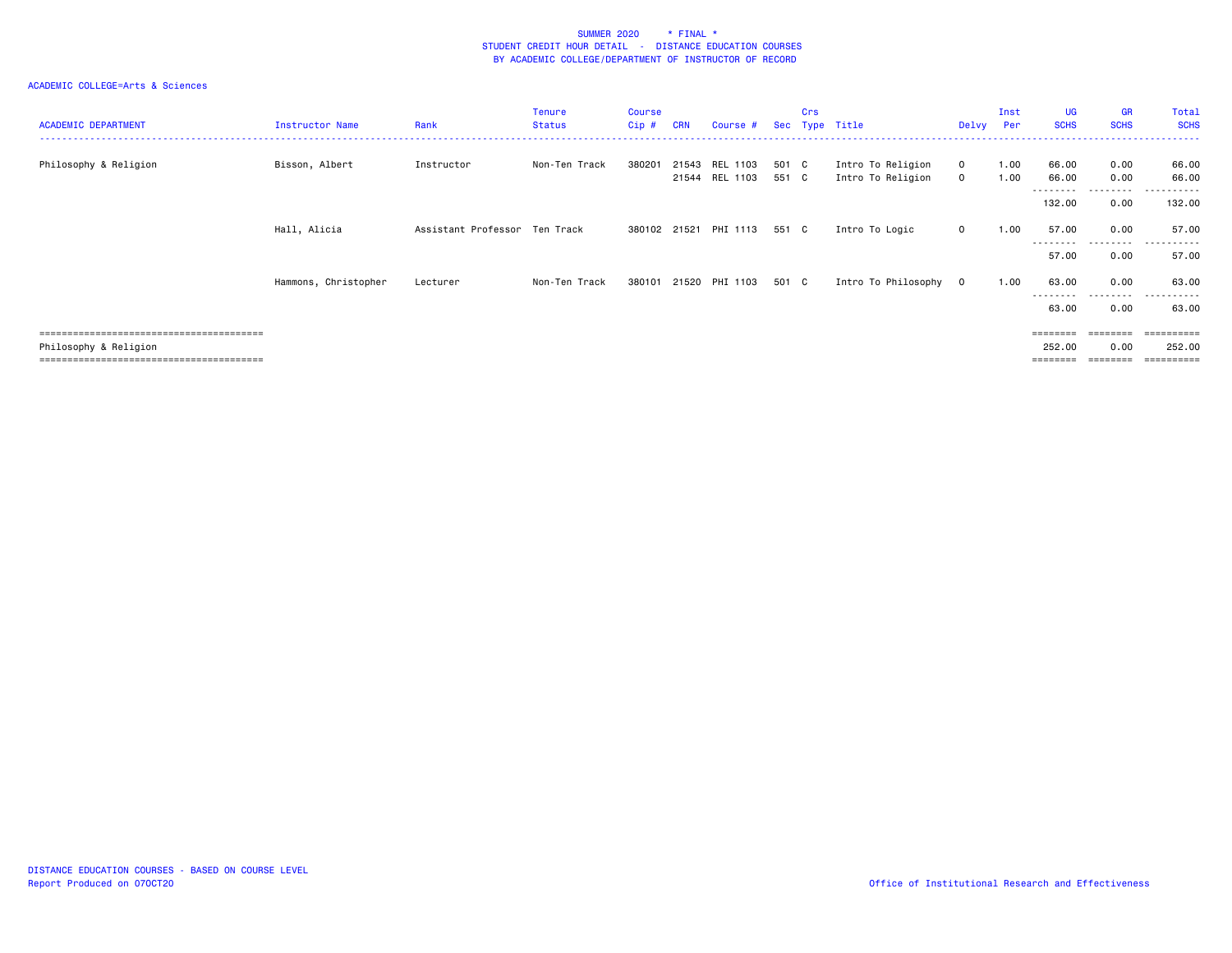| <b>ACADEMIC DEPARTMENT</b> | Instructor Name      | Rank                          | <b>Tenure</b><br><b>Status</b> | <b>Course</b><br>Cip# | <b>CRN</b> | Course #                   | Sec            | <b>Crs</b> | Type Title                             | Delvy                  | Inst<br>Per  | UG<br><b>SCHS</b>          | <b>GR</b><br><b>SCHS</b> | Total<br><b>SCHS</b> |
|----------------------------|----------------------|-------------------------------|--------------------------------|-----------------------|------------|----------------------------|----------------|------------|----------------------------------------|------------------------|--------------|----------------------------|--------------------------|----------------------|
| Philosophy & Religion      | Bisson, Albert       | Instructor                    | Non-Ten Track                  | 380201                | 21543      | REL 1103<br>21544 REL 1103 | 501 C<br>551 C |            | Intro To Religion<br>Intro To Religion | $\mathbf 0$<br>$\circ$ | 1.00<br>1.00 | 66.00<br>66.00<br>-------- | 0.00<br>0.00<br>.        | 66.00<br>66.00<br>.  |
|                            |                      |                               |                                |                       |            |                            |                |            |                                        |                        |              | 132.00                     | 0.00                     | 132.00               |
|                            | Hall, Alicia         | Assistant Professor Ten Track |                                | 380102 21521          |            | PHI 1113                   | 551 C          |            | Intro To Logic                         | $\circ$                | 1.00         | 57.00                      | 0.00                     | 57.00                |
|                            |                      |                               |                                |                       |            |                            |                |            |                                        |                        |              | --------<br>57.00          | .<br>0.00                | .<br>57.00           |
|                            | Hammons, Christopher | Lecturer                      | Non-Ten Track                  | 380101                |            | 21520 PHI 1103             | 501 C          |            | Intro To Philosophy                    | $\circ$                | 1.00         | 63.00                      | 0.00                     | 63.00                |
|                            |                      |                               |                                |                       |            |                            |                |            |                                        |                        |              | ---------<br>63.00         | .<br>0.00                | .<br>63.00           |
|                            |                      |                               |                                |                       |            |                            |                |            |                                        |                        |              | ========                   | ========                 | ==========           |
| Philosophy & Religion      |                      |                               |                                |                       |            |                            |                |            |                                        |                        |              | 252.00                     | 0.00                     | 252.00               |
|                            |                      |                               |                                |                       |            |                            |                |            |                                        |                        |              | ========                   | ========                 |                      |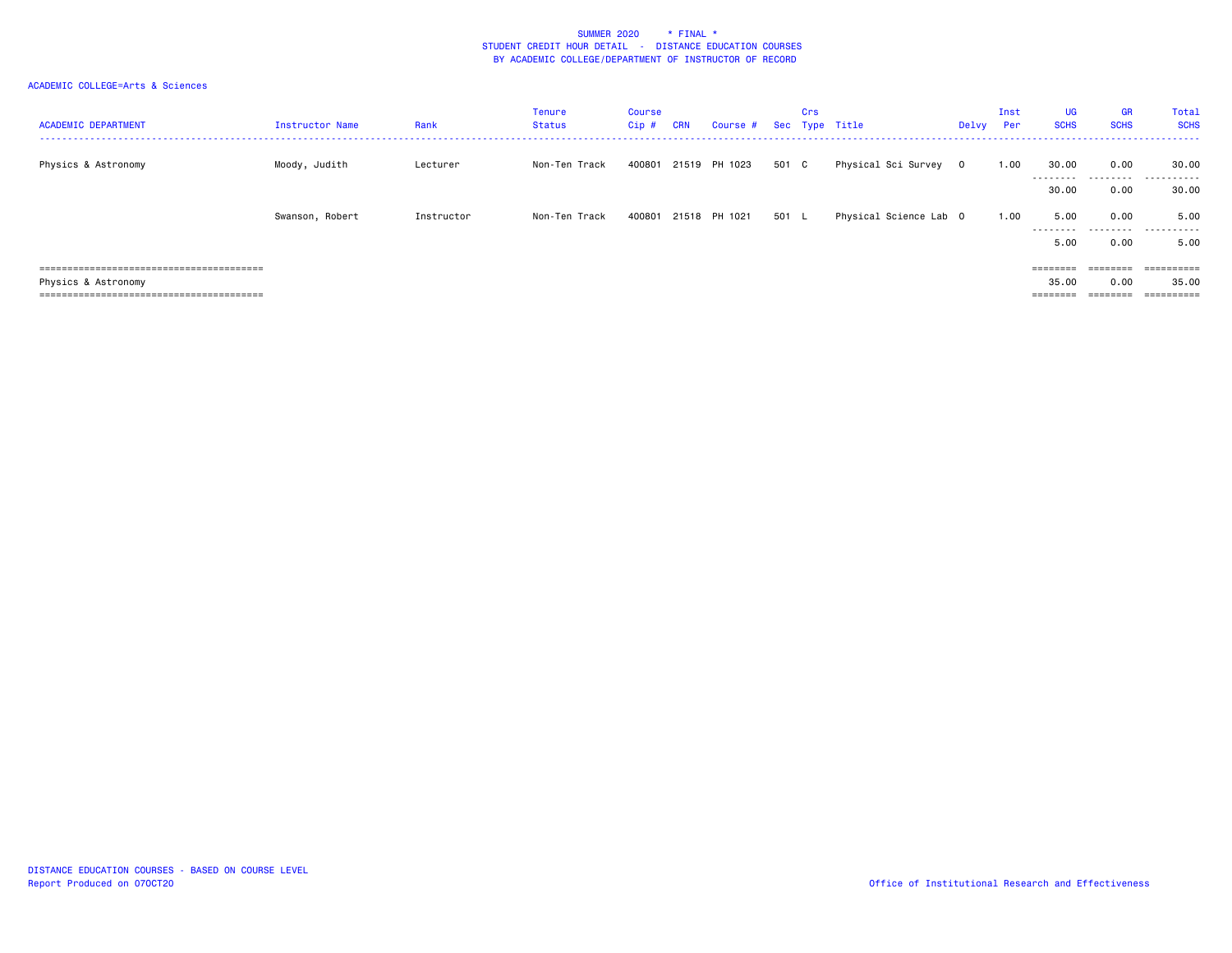| <b>ACADEMIC DEPARTMENT</b> | Instructor Name | Rank       | <b>Tenure</b><br>Status | <b>Course</b><br>Cip# | <b>CRN</b> | Course #      |       | Crs | Sec Type Title         | Delvy | Inst<br>Per | UG<br><b>SCHS</b>  | <b>GR</b><br><b>SCHS</b> | Total<br><b>SCHS</b> |
|----------------------------|-----------------|------------|-------------------------|-----------------------|------------|---------------|-------|-----|------------------------|-------|-------------|--------------------|--------------------------|----------------------|
| Physics & Astronomy        | Moody, Judith   | Lecturer   | Non-Ten Track           | 400801                |            | 21519 PH 1023 | 501 C |     | Physical Sci Survey 0  |       | 1.00        | 30.00<br>--------- | 0.00                     | 30.00<br>.           |
|                            |                 |            |                         |                       |            |               |       |     |                        |       |             | 30.00              | 0.00                     | 30.00                |
|                            | Swanson, Robert | Instructor | Non-Ten Track           | 400801                |            | 21518 PH 1021 | 501 L |     | Physical Science Lab 0 |       | 1.00        | 5.00<br>---------  | 0.00                     | 5.00<br>.            |
|                            |                 |            |                         |                       |            |               |       |     |                        |       |             | 5.00               | 0.00                     | 5.00                 |
|                            |                 |            |                         |                       |            |               |       |     |                        |       |             | $=$ = = = = = = =  | $=$ = = = = = = =        | ==========           |
| Physics & Astronomy        |                 |            |                         |                       |            |               |       |     |                        |       |             | 35.00              | 0.00                     | 35.00                |
|                            |                 |            |                         |                       |            |               |       |     |                        |       |             | $=$ = = = = = = =  | $=$ = = = = = = =        | ==========           |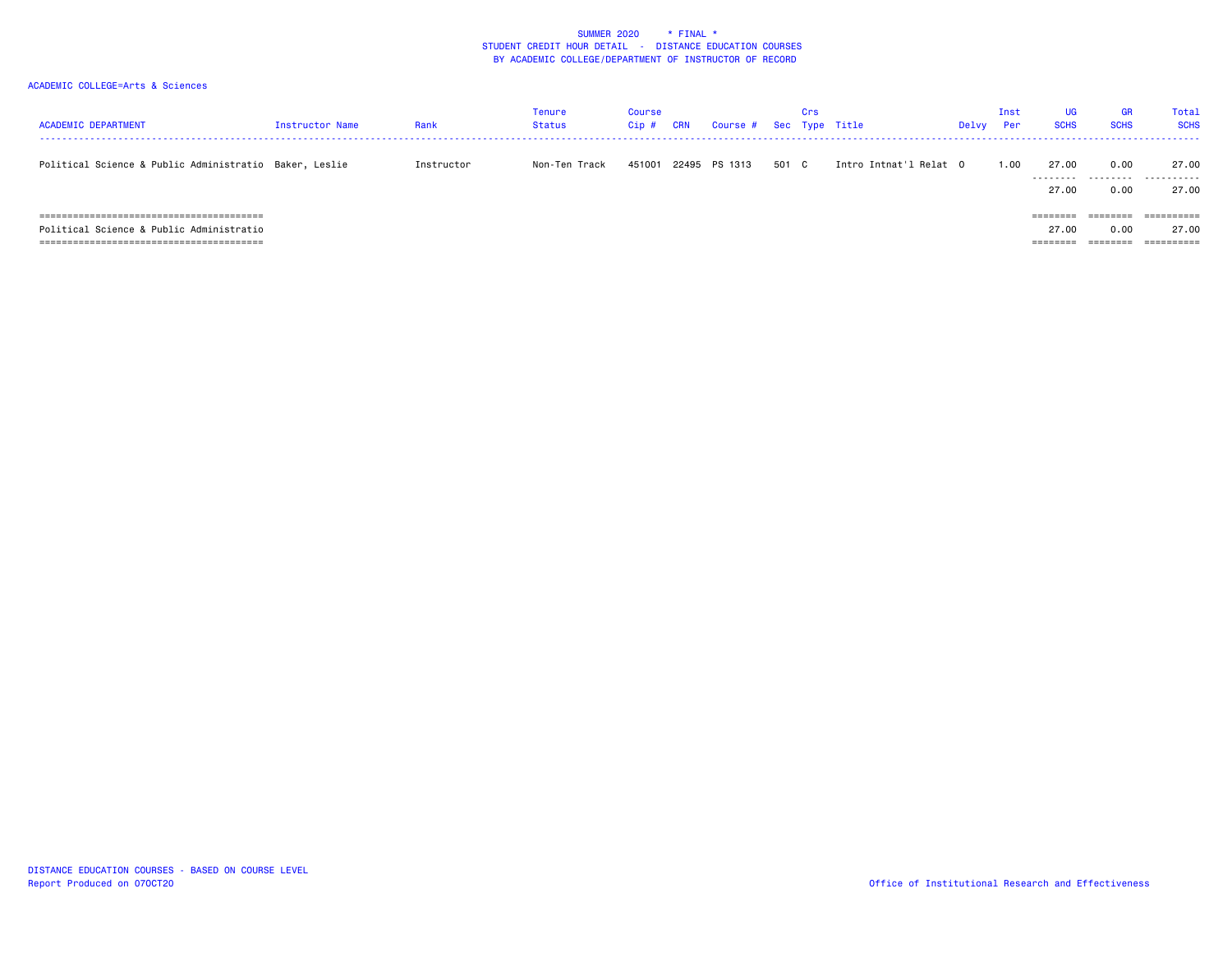| <b>ACADEMIC DEPARTMENT</b>                             | <b>Instructor Name</b> | Rank       | Tenure<br>Status | <b>Course</b><br>Cip # | <b>CRN</b> | Course #      |       | Crs | Sec Type Title         | Delvy | Inst<br>Per | <b>UG</b><br><b>SCHS</b>      | <b>GR</b><br><b>SCHS</b> | Total<br><b>SCHS</b>             |
|--------------------------------------------------------|------------------------|------------|------------------|------------------------|------------|---------------|-------|-----|------------------------|-------|-------------|-------------------------------|--------------------------|----------------------------------|
| Political Science & Public Administratio Baker, Leslie |                        | Instructor | Non-Ten Track    | 451001                 |            | 22495 PS 1313 | 501 C |     | Intro Intnat'l Relat O |       | 1.00        | 27.00<br>--------<br>27,00    | 0.00<br>.<br>0.00        | 27.00<br>.<br>27.00              |
| Political Science & Public Administratio               |                        |            |                  |                        |            |               |       |     |                        |       |             | ========<br>27,00<br>======== | 0.00<br>========         | =========<br>27.00<br>========== |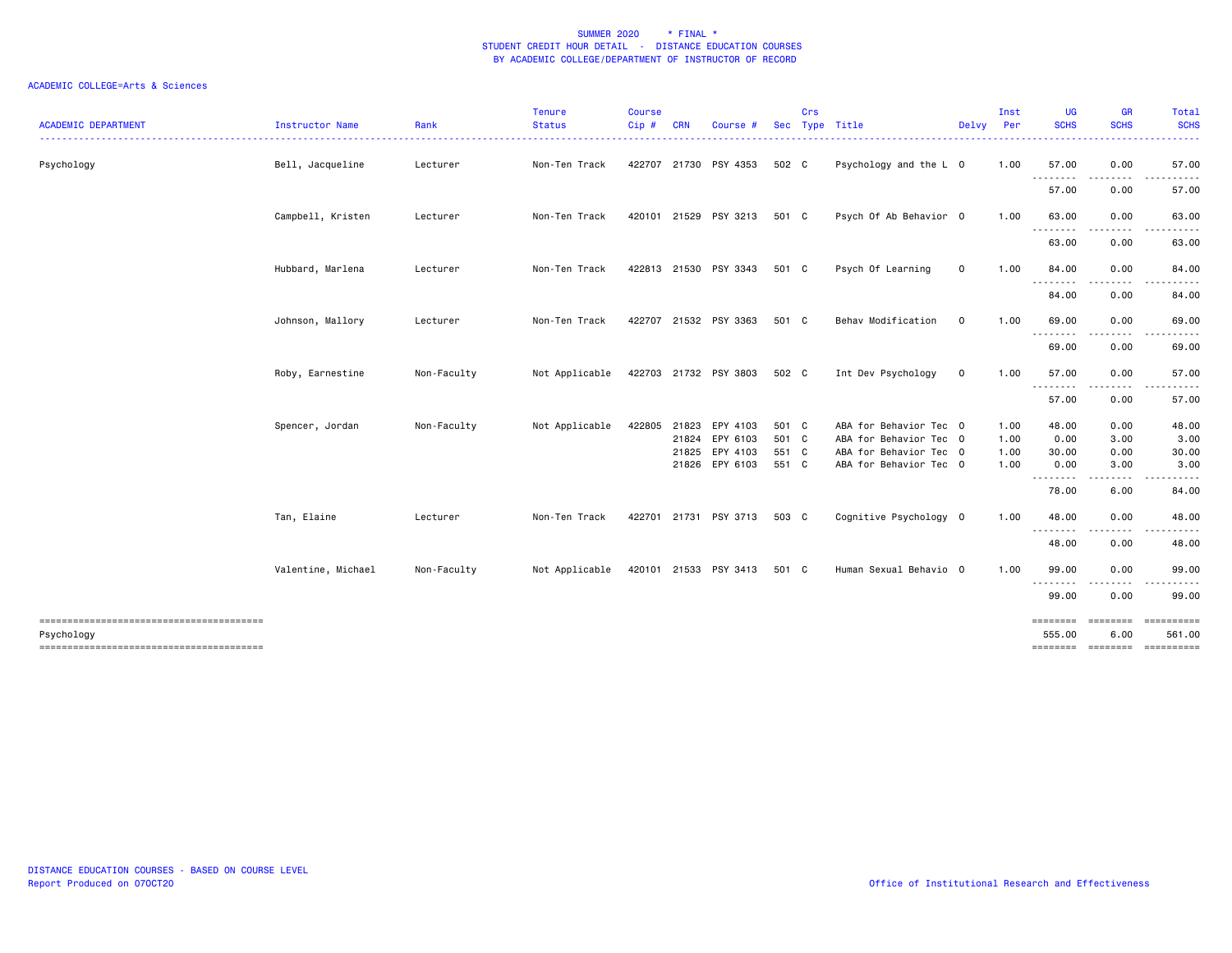| <b>ACADEMIC DEPARTMENT</b> | Instructor Name    | Rank        | <b>Tenure</b><br><b>Status</b> | <b>Course</b><br>Cip# | <b>CRN</b> | Course                |       | Crs | Sec Type Title         | Delvy Per   | Inst | UG<br><b>SCHS</b> | <b>GR</b><br><b>SCHS</b> | Total<br><b>SCHS</b>                   |
|----------------------------|--------------------|-------------|--------------------------------|-----------------------|------------|-----------------------|-------|-----|------------------------|-------------|------|-------------------|--------------------------|----------------------------------------|
| Psychology                 | Bell, Jacqueline   | Lecturer    | Non-Ten Track                  |                       |            | 422707 21730 PSY 4353 | 502 C |     | Psychology and the L 0 |             | 1.00 | 57.00             | 0.00                     | 57.00                                  |
|                            |                    |             |                                |                       |            |                       |       |     |                        |             |      | .<br>57.00        | .<br>0.00                | 57.00                                  |
|                            | Campbell, Kristen  | Lecturer    | Non-Ten Track                  |                       |            | 420101 21529 PSY 3213 | 501 C |     | Psych Of Ab Behavior 0 |             | 1.00 | 63.00<br><u>.</u> | 0.00                     | 63.00                                  |
|                            |                    |             |                                |                       |            |                       |       |     |                        |             |      | 63.00             | 0.00                     | 63.00                                  |
|                            | Hubbard, Marlena   | Lecturer    | Non-Ten Track                  |                       |            | 422813 21530 PSY 3343 | 501 C |     | Psych Of Learning      | $\mathbf 0$ | 1.00 | 84.00<br>.        | 0.00                     | 84.00                                  |
|                            |                    |             |                                |                       |            |                       |       |     |                        |             |      | 84.00             | 0.00                     | 84.00                                  |
|                            | Johnson, Mallory   | Lecturer    | Non-Ten Track                  |                       |            | 422707 21532 PSY 3363 | 501 C |     | Behav Modification     | $\mathbf 0$ | 1.00 | 69.00<br>.        | 0.00                     | 69.00                                  |
|                            |                    |             |                                |                       |            |                       |       |     |                        |             |      | 69.00             | 0.00                     | 69.00                                  |
|                            | Roby, Earnestine   | Non-Faculty | Not Applicable                 |                       |            | 422703 21732 PSY 3803 | 502 C |     | Int Dev Psychology     | $\mathbf 0$ | 1.00 | 57.00<br>.        | 0.00<br>$\cdots$         | 57.00                                  |
|                            |                    |             |                                |                       |            |                       |       |     |                        |             |      | 57.00             | 0.00                     | 57.00                                  |
|                            | Spencer, Jordan    | Non-Faculty | Not Applicable                 |                       |            | 422805 21823 EPY 4103 | 501 C |     | ABA for Behavior Tec 0 |             | 1.00 | 48.00             | 0.00                     | 48.00                                  |
|                            |                    |             |                                |                       |            | 21824 EPY 6103        | 501 C |     | ABA for Behavior Tec 0 |             | 1.00 | 0.00              | 3.00                     | 3.00                                   |
|                            |                    |             |                                |                       |            | 21825 EPY 4103        | 551 C |     | ABA for Behavior Tec 0 |             | 1.00 | 30.00             | 0.00                     | 30.00                                  |
|                            |                    |             |                                |                       |            | 21826 EPY 6103        | 551 C |     | ABA for Behavior Tec 0 |             | 1.00 | 0.00              | 3.00                     | 3.00                                   |
|                            |                    |             |                                |                       |            |                       |       |     |                        |             |      | 78.00             | 6.00                     | 84.00                                  |
|                            | Tan, Elaine        | Lecturer    | Non-Ten Track                  |                       |            | 422701 21731 PSY 3713 | 503 C |     | Cognitive Psychology 0 |             | 1.00 | 48.00<br>-------- | 0.00                     | 48.00                                  |
|                            |                    |             |                                |                       |            |                       |       |     |                        |             |      | 48.00             | 0.00                     | 48.00                                  |
|                            | Valentine, Michael | Non-Faculty | Not Applicable                 |                       |            | 420101 21533 PSY 3413 | 501 C |     | Human Sexual Behavio 0 |             | 1.00 | 99.00<br>.        | 0.00                     | 99.00                                  |
|                            |                    |             |                                |                       |            |                       |       |     |                        |             |      | 99.00             | 0.00                     | 99.00                                  |
|                            |                    |             |                                |                       |            |                       |       |     |                        |             |      | ========          | ========                 | ==========                             |
| Psychology                 |                    |             |                                |                       |            |                       |       |     |                        |             |      | 555.00            | 6.00                     | 561.00<br>======== ======== ========== |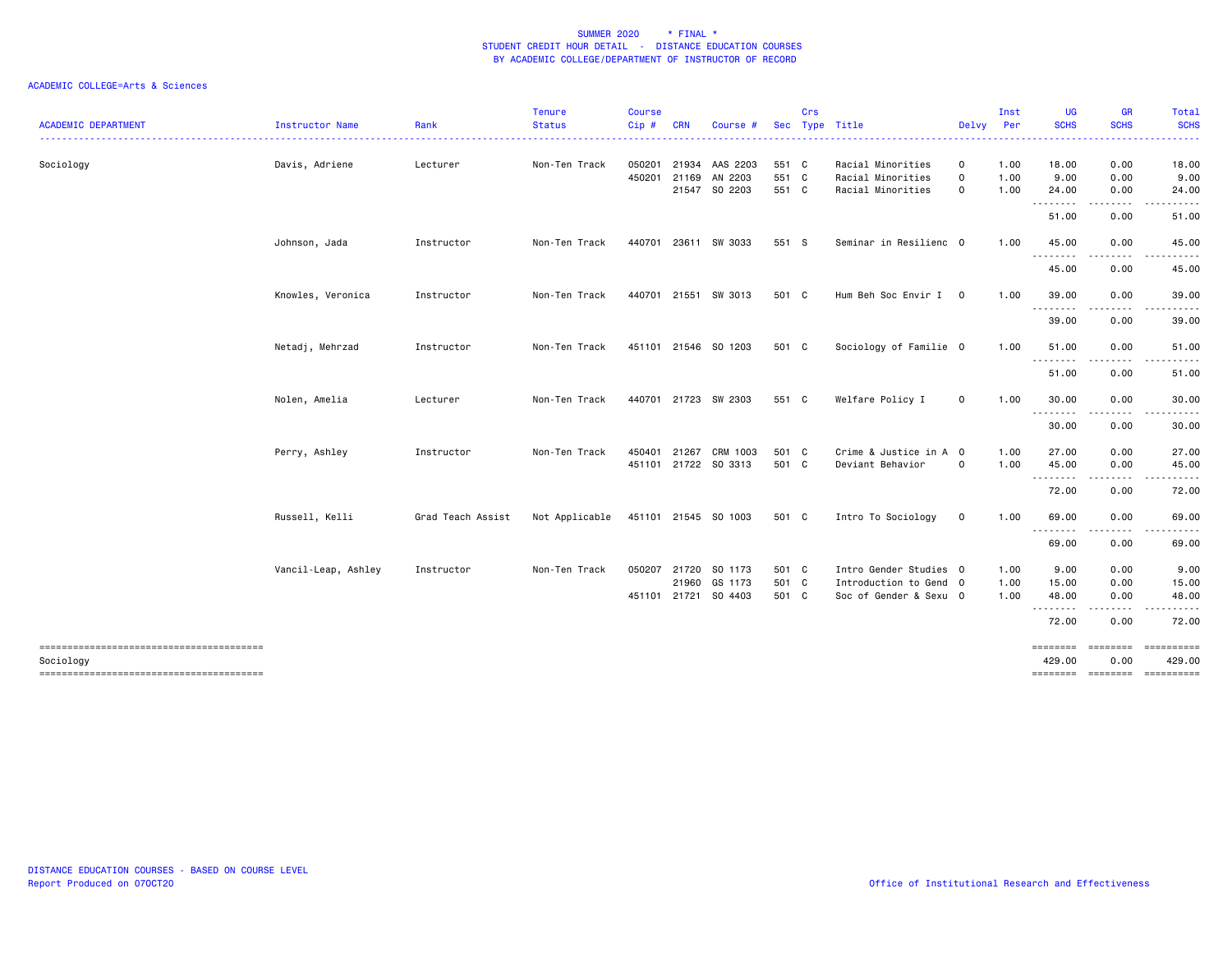| <b>ACADEMIC DEPARTMENT</b> | Instructor Name     | Rank              | <b>Tenure</b><br><b>Status</b> | <b>Course</b><br>Cip# | <b>CRN</b> | Course #             | <b>Sec</b> | Crs | Type Title             | Delvy          | Inst<br>Per | UG<br><b>SCHS</b> | <b>GR</b><br><b>SCHS</b> | Total<br><b>SCHS</b> |
|----------------------------|---------------------|-------------------|--------------------------------|-----------------------|------------|----------------------|------------|-----|------------------------|----------------|-------------|-------------------|--------------------------|----------------------|
| Sociology                  | Davis, Adriene      | Lecturer          | Non-Ten Track                  | 050201                |            | 21934 AAS 2203       | 551 C      |     | Racial Minorities      | $\mathsf{o}$   | 1.00        | 18.00             | 0.00                     | .<br>18.00           |
|                            |                     |                   |                                | 450201                |            | 21169 AN 2203        | 551 C      |     | Racial Minorities      | $\mathbf 0$    | 1.00        | 9.00              | 0.00                     | 9.00                 |
|                            |                     |                   |                                |                       |            | 21547 SO 2203        | 551 C      |     | Racial Minorities      | 0              | 1.00        | 24.00<br>.        | 0.00<br>-----            | 24.00                |
|                            |                     |                   |                                |                       |            |                      |            |     |                        |                |             | 51.00             | 0.00                     | 51.00                |
|                            | Johnson, Jada       | Instructor        | Non-Ten Track                  |                       |            | 440701 23611 SW 3033 | 551 S      |     | Seminar in Resilienc 0 |                | 1.00        | 45.00             | 0.00                     | 45.00                |
|                            |                     |                   |                                |                       |            |                      |            |     |                        |                |             | --------<br>45.00 | 0.00                     | 45.00                |
|                            | Knowles, Veronica   | Instructor        | Non-Ten Track                  |                       |            | 440701 21551 SW 3013 | 501 C      |     | Hum Beh Soc Envir I    | $\overline{0}$ | 1.00        | 39.00             | 0.00                     | 39.00                |
|                            |                     |                   |                                |                       |            |                      |            |     |                        |                |             | 39.00             | 0.00                     | 39.00                |
|                            | Netadj, Mehrzad     | Instructor        | Non-Ten Track                  |                       |            | 451101 21546 SO 1203 | 501 C      |     | Sociology of Familie 0 |                | 1.00        | 51.00             | 0.00                     | 51.00                |
|                            |                     |                   |                                |                       |            |                      |            |     |                        |                |             | .<br>51.00        | 0.00                     | 51.00                |
|                            | Nolen, Amelia       | Lecturer          | Non-Ten Track                  |                       |            | 440701 21723 SW 2303 | 551 C      |     | Welfare Policy I       | $\mathbf 0$    | 1.00        | 30.00<br>.        | 0.00                     | 30.00                |
|                            |                     |                   |                                |                       |            |                      |            |     |                        |                |             | 30.00             | 0.00                     | 30.00                |
|                            | Perry, Ashley       | Instructor        | Non-Ten Track                  | 450401                | 21267      | CRM 1003             | 501 C      |     | Crime & Justice in A 0 |                | 1.00        | 27.00             | 0.00                     | 27.00                |
|                            |                     |                   |                                |                       |            | 451101 21722 SO 3313 | 501 C      |     | Deviant Behavior       | $\circ$        | 1.00        | 45.00<br>-------- | 0.00<br><u>.</u>         | 45.00                |
|                            |                     |                   |                                |                       |            |                      |            |     |                        |                |             | 72.00             | 0.00                     | 72.00                |
|                            | Russell, Kelli      | Grad Teach Assist | Not Applicable                 |                       |            | 451101 21545 SO 1003 | 501 C      |     | Intro To Sociology     | $\mathbf 0$    | 1.00        | 69.00             | 0.00                     | 69.00                |
|                            |                     |                   |                                |                       |            |                      |            |     |                        |                |             | .<br>69.00        | .<br>0.00                | 69.00                |
|                            | Vancil-Leap, Ashley | Instructor        | Non-Ten Track                  | 050207                | 21720      | SO 1173              | 501 C      |     | Intro Gender Studies 0 |                | 1.00        | 9.00              | 0.00                     | 9.00                 |
|                            |                     |                   |                                |                       |            | 21960 GS 1173        | 501 C      |     | Introduction to Gend 0 |                | 1.00        | 15.00             | 0.00                     | 15.00                |
|                            |                     |                   |                                |                       |            | 451101 21721 SO 4403 | 501 C      |     | Soc of Gender & Sexu 0 |                | 1.00        | 48.00<br>.        | 0.00<br>.                | 48.00                |
|                            |                     |                   |                                |                       |            |                      |            |     |                        |                |             | 72.00             | 0.00                     | 72.00                |
|                            |                     |                   |                                |                       |            |                      |            |     |                        |                |             | <b>SEBSEBED</b>   | $= 1.122222222$          |                      |
| Sociology                  |                     |                   |                                |                       |            |                      |            |     |                        |                |             | 429.00            | 0.00                     | 429.00               |
|                            |                     |                   |                                |                       |            |                      |            |     |                        |                |             |                   |                          |                      |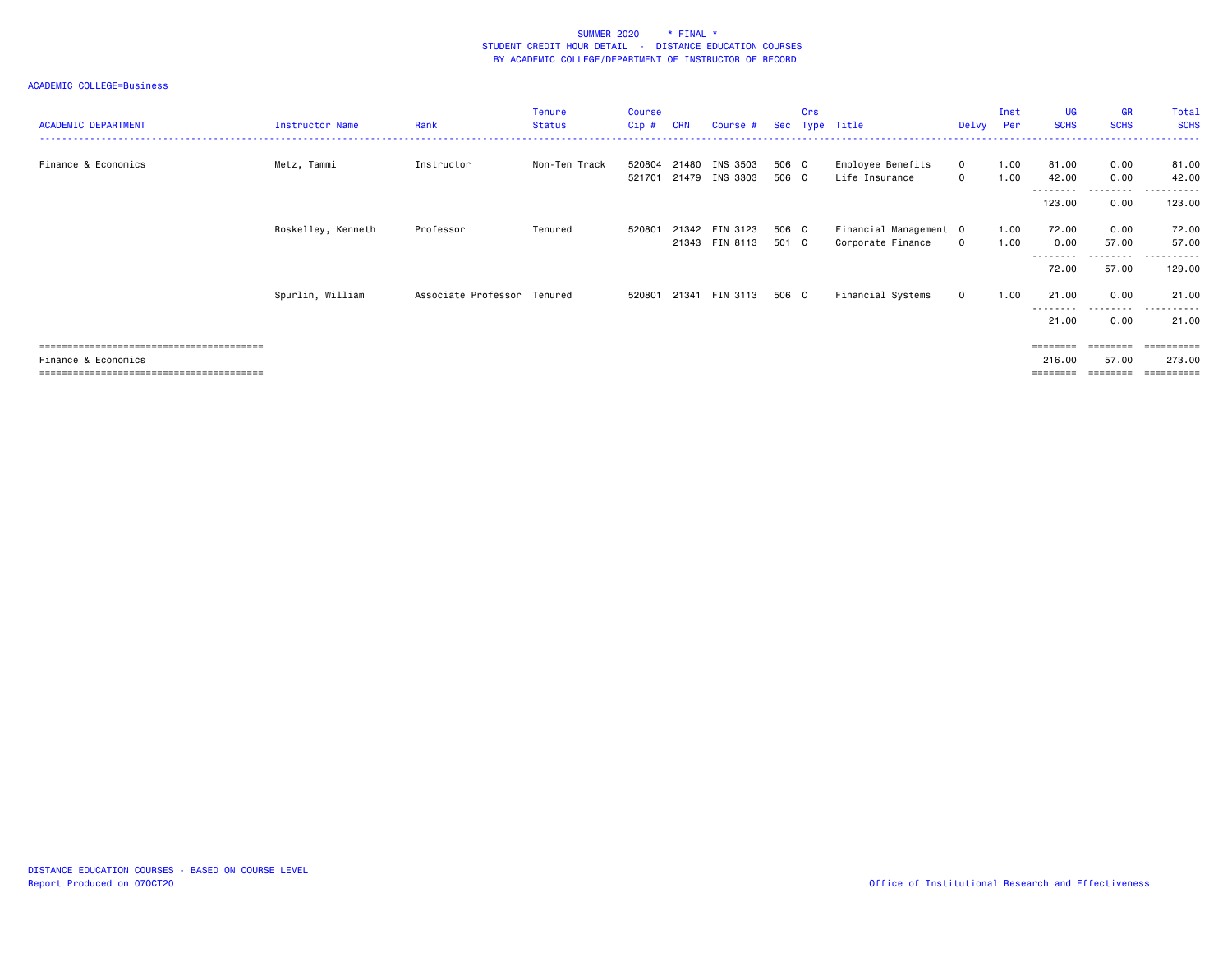| <b>ACADEMIC DEPARTMENT</b> | Instructor Name    | Rank                        | <b>Tenure</b><br><b>Status</b> | <b>Course</b><br>Cip # | <b>CRN</b> | Course #                         | Sec            | Crs | Type Title                                  | Delvy Per                   | Inst         | UG<br><b>SCHS</b>        | <b>GR</b><br><b>SCHS</b> | Total<br><b>SCHS</b>   |
|----------------------------|--------------------|-----------------------------|--------------------------------|------------------------|------------|----------------------------------|----------------|-----|---------------------------------------------|-----------------------------|--------------|--------------------------|--------------------------|------------------------|
| Finance & Economics        | Metz, Tammi        | Instructor                  | Non-Ten Track                  | 520804<br>521701       | 21480      | INS 3503<br>21479 INS 3303       | 506 C<br>506 C |     | Employee Benefits<br>Life Insurance         | $\mathbf{0}$<br>$\mathbf 0$ | 1.00<br>1.00 | 81.00<br>42.00           | 0.00<br>0.00             | 81.00<br>42.00         |
|                            |                    |                             |                                |                        |            |                                  |                |     |                                             |                             |              | ---------<br>123.00      | .<br>0.00                | .<br>123.00            |
|                            | Roskelley, Kenneth | Professor                   | Tenured                        | 520801                 |            | 21342 FIN 3123<br>21343 FIN 8113 | 506 C<br>501 C |     | Financial Management 0<br>Corporate Finance | $\mathbf 0$                 | 1.00<br>1.00 | 72.00<br>0.00            | 0.00<br>57.00            | 72.00<br>57.00         |
|                            |                    |                             |                                |                        |            |                                  |                |     |                                             |                             |              | - - - - - - - -<br>72.00 | .<br>57.00               | . <u>.</u> .<br>129.00 |
|                            | Spurlin, William   | Associate Professor Tenured |                                | 520801                 |            | 21341 FIN 3113                   | 506 C          |     | Financial Systems                           | $\mathbf 0$                 | 1.00         | 21.00                    | 0.00                     | 21.00                  |
|                            |                    |                             |                                |                        |            |                                  |                |     |                                             |                             |              | ---------<br>21.00       | .<br>0.00                | .<br>21.00             |
|                            |                    |                             |                                |                        |            |                                  |                |     |                                             |                             |              | $=$ = = = = = = =        | $=$ = = = = = = =        | <b>ESSESSEES</b>       |
| Finance & Economics        |                    |                             |                                |                        |            |                                  |                |     |                                             |                             |              | 216.00                   | 57.00                    | 273.00                 |
|                            |                    |                             |                                |                        |            |                                  |                |     |                                             |                             |              | ========                 | ========                 | -----------            |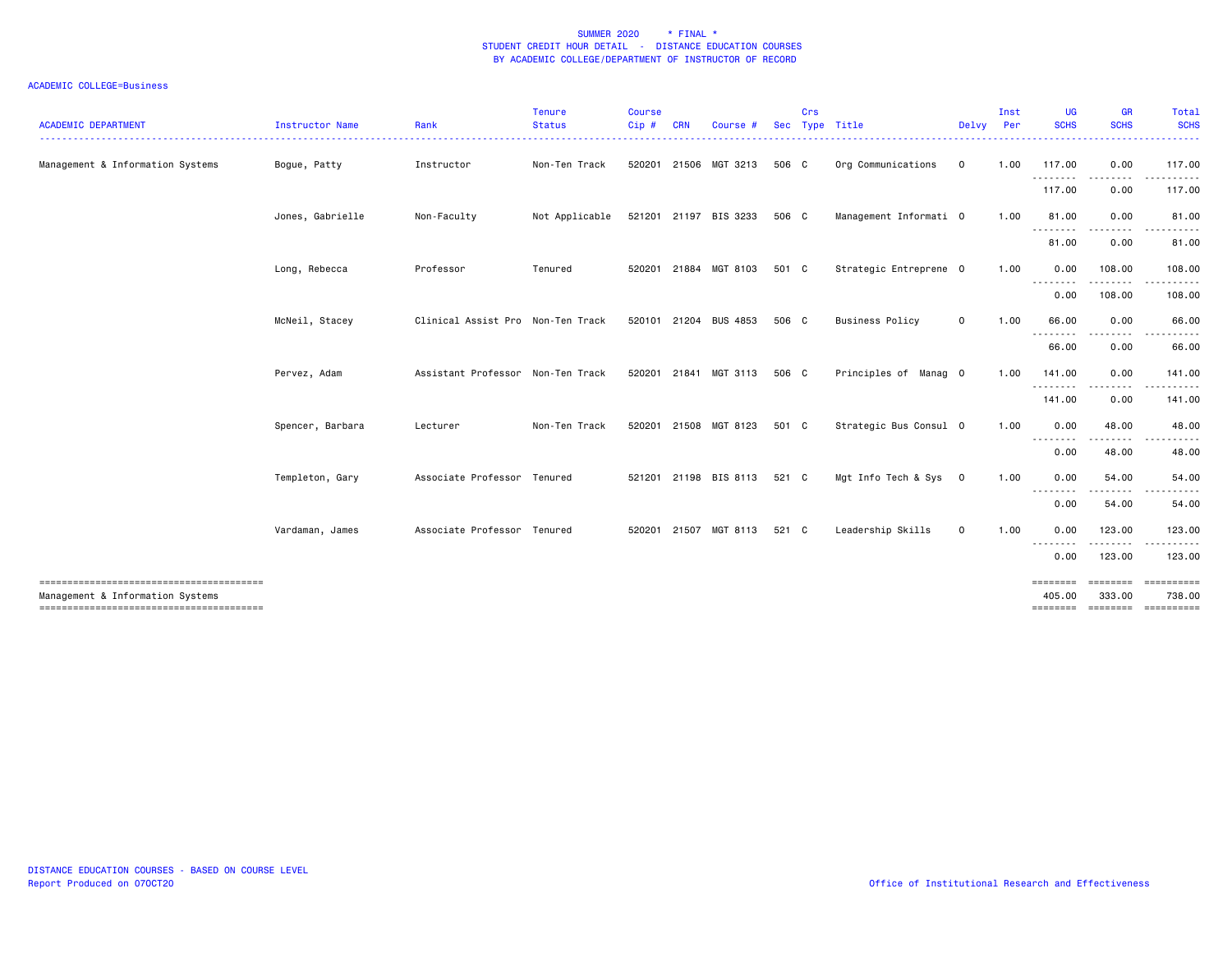| <b>ACADEMIC DEPARTMENT</b>       | <b>Instructor Name</b> | Rank<br>. <b>.</b> .              | <b>Tenure</b><br><b>Status</b><br><u> - - - - - - - - - - - -</u> | <b>Course</b><br>Cip# | <b>CRN</b>   | Course #              | <b>Sec</b> | Crs | Type Title<br>---------------------------------- | Delvy Per      | Inst | UG<br><b>SCHS</b><br>. <b>.</b> | <b>GR</b><br><b>SCHS</b><br>. <u>.</u>                                                                                                                                                  | Total<br><b>SCHS</b><br>. |
|----------------------------------|------------------------|-----------------------------------|-------------------------------------------------------------------|-----------------------|--------------|-----------------------|------------|-----|--------------------------------------------------|----------------|------|---------------------------------|-----------------------------------------------------------------------------------------------------------------------------------------------------------------------------------------|---------------------------|
| Management & Information Systems | Bogue, Patty           | Instructor                        | Non-Ten Track                                                     |                       |              | 520201 21506 MGT 3213 | 506 C      |     | Org Communications                               | $\mathbf 0$    | 1.00 | 117.00                          | 0.00                                                                                                                                                                                    | 117.00                    |
|                                  |                        |                                   |                                                                   |                       |              |                       |            |     |                                                  |                |      | <u>.</u><br>117.00              | $\frac{1}{2} \left( \frac{1}{2} \right) \left( \frac{1}{2} \right) \left( \frac{1}{2} \right) \left( \frac{1}{2} \right) \left( \frac{1}{2} \right) \left( \frac{1}{2} \right)$<br>0.00 | .<br>117.00               |
|                                  | Jones, Gabrielle       | Non-Faculty                       | Not Applicable                                                    |                       |              | 521201 21197 BIS 3233 | 506 C      |     | Management Informati 0                           |                | 1.00 | 81.00                           | 0.00                                                                                                                                                                                    | 81.00                     |
|                                  |                        |                                   |                                                                   |                       |              |                       |            |     |                                                  |                |      | ---------<br>81.00              | $\cdots \cdots \cdots$<br>0.00                                                                                                                                                          | <u>.</u><br>81.00         |
|                                  | Long, Rebecca          | Professor                         | Tenured                                                           |                       |              | 520201 21884 MGT 8103 | 501 C      |     | Strategic Entreprene 0                           |                | 1.00 | 0.00                            | 108.00                                                                                                                                                                                  | 108.00                    |
|                                  |                        |                                   |                                                                   |                       |              |                       |            |     |                                                  |                |      | <u> - - - - - - - -</u><br>0.00 | . <b>.</b> .<br>108.00                                                                                                                                                                  | .<br>108.00               |
|                                  | McNeil, Stacey         | Clinical Assist Pro Non-Ten Track |                                                                   |                       |              | 520101 21204 BUS 4853 | 506 C      |     | <b>Business Policy</b>                           | $\mathsf{o}$   | 1.00 | 66.00                           | 0.00                                                                                                                                                                                    | 66.00                     |
|                                  |                        |                                   |                                                                   |                       |              |                       |            |     |                                                  |                |      | --------<br>66.00               | $\frac{1}{2}$<br>0.00                                                                                                                                                                   | 66.00                     |
|                                  | Pervez, Adam           | Assistant Professor Non-Ten Track |                                                                   |                       | 520201 21841 | MGT 3113              | 506 C      |     | Principles of Manag 0                            |                | 1.00 | 141.00                          | 0.00                                                                                                                                                                                    | 141.00                    |
|                                  |                        |                                   |                                                                   |                       |              |                       |            |     |                                                  |                |      | ---------<br>141.00             | .<br>0.00                                                                                                                                                                               | 141.00                    |
|                                  | Spencer, Barbara       | Lecturer                          | Non-Ten Track                                                     |                       |              | 520201 21508 MGT 8123 | 501 C      |     | Strategic Bus Consul 0                           |                | 1.00 | 0.00                            | 48.00                                                                                                                                                                                   | 48.00                     |
|                                  |                        |                                   |                                                                   |                       |              |                       |            |     |                                                  |                |      | --------<br>0.00                | .<br>48.00                                                                                                                                                                              | .<br>48.00                |
|                                  | Templeton, Gary        | Associate Professor Tenured       |                                                                   |                       |              | 521201 21198 BIS 8113 | 521 C      |     | Mgt Info Tech & Sys                              | $\overline{0}$ | 1.00 | 0.00                            | 54.00                                                                                                                                                                                   | 54.00                     |
|                                  |                        |                                   |                                                                   |                       |              |                       |            |     |                                                  |                |      | --------<br>0.00                | ------<br>54.00                                                                                                                                                                         | 54.00                     |
|                                  | Vardaman, James        | Associate Professor Tenured       |                                                                   |                       |              | 520201 21507 MGT 8113 | 521 C      |     | Leadership Skills                                | $\mathsf{o}$   | 1.00 | 0.00                            | 123.00                                                                                                                                                                                  | 123.00                    |
|                                  |                        |                                   |                                                                   |                       |              |                       |            |     |                                                  |                |      | 0.00                            | 123.00                                                                                                                                                                                  | 123.00                    |
|                                  |                        |                                   |                                                                   |                       |              |                       |            |     |                                                  |                |      |                                 | ========                                                                                                                                                                                | ==========                |
| Management & Information Systems |                        |                                   |                                                                   |                       |              |                       |            |     |                                                  |                |      | 405,00                          | 333.00                                                                                                                                                                                  | 738.00                    |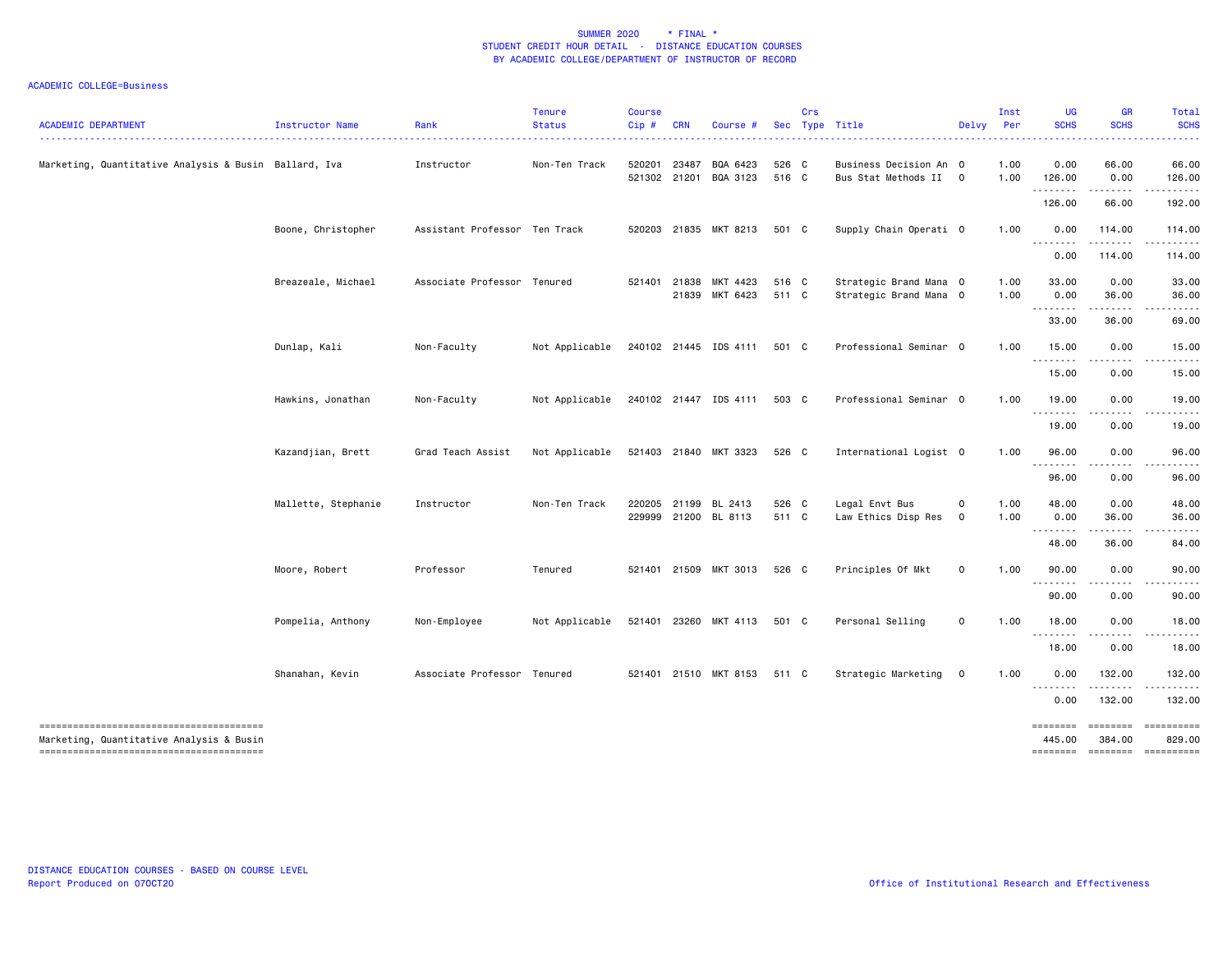| <b>ACADEMIC DEPARTMENT</b>                            | Instructor Name     | Rank                          | <b>Tenure</b><br><b>Status</b> | <b>Course</b><br>Cip# | <b>CRN</b> | Course #                                     |                | Crs | Sec Type Title                                   | Delvy Per        | Inst         | UG<br><b>SCHS</b>                                                                                                                                                                                                                                                                                                                                                                                             | <b>GR</b><br><b>SCHS</b> | Total<br><b>SCHS</b><br>. |
|-------------------------------------------------------|---------------------|-------------------------------|--------------------------------|-----------------------|------------|----------------------------------------------|----------------|-----|--------------------------------------------------|------------------|--------------|---------------------------------------------------------------------------------------------------------------------------------------------------------------------------------------------------------------------------------------------------------------------------------------------------------------------------------------------------------------------------------------------------------------|--------------------------|---------------------------|
| Marketing, Quantitative Analysis & Busin Ballard, Iva |                     | Instructor                    | Non-Ten Track                  | 520201 23487          |            | BQA 6423<br>521302 21201 BQA 3123            | 526 C<br>516 C |     | Business Decision An 0<br>Bus Stat Methods II 0  |                  | 1.00<br>1.00 | 0.00<br>126.00                                                                                                                                                                                                                                                                                                                                                                                                | 66.00<br>0.00            | 66.00<br>126.00           |
|                                                       |                     |                               |                                |                       |            |                                              |                |     |                                                  |                  |              | .<br>126.00                                                                                                                                                                                                                                                                                                                                                                                                   | .<br>66.00               | .<br>192.00               |
|                                                       | Boone, Christopher  | Assistant Professor Ten Track |                                |                       |            | 520203 21835 MKT 8213                        | 501 C          |     | Supply Chain Operati 0                           |                  | 1.00         | 0.00<br><u>.</u>                                                                                                                                                                                                                                                                                                                                                                                              | 114.00<br>.              | 114.00<br>.               |
|                                                       |                     |                               |                                |                       |            |                                              |                |     |                                                  |                  |              | 0.00                                                                                                                                                                                                                                                                                                                                                                                                          | 114.00                   | 114.00                    |
|                                                       | Breazeale, Michael  | Associate Professor Tenured   |                                | 521401                | 21838      | MKT 4423<br>21839 MKT 6423                   | 516 C<br>511 C |     | Strategic Brand Mana 0<br>Strategic Brand Mana 0 |                  | 1.00<br>1.00 | 33.00<br>0.00<br>.                                                                                                                                                                                                                                                                                                                                                                                            | 0.00<br>36.00            | 33.00<br>36.00            |
|                                                       |                     |                               |                                |                       |            |                                              |                |     |                                                  |                  |              | 33.00                                                                                                                                                                                                                                                                                                                                                                                                         | 36.00                    | 69.00                     |
|                                                       | Dunlap, Kali        | Non-Faculty                   | Not Applicable                 |                       |            | 240102 21445 IDS 4111                        | 501 C          |     | Professional Seminar 0                           |                  | 1.00         | 15.00                                                                                                                                                                                                                                                                                                                                                                                                         | 0.00                     | 15.00                     |
|                                                       |                     |                               |                                |                       |            |                                              |                |     |                                                  |                  |              | 15.00                                                                                                                                                                                                                                                                                                                                                                                                         | 0.00                     | 15.00                     |
|                                                       | Hawkins, Jonathan   | Non-Faculty                   | Not Applicable                 |                       |            | 240102 21447 IDS 4111                        | 503 C          |     | Professional Seminar 0                           |                  | 1.00         | 19.00                                                                                                                                                                                                                                                                                                                                                                                                         | 0.00                     | 19.00                     |
|                                                       |                     |                               |                                |                       |            |                                              |                |     |                                                  |                  |              | 19.00                                                                                                                                                                                                                                                                                                                                                                                                         | 0.00                     | 19.00                     |
|                                                       | Kazandjian, Brett   | Grad Teach Assist             | Not Applicable                 |                       |            | 521403 21840 MKT 3323                        | 526 C          |     | International Logist 0                           |                  | 1.00         | 96.00<br>.                                                                                                                                                                                                                                                                                                                                                                                                    | 0.00                     | 96.00                     |
|                                                       |                     |                               |                                |                       |            |                                              |                |     |                                                  |                  |              | 96.00                                                                                                                                                                                                                                                                                                                                                                                                         | 0.00                     | 96.00                     |
|                                                       | Mallette, Stephanie | Instructor                    | Non-Ten Track                  |                       |            | 220205 21199 BL 2413<br>229999 21200 BL 8113 | 526 C<br>511 C |     | Legal Envt Bus<br>Law Ethics Disp Res            | 0<br>$\mathbf 0$ | 1.00<br>1.00 | 48.00<br>0.00<br>.                                                                                                                                                                                                                                                                                                                                                                                            | 0.00<br>36.00<br>-----   | 48.00<br>36.00            |
|                                                       |                     |                               |                                |                       |            |                                              |                |     |                                                  |                  |              | 48.00                                                                                                                                                                                                                                                                                                                                                                                                         | 36.00                    | 84.00                     |
|                                                       | Moore, Robert       | Professor                     | Tenured                        |                       |            | 521401 21509 MKT 3013                        | 526 C          |     | Principles Of Mkt                                | $\mathbf 0$      | 1.00         | 90.00<br>$\frac{1}{2} \frac{1}{2} \frac{1}{2} \frac{1}{2} \frac{1}{2} \frac{1}{2} \frac{1}{2} \frac{1}{2} \frac{1}{2} \frac{1}{2} \frac{1}{2} \frac{1}{2} \frac{1}{2} \frac{1}{2} \frac{1}{2} \frac{1}{2} \frac{1}{2} \frac{1}{2} \frac{1}{2} \frac{1}{2} \frac{1}{2} \frac{1}{2} \frac{1}{2} \frac{1}{2} \frac{1}{2} \frac{1}{2} \frac{1}{2} \frac{1}{2} \frac{1}{2} \frac{1}{2} \frac{1}{2} \frac{$<br>---- | 0.00                     | 90.00                     |
|                                                       |                     |                               |                                |                       |            |                                              |                |     |                                                  |                  |              | 90.00                                                                                                                                                                                                                                                                                                                                                                                                         | 0.00                     | 90.00                     |
|                                                       | Pompelia, Anthony   | Non-Employee                  | Not Applicable                 |                       |            | 521401 23260 MKT 4113                        | 501 C          |     | Personal Selling                                 | 0                | 1.00         | 18.00<br>.                                                                                                                                                                                                                                                                                                                                                                                                    | 0.00                     | 18.00                     |
|                                                       |                     |                               |                                |                       |            |                                              |                |     |                                                  |                  |              | 18.00                                                                                                                                                                                                                                                                                                                                                                                                         | 0.00                     | 18.00                     |
|                                                       | Shanahan, Kevin     | Associate Professor Tenured   |                                |                       |            | 521401 21510 MKT 8153                        | 511 C          |     | Strategic Marketing                              | $\overline{0}$   | 1.00         | 0.00<br><u>.</u>                                                                                                                                                                                                                                                                                                                                                                                              | 132.00<br>.              | 132.00                    |
|                                                       |                     |                               |                                |                       |            |                                              |                |     |                                                  |                  |              | 0.00                                                                                                                                                                                                                                                                                                                                                                                                          | 132.00                   | 132.00                    |
| Marketing, Quantitative Analysis & Busin              |                     |                               |                                |                       |            |                                              |                |     |                                                  |                  |              | ========<br>445.00                                                                                                                                                                                                                                                                                                                                                                                            | ========<br>384.00       | 829.00                    |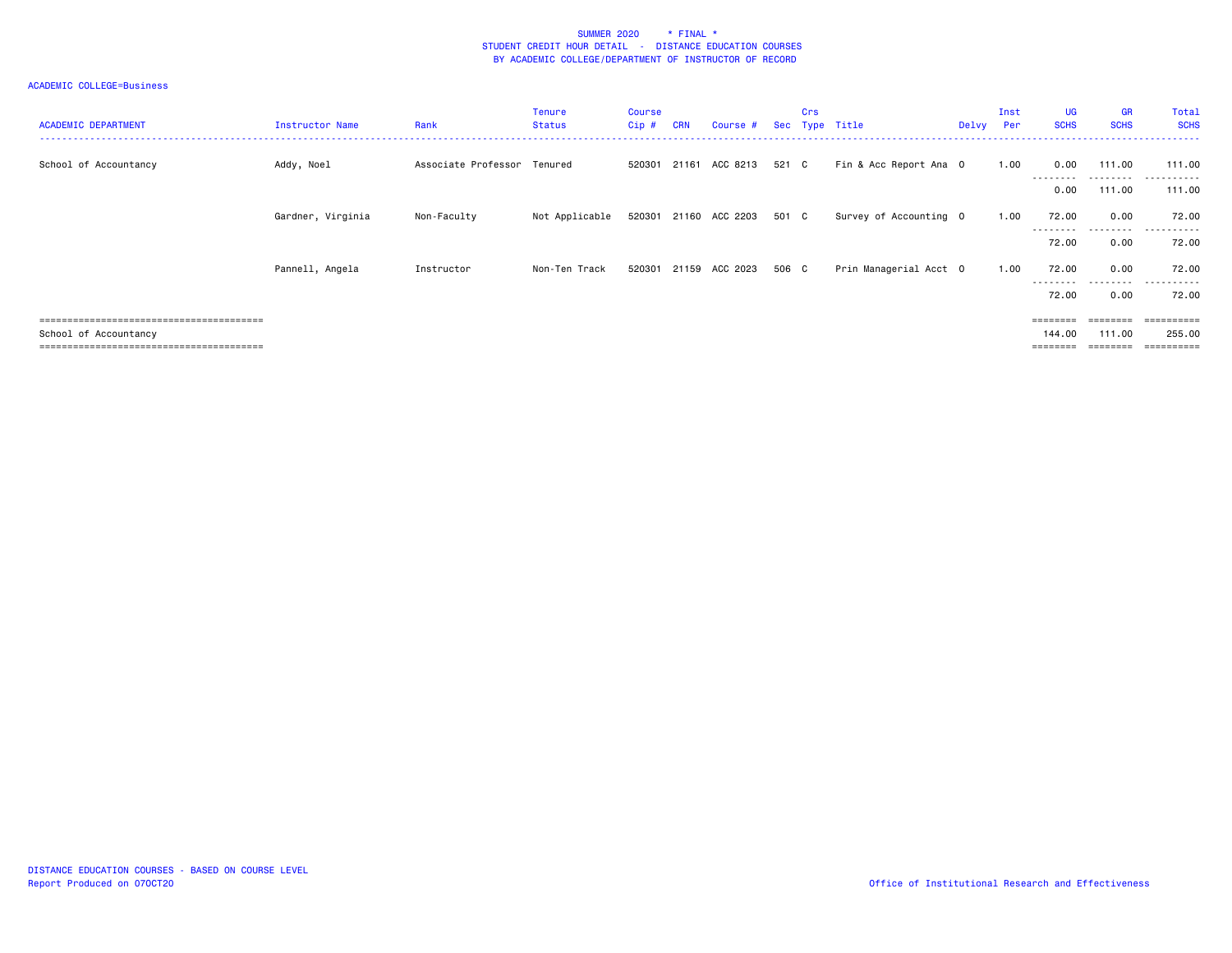| <b>ACADEMIC DEPARTMENT</b>         | Instructor Name   | Rank                        | <b>Tenure</b><br><b>Status</b> | <b>Course</b><br>Cip# | <b>CRN</b> | Course #                    |       | Crs | Sec Type Title         | Delvy Per | Inst | UG<br><b>SCHS</b>  | <b>GR</b><br><b>SCHS</b> | Total<br><b>SCHS</b> |
|------------------------------------|-------------------|-----------------------------|--------------------------------|-----------------------|------------|-----------------------------|-------|-----|------------------------|-----------|------|--------------------|--------------------------|----------------------|
| School of Accountancy              | Addy, Noel        | Associate Professor Tenured |                                |                       |            | 520301 21161 ACC 8213       | 521 C |     | Fin & Acc Report Ana 0 |           | 1.00 | 0.00               | 111.00<br>---------      | 111.00<br>---------- |
|                                    |                   |                             |                                |                       |            |                             |       |     |                        |           |      | 0.00               | 111.00                   | 111.00               |
|                                    | Gardner, Virginia | Non-Faculty                 | Not Applicable                 |                       |            | 520301 21160 ACC 2203 501 C |       |     | Survey of Accounting 0 |           | 1.00 | 72.00              | 0.00                     | 72.00                |
|                                    |                   |                             |                                |                       |            |                             |       |     |                        |           |      | 72.00              | 0.00                     | 72.00                |
|                                    | Pannell, Angela   | Instructor                  | Non-Ten Track                  | 520301                |            | 21159 ACC 2023              | 506 C |     | Prin Managerial Acct 0 |           | 1.00 | 72.00<br>--------- | 0.00<br>.                | 72.00<br>.           |
|                                    |                   |                             |                                |                       |            |                             |       |     |                        |           |      | 72.00              | 0.00                     | 72.00                |
|                                    |                   |                             |                                |                       |            |                             |       |     |                        |           |      | ========           | ========                 | =========            |
| School of Accountancy              |                   |                             |                                |                       |            |                             |       |     |                        |           |      | 144.00             | 111.00                   | 255.00               |
| ================================== |                   |                             |                                |                       |            |                             |       |     |                        |           |      | $=$ = = = = = = =  |                          |                      |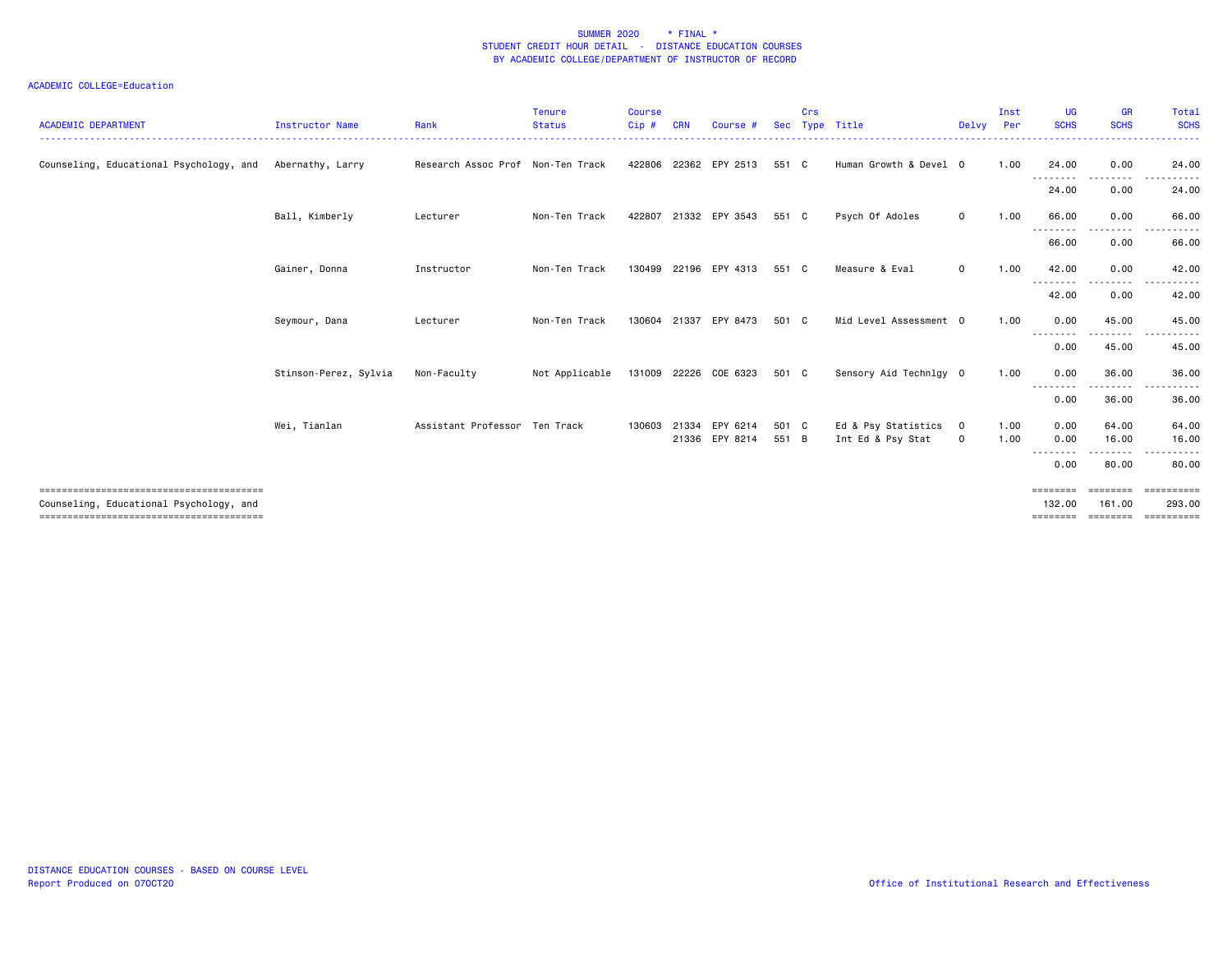| <b>ACADEMIC DEPARTMENT</b>                               | Instructor Name       | Rank                              | <b>Tenure</b><br><b>Status</b>       | <b>Course</b><br>Cip# | <b>CRN</b> | Course #                                | <b>Sec</b>     | Crs | Type Title                               | Delvy Per     | Inst         | <b>UG</b><br><b>SCHS</b>                      | <b>GR</b><br><b>SCHS</b> | Total<br><b>SCHS</b>                                                                                                                                                                                                                                                                                                                                                                                                                                                                                    |
|----------------------------------------------------------|-----------------------|-----------------------------------|--------------------------------------|-----------------------|------------|-----------------------------------------|----------------|-----|------------------------------------------|---------------|--------------|-----------------------------------------------|--------------------------|---------------------------------------------------------------------------------------------------------------------------------------------------------------------------------------------------------------------------------------------------------------------------------------------------------------------------------------------------------------------------------------------------------------------------------------------------------------------------------------------------------|
| Counseling, Educational Psychology, and Abernathy, Larry |                       | Research Assoc Prof Non-Ten Track |                                      |                       |            | 422806 22362 EPY 2513                   | 551 C          |     | Human Growth & Devel 0                   |               | 1.00         | 24.00<br>.                                    | 0.00<br>-----            | 24.00                                                                                                                                                                                                                                                                                                                                                                                                                                                                                                   |
|                                                          |                       |                                   |                                      |                       |            |                                         |                |     |                                          |               |              | 24.00                                         | 0.00                     | 24.00                                                                                                                                                                                                                                                                                                                                                                                                                                                                                                   |
|                                                          | Ball, Kimberly        | Lecturer                          | Non-Ten Track                        |                       |            | 422807 21332 EPY 3543                   | 551 C          |     | Psych Of Adoles                          | $\mathbf{O}$  | 1.00         | 66.00                                         | 0.00                     | 66.00                                                                                                                                                                                                                                                                                                                                                                                                                                                                                                   |
|                                                          |                       |                                   |                                      |                       |            |                                         |                |     |                                          |               |              | 66.00                                         | 0.00                     | 66.00                                                                                                                                                                                                                                                                                                                                                                                                                                                                                                   |
|                                                          | Gainer, Donna         | Instructor                        | Non-Ten Track                        |                       |            | 130499 22196 EPY 4313                   | 551 C          |     | Measure & Eval                           | $\mathbf{O}$  | 1.00         | 42.00                                         | 0.00                     | 42.00                                                                                                                                                                                                                                                                                                                                                                                                                                                                                                   |
|                                                          |                       |                                   |                                      |                       |            |                                         |                |     |                                          |               |              | .<br>42.00                                    | 0.00                     | 42.00                                                                                                                                                                                                                                                                                                                                                                                                                                                                                                   |
|                                                          | Seymour, Dana         | Lecturer                          | Non-Ten Track                        | 130604                | 21337      | EPY 8473                                | 501 C          |     | Mid Level Assessment 0                   |               | 1.00         | 0.00                                          | 45.00                    | 45.00                                                                                                                                                                                                                                                                                                                                                                                                                                                                                                   |
|                                                          |                       |                                   |                                      |                       |            |                                         |                |     |                                          |               |              | ---<br>0.00                                   | 45.00                    | 45.00                                                                                                                                                                                                                                                                                                                                                                                                                                                                                                   |
|                                                          | Stinson-Perez, Sylvia | Non-Faculty                       | Not Applicable 131009 22226 COE 6323 |                       |            |                                         | 501 C          |     | Sensory Aid Technlgy 0                   |               | 1.00         | 0.00                                          | 36.00                    | 36.00                                                                                                                                                                                                                                                                                                                                                                                                                                                                                                   |
|                                                          |                       |                                   |                                      |                       |            |                                         |                |     |                                          |               |              | - - - - - - - -<br>0.00                       | 36.00                    | 36.00                                                                                                                                                                                                                                                                                                                                                                                                                                                                                                   |
|                                                          | Wei, Tianlan          | Assistant Professor Ten Track     |                                      |                       |            | 130603 21334 EPY 6214<br>21336 EPY 8214 | 501 C<br>551 B |     | Ed & Psy Statistics<br>Int Ed & Psy Stat | $\Omega$<br>0 | 1.00<br>1.00 | 0.00<br>0.00                                  | 64.00<br>16.00           | 64.00<br>16.00                                                                                                                                                                                                                                                                                                                                                                                                                                                                                          |
|                                                          |                       |                                   |                                      |                       |            |                                         |                |     |                                          |               |              | 0.00                                          | 80.00                    | 80.00                                                                                                                                                                                                                                                                                                                                                                                                                                                                                                   |
| Counseling, Educational Psychology, and                  |                       |                                   |                                      |                       |            |                                         |                |     |                                          |               |              | $=$ = = = = = = =<br>132.00<br><b>EEEEEEE</b> | ========<br>161.00       | ==========<br>293.00<br>$\begin{minipage}{0.03\linewidth} \hspace*{0.03\linewidth} \hspace*{0.03\linewidth} \hspace*{0.03\linewidth} \hspace*{0.03\linewidth} \hspace*{0.03\linewidth} \hspace*{0.03\linewidth} \hspace*{0.03\linewidth} \hspace*{0.03\linewidth} \hspace*{0.03\linewidth} \hspace*{0.03\linewidth} \hspace*{0.03\linewidth} \hspace*{0.03\linewidth} \hspace*{0.03\linewidth} \hspace*{0.03\linewidth} \hspace*{0.03\linewidth} \hspace*{0.03\linewidth} \hspace*{0.03\linewidth} \hs$ |
|                                                          |                       |                                   |                                      |                       |            |                                         |                |     |                                          |               |              |                                               |                          |                                                                                                                                                                                                                                                                                                                                                                                                                                                                                                         |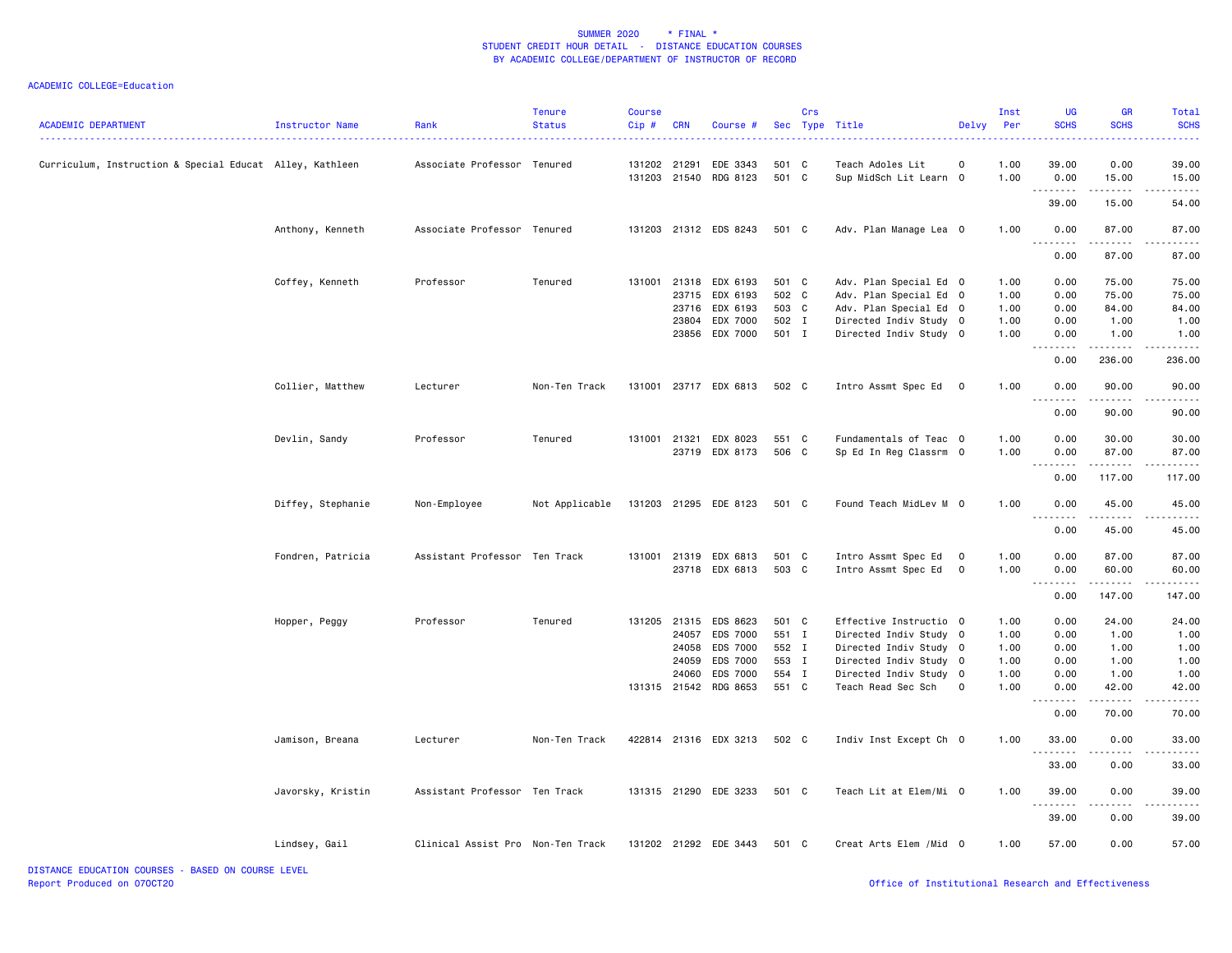| <b>ACADEMIC DEPARTMENT</b>                               | Instructor Name   | Rank                              | <b>Tenure</b><br><b>Status</b> | <b>Course</b><br>$Cip \#$ | CRN   | Course #                          |                | Crs | Sec Type Title                             | Delvy Per               | Inst         | UG<br><b>SCHS</b>         | <b>GR</b><br><b>SCHS</b> | Total<br><b>SCHS</b> |
|----------------------------------------------------------|-------------------|-----------------------------------|--------------------------------|---------------------------|-------|-----------------------------------|----------------|-----|--------------------------------------------|-------------------------|--------------|---------------------------|--------------------------|----------------------|
| Curriculum, Instruction & Special Educat Alley, Kathleen |                   | Associate Professor Tenured       |                                | 131202 21291              |       | EDE 3343<br>131203 21540 RDG 8123 | 501 C<br>501 C |     | Teach Adoles Lit<br>Sup MidSch Lit Learn 0 | 0                       | 1.00<br>1.00 | 39.00<br>0.00             | 0.00<br>15.00            | 39.00<br>15.00       |
|                                                          |                   |                                   |                                |                           |       |                                   |                |     |                                            |                         |              | .<br>39.00                | .<br>15.00               | .<br>54.00           |
|                                                          | Anthony, Kenneth  | Associate Professor Tenured       |                                |                           |       | 131203 21312 EDS 8243             | 501 C          |     | Adv. Plan Manage Lea 0                     |                         | 1.00         | 0.00<br><u>.</u>          | 87.00<br>.               | 87.00<br>.           |
|                                                          |                   |                                   |                                |                           |       |                                   |                |     |                                            |                         |              | 0.00                      | 87.00                    | 87.00                |
|                                                          | Coffey, Kenneth   | Professor                         | Tenured                        |                           |       | 131001 21318 EDX 6193             | 501 C          |     | Adv. Plan Special Ed 0                     |                         | 1.00         | 0.00                      | 75.00                    | 75.00                |
|                                                          |                   |                                   |                                |                           | 23715 | EDX 6193                          | 502 C          |     | Adv. Plan Special Ed 0                     |                         | 1.00         | 0.00                      | 75.00                    | 75.00                |
|                                                          |                   |                                   |                                |                           | 23716 | EDX 6193                          | 503 C          |     | Adv. Plan Special Ed 0                     |                         | 1.00         | 0.00                      | 84.00                    | 84.00                |
|                                                          |                   |                                   |                                |                           | 23804 | EDX 7000                          | 502 I          |     | Directed Indiv Study 0                     |                         | 1.00         | 0.00                      | 1.00                     | 1.00                 |
|                                                          |                   |                                   |                                |                           | 23856 | EDX 7000                          | 501 I          |     | Directed Indiv Study 0                     |                         | 1.00         | 0.00<br>$- - -$           | 1.00<br>.                | 1.00<br>.            |
|                                                          |                   |                                   |                                |                           |       |                                   |                |     |                                            |                         |              | 0.00                      | 236.00                   | 236.00               |
|                                                          | Collier, Matthew  | Lecturer                          | Non-Ten Track                  |                           |       | 131001 23717 EDX 6813             | 502 C          |     | Intro Assmt Spec Ed                        | $\overline{\mathbf{0}}$ | 1.00         | 0.00                      | 90.00                    | 90.00                |
|                                                          |                   |                                   |                                |                           |       |                                   |                |     |                                            |                         |              | 0.00                      | 90.00                    | 90.00                |
|                                                          | Devlin, Sandy     | Professor                         | Tenured                        |                           |       | 131001 21321 EDX 8023             | 551 C          |     | Fundamentals of Teac 0                     |                         | 1.00         | 0.00                      | 30.00                    | 30.00                |
|                                                          |                   |                                   |                                |                           |       | 23719 EDX 8173                    | 506 C          |     | Sp Ed In Reg Classrm 0                     |                         | 1.00         | 0.00                      | 87.00                    | 87.00                |
|                                                          |                   |                                   |                                |                           |       |                                   |                |     |                                            |                         |              | $\sim$ $\sim$ $\sim$<br>. | . <u>.</u>               | .                    |
|                                                          |                   |                                   |                                |                           |       |                                   |                |     |                                            |                         |              | 0.00                      | 117.00                   | 117.00               |
|                                                          | Diffey, Stephanie | Non-Employee                      | Not Applicable                 |                           |       | 131203 21295 EDE 8123             | 501 C          |     | Found Teach MidLev M 0                     |                         | 1.00         | 0.00<br>$  -$             | 45.00<br>.               | 45.00                |
|                                                          |                   |                                   |                                |                           |       |                                   |                |     |                                            |                         |              | 0.00                      | 45.00                    | 45.00                |
|                                                          | Fondren, Patricia | Assistant Professor Ten Track     |                                |                           |       | 131001 21319 EDX 6813             | 501 C          |     | Intro Assmt Spec Ed                        | $\overline{\mathbf{0}}$ | 1.00         | 0.00                      | 87.00                    | 87.00                |
|                                                          |                   |                                   |                                |                           |       | 23718 EDX 6813                    | 503 C          |     | Intro Assmt Spec Ed                        | $\overline{0}$          | 1.00         | 0.00<br>.                 | 60.00<br>$- - - - -$     | 60.00<br>.           |
|                                                          |                   |                                   |                                |                           |       |                                   |                |     |                                            |                         |              | 0.00                      | 147.00                   | 147.00               |
|                                                          | Hopper, Peggy     | Professor                         | Tenured                        | 131205 21315              |       | EDS 8623                          | 501 C          |     | Effective Instructio 0                     |                         | 1.00         | 0.00                      | 24.00                    | 24.00                |
|                                                          |                   |                                   |                                |                           | 24057 | EDS 7000                          | 551 I          |     | Directed Indiv Study 0                     |                         | 1.00         | 0.00                      | 1.00                     | 1.00                 |
|                                                          |                   |                                   |                                |                           | 24058 | <b>EDS 7000</b>                   | 552 I          |     | Directed Indiv Study 0                     |                         | 1.00         | 0.00                      | 1.00                     | 1.00                 |
|                                                          |                   |                                   |                                |                           | 24059 | EDS 7000                          | 553 I          |     | Directed Indiv Study 0                     |                         | 1.00         | 0.00                      | 1.00                     | 1.00                 |
|                                                          |                   |                                   |                                |                           | 24060 | <b>EDS 7000</b>                   | 554 I          |     | Directed Indiv Study 0                     |                         | 1.00         | 0.00                      | 1.00                     | 1.00                 |
|                                                          |                   |                                   |                                |                           |       | 131315 21542 RDG 8653             | 551 C          |     | Teach Read Sec Sch                         | $\mathbf 0$             | 1.00         | 0.00<br>.                 | 42.00<br>.               | 42.00                |
|                                                          |                   |                                   |                                |                           |       |                                   |                |     |                                            |                         |              | 0.00                      | 70.00                    | 70.00                |
|                                                          | Jamison, Breana   | Lecturer                          | Non-Ten Track                  |                           |       | 422814 21316 EDX 3213             | 502 C          |     | Indiv Inst Except Ch 0                     |                         | 1.00         | 33.00                     | 0.00                     | 33.00                |
|                                                          |                   |                                   |                                |                           |       |                                   |                |     |                                            |                         |              | 33.00                     | 0.00                     | 33.00                |
|                                                          | Javorsky, Kristin | Assistant Professor Ten Track     |                                |                           |       | 131315 21290 EDE 3233             | 501 C          |     | Teach Lit at Elem/Mi 0                     |                         | 1.00         | 39.00                     | 0.00                     | 39.00                |
|                                                          |                   |                                   |                                |                           |       |                                   |                |     |                                            |                         |              | 39.00                     | .<br>0.00                | 39.00                |
|                                                          | Lindsey, Gail     | Clinical Assist Pro Non-Ten Track |                                |                           |       | 131202 21292 EDE 3443             | 501 C          |     | Creat Arts Elem /Mid 0                     |                         | 1.00         | 57.00                     | 0.00                     | 57.00                |
|                                                          |                   |                                   |                                |                           |       |                                   |                |     |                                            |                         |              |                           |                          |                      |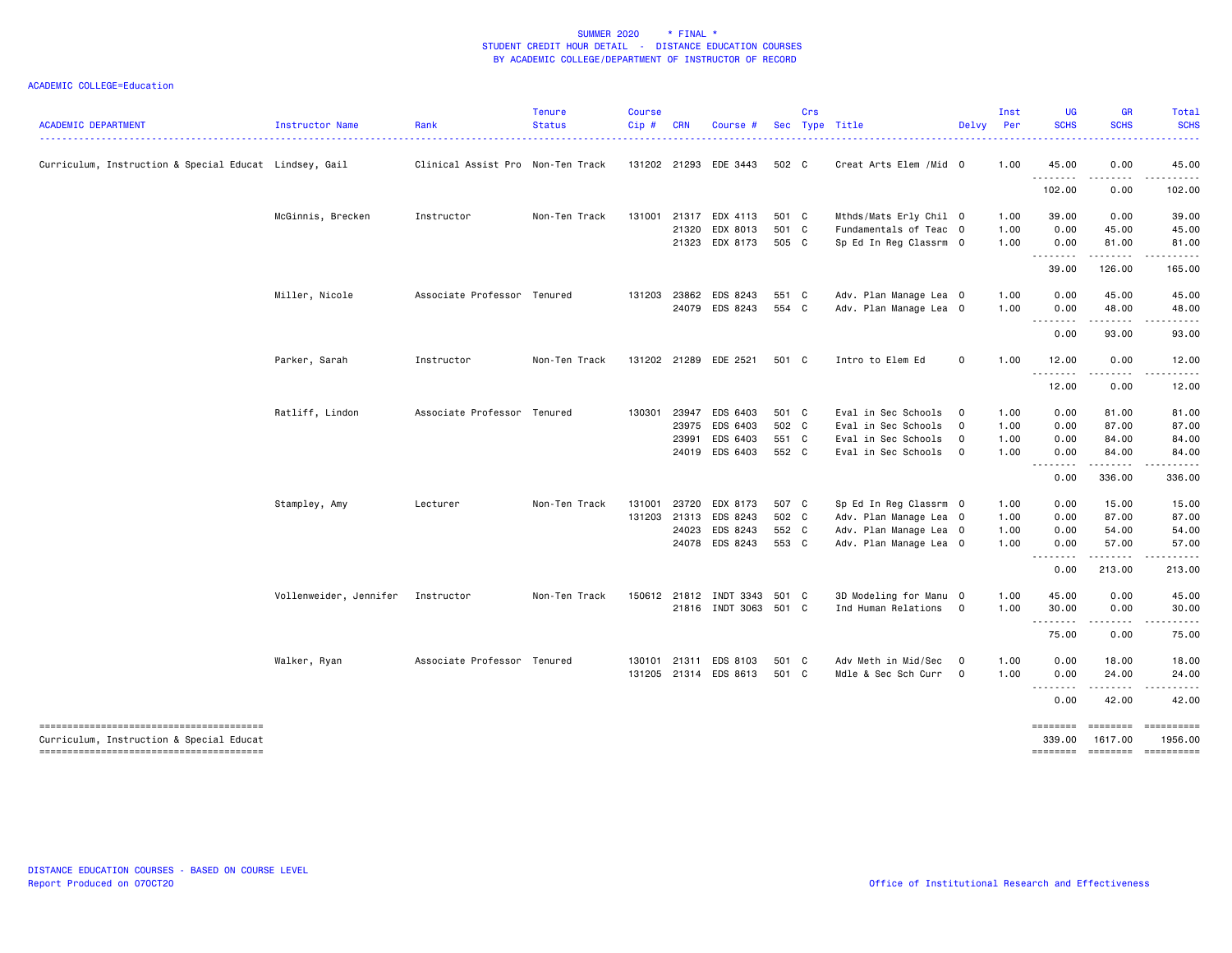| <b>ACADEMIC DEPARTMENT</b>                             | Instructor Name        | Rank                              | <b>Tenure</b><br><b>Status</b> | <b>Course</b><br>Cip# | <b>CRN</b> | Course #               |                | Crs | Sec Type Title         | Delvy Per               | Inst | UG<br><b>SCHS</b>  | <b>GR</b><br><b>SCHS</b>                                                                                                                                                                | Total<br><b>SCHS</b> |
|--------------------------------------------------------|------------------------|-----------------------------------|--------------------------------|-----------------------|------------|------------------------|----------------|-----|------------------------|-------------------------|------|--------------------|-----------------------------------------------------------------------------------------------------------------------------------------------------------------------------------------|----------------------|
| Curriculum, Instruction & Special Educat Lindsey, Gail |                        | Clinical Assist Pro Non-Ten Track |                                |                       |            | 131202 21293 EDE 3443  | 502 C          |     | Creat Arts Elem /Mid 0 |                         | 1.00 | 45.00              | 0.00                                                                                                                                                                                    | 45.00                |
|                                                        |                        |                                   |                                |                       |            |                        |                |     |                        |                         |      | .<br>102.00        | .<br>0.00                                                                                                                                                                               | 102.00               |
|                                                        | McGinnis, Brecken      | Instructor                        | Non-Ten Track                  |                       |            | 131001 21317 EDX 4113  | 501 C          |     | Mthds/Mats Erly Chil 0 |                         | 1.00 | 39.00              | 0.00                                                                                                                                                                                    | 39.00                |
|                                                        |                        |                                   |                                |                       |            | 21320 EDX 8013         | 501 C<br>505 C |     | Fundamentals of Teac 0 |                         | 1.00 | 0.00               | 45.00                                                                                                                                                                                   | 45.00                |
|                                                        |                        |                                   |                                |                       |            | 21323 EDX 8173         |                |     | Sp Ed In Reg Classrm 0 |                         | 1.00 | 0.00<br>. <b>.</b> | 81.00<br>-----                                                                                                                                                                          | 81.00<br>. <u>.</u>  |
|                                                        |                        |                                   |                                |                       |            |                        |                |     |                        |                         |      | 39.00              | 126.00                                                                                                                                                                                  | 165.00               |
|                                                        | Miller, Nicole         | Associate Professor Tenured       |                                |                       |            | 131203 23862 EDS 8243  | 551 C          |     | Adv. Plan Manage Lea 0 |                         | 1.00 | 0.00               | 45.00                                                                                                                                                                                   | 45.00                |
|                                                        |                        |                                   |                                |                       |            | 24079 EDS 8243         | 554 C          |     | Adv. Plan Manage Lea 0 |                         | 1.00 | 0.00<br>.          | 48.00<br>.                                                                                                                                                                              | 48.00<br>.           |
|                                                        |                        |                                   |                                |                       |            |                        |                |     |                        |                         |      | 0.00               | 93.00                                                                                                                                                                                   | 93.00                |
|                                                        | Parker, Sarah          | Instructor                        | Non-Ten Track                  |                       |            | 131202 21289 EDE 2521  | 501 C          |     | Intro to Elem Ed       | $\mathsf{o}$            | 1.00 | 12.00              | 0.00                                                                                                                                                                                    | 12.00                |
|                                                        |                        |                                   |                                |                       |            |                        |                |     |                        |                         |      | .<br>12.00         | $\frac{1}{2} \left( \frac{1}{2} \right) \left( \frac{1}{2} \right) \left( \frac{1}{2} \right) \left( \frac{1}{2} \right) \left( \frac{1}{2} \right) \left( \frac{1}{2} \right)$<br>0.00 | ------<br>12.00      |
|                                                        | Ratliff, Lindon        | Associate Professor Tenured       |                                |                       |            | 130301 23947 EDS 6403  | 501 C          |     | Eval in Sec Schools    | $\mathbf{0}$            | 1.00 | 0.00               | 81.00                                                                                                                                                                                   | 81.00                |
|                                                        |                        |                                   |                                |                       | 23975      | EDS 6403               | 502 C          |     | Eval in Sec Schools    | $\overline{\mathbf{0}}$ | 1.00 | 0.00               | 87.00                                                                                                                                                                                   | 87.00                |
|                                                        |                        |                                   |                                |                       | 23991      | EDS 6403               | 551 C          |     | Eval in Sec Schools    | $\mathbf 0$             | 1.00 | 0.00               | 84.00                                                                                                                                                                                   | 84.00                |
|                                                        |                        |                                   |                                |                       |            | 24019 EDS 6403         | 552 C          |     | Eval in Sec Schools    | $\overline{\mathbf{0}}$ | 1.00 | 0.00<br><u>.</u>   | 84.00                                                                                                                                                                                   | 84.00                |
|                                                        |                        |                                   |                                |                       |            |                        |                |     |                        |                         |      | 0.00               | 336.00                                                                                                                                                                                  | 336.00               |
|                                                        | Stampley, Amy          | Lecturer                          | Non-Ten Track                  | 131001                | 23720      | EDX 8173               | 507 C          |     | Sp Ed In Reg Classrm 0 |                         | 1.00 | 0.00               | 15.00                                                                                                                                                                                   | 15.00                |
|                                                        |                        |                                   |                                |                       |            | 131203 21313 EDS 8243  | 502 C          |     | Adv. Plan Manage Lea 0 |                         | 1.00 | 0.00               | 87.00                                                                                                                                                                                   | 87.00                |
|                                                        |                        |                                   |                                |                       |            | 24023 EDS 8243         | 552 C          |     | Adv. Plan Manage Lea 0 |                         | 1.00 | 0.00               | 54.00                                                                                                                                                                                   | 54.00                |
|                                                        |                        |                                   |                                |                       |            | 24078 EDS 8243         | 553 C          |     | Adv. Plan Manage Lea 0 |                         | 1.00 | 0.00<br>. <b>.</b> | 57.00                                                                                                                                                                                   | 57.00                |
|                                                        |                        |                                   |                                |                       |            |                        |                |     |                        |                         |      | 0.00               | 213.00                                                                                                                                                                                  | 213.00               |
|                                                        | Vollenweider, Jennifer | Instructor                        | Non-Ten Track                  |                       |            | 150612 21812 INDT 3343 | 501 C          |     | 3D Modeling for Manu 0 |                         | 1.00 | 45.00              | 0.00                                                                                                                                                                                    | 45.00                |
|                                                        |                        |                                   |                                |                       |            | 21816 INDT 3063 501 C  |                |     | Ind Human Relations 0  |                         | 1.00 | 30.00              | 0.00                                                                                                                                                                                    | 30.00                |
|                                                        |                        |                                   |                                |                       |            |                        |                |     |                        |                         |      | .<br>75.00         | $\frac{1}{2} \left( \frac{1}{2} \right) \left( \frac{1}{2} \right) \left( \frac{1}{2} \right) \left( \frac{1}{2} \right) \left( \frac{1}{2} \right)$<br>0.00                            | .<br>75.00           |
|                                                        | Walker, Ryan           | Associate Professor Tenured       |                                |                       |            | 130101 21311 EDS 8103  | 501 C          |     | Adv Meth in Mid/Sec    | $\mathbf{0}$            | 1.00 | 0.00               | 18.00                                                                                                                                                                                   | 18.00                |
|                                                        |                        |                                   |                                |                       |            | 131205 21314 EDS 8613  | 501 C          |     | Mdle & Sec Sch Curr    | $\mathbf 0$             | 1.00 | 0.00               | 24.00                                                                                                                                                                                   | 24.00                |
|                                                        |                        |                                   |                                |                       |            |                        |                |     |                        |                         |      | .<br>0.00          | 42.00                                                                                                                                                                                   | 42.00                |
| Curriculum, Instruction & Special Educat               |                        |                                   |                                |                       |            |                        |                |     |                        |                         |      | 339,00             | <b>SEESSEES</b><br>1617,00                                                                                                                                                              | 1956.00              |
|                                                        |                        |                                   |                                |                       |            |                        |                |     |                        |                         |      | ========           | <b>EDEDEDED</b>                                                                                                                                                                         |                      |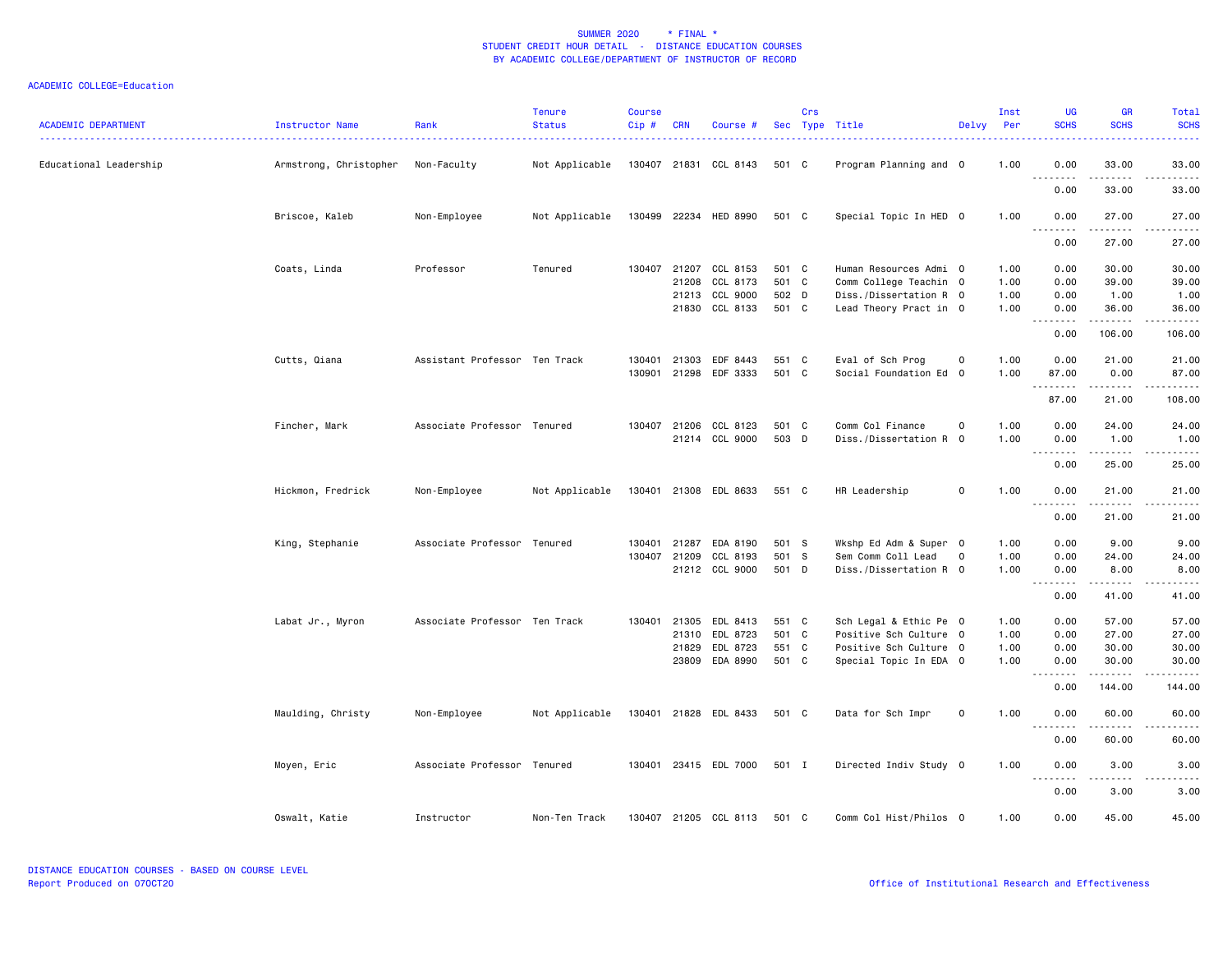| <b>ACADEMIC DEPARTMENT</b> | Instructor Name        | Rank<br>.                     | <b>Tenure</b><br><b>Status</b> | <b>Course</b><br>Cip# | <b>CRN</b> | Course #              |       | Crs | Sec Type Title         | Delvy        | Inst<br>Per | <b>UG</b><br><b>SCHS</b> | <b>GR</b><br><b>SCHS</b> | Total<br><b>SCHS</b><br>.                  |
|----------------------------|------------------------|-------------------------------|--------------------------------|-----------------------|------------|-----------------------|-------|-----|------------------------|--------------|-------------|--------------------------|--------------------------|--------------------------------------------|
| Educational Leadership     | Armstrong, Christopher | Non-Faculty                   | Not Applicable                 |                       |            | 130407 21831 CCL 8143 | 501 C |     | Program Planning and 0 |              | 1.00        | 0.00<br>.                | 33.00                    | 33.00<br>.                                 |
|                            |                        |                               |                                |                       |            |                       |       |     |                        |              |             | 0.00                     | 33.00                    | 33.00                                      |
|                            | Briscoe, Kaleb         | Non-Employee                  | Not Applicable                 |                       |            | 130499 22234 HED 8990 | 501 C |     | Special Topic In HED 0 |              | 1.00        | 0.00<br>.                | 27.00                    | 27.00                                      |
|                            |                        |                               |                                |                       |            |                       |       |     |                        |              |             | 0.00                     | 27.00                    | 27.00                                      |
|                            | Coats, Linda           | Professor                     | Tenured                        |                       |            | 130407 21207 CCL 8153 | 501 C |     | Human Resources Admi 0 |              | 1.00        | 0.00                     | 30.00                    | 30.00                                      |
|                            |                        |                               |                                |                       | 21208      | CCL 8173              | 501 C |     | Comm College Teachin 0 |              | 1.00        | 0.00                     | 39.00                    | 39.00                                      |
|                            |                        |                               |                                |                       | 21213      | CCL 9000              | 502 D |     | Diss./Dissertation R 0 |              | 1.00        | 0.00                     | 1.00                     | 1.00                                       |
|                            |                        |                               |                                |                       |            | 21830 CCL 8133        | 501 C |     | Lead Theory Pract in 0 |              | 1.00        | 0.00                     | 36.00<br>. <u>.</u>      | 36.00<br>.                                 |
|                            |                        |                               |                                |                       |            |                       |       |     |                        |              |             | 0.00                     | 106.00                   | 106.00                                     |
|                            | Cutts, Qiana           | Assistant Professor Ten Track |                                | 130401                | 21303      | EDF 8443              | 551 C |     | Eval of Sch Prog       | 0            | 1.00        | 0.00                     | 21.00                    | 21.00                                      |
|                            |                        |                               |                                | 130901                | 21298      | EDF 3333              | 501 C |     | Social Foundation Ed 0 |              | 1.00        | 87.00                    | 0.00                     | 87.00                                      |
|                            |                        |                               |                                |                       |            |                       |       |     |                        |              |             | .                        | .                        | .                                          |
|                            |                        |                               |                                |                       |            |                       |       |     |                        |              |             | 87.00                    | 21.00                    | 108.00                                     |
|                            | Fincher, Mark          | Associate Professor Tenured   |                                | 130407 21206          |            | CCL 8123              | 501 C |     | Comm Col Finance       | 0            | 1.00        | 0.00                     | 24.00                    | 24.00                                      |
|                            |                        |                               |                                |                       |            | 21214 CCL 9000        | 503 D |     | Diss./Dissertation R 0 |              | 1.00        | 0.00                     | 1.00                     | 1.00                                       |
|                            |                        |                               |                                |                       |            |                       |       |     |                        |              |             | <u>.</u><br>0.00         | .<br>25.00               | .<br>25.00                                 |
|                            | Hickmon, Fredrick      | Non-Employee                  | Not Applicable                 |                       |            | 130401 21308 EDL 8633 | 551 C |     | HR Leadership          | $\mathsf{o}$ | 1.00        | 0.00                     | 21.00                    | 21.00                                      |
|                            |                        |                               |                                |                       |            |                       |       |     |                        |              |             | <u>.</u>                 | .                        | .                                          |
|                            |                        |                               |                                |                       |            |                       |       |     |                        |              |             | 0.00                     | 21.00                    | 21.00                                      |
|                            | King, Stephanie        | Associate Professor Tenured   |                                | 130401                |            | 21287 EDA 8190        | 501 S |     | Wkshp Ed Adm & Super 0 |              | 1.00        | 0.00                     | 9.00                     | 9.00                                       |
|                            |                        |                               |                                | 130407                | 21209      | CCL 8193              | 501 S |     | Sem Comm Coll Lead     | $\mathbf 0$  | 1.00        | 0.00                     | 24.00                    | 24.00                                      |
|                            |                        |                               |                                |                       |            | 21212 CCL 9000        | 501 D |     | Diss./Dissertation R 0 |              | 1.00        | 0.00<br>.                | 8.00<br>$- - - - -$      | 8.00<br>$\sim$ $\sim$ $\sim$ $\sim$ $\sim$ |
|                            |                        |                               |                                |                       |            |                       |       |     |                        |              |             | 0.00                     | 41.00                    | 41.00                                      |
|                            | Labat Jr., Myron       | Associate Professor Ten Track |                                | 130401                | 21305      | EDL 8413              | 551 C |     | Sch Legal & Ethic Pe 0 |              | 1.00        | 0.00                     | 57.00                    | 57.00                                      |
|                            |                        |                               |                                |                       | 21310      | EDL 8723              | 501 C |     | Positive Sch Culture 0 |              | 1.00        | 0.00                     | 27.00                    | 27.00                                      |
|                            |                        |                               |                                |                       | 21829      | EDL 8723              | 551 C |     | Positive Sch Culture 0 |              | 1.00        | 0.00                     | 30.00                    | 30.00                                      |
|                            |                        |                               |                                |                       |            | 23809 EDA 8990        | 501 C |     | Special Topic In EDA 0 |              | 1.00        | 0.00                     | 30.00                    | 30.00                                      |
|                            |                        |                               |                                |                       |            |                       |       |     |                        |              |             | .<br>0.00                | .<br>144.00              | .<br>144.00                                |
|                            | Maulding, Christy      | Non-Employee                  | Not Applicable                 |                       |            | 130401 21828 EDL 8433 | 501 C |     | Data for Sch Impr      | $\mathsf 0$  | 1.00        | 0.00                     | 60.00                    | 60.00                                      |
|                            |                        |                               |                                |                       |            |                       |       |     |                        |              |             | .                        | .                        | .                                          |
|                            |                        |                               |                                |                       |            |                       |       |     |                        |              |             | 0.00                     | 60.00                    | 60.00                                      |
|                            | Moyen, Eric            | Associate Professor Tenured   |                                |                       |            | 130401 23415 EDL 7000 | 501 I |     | Directed Indiv Study 0 |              | 1.00        | 0.00<br><u>.</u>         | 3.00<br>.                | 3.00<br>$\frac{1}{2}$                      |
|                            |                        |                               |                                |                       |            |                       |       |     |                        |              |             | 0.00                     | 3.00                     | 3.00                                       |
|                            | Oswalt, Katie          | Instructor                    | Non-Ten Track                  |                       |            | 130407 21205 CCL 8113 | 501 C |     | Comm Col Hist/Philos 0 |              | 1.00        | 0.00                     | 45.00                    | 45.00                                      |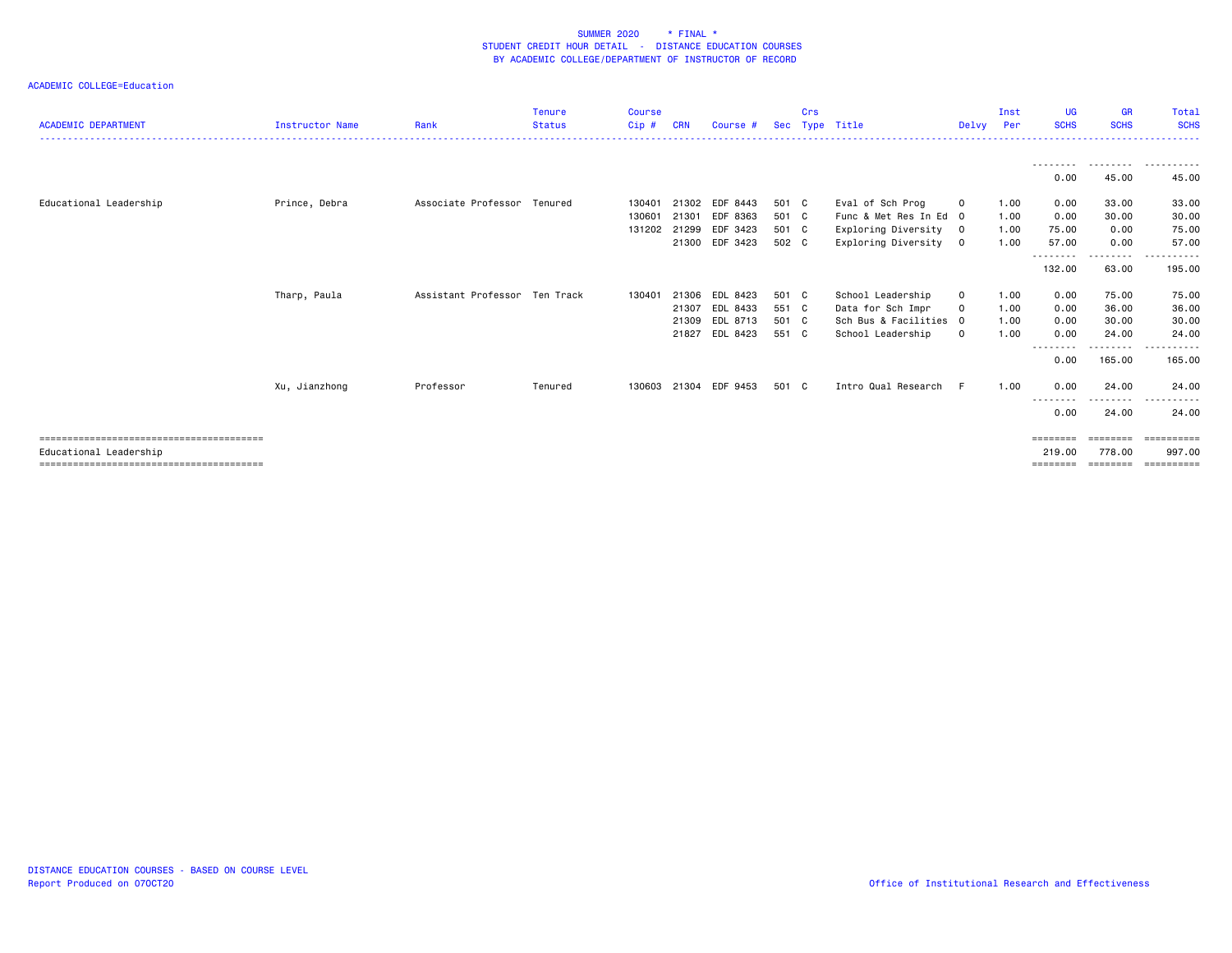| <b>ACADEMIC DEPARTMENT</b> | <b>Instructor Name</b> | Rank                          | <b>Tenure</b><br><b>Status</b> | <b>Course</b><br>Cip# | <b>CRN</b> | Course #       | Sec   | Crs | Type Title             | Delvy        | Inst<br>Per | <b>UG</b><br><b>SCHS</b>  | <b>GR</b><br><b>SCHS</b> | Total<br><b>SCHS</b> |
|----------------------------|------------------------|-------------------------------|--------------------------------|-----------------------|------------|----------------|-------|-----|------------------------|--------------|-------------|---------------------------|--------------------------|----------------------|
|                            |                        |                               |                                |                       |            |                |       |     |                        |              |             |                           |                          | . <u>.</u> .         |
|                            |                        |                               |                                |                       |            |                |       |     |                        |              |             |                           |                          |                      |
|                            |                        |                               |                                |                       |            |                |       |     |                        |              |             | - - - - - - - - -<br>0.00 | 45.00                    | 45.00                |
|                            |                        |                               |                                |                       |            |                |       |     |                        |              |             |                           |                          |                      |
| Educational Leadership     | Prince, Debra          | Associate Professor Tenured   |                                | 130401                | 21302      | EDF 8443       | 501 C |     | Eval of Sch Prog       | 0            | 1.00        | 0.00                      | 33.00                    | 33.00                |
|                            |                        |                               |                                | 130601                | 21301      | EDF 8363       | 501 C |     | Func & Met Res In Ed 0 |              | 1.00        | 0.00                      | 30.00                    | 30.00                |
|                            |                        |                               |                                | 131202                | 21299      | EDF 3423       | 501 C |     | Exploring Diversity    | $\mathbf{0}$ | 1.00        | 75.00                     | 0.00                     | 75.00                |
|                            |                        |                               |                                |                       |            | 21300 EDF 3423 | 502 C |     | Exploring Diversity    | $\mathbf{0}$ | 1.00        | 57.00                     | 0.00                     | 57.00                |
|                            |                        |                               |                                |                       |            |                |       |     |                        |              |             | 132.00                    | --------<br>63.00        | .<br>195.00          |
|                            | Tharp, Paula           | Assistant Professor Ten Track |                                | 130401                | 21306      | EDL 8423       | 501 C |     | School Leadership      | $\mathbf 0$  | 1.00        | 0.00                      | 75.00                    | 75.00                |
|                            |                        |                               |                                |                       | 21307      | EDL 8433       | 551 C |     | Data for Sch Impr      | $\Omega$     | 1.00        | 0.00                      | 36.00                    | 36.00                |
|                            |                        |                               |                                |                       | 21309      | EDL 8713       | 501 C |     | Sch Bus & Facilities 0 |              | 1.00        | 0.00                      | 30.00                    | 30.00                |
|                            |                        |                               |                                |                       | 21827      | EDL 8423       | 551 C |     | School Leadership      | $\mathbf 0$  | 1.00        | 0.00                      | 24.00                    | 24,00                |
|                            |                        |                               |                                |                       |            |                |       |     |                        |              |             | 0.00                      | ------<br>165.00         | 165.00               |
|                            | Xu, Jianzhong          | Professor                     | Tenured                        | 130603                | 21304      | EDF 9453       | 501 C |     | Intro Qual Research    | -F           | 1.00        | 0.00                      | 24,00                    | 24,00                |
|                            |                        |                               |                                |                       |            |                |       |     |                        |              |             | - - - - - - - - -         | - - - - - -              | ------<br>$- - -$    |
|                            |                        |                               |                                |                       |            |                |       |     |                        |              |             | 0.00                      | 24.00                    | 24.00                |
|                            |                        |                               |                                |                       |            |                |       |     |                        |              |             | ========                  | ========                 | ==========           |
| Educational Leadership     |                        |                               |                                |                       |            |                |       |     |                        |              |             | 219,00                    | 778.00                   | 997.00               |
|                            |                        |                               |                                |                       |            |                |       |     |                        |              |             | ========                  | ========                 | ==========           |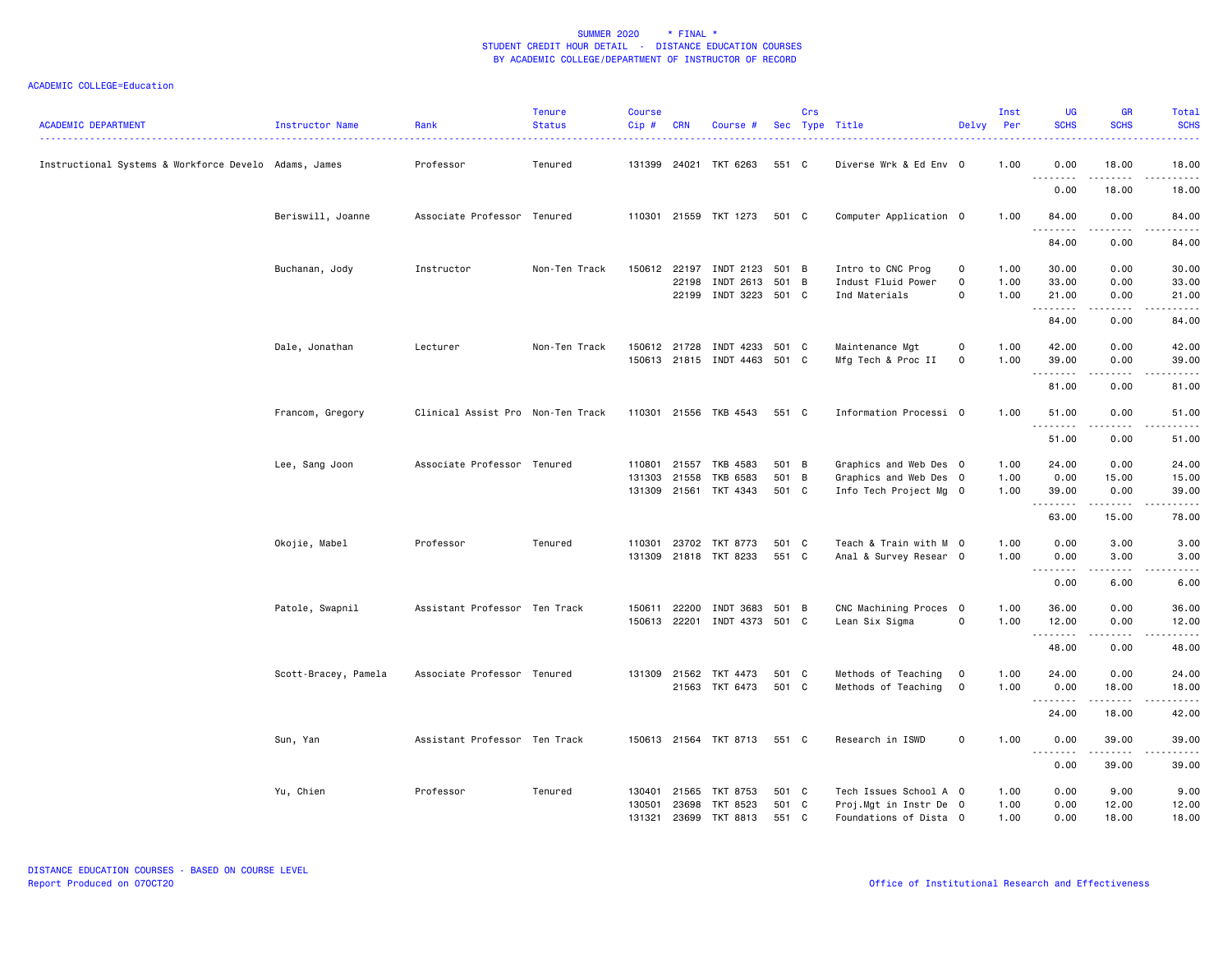| <b>ACADEMIC DEPARTMENT</b>                            | Instructor Name      | Rank<br><u>.</u>                  | <b>Tenure</b><br><b>Status</b> | <b>Course</b><br>Cip# | <b>CRN</b>   | Course #                     |       | Crs | Sec Type Title         | Delvy Per      | Inst | <b>UG</b><br><b>SCHS</b> | <b>GR</b><br><b>SCHS</b>                                                                                                                                      | Total<br><b>SCHS</b><br>. |
|-------------------------------------------------------|----------------------|-----------------------------------|--------------------------------|-----------------------|--------------|------------------------------|-------|-----|------------------------|----------------|------|--------------------------|---------------------------------------------------------------------------------------------------------------------------------------------------------------|---------------------------|
| Instructional Systems & Workforce Develo Adams, James |                      | Professor                         | Tenured                        |                       |              | 131399 24021 TKT 6263        | 551 C |     | Diverse Wrk & Ed Env 0 |                | 1.00 | 0.00<br>.                | 18.00<br>.                                                                                                                                                    | 18.00<br>.                |
|                                                       |                      |                                   |                                |                       |              |                              |       |     |                        |                |      | 0.00                     | 18.00                                                                                                                                                         | 18.00                     |
|                                                       | Beriswill, Joanne    | Associate Professor Tenured       |                                |                       |              | 110301 21559 TKT 1273        | 501 C |     | Computer Application 0 |                | 1.00 | 84.00                    | 0.00                                                                                                                                                          | 84.00                     |
|                                                       |                      |                                   |                                |                       |              |                              |       |     |                        |                |      | 84.00                    | 0.00                                                                                                                                                          | 84.00                     |
|                                                       | Buchanan, Jody       | Instructor                        | Non-Ten Track                  |                       |              | 150612 22197 INDT 2123 501 B |       |     | Intro to CNC Prog      | $\mathbf 0$    | 1.00 | 30.00                    | 0.00                                                                                                                                                          | 30.00                     |
|                                                       |                      |                                   |                                |                       | 22198        | INDT 2613                    | 501 B |     | Indust Fluid Power     | $\mathbf 0$    | 1.00 | 33.00                    | 0.00                                                                                                                                                          | 33.00                     |
|                                                       |                      |                                   |                                |                       |              | 22199 INDT 3223 501 C        |       |     | Ind Materials          | $\mathbf 0$    | 1.00 | 21.00                    | 0.00                                                                                                                                                          | 21.00                     |
|                                                       |                      |                                   |                                |                       |              |                              |       |     |                        |                |      | .<br>84.00               | .<br>0.00                                                                                                                                                     | .<br>84.00                |
|                                                       | Dale, Jonathan       | Lecturer                          | Non-Ten Track                  |                       |              | 150612 21728 INDT 4233 501 C |       |     | Maintenance Mgt        | 0              | 1.00 | 42.00                    | 0.00                                                                                                                                                          | 42.00                     |
|                                                       |                      |                                   |                                |                       |              | 150613 21815 INDT 4463 501 C |       |     | Mfg Tech & Proc II     | $\mathbf 0$    | 1.00 | 39.00<br>.               | 0.00<br>.                                                                                                                                                     | 39.00<br>.                |
|                                                       |                      |                                   |                                |                       |              |                              |       |     |                        |                |      | 81.00                    | 0.00                                                                                                                                                          | 81.00                     |
|                                                       | Francom, Gregory     | Clinical Assist Pro Non-Ten Track |                                |                       |              | 110301 21556 TKB 4543        | 551 C |     | Information Processi 0 |                | 1.00 | 51.00                    | 0.00                                                                                                                                                          | 51.00                     |
|                                                       |                      |                                   |                                |                       |              |                              |       |     |                        |                |      | .<br>51.00               | $- - - -$<br>0.00                                                                                                                                             | . <u>.</u> .<br>51.00     |
|                                                       | Lee, Sang Joon       | Associate Professor Tenured       |                                |                       |              | 110801 21557 TKB 4583        | 501 B |     | Graphics and Web Des 0 |                | 1.00 | 24.00                    | 0.00                                                                                                                                                          | 24.00                     |
|                                                       |                      |                                   |                                |                       | 131303 21558 | TKB 6583                     | 501 B |     | Graphics and Web Des 0 |                | 1.00 | 0.00                     | 15.00                                                                                                                                                         | 15.00                     |
|                                                       |                      |                                   |                                |                       |              | 131309 21561 TKT 4343        | 501 C |     | Info Tech Project Mg 0 |                | 1.00 | 39.00                    | 0.00                                                                                                                                                          | 39.00                     |
|                                                       |                      |                                   |                                |                       |              |                              |       |     |                        |                |      | <u>.</u><br>63.00        | .<br>15.00                                                                                                                                                    | .<br>78.00                |
|                                                       | Okojie, Mabel        | Professor                         | Tenured                        | 110301                |              | 23702 TKT 8773               | 501 C |     | Teach & Train with M 0 |                | 1.00 | 0.00                     | 3.00                                                                                                                                                          | 3.00                      |
|                                                       |                      |                                   |                                |                       |              | 131309 21818 TKT 8233        | 551 C |     | Anal & Survey Resear 0 |                | 1.00 | 0.00                     | 3.00                                                                                                                                                          | 3.00                      |
|                                                       |                      |                                   |                                |                       |              |                              |       |     |                        |                |      | .<br>0.00                | .<br>6.00                                                                                                                                                     | -----<br>6.00             |
|                                                       | Patole, Swapnil      | Assistant Professor Ten Track     |                                | 150611                | 22200        | INDT 3683 501 B              |       |     | CNC Machining Proces 0 |                | 1.00 | 36.00                    | 0.00                                                                                                                                                          | 36.00                     |
|                                                       |                      |                                   |                                | 150613                |              | 22201 INDT 4373 501 C        |       |     | Lean Six Sigma         | $\mathbf 0$    | 1.00 | 12.00                    | 0.00                                                                                                                                                          | 12.00                     |
|                                                       |                      |                                   |                                |                       |              |                              |       |     |                        |                |      | 48.00                    | 0.00                                                                                                                                                          | 48.00                     |
|                                                       | Scott-Bracey, Pamela | Associate Professor Tenured       |                                |                       |              | 131309 21562 TKT 4473        | 501 C |     | Methods of Teaching    | $\overline{0}$ | 1.00 | 24.00                    | 0.00                                                                                                                                                          | 24.00                     |
|                                                       |                      |                                   |                                |                       |              | 21563 TKT 6473               | 501 C |     | Methods of Teaching    | $\mathbf 0$    | 1.00 | 0.00                     | 18,00<br>$\frac{1}{2} \left( \frac{1}{2} \right) \left( \frac{1}{2} \right) \left( \frac{1}{2} \right) \left( \frac{1}{2} \right) \left( \frac{1}{2} \right)$ | 18.00<br>.                |
|                                                       |                      |                                   |                                |                       |              |                              |       |     |                        |                |      | .<br>24.00               | 18.00                                                                                                                                                         | 42.00                     |
|                                                       | Sun, Yan             | Assistant Professor Ten Track     |                                |                       |              | 150613 21564 TKT 8713        | 551 C |     | Research in ISWD       | 0              | 1.00 | 0.00                     | 39.00                                                                                                                                                         | 39.00                     |
|                                                       |                      |                                   |                                |                       |              |                              |       |     |                        |                |      | .<br>0.00                | $- - - - - -$<br>39.00                                                                                                                                        | .<br>39.00                |
|                                                       | Yu, Chien            | Professor                         | Tenured                        | 130401                |              | 21565 TKT 8753               | 501 C |     | Tech Issues School A 0 |                | 1.00 | 0.00                     | 9.00                                                                                                                                                          | 9.00                      |
|                                                       |                      |                                   |                                | 130501                |              | 23698 TKT 8523               | 501 C |     | Proj.Mgt in Instr De 0 |                | 1.00 | 0.00                     | 12.00                                                                                                                                                         | 12.00                     |
|                                                       |                      |                                   |                                | 131321                |              | 23699 TKT 8813               | 551 C |     | Foundations of Dista 0 |                | 1.00 | 0.00                     | 18,00                                                                                                                                                         | 18.00                     |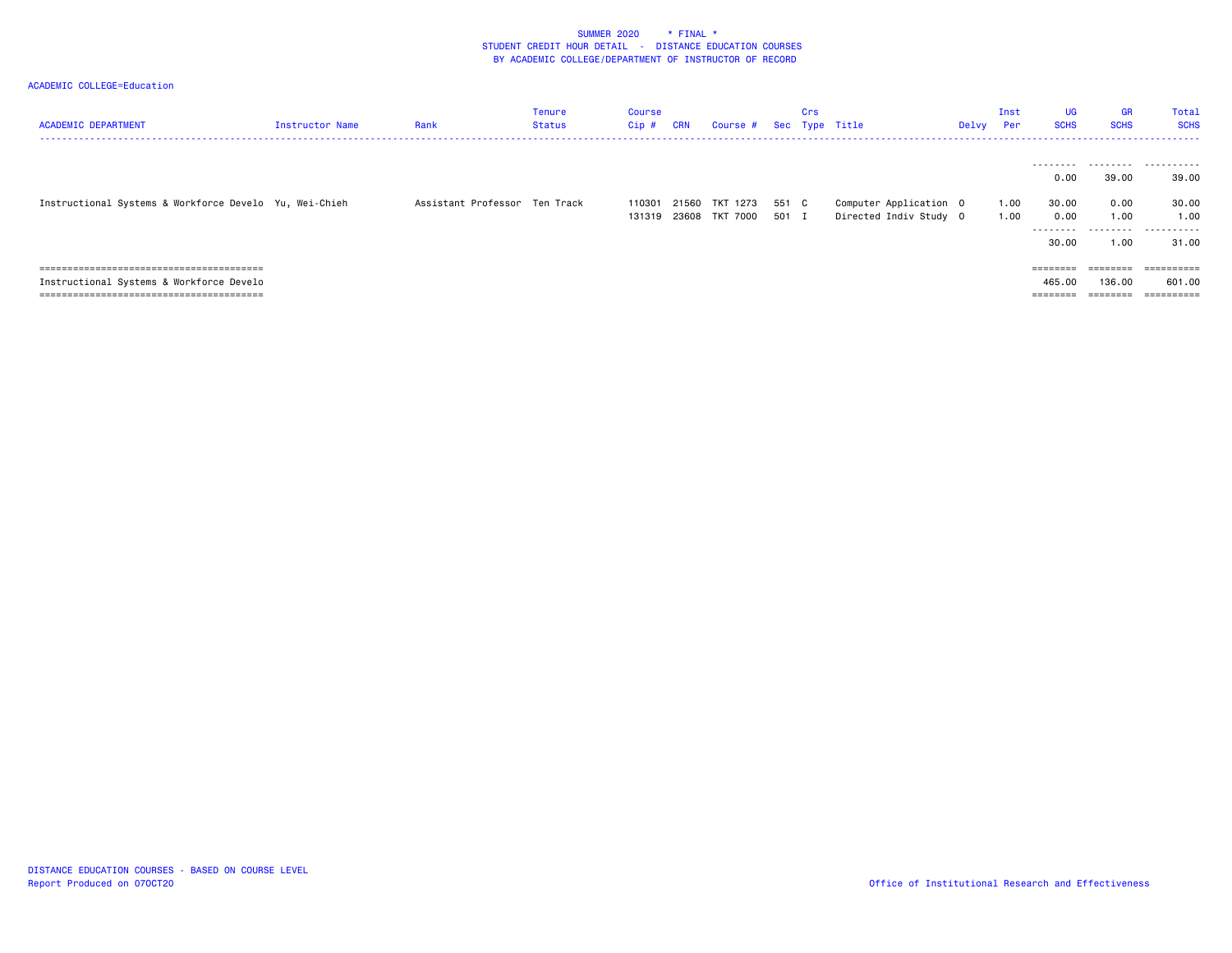| <b>ACADEMIC DEPARTMENT</b>                             | Instructor Name | Rank                          | Tenure<br>Status | Course<br>Cip #  | <b>CRN</b> | Course #                   | Sec            | Crs | Type Title                                       | Delvy | Inst<br><b>Per</b> | <b>UG</b><br><b>SCHS</b>                           | <b>GR</b><br><b>SCHS</b>       | Total<br><b>SCHS</b>               |
|--------------------------------------------------------|-----------------|-------------------------------|------------------|------------------|------------|----------------------------|----------------|-----|--------------------------------------------------|-------|--------------------|----------------------------------------------------|--------------------------------|------------------------------------|
| Instructional Systems & Workforce Develo Yu, Wei-Chieh |                 | Assistant Professor Ten Track |                  | 110301<br>131319 | 21560      | TKT 1273<br>23608 TKT 7000 | 551 C<br>501 I |     | Computer Application 0<br>Directed Indiv Study 0 |       | 1.00<br>1.00       | 0.00<br>30.00<br>0.00                              | 39.00<br>0.00<br>1.00          | <br>39.00<br>30.00<br>1.00         |
|                                                        |                 |                               |                  |                  |            |                            |                |     |                                                  |       |                    | --------<br>30.00                                  | .<br>1.00                      | .<br>31.00                         |
| Instructional Systems & Workforce Develo               |                 |                               |                  |                  |            |                            |                |     |                                                  |       |                    | $=$ = = = = = = =<br>465,00<br>________<br>======= | ========<br>136.00<br>======== | ==========<br>601.00<br>========== |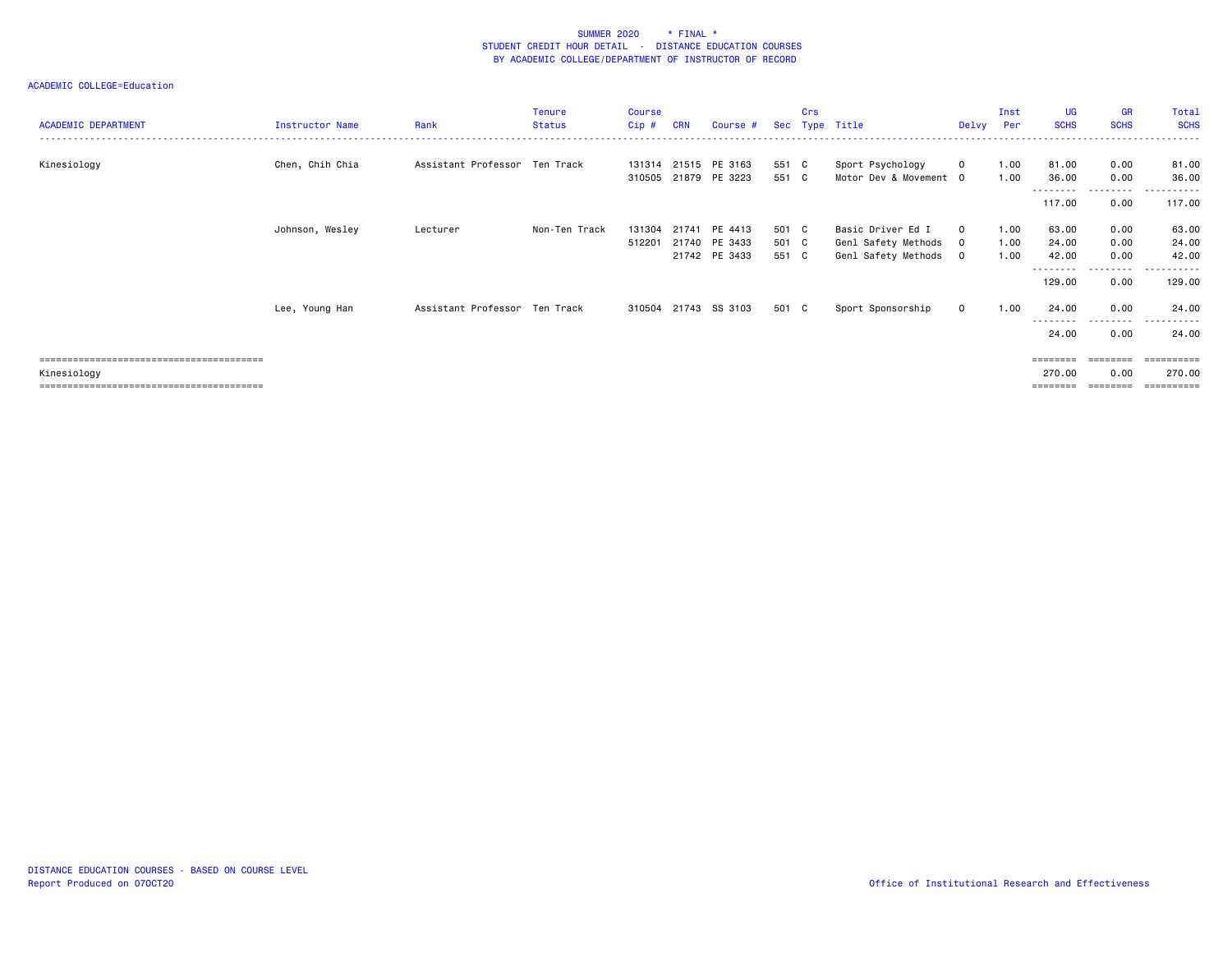| <b>ACADEMIC DEPARTMENT</b> | Instructor Name | Rank                          | Tenure<br><b>Status</b> | <b>Course</b><br>Cip# | <b>CRN</b> | Course #                                     |                | Crs | Sec Type Title                             | Delvy                   | Inst<br>Per  | UG<br><b>SCHS</b>  | <b>GR</b><br><b>SCHS</b> | Total<br><b>SCHS</b>           |
|----------------------------|-----------------|-------------------------------|-------------------------|-----------------------|------------|----------------------------------------------|----------------|-----|--------------------------------------------|-------------------------|--------------|--------------------|--------------------------|--------------------------------|
| Kinesiology                | Chen, Chih Chia | Assistant Professor Ten Track |                         |                       |            | 131314 21515 PE 3163<br>310505 21879 PE 3223 | 551 C<br>551 C |     | Sport Psychology<br>Motor Dev & Movement 0 | $\mathbf 0$             | 1.00<br>1.00 | 81.00<br>36.00     | 0.00<br>0.00             | 81.00<br>36.00                 |
|                            |                 |                               |                         |                       |            |                                              |                |     |                                            |                         |              | 117.00             | ---------<br>0.00        | 117.00                         |
|                            | Johnson, Wesley | Lecturer                      | Non-Ten Track           | 131304<br>512201      | 21741      | PE 4413<br>21740 PE 3433                     | 501 C<br>501 C |     | Basic Driver Ed I<br>Genl Safety Methods   | $\mathbf 0$<br>$\Omega$ | 1.00<br>1.00 | 63.00<br>24.00     | 0.00<br>0.00             | 63.00<br>24.00                 |
|                            |                 |                               |                         |                       |            | 21742 PE 3433                                | 551 C          |     | Genl Safety Methods                        | $\circ$                 | 1.00         | 42.00<br>--------  | 0.00<br>.                | 42.00<br>----------            |
|                            |                 |                               |                         |                       |            |                                              |                |     |                                            |                         |              | 129.00             | 0.00                     | 129.00                         |
|                            | Lee, Young Han  | Assistant Professor Ten Track |                         |                       |            | 310504 21743 SS 3103                         | 501 C          |     | Sport Sponsorship                          | $\mathbf 0$             | 1.00         | 24.00              | 0.00<br>-----            | 24.00                          |
|                            |                 |                               |                         |                       |            |                                              |                |     |                                            |                         |              | 24.00              | 0.00                     | 24.00                          |
| Kinesiology                |                 |                               |                         |                       |            |                                              |                |     |                                            |                         |              | ========<br>270.00 | 0.00                     | :======<br>270.00<br>========= |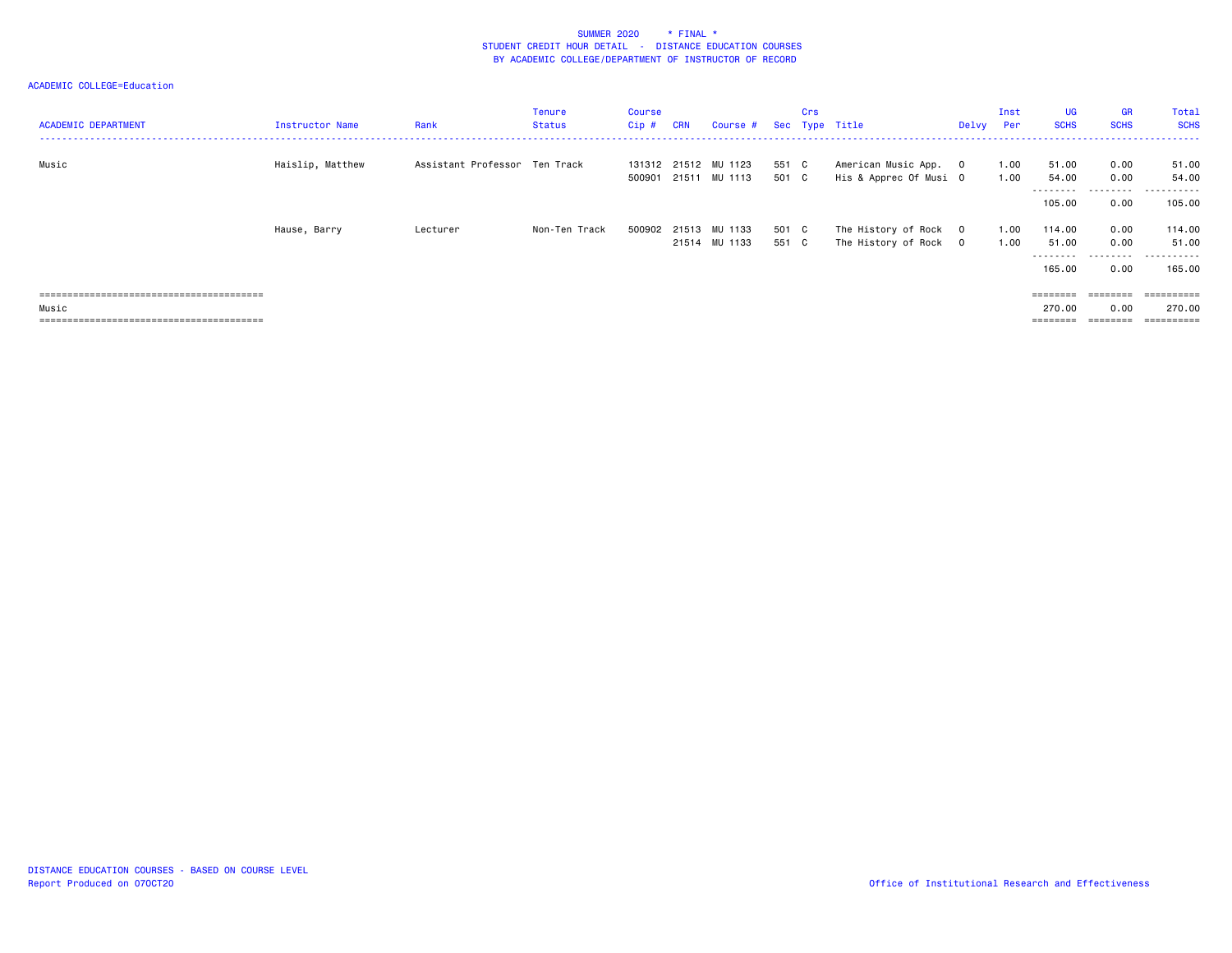| <b>ACADEMIC DEPARTMENT</b> | Instructor Name  | Rank                          | Tenure<br>Status | Course<br>Cip# | <b>CRN</b> | Course # Sec Type Title                      |                | Crs |                                                 | Delvy Per | Inst         | UG<br><b>SCHS</b>         | GR<br><b>SCHS</b>                 | Total<br><b>SCHS</b>      |
|----------------------------|------------------|-------------------------------|------------------|----------------|------------|----------------------------------------------|----------------|-----|-------------------------------------------------|-----------|--------------|---------------------------|-----------------------------------|---------------------------|
| Music                      | Haislip, Matthew | Assistant Professor Ten Track |                  |                |            | 131312 21512 MU 1123<br>500901 21511 MU 1113 | 551 C<br>501 C |     | American Music App. 0<br>His & Apprec Of Musi O |           | 1.00<br>1.00 | 51.00<br>54.00            | 0.00<br>0.00                      | 51.00<br>54.00            |
|                            |                  |                               |                  |                |            |                                              |                |     |                                                 |           |              | ---------<br>105.00       | .<br>0.00                         | ----------<br>105.00      |
|                            | Hause, Barry     | Lecturer                      | Non-Ten Track    |                |            | 500902 21513 MU 1133<br>21514 MU 1133        | 501 C<br>551 C |     | The History of Rock 0<br>The History of Rock 0  |           | 1.00<br>1.00 | 114.00<br>51.00<br>165.00 | 0.00<br>0.00<br>---------<br>0.00 | 114.00<br>51.00<br>165.00 |
| Music                      |                  |                               |                  |                |            |                                              |                |     |                                                 |           |              | 270.00<br>========        | 0.00                              | 270.00                    |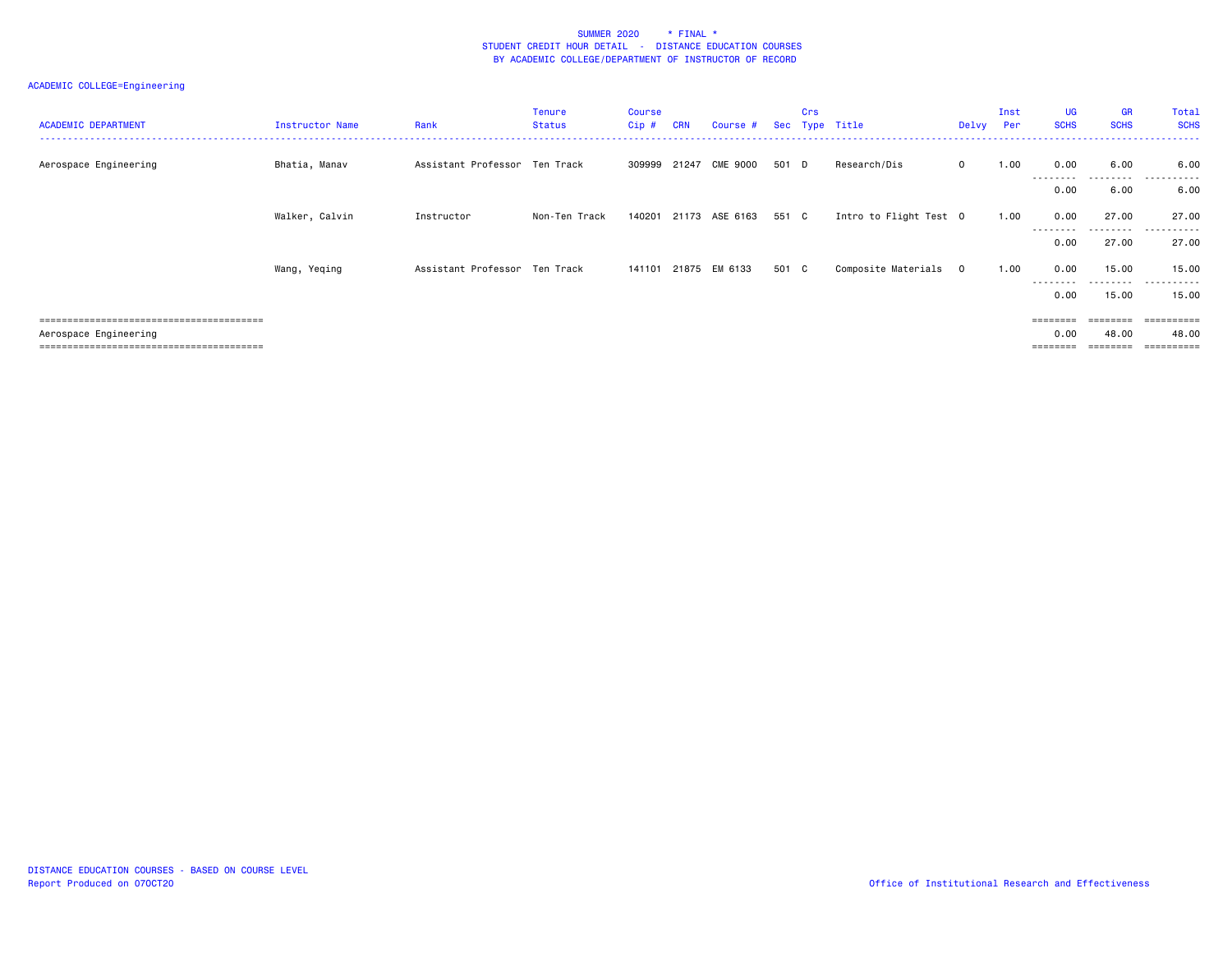| <b>ACADEMIC DEPARTMENT</b> | Instructor Name | Rank                          | <b>Tenure</b><br><b>Status</b> | Course<br>Cip# | <b>CRN</b> | Course #       |       | Crs | Sec Type Title         | Delvy Per               | Inst | <b>UG</b><br><b>SCHS</b> | <b>GR</b><br><b>SCHS</b> | Total<br><b>SCHS</b>           |
|----------------------------|-----------------|-------------------------------|--------------------------------|----------------|------------|----------------|-------|-----|------------------------|-------------------------|------|--------------------------|--------------------------|--------------------------------|
| Aerospace Engineering      | Bhatia, Manav   | Assistant Professor Ten Track |                                | 309999 21247   |            | CME 9000       | 501 D |     | Research/Dis           | $\mathbf 0$             | 1.00 | 0.00<br>--------         | 6.00<br>.                | 6.00<br>.                      |
|                            |                 |                               |                                |                |            |                |       |     |                        |                         |      | 0.00                     | 6.00                     | 6.00                           |
|                            | Walker, Calvin  | Instructor                    | Non-Ten Track                  | 140201         |            | 21173 ASE 6163 | 551 C |     | Intro to Flight Test 0 |                         | 1.00 | 0.00                     | 27.00                    | 27.00                          |
|                            |                 |                               |                                |                |            |                |       |     |                        |                         |      | --------<br>0.00         | ---------<br>27.00       | .<br>27.00                     |
|                            | Wang, Yeqing    | Assistant Professor Ten Track |                                | 141101         |            | 21875 EM 6133  | 501 C |     | Composite Materials    | $\overline{\mathbf{0}}$ | 1.00 | 0.00                     | 15.00                    | 15.00                          |
|                            |                 |                               |                                |                |            |                |       |     |                        |                         |      | 0.00                     | ---------<br>15.00       | .<br>15.00                     |
|                            |                 |                               |                                |                |            |                |       |     |                        |                         |      | $=$ = = = = = = =        | ========                 | $=$ = = = = = = = = :          |
| Aerospace Engineering      |                 |                               |                                |                |            |                |       |     |                        |                         |      | 0.00<br>========         | 48.00                    | 48.00<br>$=$ = = = = = = = = : |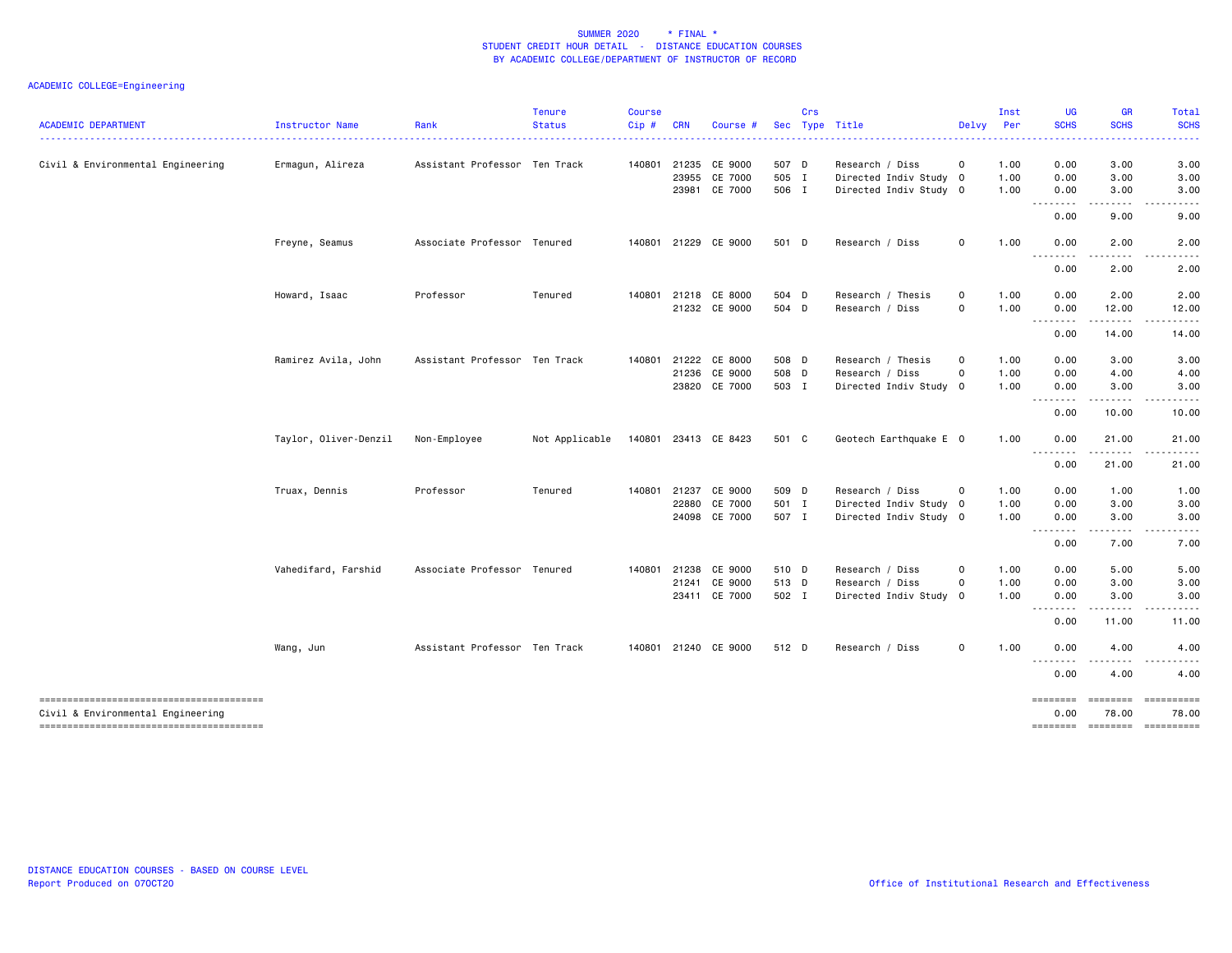| <b>ACADEMIC DEPARTMENT</b>        | Instructor Name       | Rank                          | <b>Tenure</b><br><b>Status</b> | <b>Course</b><br>Cip# | <b>CRN</b> | Course               |       | Crs | Sec Type Title         | Delvy Per    | Inst | UG<br><b>SCHS</b>                                                                                                                 | GR<br><b>SCHS</b>               | Total<br><b>SCHS</b> |
|-----------------------------------|-----------------------|-------------------------------|--------------------------------|-----------------------|------------|----------------------|-------|-----|------------------------|--------------|------|-----------------------------------------------------------------------------------------------------------------------------------|---------------------------------|----------------------|
|                                   |                       |                               |                                |                       |            |                      |       |     |                        |              |      |                                                                                                                                   |                                 |                      |
| Civil & Environmental Engineering | Ermagun, Alireza      | Assistant Professor Ten Track |                                |                       |            | 140801 21235 CE 9000 | 507 D |     | Research / Diss        | $\circ$      | 1.00 | 0.00                                                                                                                              | 3.00                            | 3.00                 |
|                                   |                       |                               |                                |                       | 23955      | CE 7000              | 505 I |     | Directed Indiv Study 0 |              | 1.00 | 0.00                                                                                                                              | 3.00                            | 3.00                 |
|                                   |                       |                               |                                |                       |            | 23981 CE 7000        | 506 I |     | Directed Indiv Study 0 |              | 1.00 | 0.00<br>.                                                                                                                         | 3.00<br>.                       | 3.00                 |
|                                   |                       |                               |                                |                       |            |                      |       |     |                        |              |      | 0.00                                                                                                                              | 9.00                            | 9.00                 |
|                                   | Freyne, Seamus        | Associate Professor Tenured   |                                |                       |            | 140801 21229 CE 9000 | 501 D |     | Research / Diss        | 0            | 1.00 | 0.00<br><u>.</u>                                                                                                                  | 2.00                            | 2.00                 |
|                                   |                       |                               |                                |                       |            |                      |       |     |                        |              |      | 0.00                                                                                                                              | 2.00                            | 2.00                 |
|                                   | Howard, Isaac         | Professor                     | Tenured                        | 140801                |            | 21218 CE 8000        | 504 D |     | Research / Thesis      | $\mathsf{o}$ | 1.00 | 0.00                                                                                                                              | 2.00                            | 2.00                 |
|                                   |                       |                               |                                |                       |            | 21232 CE 9000        | 504 D |     | Research / Diss        | $\Omega$     | 1.00 | 0.00<br>--------                                                                                                                  | 12.00<br>$- - - - -$            | 12.00                |
|                                   |                       |                               |                                |                       |            |                      |       |     |                        |              |      | 0.00                                                                                                                              | 14.00                           | 14.00                |
|                                   | Ramirez Avila, John   | Assistant Professor Ten Track |                                | 140801                |            | 21222 CE 8000        | 508 D |     | Research / Thesis      | 0            | 1.00 | 0.00                                                                                                                              | 3.00                            | 3.00                 |
|                                   |                       |                               |                                |                       |            | 21236 CE 9000        | 508 D |     | Research / Diss        | $\mathbf 0$  | 1.00 | 0.00                                                                                                                              | 4.00                            | 4.00                 |
|                                   |                       |                               |                                |                       |            | 23820 CE 7000        | 503 I |     | Directed Indiv Study 0 |              | 1.00 | 0.00<br>.                                                                                                                         | 3.00                            | 3.00                 |
|                                   |                       |                               |                                |                       |            |                      |       |     |                        |              |      | 0.00                                                                                                                              | 10.00                           | 10.00                |
|                                   | Taylor, Oliver-Denzil | Non-Employee                  | Not Applicable                 |                       |            | 140801 23413 CE 8423 | 501 C |     | Geotech Earthquake E 0 |              | 1.00 | 0.00                                                                                                                              | 21.00                           | 21.00                |
|                                   |                       |                               |                                |                       |            |                      |       |     |                        |              |      | --------<br>0.00                                                                                                                  | $\cdots \cdots \cdots$<br>21.00 | 21.00                |
|                                   | Truax, Dennis         | Professor                     | Tenured                        | 140801                | 21237      | CE 9000              | 509 D |     | Research / Diss        | $\circ$      | 1.00 | 0.00                                                                                                                              | 1.00                            | 1.00                 |
|                                   |                       |                               |                                |                       | 22880      | CE 7000              | 501 I |     | Directed Indiv Study 0 |              | 1.00 | 0.00                                                                                                                              | 3.00                            | 3.00                 |
|                                   |                       |                               |                                |                       |            | 24098 CE 7000        | 507 I |     | Directed Indiv Study 0 |              | 1.00 | 0.00                                                                                                                              | 3.00                            | 3.00                 |
|                                   |                       |                               |                                |                       |            |                      |       |     |                        |              |      | $\frac{1}{2} \left( \frac{1}{2} \right) \left( \frac{1}{2} \right) \left( \frac{1}{2} \right) \left( \frac{1}{2} \right)$<br>0.00 | .<br>7.00                       | 7.00                 |
|                                   | Vahedifard, Farshid   | Associate Professor Tenured   |                                |                       |            | 140801 21238 CE 9000 | 510 D |     | Research / Diss        | $\Omega$     | 1.00 | 0.00                                                                                                                              | 5.00                            | 5.00                 |
|                                   |                       |                               |                                |                       |            | 21241 CE 9000        | 513 D |     | Research / Diss        | 0            | 1.00 | 0.00                                                                                                                              | 3.00                            | 3.00                 |
|                                   |                       |                               |                                |                       |            | 23411 CE 7000        | 502 I |     | Directed Indiv Study 0 |              | 1.00 | 0.00<br>.                                                                                                                         | 3.00                            | 3.00                 |
|                                   |                       |                               |                                |                       |            |                      |       |     |                        |              |      | 0.00                                                                                                                              | 11.00                           | 11.00                |
|                                   | Wang, Jun             | Assistant Professor Ten Track |                                |                       |            | 140801 21240 CE 9000 | 512 D |     | Research / Diss        | $\mathsf{o}$ | 1.00 | 0.00                                                                                                                              | 4.00                            | 4.00                 |
|                                   |                       |                               |                                |                       |            |                      |       |     |                        |              |      | .<br>0.00                                                                                                                         | 4.00                            | 4.00                 |
|                                   |                       |                               |                                |                       |            |                      |       |     |                        |              |      | ========                                                                                                                          | ========                        |                      |
| Civil & Environmental Engineering |                       |                               |                                |                       |            |                      |       |     |                        |              |      | 0.00<br><b>EDEDEDED</b>                                                                                                           | 78.00<br><b>Excesses</b>        | 78.00                |
|                                   |                       |                               |                                |                       |            |                      |       |     |                        |              |      |                                                                                                                                   |                                 |                      |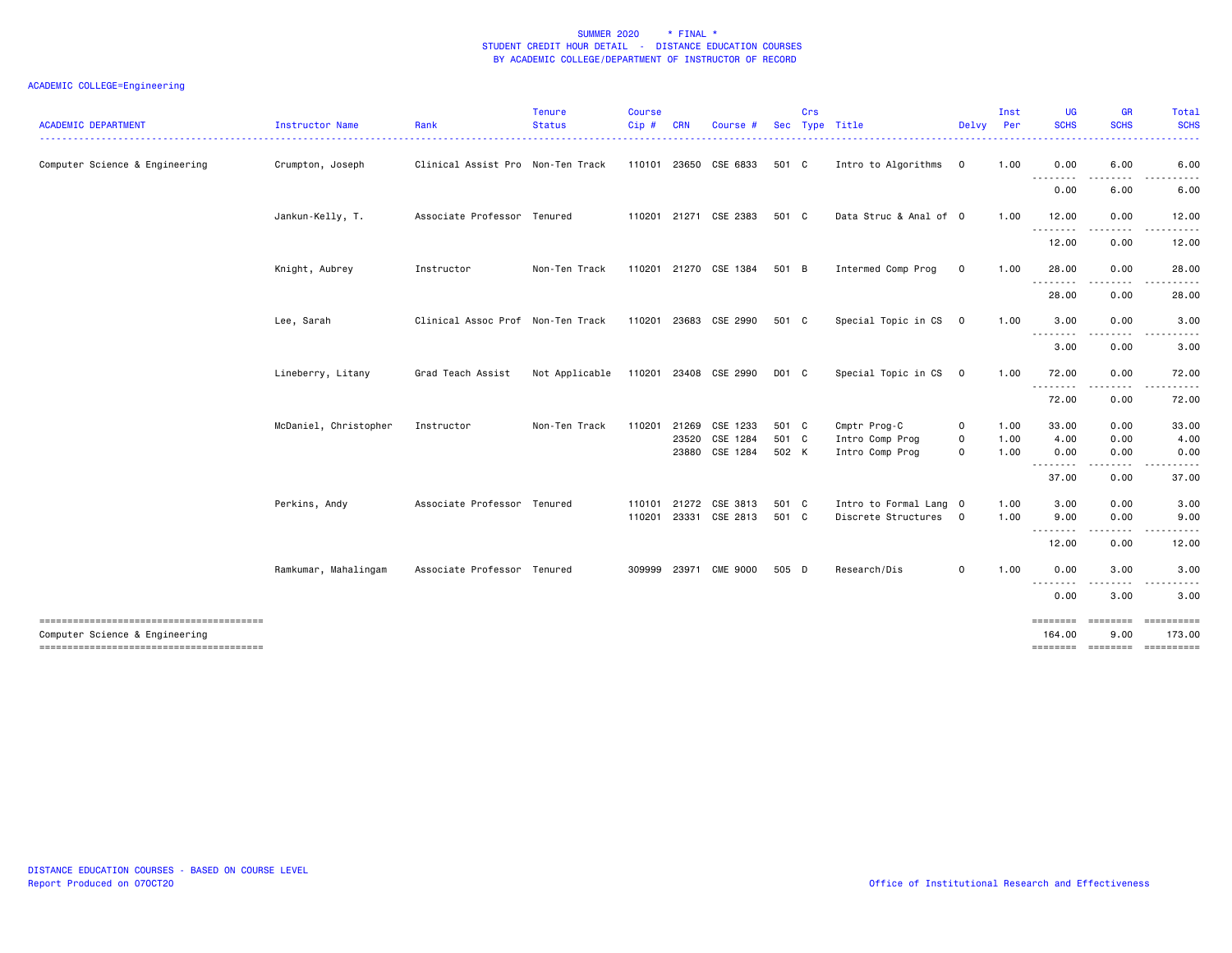| <b>ACADEMIC DEPARTMENT</b>     | Instructor Name       | Rank                              | <b>Tenure</b><br><b>Status</b>       | <b>Course</b><br>Cip# | <b>CRN</b> | Course                | <b>Sec</b> | Crs | Type Title             | Delvy Per      | Inst | UG<br><b>SCHS</b>             | <b>GR</b><br><b>SCHS</b> | Total<br><b>SCHS</b>  |
|--------------------------------|-----------------------|-----------------------------------|--------------------------------------|-----------------------|------------|-----------------------|------------|-----|------------------------|----------------|------|-------------------------------|--------------------------|-----------------------|
| Computer Science & Engineering | Crumpton, Joseph      | Clinical Assist Pro Non-Ten Track |                                      |                       |            | 110101 23650 CSE 6833 | 501 C      |     | Intro to Algorithms    | $\mathbf{0}$   | 1.00 | 0.00<br>.                     | 6.00                     | 6.00                  |
|                                |                       |                                   |                                      |                       |            |                       |            |     |                        |                |      | 0.00                          | 6.00                     | 6.00                  |
|                                | Jankun-Kelly, T.      | Associate Professor Tenured       |                                      |                       |            | 110201 21271 CSE 2383 | 501 C      |     | Data Struc & Anal of 0 |                | 1.00 | 12.00<br>$\sim$ $\sim$ $\sim$ | 0.00                     | 12.00                 |
|                                |                       |                                   |                                      |                       |            |                       |            |     |                        |                |      | 12.00                         | 0.00                     | 12.00                 |
|                                | Knight, Aubrey        | Instructor                        | Non-Ten Track                        |                       |            | 110201 21270 CSE 1384 | 501 B      |     | Intermed Comp Prog     | $\mathbf 0$    | 1.00 | 28.00<br>.                    | 0.00<br>-----            | 28.00                 |
|                                |                       |                                   |                                      |                       |            |                       |            |     |                        |                |      | 28.00                         | 0.00                     | 28.00                 |
|                                | Lee, Sarah            | Clinical Assoc Prof Non-Ten Track |                                      |                       |            | 110201 23683 CSE 2990 | 501 C      |     | Special Topic in CS 0  |                | 1.00 | 3.00                          | 0.00                     | 3.00                  |
|                                |                       |                                   |                                      |                       |            |                       |            |     |                        |                |      | --------<br>3.00              | 0.00                     | 3.00                  |
|                                | Lineberry, Litany     | Grad Teach Assist                 | Not Applicable 110201 23408 CSE 2990 |                       |            |                       | D01 C      |     | Special Topic in CS    | $\overline{0}$ | 1.00 | 72.00<br>.                    | 0.00<br>.                | 72.00<br>. <u>.</u> . |
|                                |                       |                                   |                                      |                       |            |                       |            |     |                        |                |      | 72.00                         | 0.00                     | 72.00                 |
|                                | McDaniel, Christopher | Instructor                        | Non-Ten Track                        | 110201                |            | 21269 CSE 1233        | 501 C      |     | Cmptr Prog-C           | $\mathbf{o}$   | 1.00 | 33.00                         | 0.00                     | 33.00                 |
|                                |                       |                                   |                                      |                       |            | 23520 CSE 1284        | 501 C      |     | Intro Comp Prog        | 0              | 1.00 | 4.00                          | 0.00                     | 4.00                  |
|                                |                       |                                   |                                      |                       |            | 23880 CSE 1284        | 502 K      |     | Intro Comp Prog        | $\Omega$       | 1.00 | 0.00                          | 0.00                     | 0.00                  |
|                                |                       |                                   |                                      |                       |            |                       |            |     |                        |                |      | --------<br>37.00             | .<br>0.00                | $\cdots$<br>37.00     |
|                                | Perkins, Andy         | Associate Professor Tenured       |                                      | 110101                |            | 21272 CSE 3813        | 501 C      |     | Intro to Formal Lang 0 |                | 1.00 | 3.00                          | 0.00                     | 3.00                  |
|                                |                       |                                   |                                      | 110201                |            | 23331 CSE 2813        | 501 C      |     | Discrete Structures 0  |                | 1.00 | 9.00<br>.                     | 0.00                     | 9.00                  |
|                                |                       |                                   |                                      |                       |            |                       |            |     |                        |                |      | 12.00                         | 0.00                     | 12.00                 |
|                                | Ramkumar, Mahalingam  | Associate Professor Tenured       |                                      |                       |            | 309999 23971 CME 9000 | 505 D      |     | Research/Dis           | 0              | 1.00 | 0.00<br>.                     | 3.00                     | 3.00                  |
|                                |                       |                                   |                                      |                       |            |                       |            |     |                        |                |      | 0.00                          | 3.00                     | 3.00                  |
| Computer Science & Engineering |                       |                                   |                                      |                       |            |                       |            |     |                        |                |      | ========<br>164,00            | $= 10000000000$<br>9.00  | 173.00                |
|                                |                       |                                   |                                      |                       |            |                       |            |     |                        |                |      |                               |                          |                       |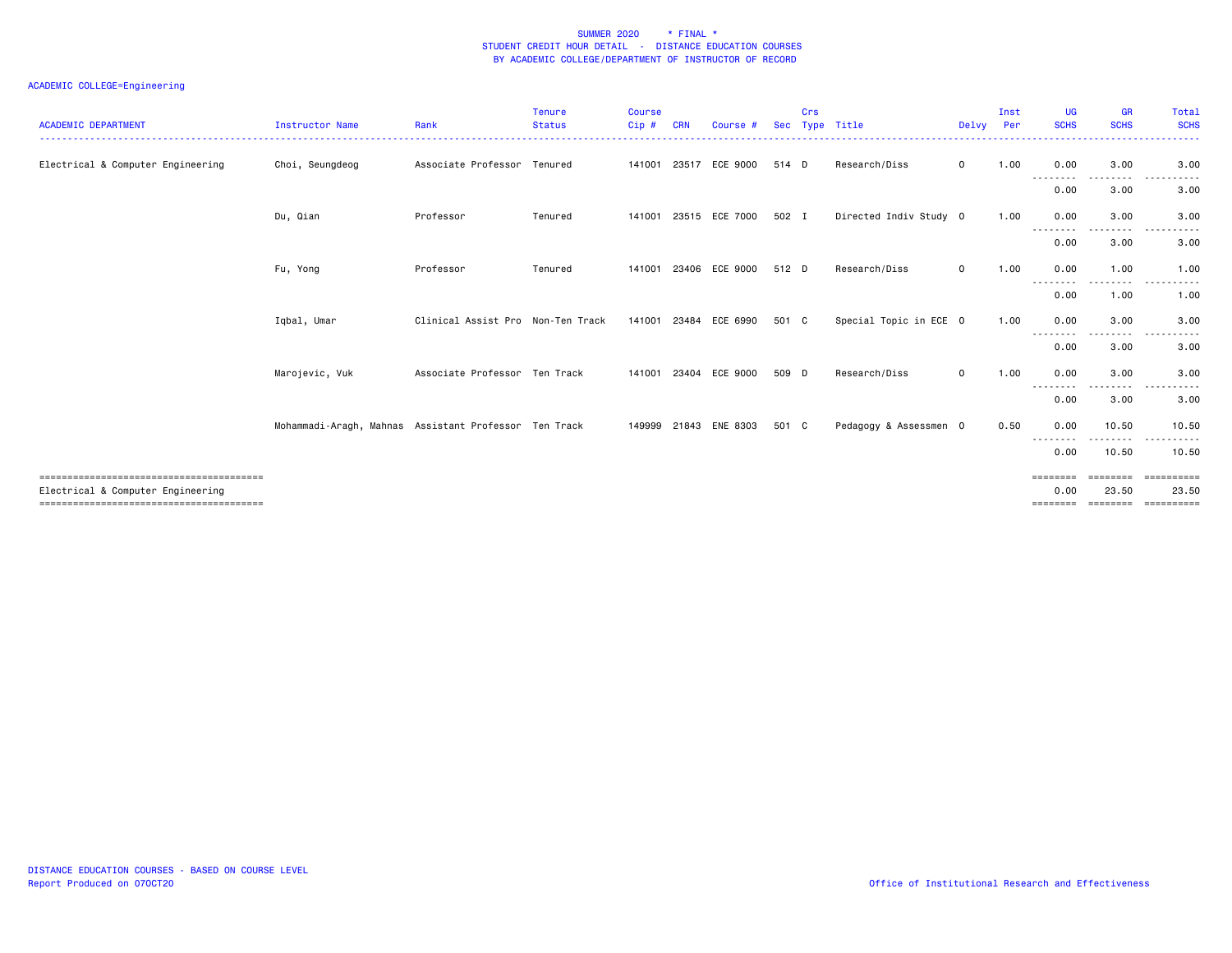| <b>ACADEMIC DEPARTMENT</b>        | Instructor Name                                       | Rank                              | <b>Tenure</b><br><b>Status</b><br>------------ | <b>Course</b><br>Cip# | <b>CRN</b> | Course #              | <b>Sec</b> | Crs | Type Title             | Delvy Per    | Inst | <b>UG</b><br><b>SCHS</b>           | GR<br><b>SCHS</b>             | Total<br><b>SCHS</b><br>------    |
|-----------------------------------|-------------------------------------------------------|-----------------------------------|------------------------------------------------|-----------------------|------------|-----------------------|------------|-----|------------------------|--------------|------|------------------------------------|-------------------------------|-----------------------------------|
| Electrical & Computer Engineering | Choi, Seungdeog                                       | Associate Professor               | Tenured                                        | 141001                |            | 23517 ECE 9000        | 514 D      |     | Research/Diss          | $\mathbf 0$  | 1.00 | 0.00<br>---------                  | 3.00                          | 3.00<br>----------                |
|                                   |                                                       |                                   |                                                |                       |            |                       |            |     |                        |              |      | 0.00                               | 3.00                          | 3.00                              |
|                                   | Du, Qian                                              | Professor                         | Tenured                                        |                       |            | 141001 23515 ECE 7000 | 502 I      |     | Directed Indiv Study 0 |              | 1.00 | 0.00<br>---------                  | 3.00<br>.                     | 3.00<br>$- - -$                   |
|                                   |                                                       |                                   |                                                |                       |            |                       |            |     |                        |              |      | 0.00                               | 3.00                          | 3.00                              |
|                                   | Fu, Yong                                              | Professor                         | Tenured                                        | 141001                |            | 23406 ECE 9000        | 512 D      |     | Research/Diss          | $\mathbf{O}$ | 1.00 | 0.00<br>---<br>$\cdots$            | 1.00<br>- - - -               | 1.00<br>.                         |
|                                   |                                                       |                                   |                                                |                       |            |                       |            |     |                        |              |      | 0.00                               | 1.00                          | 1.00                              |
|                                   | Igbal, Umar                                           | Clinical Assist Pro Non-Ten Track |                                                |                       |            | 141001 23484 ECE 6990 | 501 C      |     | Special Topic in ECE 0 |              | 1.00 | 0.00<br>--------                   | 3.00                          | 3.00                              |
|                                   |                                                       |                                   |                                                |                       |            |                       |            |     |                        |              |      | 0.00                               | 3.00                          | 3.00                              |
|                                   | Marojevic, Vuk                                        | Associate Professor Ten Track     |                                                | 141001                |            | 23404 ECE 9000        | 509 D      |     | Research/Diss          | $\mathbf 0$  | 1.00 | 0.00<br>----                       | 3.00                          | 3.00                              |
|                                   |                                                       |                                   |                                                |                       |            |                       |            |     |                        |              |      | 0.00                               | 3.00                          | 3.00                              |
|                                   | Mohammadi-Aragh, Mahnas Assistant Professor Ten Track |                                   |                                                |                       |            | 149999 21843 ENE 8303 | 501 C      |     | Pedagogy & Assessmen 0 |              | 0.50 | 0.00<br>--------                   | 10.50                         | 10.50                             |
|                                   |                                                       |                                   |                                                |                       |            |                       |            |     |                        |              |      | 0.00                               | 10.50                         | 10.50                             |
| Electrical & Computer Engineering |                                                       |                                   |                                                |                       |            |                       |            |     |                        |              |      | <b>EEEEEEE</b><br>0.00<br>======== | --------<br>23.50<br>======== | ==========<br>23.50<br>========== |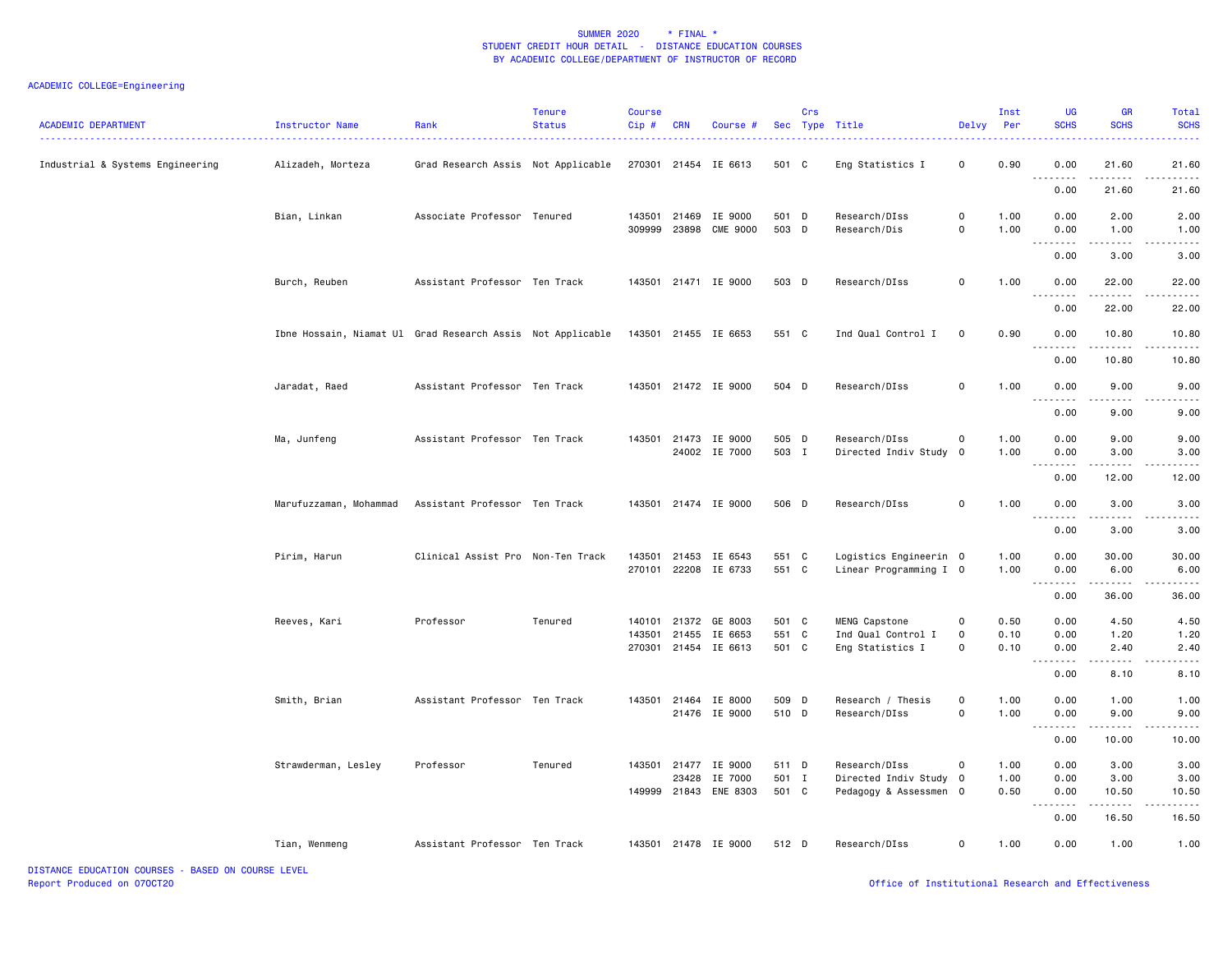## ACADEMIC COLLEGE=Engineering

| <b>ACADEMIC DEPARTMENT</b>       | Instructor Name                                            | Rank                               | <b>Tenure</b><br><b>Status</b> | <b>Course</b><br>$Cip$ # | <b>CRN</b> | Course #              |       | Crs | Sec Type Title         | Delvy               | Inst<br>Per | UG<br><b>SCHS</b>                                                                                                                                                                                                                                                                                                                                                                                                                                                                              | GR<br><b>SCHS</b>                                                                                                                                             | Total<br><b>SCHS</b> |
|----------------------------------|------------------------------------------------------------|------------------------------------|--------------------------------|--------------------------|------------|-----------------------|-------|-----|------------------------|---------------------|-------------|------------------------------------------------------------------------------------------------------------------------------------------------------------------------------------------------------------------------------------------------------------------------------------------------------------------------------------------------------------------------------------------------------------------------------------------------------------------------------------------------|---------------------------------------------------------------------------------------------------------------------------------------------------------------|----------------------|
| Industrial & Systems Engineering | Alizadeh, Morteza                                          | Grad Research Assis Not Applicable |                                |                          |            | 270301 21454 IE 6613  | 501 C |     | Eng Statistics I       | $\mathbf 0$         | 0.90        | 0.00<br>.                                                                                                                                                                                                                                                                                                                                                                                                                                                                                      | 21.60<br>$\frac{1}{2} \left( \frac{1}{2} \right) \left( \frac{1}{2} \right) \left( \frac{1}{2} \right) \left( \frac{1}{2} \right) \left( \frac{1}{2} \right)$ | 21.60<br>.           |
|                                  |                                                            |                                    |                                |                          |            |                       |       |     |                        |                     |             | 0.00                                                                                                                                                                                                                                                                                                                                                                                                                                                                                           | 21.60                                                                                                                                                         | 21.60                |
|                                  | Bian, Linkan                                               | Associate Professor Tenured        |                                |                          |            | 143501 21469 IE 9000  | 501 D |     | Research/DIss          | $\mathsf{O}\xspace$ | 1.00        | 0.00                                                                                                                                                                                                                                                                                                                                                                                                                                                                                           | 2.00                                                                                                                                                          | 2.00                 |
|                                  |                                                            |                                    |                                |                          |            | 309999 23898 CME 9000 | 503 D |     | Research/Dis           | 0                   | 1.00        | 0.00                                                                                                                                                                                                                                                                                                                                                                                                                                                                                           | 1.00                                                                                                                                                          | 1.00                 |
|                                  |                                                            |                                    |                                |                          |            |                       |       |     |                        |                     |             | $\begin{array}{cccccccccccccc} \multicolumn{2}{c}{} & \multicolumn{2}{c}{} & \multicolumn{2}{c}{} & \multicolumn{2}{c}{} & \multicolumn{2}{c}{} & \multicolumn{2}{c}{} & \multicolumn{2}{c}{} & \multicolumn{2}{c}{} & \multicolumn{2}{c}{} & \multicolumn{2}{c}{} & \multicolumn{2}{c}{} & \multicolumn{2}{c}{} & \multicolumn{2}{c}{} & \multicolumn{2}{c}{} & \multicolumn{2}{c}{} & \multicolumn{2}{c}{} & \multicolumn{2}{c}{} & \multicolumn{2}{c}{} & \multicolumn{2}{c}{} & \$<br>0.00 | $\sim$ $\sim$ $\sim$ $\sim$<br>3.00                                                                                                                           | -----<br>3.00        |
|                                  | Burch, Reuben                                              | Assistant Professor Ten Track      |                                |                          |            | 143501 21471 IE 9000  | 503 D |     | Research/DIss          | 0                   | 1.00        | 0.00                                                                                                                                                                                                                                                                                                                                                                                                                                                                                           | 22.00                                                                                                                                                         | 22.00                |
|                                  |                                                            |                                    |                                |                          |            |                       |       |     |                        |                     |             | .<br>0.00                                                                                                                                                                                                                                                                                                                                                                                                                                                                                      | .<br>22.00                                                                                                                                                    | .<br>22.00           |
|                                  | Ibne Hossain, Niamat Ul Grad Research Assis Not Applicable |                                    |                                |                          |            | 143501 21455 IE 6653  | 551 C |     | Ind Qual Control I     | 0                   | 0.90        | 0.00                                                                                                                                                                                                                                                                                                                                                                                                                                                                                           | 10.80                                                                                                                                                         | 10.80                |
|                                  |                                                            |                                    |                                |                          |            |                       |       |     |                        |                     |             | 0.00                                                                                                                                                                                                                                                                                                                                                                                                                                                                                           | 10.80                                                                                                                                                         | 10.80                |
|                                  |                                                            |                                    |                                |                          |            |                       |       |     |                        | $\Omega$            |             |                                                                                                                                                                                                                                                                                                                                                                                                                                                                                                |                                                                                                                                                               |                      |
|                                  | Jaradat, Raed                                              | Assistant Professor Ten Track      |                                |                          |            | 143501 21472 IE 9000  | 504 D |     | Research/DIss          |                     | 1.00        | 0.00<br><u>.</u>                                                                                                                                                                                                                                                                                                                                                                                                                                                                               | 9.00                                                                                                                                                          | 9.00                 |
|                                  |                                                            |                                    |                                |                          |            |                       |       |     |                        |                     |             | 0.00                                                                                                                                                                                                                                                                                                                                                                                                                                                                                           | 9.00                                                                                                                                                          | 9.00                 |
|                                  | Ma, Junfeng                                                | Assistant Professor Ten Track      |                                |                          |            | 143501 21473 IE 9000  | 505 D |     | Research/DIss          | 0                   | 1.00        | 0.00                                                                                                                                                                                                                                                                                                                                                                                                                                                                                           | 9.00                                                                                                                                                          | 9.00                 |
|                                  |                                                            |                                    |                                |                          |            | 24002 IE 7000         | 503 I |     | Directed Indiv Study   | $\overline{0}$      | 1.00        | 0.00<br>.                                                                                                                                                                                                                                                                                                                                                                                                                                                                                      | 3.00<br>-----                                                                                                                                                 | 3.00                 |
|                                  |                                                            |                                    |                                |                          |            |                       |       |     |                        |                     |             | 0.00                                                                                                                                                                                                                                                                                                                                                                                                                                                                                           | 12.00                                                                                                                                                         | 12.00                |
|                                  | Marufuzzaman, Mohammad                                     | Assistant Professor Ten Track      |                                |                          |            | 143501 21474 IE 9000  | 506 D |     | Research/DIss          | $\mathbf 0$         | 1.00        | 0.00                                                                                                                                                                                                                                                                                                                                                                                                                                                                                           | 3.00                                                                                                                                                          | 3.00                 |
|                                  |                                                            |                                    |                                |                          |            |                       |       |     |                        |                     |             | .                                                                                                                                                                                                                                                                                                                                                                                                                                                                                              | .                                                                                                                                                             | $\frac{1}{2}$        |
|                                  |                                                            |                                    |                                |                          |            |                       |       |     |                        |                     |             | 0.00                                                                                                                                                                                                                                                                                                                                                                                                                                                                                           | 3.00                                                                                                                                                          | 3.00                 |
|                                  | Pirim, Harun                                               | Clinical Assist Pro Non-Ten Track  |                                | 143501                   |            | 21453 IE 6543         | 551 C |     | Logistics Engineerin 0 |                     | 1.00        | 0.00                                                                                                                                                                                                                                                                                                                                                                                                                                                                                           | 30.00                                                                                                                                                         | 30.00                |
|                                  |                                                            |                                    |                                |                          |            | 270101 22208 IE 6733  | 551 C |     | Linear Programming I 0 |                     | 1.00        | 0.00<br>.                                                                                                                                                                                                                                                                                                                                                                                                                                                                                      | 6.00                                                                                                                                                          | 6.00                 |
|                                  |                                                            |                                    |                                |                          |            |                       |       |     |                        |                     |             | 0.00                                                                                                                                                                                                                                                                                                                                                                                                                                                                                           | 36.00                                                                                                                                                         | 36.00                |
|                                  | Reeves, Kari                                               | Professor                          | Tenured                        | 140101                   |            | 21372 GE 8003         | 501 C |     | MENG Capstone          | 0                   | 0.50        | 0.00                                                                                                                                                                                                                                                                                                                                                                                                                                                                                           | 4.50                                                                                                                                                          | 4.50                 |
|                                  |                                                            |                                    |                                | 143501                   |            | 21455 IE 6653         | 551 C |     | Ind Qual Control I     | 0                   | 0.10        | 0.00                                                                                                                                                                                                                                                                                                                                                                                                                                                                                           | 1.20                                                                                                                                                          | 1.20                 |
|                                  |                                                            |                                    |                                |                          |            | 270301 21454 IE 6613  | 501 C |     | Eng Statistics I       | $\Omega$            | 0.10        | 0.00                                                                                                                                                                                                                                                                                                                                                                                                                                                                                           | 2.40                                                                                                                                                          | 2.40                 |
|                                  |                                                            |                                    |                                |                          |            |                       |       |     |                        |                     |             | .<br>0.00                                                                                                                                                                                                                                                                                                                                                                                                                                                                                      | .<br>8.10                                                                                                                                                     | .<br>8.10            |
|                                  | Smith, Brian                                               | Assistant Professor Ten Track      |                                |                          |            | 143501 21464 IE 8000  | 509 D |     | Research / Thesis      | 0                   | 1.00        | 0.00                                                                                                                                                                                                                                                                                                                                                                                                                                                                                           | 1.00                                                                                                                                                          | 1.00                 |
|                                  |                                                            |                                    |                                |                          |            | 21476 IE 9000         | 510 D |     | Research/DIss          | 0                   | 1.00        | 0.00<br>.                                                                                                                                                                                                                                                                                                                                                                                                                                                                                      | 9.00                                                                                                                                                          | 9.00                 |
|                                  |                                                            |                                    |                                |                          |            |                       |       |     |                        |                     |             | 0.00                                                                                                                                                                                                                                                                                                                                                                                                                                                                                           | 10.00                                                                                                                                                         | 10.00                |
|                                  | Strawderman, Lesley                                        | Professor                          | Tenured                        |                          |            | 143501 21477 IE 9000  | 511 D |     | Research/DIss          | $\mathsf{o}$        | 1.00        | 0.00                                                                                                                                                                                                                                                                                                                                                                                                                                                                                           | 3.00                                                                                                                                                          | 3.00                 |
|                                  |                                                            |                                    |                                |                          |            | 23428 IE 7000         | 501 I |     | Directed Indiv Study 0 |                     | 1.00        | 0.00                                                                                                                                                                                                                                                                                                                                                                                                                                                                                           | 3.00                                                                                                                                                          | 3.00                 |
|                                  |                                                            |                                    |                                | 149999                   | 21843      | ENE 8303              | 501 C |     | Pedagogy & Assessmen 0 |                     | 0.50        | 0.00<br>.                                                                                                                                                                                                                                                                                                                                                                                                                                                                                      | 10.50<br>.                                                                                                                                                    | 10.50                |
|                                  |                                                            |                                    |                                |                          |            |                       |       |     |                        |                     |             | 0.00                                                                                                                                                                                                                                                                                                                                                                                                                                                                                           | 16.50                                                                                                                                                         | 16.50                |
|                                  | Tian, Wenmeng                                              | Assistant Professor Ten Track      |                                |                          |            | 143501 21478 IE 9000  | 512 D |     | Research/DIss          | $\Omega$            | 1.00        | 0.00                                                                                                                                                                                                                                                                                                                                                                                                                                                                                           | 1.00                                                                                                                                                          | 1.00                 |

DISTANCE EDUCATION COURSES - BASED ON COURSE LEVEL Report Produced on 07OCT20 Office of Institutional Research and Effectiveness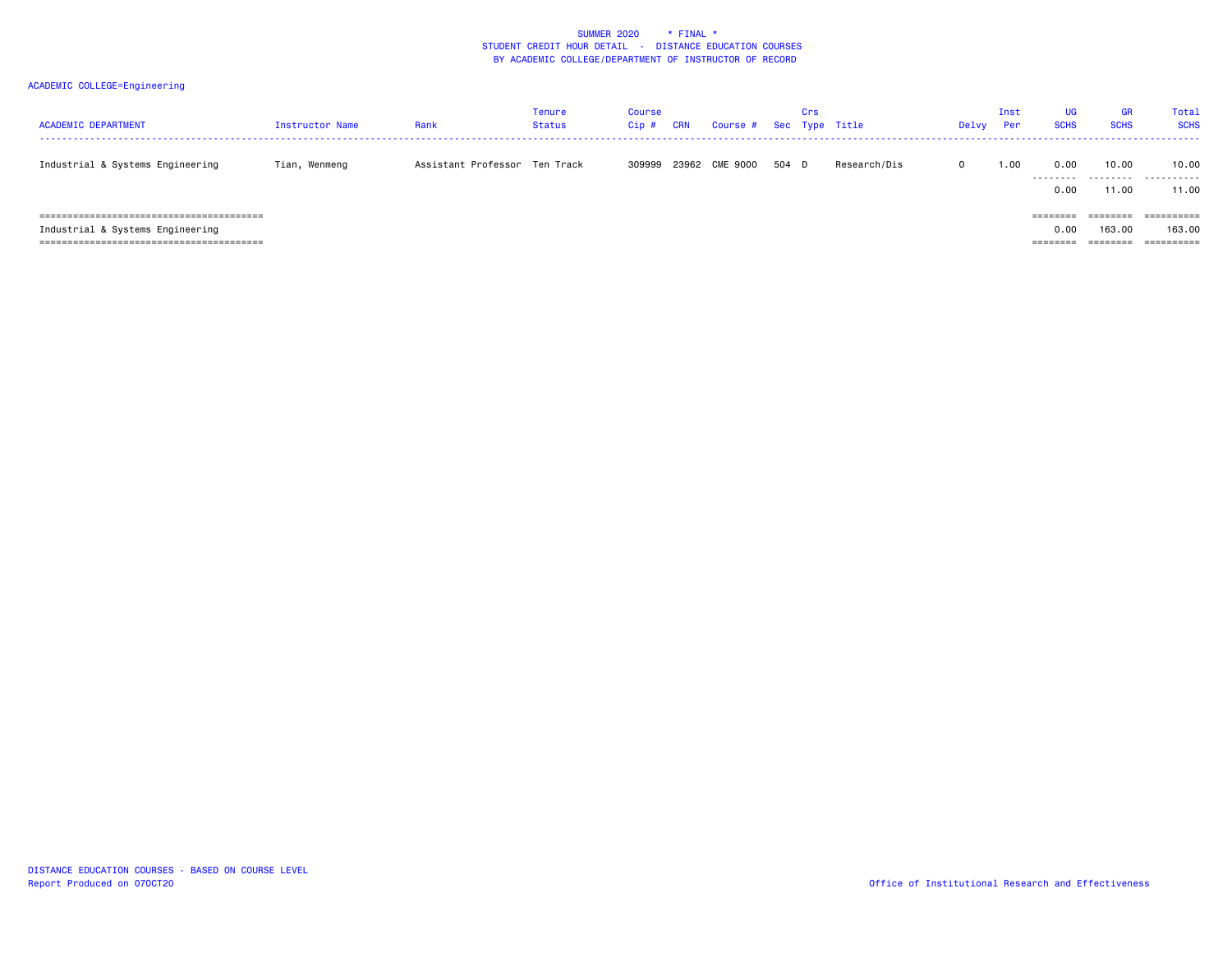| <b>ACADEMIC DEPARTMENT</b>                                           | Instructor Name | Rank                          | Tenure<br><b>Status</b> | Course<br>Cip # | <b>CRN</b> | Course #       |     | Crs | Sec Type Title | Delvy      | Inst<br>Per | UG<br><b>SCHS</b>           | <b>GR</b><br><b>SCHS</b>       | Total<br><b>SCHS</b>               |
|----------------------------------------------------------------------|-----------------|-------------------------------|-------------------------|-----------------|------------|----------------|-----|-----|----------------|------------|-------------|-----------------------------|--------------------------------|------------------------------------|
| Industrial & Systems Engineering                                     | Tian, Wenmeng   | Assistant Professor Ten Track |                         | 309999          |            | 23962 CME 9000 | 504 | D   | Research/Dis   | $^{\circ}$ | 1.00        | 0.00<br>0.00                | 10.00<br>11.00                 | 10.00<br><br>11.00                 |
| Industrial & Systems Engineering<br>________________________________ |                 |                               |                         |                 |            |                |     |     |                |            |             | ========<br>0.00<br>======= | ========<br>163.00<br>======== | ==========<br>163,00<br>========== |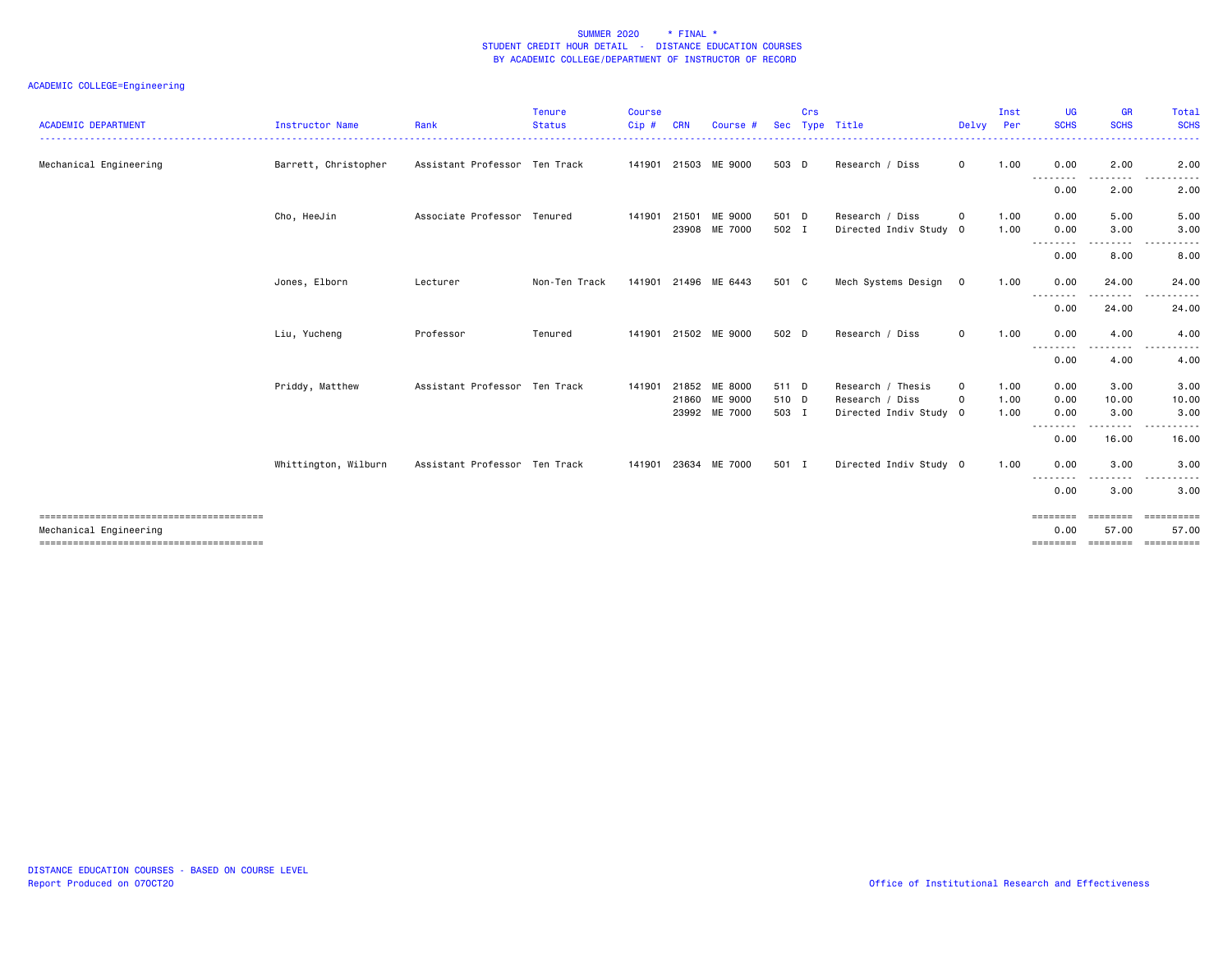| <b>ACADEMIC DEPARTMENT</b> | Instructor Name      | Rank                          | <b>Tenure</b><br><b>Status</b> | <b>Course</b><br>Cip# | <b>CRN</b> | Course #             | <b>Sec</b> | Crs | Type Title             | Delvy       | Inst<br>Per | <b>UG</b><br><b>SCHS</b> | <b>GR</b><br><b>SCHS</b> | Total<br><b>SCHS</b>           |
|----------------------------|----------------------|-------------------------------|--------------------------------|-----------------------|------------|----------------------|------------|-----|------------------------|-------------|-------------|--------------------------|--------------------------|--------------------------------|
| Mechanical Engineering     | Barrett, Christopher | Assistant Professor Ten Track |                                |                       |            | 141901 21503 ME 9000 | 503 D      |     | Research / Diss        | $\mathbf 0$ | 1.00        | 0.00                     | 2.00                     | 2.00                           |
|                            |                      |                               |                                |                       |            |                      |            |     |                        |             |             | --------                 |                          |                                |
|                            |                      |                               |                                |                       |            |                      |            |     |                        |             |             | 0.00                     | 2.00                     | 2.00                           |
|                            | Cho, HeeJin          | Associate Professor Tenured   |                                | 141901                |            | 21501 ME 9000        | 501 D      |     | Research / Diss        | $\mathbf 0$ | 1.00        | 0.00                     | 5.00                     | 5.00                           |
|                            |                      |                               |                                |                       |            | 23908 ME 7000        | 502 I      |     | Directed Indiv Study 0 |             | 1.00        | 0.00<br>.                | 3.00<br>.                | 3.00<br>$- - -$<br>.           |
|                            |                      |                               |                                |                       |            |                      |            |     |                        |             |             | 0.00                     | 8.00                     | 8.00                           |
|                            | Jones, Elborn        | Lecturer                      | Non-Ten Track                  | 141901                |            | 21496 ME 6443        | 501 C      |     | Mech Systems Design    | $\mathbf 0$ | 1.00        | 0.00                     | 24.00                    | 24.00                          |
|                            |                      |                               |                                |                       |            |                      |            |     |                        |             |             | --------<br>0.00         | .<br>24.00               | ------<br>$  -$<br>24.00       |
|                            |                      |                               |                                |                       |            |                      |            |     |                        |             |             |                          |                          |                                |
|                            | Liu, Yucheng         | Professor                     | Tenured                        | 141901                |            | 21502 ME 9000        | 502 D      |     | Research / Diss        | $\mathbf 0$ | 1.00        | 0.00<br>--------         | 4.00                     | 4.00                           |
|                            |                      |                               |                                |                       |            |                      |            |     |                        |             |             | 0.00                     | 4.00                     | 4.00                           |
|                            | Priddy, Matthew      | Assistant Professor Ten Track |                                | 141901                |            | 21852 ME 8000        | 511 D      |     | Research / Thesis      | $\mathbf 0$ | 1.00        | 0.00                     | 3.00                     | 3.00                           |
|                            |                      |                               |                                |                       |            | 21860 ME 9000        | 510 D      |     | Research / Diss        | $\Omega$    | 1.00        | 0.00                     | 10.00                    | 10.00                          |
|                            |                      |                               |                                |                       |            | 23992 ME 7000        | 503 I      |     | Directed Indiv Study 0 |             | 1.00        | 0.00<br>--------         | 3.00<br>.                | 3.00<br>.                      |
|                            |                      |                               |                                |                       |            |                      |            |     |                        |             |             | 0.00                     | 16.00                    | 16.00                          |
|                            | Whittington, Wilburn | Assistant Professor Ten Track |                                |                       |            | 141901 23634 ME 7000 | 501 I      |     | Directed Indiv Study 0 |             | 1.00        | 0.00                     | 3.00                     | 3.00                           |
|                            |                      |                               |                                |                       |            |                      |            |     |                        |             |             | ----<br>.<br>0.00        | 3.00                     | 3.00                           |
|                            |                      |                               |                                |                       |            |                      |            |     |                        |             |             | ========                 | ========                 | <b>CONSESSED</b>               |
| Mechanical Engineering     |                      |                               |                                |                       |            |                      |            |     |                        |             |             | 0.00                     | 57.00                    | 57.00                          |
|                            |                      |                               |                                |                       |            |                      |            |     |                        |             |             |                          |                          | ============================== |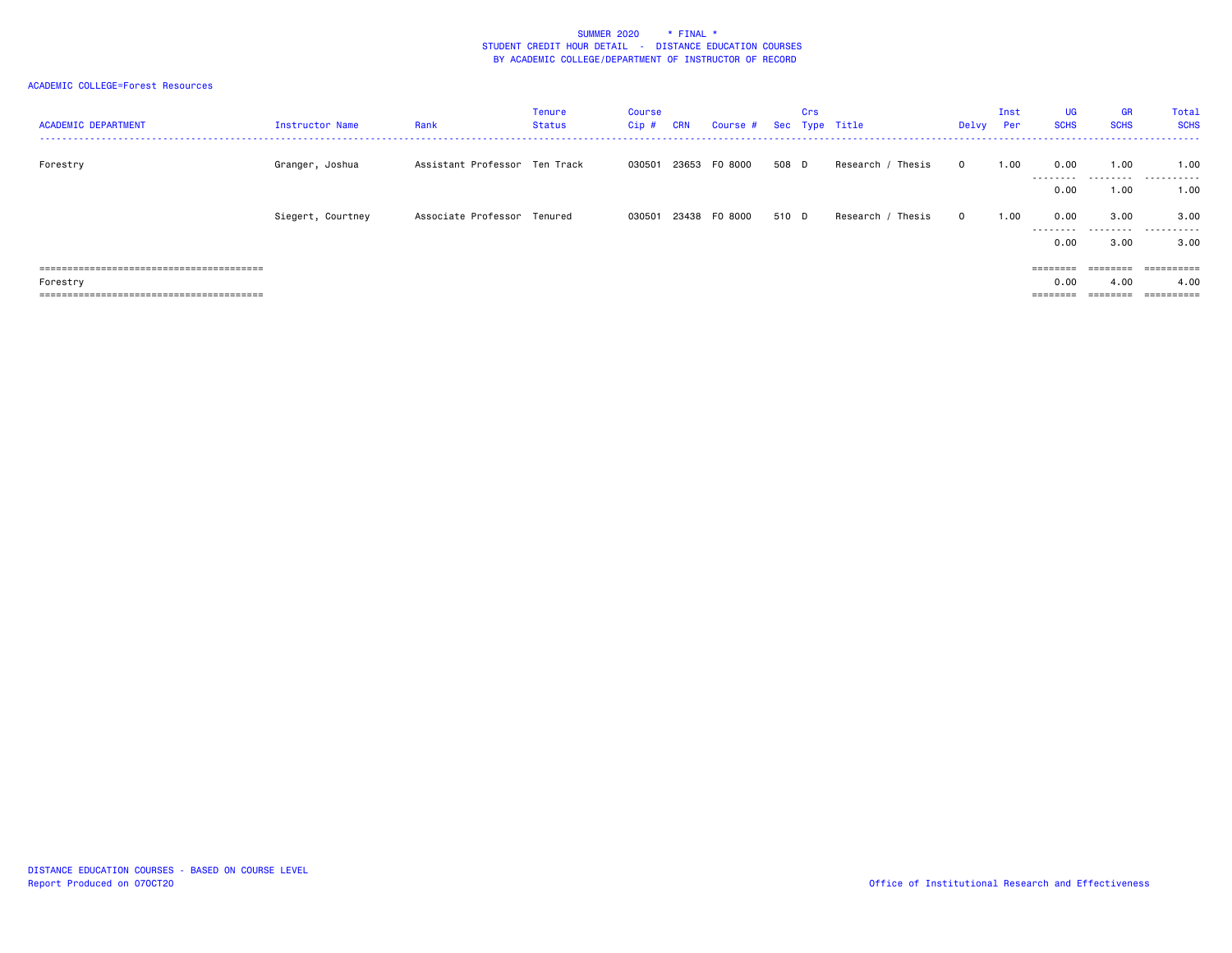## ACADEMIC COLLEGE=Forest Resources

| <b>ACADEMIC DEPARTMENT</b> | <b>Instructor Name</b> | Rank                          | Tenure<br>Status | Course<br>Cip# | <b>CRN</b> | Course #      |       | <b>Crs</b> | Sec Type Title       | Delvy        | Inst<br><b>Per</b> | <b>UG</b><br><b>SCHS</b> | <b>GR</b><br><b>SCHS</b> | Total<br><b>SCHS</b>      |
|----------------------------|------------------------|-------------------------------|------------------|----------------|------------|---------------|-------|------------|----------------------|--------------|--------------------|--------------------------|--------------------------|---------------------------|
| Forestry                   | Granger, Joshua        | Assistant Professor Ten Track |                  | 030501         |            | 23653 FO 8000 | 508 D |            | Research<br>Thesis   | $\Omega$     | 1.00               | 0.00<br>---------        | 1.00                     | 1.00<br>.                 |
|                            |                        |                               |                  |                |            |               |       |            |                      |              |                    | 0.00                     | 1.00                     | 1.00                      |
|                            | Siegert, Courtney      | Associate Professor Tenured   |                  | 030501         |            | 23438 FO 8000 | 510 D |            | Research<br>' Thesis | $\mathbf{O}$ | 1.00               | 0.00<br>---------        | 3.00<br>.                | 3.00<br>.                 |
|                            |                        |                               |                  |                |            |               |       |            |                      |              |                    | 0.00                     | 3.00                     | 3.00                      |
|                            |                        |                               |                  |                |            |               |       |            |                      |              |                    | --------<br>--------     | $=$ = = = = = = =        | -----------<br>---------- |
| Forestry                   |                        |                               |                  |                |            |               |       |            |                      |              |                    | 0.00                     | 4.00                     | 4.00                      |
|                            |                        |                               |                  |                |            |               |       |            |                      |              |                    | =======                  |                          |                           |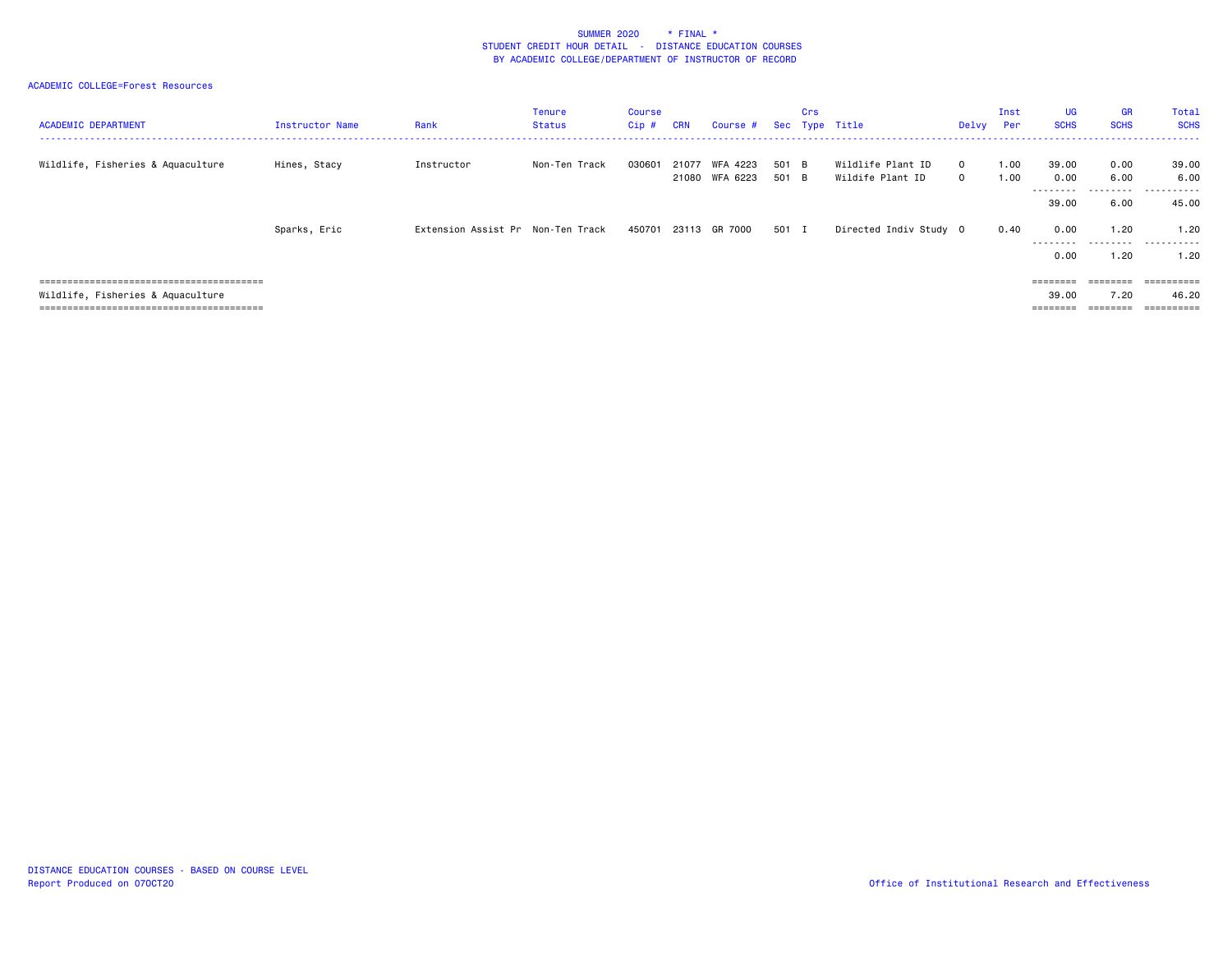## ACADEMIC COLLEGE=Forest Resources

| <b>ACADEMIC DEPARTMENT</b>        | Instructor Name | Rank                              | Tenure<br>Status | Course<br>Cip# | <b>CRN</b> | Course #                   | Sec            | <b>Crs</b> | Type Title                            | Delvy                    | Inst<br>Per  | <b>UG</b><br><b>SCHS</b>   | <b>GR</b><br><b>SCHS</b>  | Total<br><b>SCHS</b> |
|-----------------------------------|-----------------|-----------------------------------|------------------|----------------|------------|----------------------------|----------------|------------|---------------------------------------|--------------------------|--------------|----------------------------|---------------------------|----------------------|
| Wildlife, Fisheries & Aquaculture | Hines, Stacy    | Instructor                        | Non-Ten Track    | 030601         | 21077      | WFA 4223<br>21080 WFA 6223 | 501 B<br>501 B |            | Wildlife Plant ID<br>Wildife Plant ID | $\Omega$<br>$\mathbf{0}$ | 1.00<br>1.00 | 39.00<br>0.00<br>--------- | 0.00<br>6.00<br>.         | 39.00<br>6.00<br>.   |
|                                   |                 |                                   |                  |                |            |                            |                |            |                                       |                          |              | 39,00                      | 6.00                      | 45.00                |
|                                   | Sparks, Eric    | Extension Assist Pr Non-Ten Track |                  |                |            | 450701 23113 GR 7000       | 501 I          |            | Directed Indiv Study 0                |                          | 0.40         | 0.00<br>---------<br>0.00  | 1.20<br>.<br>1.20         | 1.20<br>.<br>1.20    |
|                                   |                 |                                   |                  |                |            |                            |                |            |                                       |                          |              |                            |                           |                      |
| Wildlife, Fisheries & Aquaculture |                 |                                   |                  |                |            |                            |                |            |                                       |                          |              | $=$ = = = = = = =<br>39,00 | $=$ = = = = = = =<br>7.20 | ==========<br>46.20  |
|                                   |                 |                                   |                  |                |            |                            |                |            |                                       |                          |              | $=$ = = = = = = =          | ========                  | -----------          |